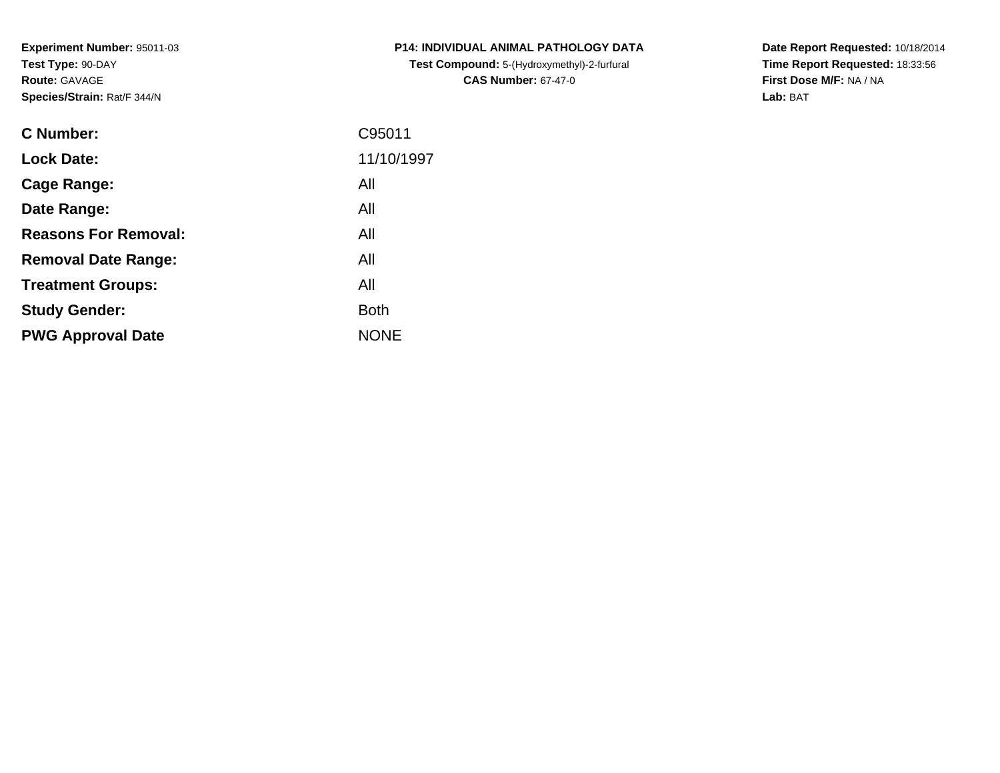**Experiment Number:** 95011-03**Test Type:** 90-DAY**Route:** GAVAGE**Species/Strain:** Rat/F 344/N

| <b>C Number:</b>            | C95011      |
|-----------------------------|-------------|
| <b>Lock Date:</b>           | 11/10/1997  |
| <b>Cage Range:</b>          | All         |
| Date Range:                 | All         |
| <b>Reasons For Removal:</b> | All         |
| <b>Removal Date Range:</b>  | All         |
| <b>Treatment Groups:</b>    | All         |
| <b>Study Gender:</b>        | <b>Both</b> |
| <b>PWG Approval Date</b>    | <b>NONE</b> |
|                             |             |

**P14: INDIVIDUAL ANIMAL PATHOLOGY DATATest Compound:** 5-(Hydroxymethyl)-2-furfural **CAS Number:** 67-47-0

**Date Report Requested:** 10/18/2014 **Time Report Requested:** 18:33:56**First Dose M/F:** NA / NA**Lab:** BAT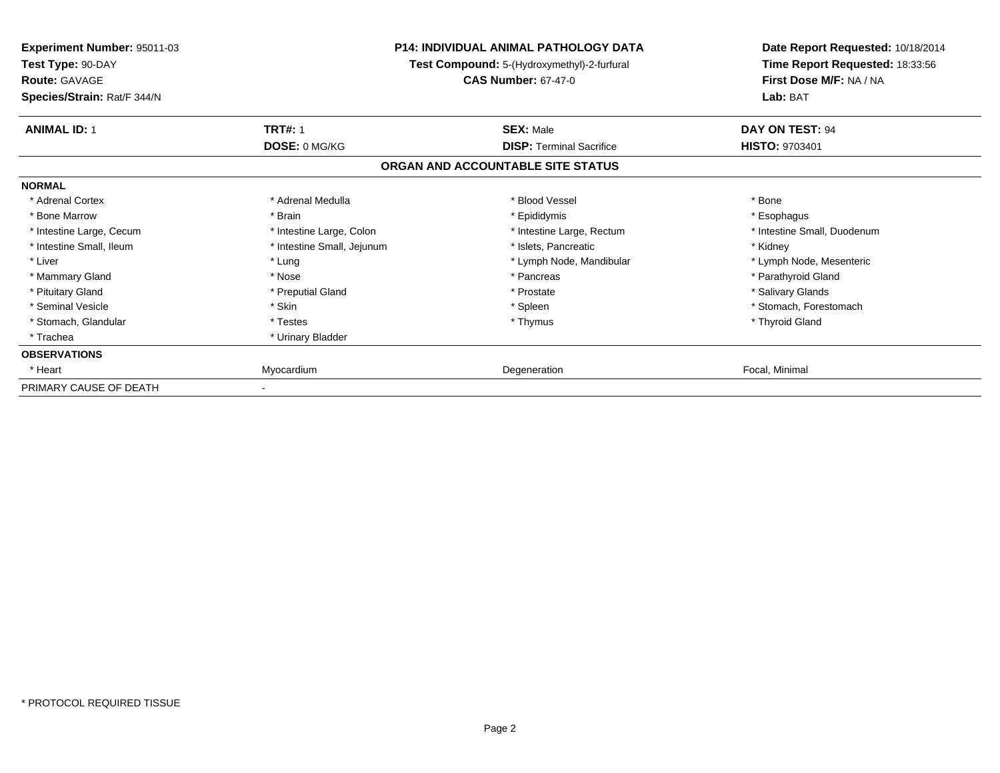| Experiment Number: 95011-03<br>Test Type: 90-DAY<br><b>Route: GAVAGE</b> |                            | <b>P14: INDIVIDUAL ANIMAL PATHOLOGY DATA</b><br>Test Compound: 5-(Hydroxymethyl)-2-furfural<br><b>CAS Number: 67-47-0</b> | Date Report Requested: 10/18/2014<br>Time Report Requested: 18:33:56<br>First Dose M/F: NA / NA |
|--------------------------------------------------------------------------|----------------------------|---------------------------------------------------------------------------------------------------------------------------|-------------------------------------------------------------------------------------------------|
| Species/Strain: Rat/F 344/N                                              |                            |                                                                                                                           | Lab: BAT                                                                                        |
| <b>ANIMAL ID: 1</b>                                                      | <b>TRT#: 1</b>             | <b>SEX: Male</b>                                                                                                          | DAY ON TEST: 94                                                                                 |
|                                                                          | DOSE: 0 MG/KG              | <b>DISP: Terminal Sacrifice</b>                                                                                           | <b>HISTO: 9703401</b>                                                                           |
|                                                                          |                            | ORGAN AND ACCOUNTABLE SITE STATUS                                                                                         |                                                                                                 |
| <b>NORMAL</b>                                                            |                            |                                                                                                                           |                                                                                                 |
| * Adrenal Cortex                                                         | * Adrenal Medulla          | * Blood Vessel                                                                                                            | * Bone                                                                                          |
| * Bone Marrow                                                            | * Brain                    | * Epididymis                                                                                                              | * Esophagus                                                                                     |
| * Intestine Large, Cecum                                                 | * Intestine Large, Colon   | * Intestine Large, Rectum                                                                                                 | * Intestine Small, Duodenum                                                                     |
| * Intestine Small, Ileum                                                 | * Intestine Small, Jejunum | * Islets, Pancreatic                                                                                                      | * Kidney                                                                                        |
| * Liver                                                                  | * Lung                     | * Lymph Node, Mandibular                                                                                                  | * Lymph Node, Mesenteric                                                                        |
| * Mammary Gland                                                          | * Nose                     | * Pancreas                                                                                                                | * Parathyroid Gland                                                                             |
| * Pituitary Gland                                                        | * Preputial Gland          | * Prostate                                                                                                                | * Salivary Glands                                                                               |
| * Seminal Vesicle                                                        | * Skin                     | * Spleen                                                                                                                  | * Stomach, Forestomach                                                                          |
| * Stomach, Glandular                                                     | * Testes                   | * Thymus                                                                                                                  | * Thyroid Gland                                                                                 |
| * Trachea                                                                | * Urinary Bladder          |                                                                                                                           |                                                                                                 |
| <b>OBSERVATIONS</b>                                                      |                            |                                                                                                                           |                                                                                                 |
| * Heart                                                                  | Myocardium                 | Degeneration                                                                                                              | Focal, Minimal                                                                                  |
| PRIMARY CAUSE OF DEATH                                                   |                            |                                                                                                                           |                                                                                                 |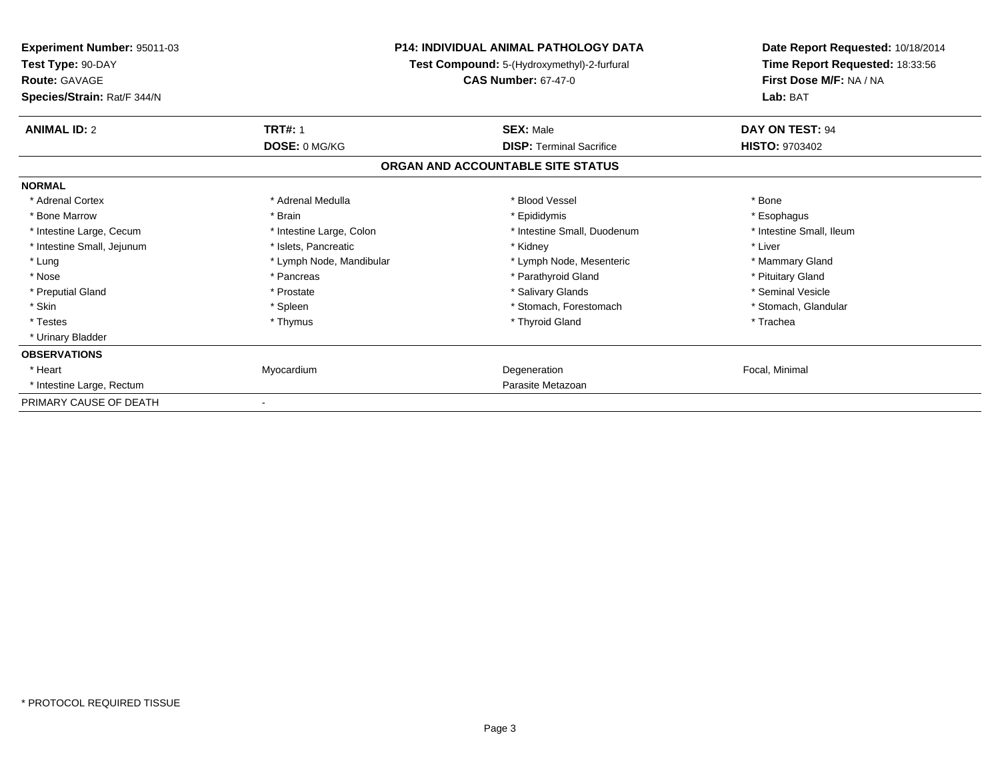| <b>Experiment Number: 95011-03</b><br>Test Type: 90-DAY<br><b>Route: GAVAGE</b><br>Species/Strain: Rat/F 344/N |                          | <b>P14: INDIVIDUAL ANIMAL PATHOLOGY DATA</b><br>Test Compound: 5-(Hydroxymethyl)-2-furfural<br><b>CAS Number: 67-47-0</b> | Date Report Requested: 10/18/2014<br>Time Report Requested: 18:33:56<br>First Dose M/F: NA / NA<br>Lab: BAT |
|----------------------------------------------------------------------------------------------------------------|--------------------------|---------------------------------------------------------------------------------------------------------------------------|-------------------------------------------------------------------------------------------------------------|
| <b>ANIMAL ID: 2</b>                                                                                            | <b>TRT#: 1</b>           | <b>SEX: Male</b>                                                                                                          | DAY ON TEST: 94                                                                                             |
|                                                                                                                | DOSE: 0 MG/KG            | <b>DISP: Terminal Sacrifice</b>                                                                                           | <b>HISTO: 9703402</b>                                                                                       |
|                                                                                                                |                          | ORGAN AND ACCOUNTABLE SITE STATUS                                                                                         |                                                                                                             |
| <b>NORMAL</b>                                                                                                  |                          |                                                                                                                           |                                                                                                             |
| * Adrenal Cortex                                                                                               | * Adrenal Medulla        | * Blood Vessel                                                                                                            | * Bone                                                                                                      |
| * Bone Marrow                                                                                                  | * Brain                  | * Epididymis                                                                                                              | * Esophagus                                                                                                 |
| * Intestine Large, Cecum                                                                                       | * Intestine Large, Colon | * Intestine Small, Duodenum                                                                                               | * Intestine Small, Ileum                                                                                    |
| * Intestine Small, Jejunum                                                                                     | * Islets, Pancreatic     | * Kidney                                                                                                                  | * Liver                                                                                                     |
| * Lung                                                                                                         | * Lymph Node, Mandibular | * Lymph Node, Mesenteric                                                                                                  | * Mammary Gland                                                                                             |
| * Nose                                                                                                         | * Pancreas               | * Parathyroid Gland                                                                                                       | * Pituitary Gland                                                                                           |
| * Preputial Gland                                                                                              | * Prostate               | * Salivary Glands                                                                                                         | * Seminal Vesicle                                                                                           |
| * Skin                                                                                                         | * Spleen                 | * Stomach, Forestomach                                                                                                    | * Stomach, Glandular                                                                                        |
| * Testes                                                                                                       | * Thymus                 | * Thyroid Gland                                                                                                           | * Trachea                                                                                                   |
| * Urinary Bladder                                                                                              |                          |                                                                                                                           |                                                                                                             |
| <b>OBSERVATIONS</b>                                                                                            |                          |                                                                                                                           |                                                                                                             |
| * Heart                                                                                                        | Myocardium               | Degeneration                                                                                                              | Focal, Minimal                                                                                              |
| * Intestine Large, Rectum                                                                                      |                          | Parasite Metazoan                                                                                                         |                                                                                                             |
| PRIMARY CAUSE OF DEATH                                                                                         |                          |                                                                                                                           |                                                                                                             |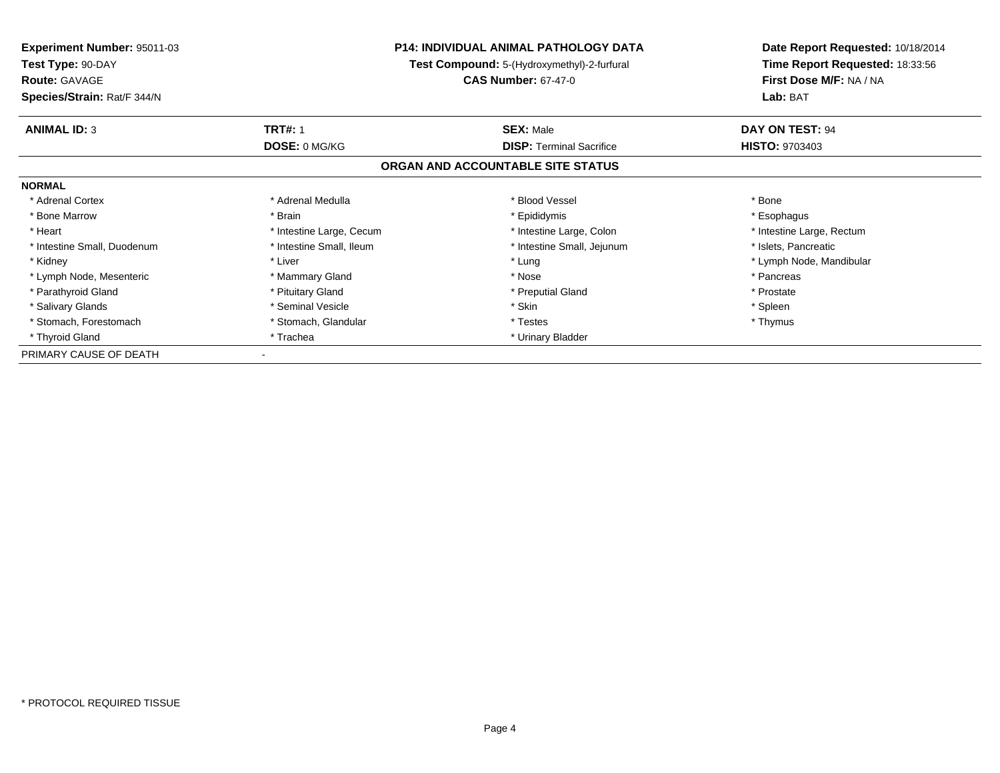| <b>Experiment Number: 95011-03</b> | <b>P14: INDIVIDUAL ANIMAL PATHOLOGY DATA</b><br>Test Compound: 5-(Hydroxymethyl)-2-furfural |                                   | Date Report Requested: 10/18/2014 |
|------------------------------------|---------------------------------------------------------------------------------------------|-----------------------------------|-----------------------------------|
| Test Type: 90-DAY                  |                                                                                             |                                   | Time Report Requested: 18:33:56   |
| <b>Route: GAVAGE</b>               |                                                                                             | <b>CAS Number: 67-47-0</b>        | First Dose M/F: NA / NA           |
| Species/Strain: Rat/F 344/N        |                                                                                             |                                   | Lab: BAT                          |
| <b>ANIMAL ID: 3</b>                | <b>TRT#: 1</b>                                                                              | <b>SEX: Male</b>                  | DAY ON TEST: 94                   |
|                                    | <b>DOSE: 0 MG/KG</b>                                                                        | <b>DISP: Terminal Sacrifice</b>   | <b>HISTO: 9703403</b>             |
|                                    |                                                                                             | ORGAN AND ACCOUNTABLE SITE STATUS |                                   |
| <b>NORMAL</b>                      |                                                                                             |                                   |                                   |
| * Adrenal Cortex                   | * Adrenal Medulla                                                                           | * Blood Vessel                    | * Bone                            |
| * Bone Marrow                      | * Brain                                                                                     | * Epididymis                      | * Esophagus                       |
| * Heart                            | * Intestine Large, Cecum                                                                    | * Intestine Large, Colon          | * Intestine Large, Rectum         |
| * Intestine Small, Duodenum        | * Intestine Small, Ileum                                                                    | * Intestine Small, Jejunum        | * Islets, Pancreatic              |
| * Kidney                           | * Liver                                                                                     | * Lung                            | * Lymph Node, Mandibular          |
| * Lymph Node, Mesenteric           | * Mammary Gland                                                                             | * Nose                            | * Pancreas                        |
| * Parathyroid Gland                | * Pituitary Gland                                                                           | * Preputial Gland                 | * Prostate                        |
| * Salivary Glands                  | * Seminal Vesicle                                                                           | * Skin                            | * Spleen                          |
| * Stomach, Forestomach             | * Stomach, Glandular                                                                        | * Testes                          | * Thymus                          |
| * Thyroid Gland                    | * Trachea                                                                                   | * Urinary Bladder                 |                                   |
| PRIMARY CAUSE OF DEATH             |                                                                                             |                                   |                                   |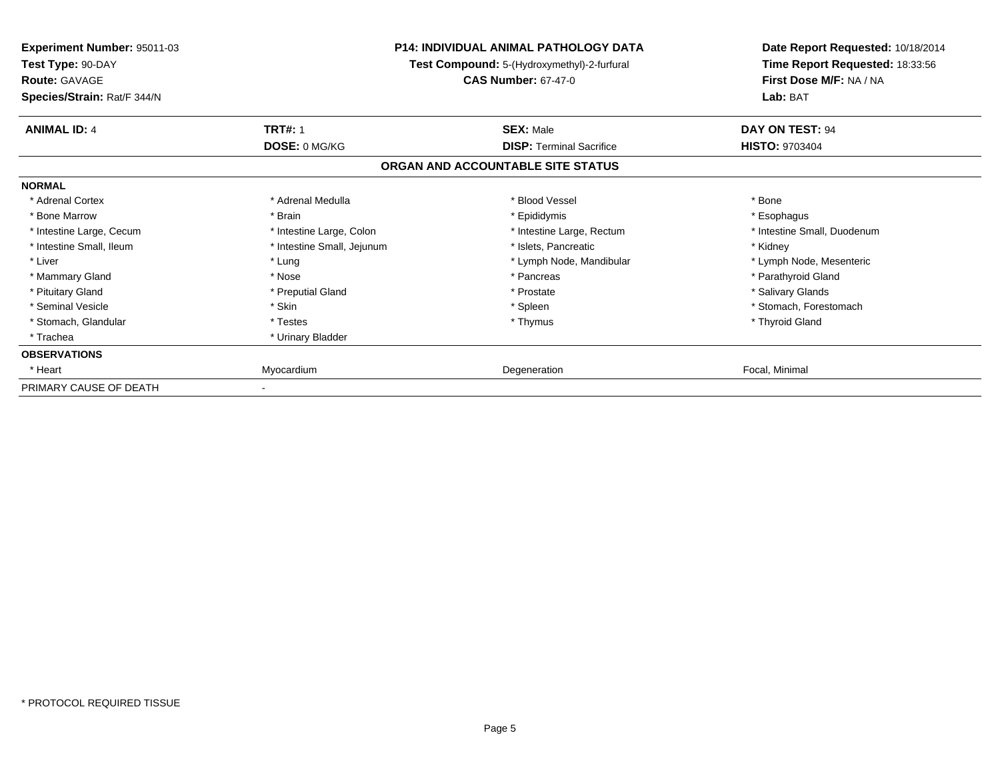| Experiment Number: 95011-03<br>Test Type: 90-DAY<br><b>Route: GAVAGE</b><br>Species/Strain: Rat/F 344/N |                            | <b>P14: INDIVIDUAL ANIMAL PATHOLOGY DATA</b><br>Test Compound: 5-(Hydroxymethyl)-2-furfural<br><b>CAS Number: 67-47-0</b> | Date Report Requested: 10/18/2014<br>Time Report Requested: 18:33:56<br>First Dose M/F: NA / NA<br>Lab: BAT |
|---------------------------------------------------------------------------------------------------------|----------------------------|---------------------------------------------------------------------------------------------------------------------------|-------------------------------------------------------------------------------------------------------------|
| <b>ANIMAL ID: 4</b>                                                                                     | <b>TRT#: 1</b>             | <b>SEX: Male</b>                                                                                                          | DAY ON TEST: 94                                                                                             |
|                                                                                                         | DOSE: 0 MG/KG              | <b>DISP: Terminal Sacrifice</b>                                                                                           | <b>HISTO: 9703404</b>                                                                                       |
|                                                                                                         |                            | ORGAN AND ACCOUNTABLE SITE STATUS                                                                                         |                                                                                                             |
| <b>NORMAL</b>                                                                                           |                            |                                                                                                                           |                                                                                                             |
| * Adrenal Cortex                                                                                        | * Adrenal Medulla          | * Blood Vessel                                                                                                            | * Bone                                                                                                      |
| * Bone Marrow                                                                                           | * Brain                    | * Epididymis                                                                                                              | * Esophagus                                                                                                 |
| * Intestine Large, Cecum                                                                                | * Intestine Large, Colon   | * Intestine Large, Rectum                                                                                                 | * Intestine Small, Duodenum                                                                                 |
| * Intestine Small, Ileum                                                                                | * Intestine Small, Jejunum | * Islets, Pancreatic                                                                                                      | * Kidney                                                                                                    |
| * Liver                                                                                                 | * Lung                     | * Lymph Node, Mandibular                                                                                                  | * Lymph Node, Mesenteric                                                                                    |
| * Mammary Gland                                                                                         | * Nose                     | * Pancreas                                                                                                                | * Parathyroid Gland                                                                                         |
| * Pituitary Gland                                                                                       | * Preputial Gland          | * Prostate                                                                                                                | * Salivary Glands                                                                                           |
| * Seminal Vesicle                                                                                       | * Skin                     | * Spleen                                                                                                                  | * Stomach, Forestomach                                                                                      |
| * Stomach, Glandular                                                                                    | * Testes                   | * Thymus                                                                                                                  | * Thyroid Gland                                                                                             |
| * Trachea                                                                                               | * Urinary Bladder          |                                                                                                                           |                                                                                                             |
| <b>OBSERVATIONS</b>                                                                                     |                            |                                                                                                                           |                                                                                                             |
| * Heart                                                                                                 | Myocardium                 | Degeneration                                                                                                              | Focal, Minimal                                                                                              |
| PRIMARY CAUSE OF DEATH                                                                                  |                            |                                                                                                                           |                                                                                                             |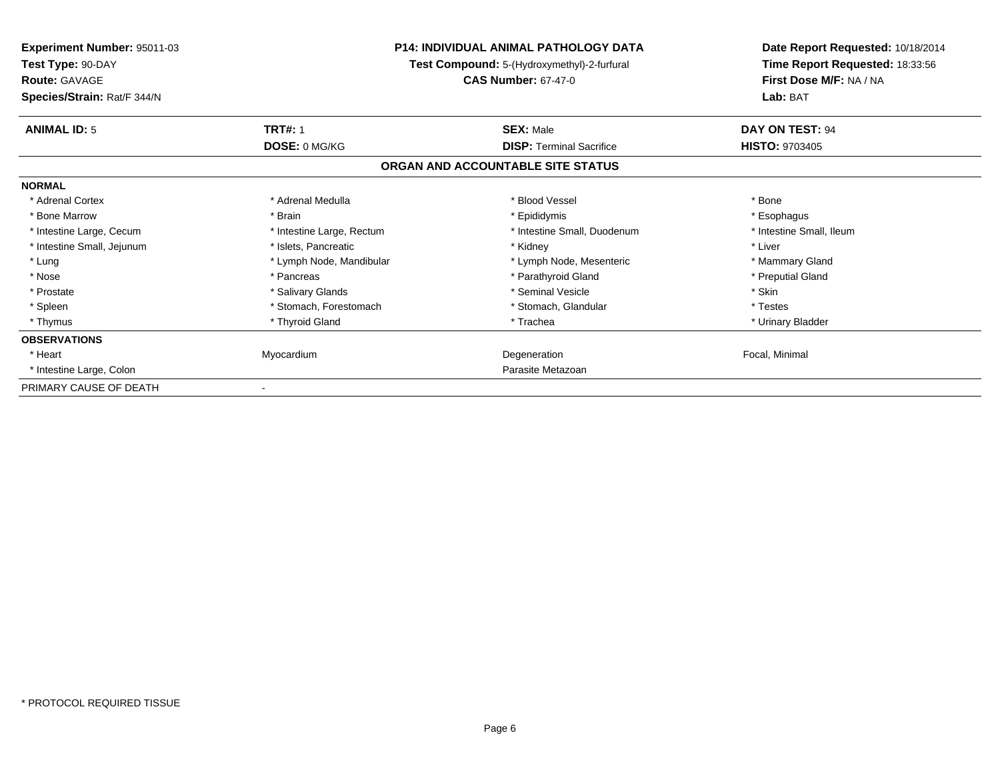| <b>Experiment Number: 95011-03</b><br>Test Type: 90-DAY<br><b>Route: GAVAGE</b><br>Species/Strain: Rat/F 344/N |                           | <b>P14: INDIVIDUAL ANIMAL PATHOLOGY DATA</b><br>Test Compound: 5-(Hydroxymethyl)-2-furfural<br><b>CAS Number: 67-47-0</b> | Date Report Requested: 10/18/2014<br>Time Report Requested: 18:33:56<br>First Dose M/F: NA / NA<br>Lab: BAT |
|----------------------------------------------------------------------------------------------------------------|---------------------------|---------------------------------------------------------------------------------------------------------------------------|-------------------------------------------------------------------------------------------------------------|
|                                                                                                                |                           |                                                                                                                           |                                                                                                             |
| <b>ANIMAL ID: 5</b>                                                                                            | <b>TRT#: 1</b>            | <b>SEX: Male</b>                                                                                                          | DAY ON TEST: 94                                                                                             |
|                                                                                                                | DOSE: 0 MG/KG             | <b>DISP: Terminal Sacrifice</b>                                                                                           | <b>HISTO: 9703405</b>                                                                                       |
|                                                                                                                |                           | ORGAN AND ACCOUNTABLE SITE STATUS                                                                                         |                                                                                                             |
| <b>NORMAL</b>                                                                                                  |                           |                                                                                                                           |                                                                                                             |
| * Adrenal Cortex                                                                                               | * Adrenal Medulla         | * Blood Vessel                                                                                                            | * Bone                                                                                                      |
| * Bone Marrow                                                                                                  | * Brain                   | * Epididymis                                                                                                              | * Esophagus                                                                                                 |
| * Intestine Large, Cecum                                                                                       | * Intestine Large, Rectum | * Intestine Small, Duodenum                                                                                               | * Intestine Small, Ileum                                                                                    |
| * Intestine Small, Jejunum                                                                                     | * Islets, Pancreatic      | * Kidney                                                                                                                  | * Liver                                                                                                     |
| * Lung                                                                                                         | * Lymph Node, Mandibular  | * Lymph Node, Mesenteric                                                                                                  | * Mammary Gland                                                                                             |
| * Nose                                                                                                         | * Pancreas                | * Parathyroid Gland                                                                                                       | * Preputial Gland                                                                                           |
| * Prostate                                                                                                     | * Salivary Glands         | * Seminal Vesicle                                                                                                         | * Skin                                                                                                      |
| * Spleen                                                                                                       | * Stomach, Forestomach    | * Stomach, Glandular                                                                                                      | * Testes                                                                                                    |
| * Thymus                                                                                                       | * Thyroid Gland           | * Trachea                                                                                                                 | * Urinary Bladder                                                                                           |
| <b>OBSERVATIONS</b>                                                                                            |                           |                                                                                                                           |                                                                                                             |
| * Heart                                                                                                        | Myocardium                | Degeneration                                                                                                              | Focal, Minimal                                                                                              |
| * Intestine Large, Colon                                                                                       |                           | Parasite Metazoan                                                                                                         |                                                                                                             |
| PRIMARY CAUSE OF DEATH                                                                                         |                           |                                                                                                                           |                                                                                                             |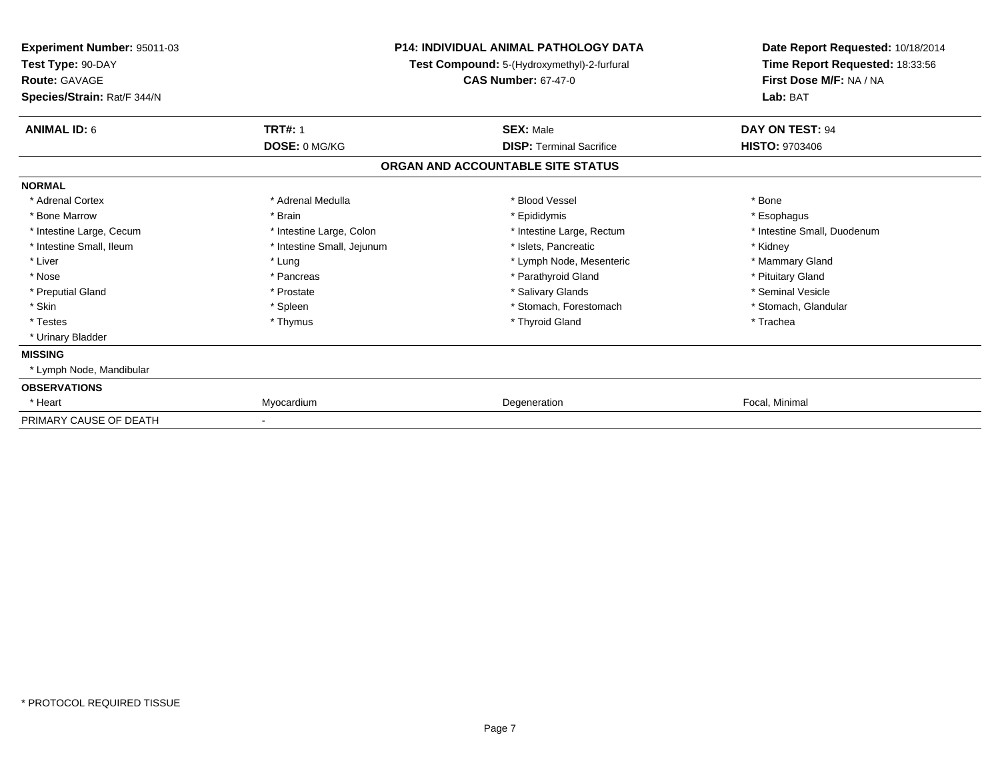| Experiment Number: 95011-03<br>Test Type: 90-DAY<br>Route: GAVAGE |                            | <b>P14: INDIVIDUAL ANIMAL PATHOLOGY DATA</b><br>Test Compound: 5-(Hydroxymethyl)-2-furfural<br><b>CAS Number: 67-47-0</b> | Date Report Requested: 10/18/2014<br>Time Report Requested: 18:33:56<br>First Dose M/F: NA / NA |
|-------------------------------------------------------------------|----------------------------|---------------------------------------------------------------------------------------------------------------------------|-------------------------------------------------------------------------------------------------|
| Species/Strain: Rat/F 344/N                                       |                            |                                                                                                                           | Lab: BAT                                                                                        |
| <b>ANIMAL ID: 6</b>                                               | <b>TRT#: 1</b>             | <b>SEX: Male</b>                                                                                                          | DAY ON TEST: 94                                                                                 |
|                                                                   | DOSE: 0 MG/KG              | <b>DISP: Terminal Sacrifice</b>                                                                                           | <b>HISTO: 9703406</b>                                                                           |
|                                                                   |                            | ORGAN AND ACCOUNTABLE SITE STATUS                                                                                         |                                                                                                 |
| <b>NORMAL</b>                                                     |                            |                                                                                                                           |                                                                                                 |
| * Adrenal Cortex                                                  | * Adrenal Medulla          | * Blood Vessel                                                                                                            | * Bone                                                                                          |
| * Bone Marrow                                                     | * Brain                    | * Epididymis                                                                                                              | * Esophagus                                                                                     |
| * Intestine Large, Cecum                                          | * Intestine Large, Colon   | * Intestine Large, Rectum                                                                                                 | * Intestine Small, Duodenum                                                                     |
| * Intestine Small, Ileum                                          | * Intestine Small, Jejunum | * Islets, Pancreatic                                                                                                      | * Kidney                                                                                        |
| * Liver                                                           | * Lung                     | * Lymph Node, Mesenteric                                                                                                  | * Mammary Gland                                                                                 |
| * Nose                                                            | * Pancreas                 | * Parathyroid Gland                                                                                                       | * Pituitary Gland                                                                               |
| * Preputial Gland                                                 | * Prostate                 | * Salivary Glands                                                                                                         | * Seminal Vesicle                                                                               |
| * Skin                                                            | * Spleen                   | * Stomach, Forestomach                                                                                                    | * Stomach, Glandular                                                                            |
| * Testes                                                          | * Thymus                   | * Thyroid Gland                                                                                                           | * Trachea                                                                                       |
| * Urinary Bladder                                                 |                            |                                                                                                                           |                                                                                                 |
| <b>MISSING</b>                                                    |                            |                                                                                                                           |                                                                                                 |
| * Lymph Node, Mandibular                                          |                            |                                                                                                                           |                                                                                                 |
| <b>OBSERVATIONS</b>                                               |                            |                                                                                                                           |                                                                                                 |
| * Heart                                                           | Myocardium                 | Degeneration                                                                                                              | Focal, Minimal                                                                                  |
| PRIMARY CAUSE OF DEATH                                            |                            |                                                                                                                           |                                                                                                 |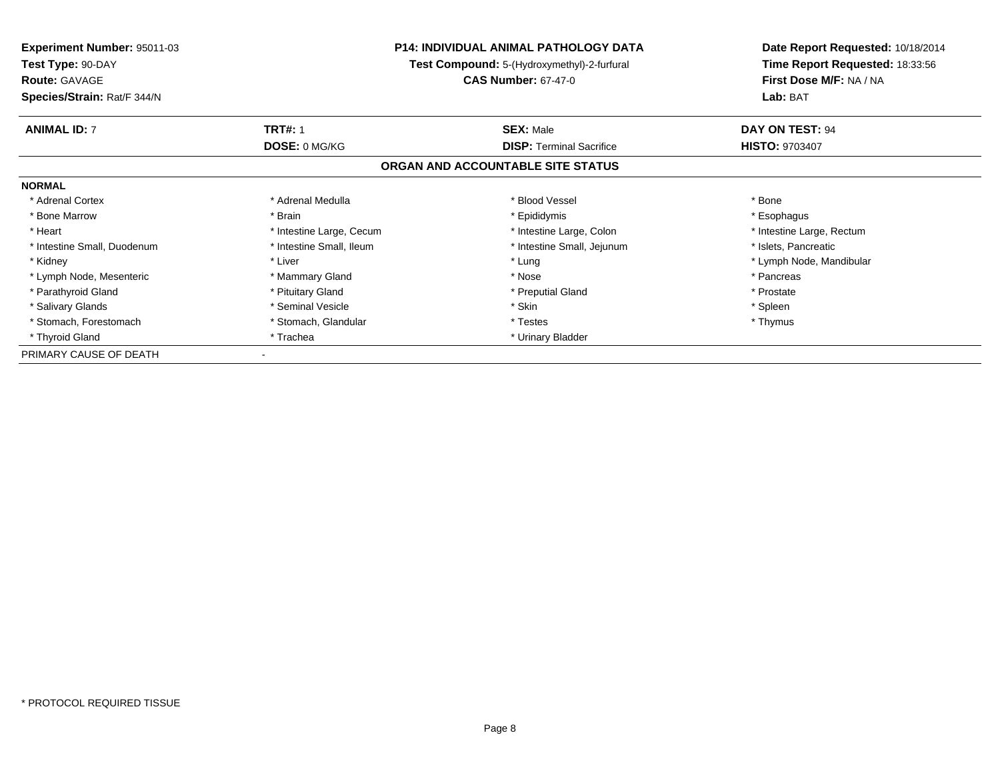| <b>Experiment Number: 95011-03</b> | <b>P14: INDIVIDUAL ANIMAL PATHOLOGY DATA</b><br><b>Test Compound:</b> 5-(Hydroxymethyl)-2-furfural |                                   |                                 | Date Report Requested: 10/18/2014 |
|------------------------------------|----------------------------------------------------------------------------------------------------|-----------------------------------|---------------------------------|-----------------------------------|
| Test Type: 90-DAY                  |                                                                                                    |                                   | Time Report Requested: 18:33:56 |                                   |
| <b>Route: GAVAGE</b>               |                                                                                                    | <b>CAS Number: 67-47-0</b>        | First Dose M/F: NA / NA         |                                   |
| Species/Strain: Rat/F 344/N        |                                                                                                    |                                   | Lab: BAT                        |                                   |
| <b>ANIMAL ID: 7</b>                | <b>TRT#: 1</b>                                                                                     | <b>SEX: Male</b>                  | DAY ON TEST: 94                 |                                   |
|                                    | DOSE: 0 MG/KG                                                                                      | <b>DISP: Terminal Sacrifice</b>   | <b>HISTO: 9703407</b>           |                                   |
|                                    |                                                                                                    | ORGAN AND ACCOUNTABLE SITE STATUS |                                 |                                   |
| <b>NORMAL</b>                      |                                                                                                    |                                   |                                 |                                   |
| * Adrenal Cortex                   | * Adrenal Medulla                                                                                  | * Blood Vessel                    | * Bone                          |                                   |
| * Bone Marrow                      | * Brain                                                                                            | * Epididymis                      | * Esophagus                     |                                   |
| * Heart                            | * Intestine Large, Cecum                                                                           | * Intestine Large, Colon          | * Intestine Large, Rectum       |                                   |
| * Intestine Small, Duodenum        | * Intestine Small, Ileum                                                                           | * Intestine Small, Jejunum        | * Islets, Pancreatic            |                                   |
| * Kidney                           | * Liver                                                                                            | * Lung                            | * Lymph Node, Mandibular        |                                   |
| * Lymph Node, Mesenteric           | * Mammary Gland                                                                                    | * Nose                            | * Pancreas                      |                                   |
| * Parathyroid Gland                | * Pituitary Gland                                                                                  | * Preputial Gland                 | * Prostate                      |                                   |
| * Salivary Glands                  | * Seminal Vesicle                                                                                  | * Skin                            | * Spleen                        |                                   |
| * Stomach, Forestomach             | * Stomach, Glandular                                                                               | * Testes                          | * Thymus                        |                                   |
| * Thyroid Gland                    | * Trachea                                                                                          | * Urinary Bladder                 |                                 |                                   |
| PRIMARY CAUSE OF DEATH             |                                                                                                    |                                   |                                 |                                   |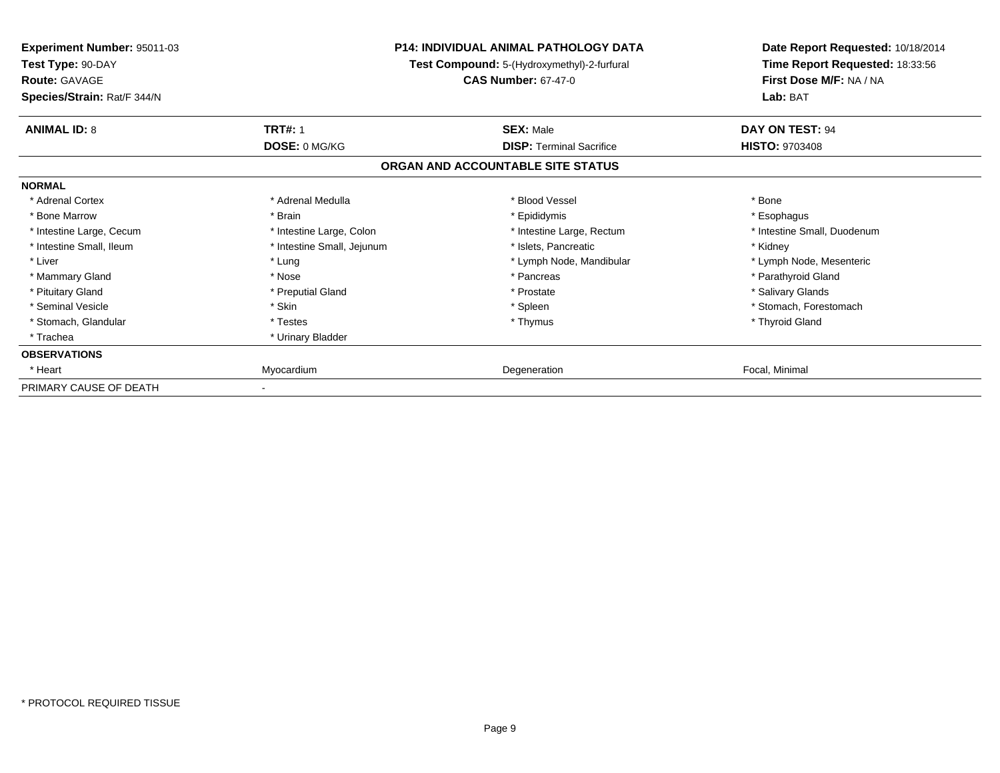| Experiment Number: 95011-03<br>Test Type: 90-DAY<br><b>Route: GAVAGE</b><br>Species/Strain: Rat/F 344/N |                            | <b>P14: INDIVIDUAL ANIMAL PATHOLOGY DATA</b><br>Test Compound: 5-(Hydroxymethyl)-2-furfural<br><b>CAS Number: 67-47-0</b> | Date Report Requested: 10/18/2014<br>Time Report Requested: 18:33:56<br>First Dose M/F: NA / NA<br>Lab: BAT |
|---------------------------------------------------------------------------------------------------------|----------------------------|---------------------------------------------------------------------------------------------------------------------------|-------------------------------------------------------------------------------------------------------------|
| <b>ANIMAL ID: 8</b>                                                                                     | <b>TRT#: 1</b>             | <b>SEX: Male</b>                                                                                                          | DAY ON TEST: 94                                                                                             |
|                                                                                                         | DOSE: 0 MG/KG              | <b>DISP: Terminal Sacrifice</b>                                                                                           | <b>HISTO: 9703408</b>                                                                                       |
|                                                                                                         |                            | ORGAN AND ACCOUNTABLE SITE STATUS                                                                                         |                                                                                                             |
| <b>NORMAL</b>                                                                                           |                            |                                                                                                                           |                                                                                                             |
| * Adrenal Cortex                                                                                        | * Adrenal Medulla          | * Blood Vessel                                                                                                            | * Bone                                                                                                      |
| * Bone Marrow                                                                                           | * Brain                    | * Epididymis                                                                                                              | * Esophagus                                                                                                 |
| * Intestine Large, Cecum                                                                                | * Intestine Large, Colon   | * Intestine Large, Rectum                                                                                                 | * Intestine Small, Duodenum                                                                                 |
| * Intestine Small, Ileum                                                                                | * Intestine Small, Jejunum | * Islets, Pancreatic                                                                                                      | * Kidney                                                                                                    |
| * Liver                                                                                                 | * Lung                     | * Lymph Node, Mandibular                                                                                                  | * Lymph Node, Mesenteric                                                                                    |
| * Mammary Gland                                                                                         | * Nose                     | * Pancreas                                                                                                                | * Parathyroid Gland                                                                                         |
| * Pituitary Gland                                                                                       | * Preputial Gland          | * Prostate                                                                                                                | * Salivary Glands                                                                                           |
| * Seminal Vesicle                                                                                       | * Skin                     | * Spleen                                                                                                                  | * Stomach, Forestomach                                                                                      |
| * Stomach, Glandular                                                                                    | * Testes                   | * Thymus                                                                                                                  | * Thyroid Gland                                                                                             |
| * Trachea                                                                                               | * Urinary Bladder          |                                                                                                                           |                                                                                                             |
| <b>OBSERVATIONS</b>                                                                                     |                            |                                                                                                                           |                                                                                                             |
| * Heart                                                                                                 | Myocardium                 | Degeneration                                                                                                              | Focal, Minimal                                                                                              |
| PRIMARY CAUSE OF DEATH                                                                                  |                            |                                                                                                                           |                                                                                                             |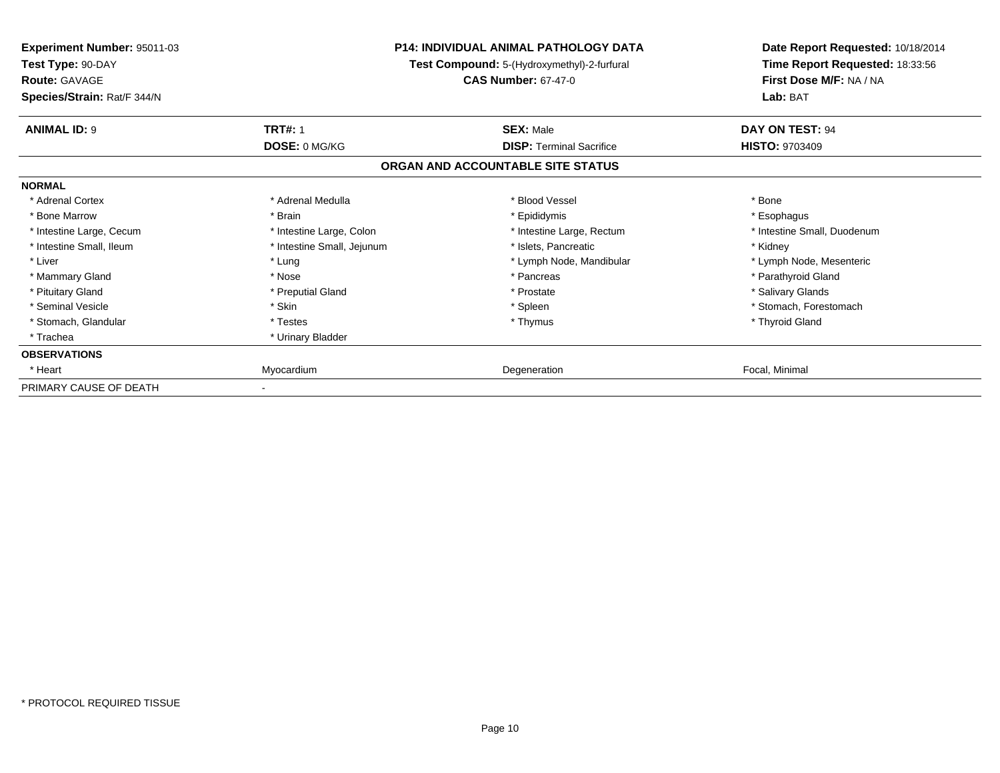| <b>Experiment Number: 95011-03</b><br>Test Type: 90-DAY<br><b>Route: GAVAGE</b><br>Species/Strain: Rat/F 344/N |                            | <b>P14: INDIVIDUAL ANIMAL PATHOLOGY DATA</b><br>Test Compound: 5-(Hydroxymethyl)-2-furfural<br><b>CAS Number: 67-47-0</b> | Date Report Requested: 10/18/2014<br>Time Report Requested: 18:33:56<br>First Dose M/F: NA / NA<br>Lab: BAT |
|----------------------------------------------------------------------------------------------------------------|----------------------------|---------------------------------------------------------------------------------------------------------------------------|-------------------------------------------------------------------------------------------------------------|
| <b>ANIMAL ID: 9</b>                                                                                            | <b>TRT#: 1</b>             | <b>SEX: Male</b>                                                                                                          | DAY ON TEST: 94                                                                                             |
|                                                                                                                | DOSE: 0 MG/KG              | <b>DISP: Terminal Sacrifice</b>                                                                                           | <b>HISTO: 9703409</b>                                                                                       |
|                                                                                                                |                            | ORGAN AND ACCOUNTABLE SITE STATUS                                                                                         |                                                                                                             |
| <b>NORMAL</b>                                                                                                  |                            |                                                                                                                           |                                                                                                             |
| * Adrenal Cortex                                                                                               | * Adrenal Medulla          | * Blood Vessel                                                                                                            | * Bone                                                                                                      |
| * Bone Marrow                                                                                                  | * Brain                    | * Epididymis                                                                                                              | * Esophagus                                                                                                 |
| * Intestine Large, Cecum                                                                                       | * Intestine Large, Colon   | * Intestine Large, Rectum                                                                                                 | * Intestine Small, Duodenum                                                                                 |
| * Intestine Small, Ileum                                                                                       | * Intestine Small, Jejunum | * Islets, Pancreatic                                                                                                      | * Kidney                                                                                                    |
| * Liver                                                                                                        | * Lung                     | * Lymph Node, Mandibular                                                                                                  | * Lymph Node, Mesenteric                                                                                    |
| * Mammary Gland                                                                                                | * Nose                     | * Pancreas                                                                                                                | * Parathyroid Gland                                                                                         |
| * Pituitary Gland                                                                                              | * Preputial Gland          | * Prostate                                                                                                                | * Salivary Glands                                                                                           |
| * Seminal Vesicle                                                                                              | * Skin                     | * Spleen                                                                                                                  | * Stomach. Forestomach                                                                                      |
| * Stomach, Glandular                                                                                           | * Testes                   | * Thymus                                                                                                                  | * Thyroid Gland                                                                                             |
| * Trachea                                                                                                      | * Urinary Bladder          |                                                                                                                           |                                                                                                             |
| <b>OBSERVATIONS</b>                                                                                            |                            |                                                                                                                           |                                                                                                             |
| * Heart                                                                                                        | Myocardium                 | Degeneration                                                                                                              | Focal, Minimal                                                                                              |
| PRIMARY CAUSE OF DEATH                                                                                         |                            |                                                                                                                           |                                                                                                             |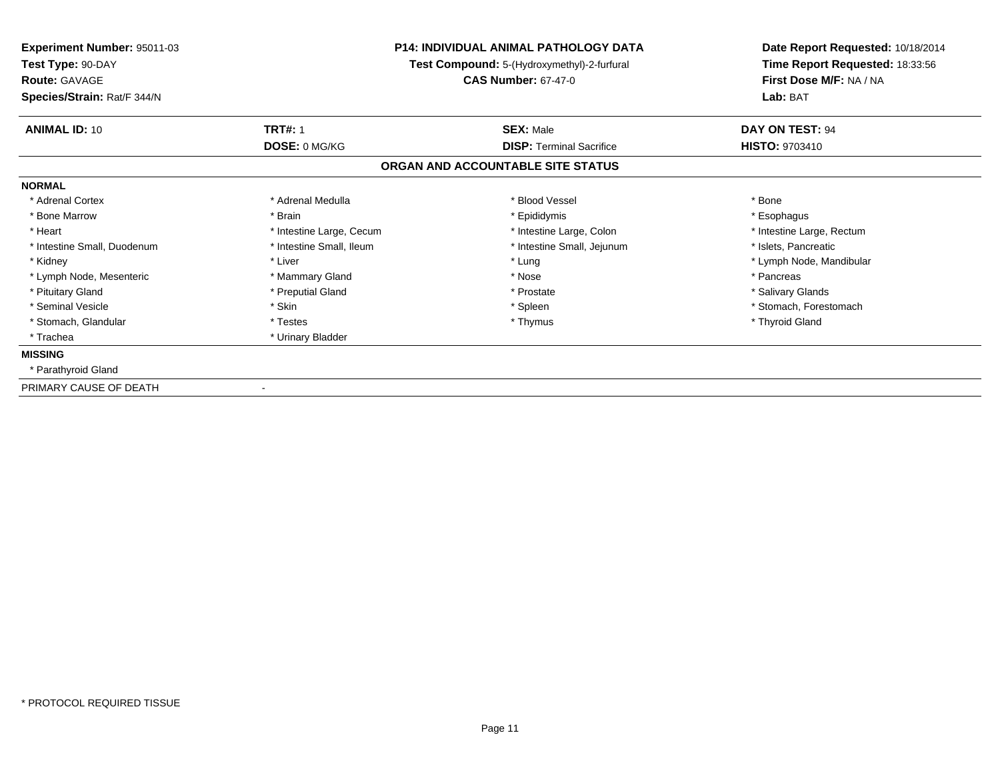| Experiment Number: 95011-03<br>Test Type: 90-DAY<br><b>Route: GAVAGE</b> |                          | <b>P14: INDIVIDUAL ANIMAL PATHOLOGY DATA</b><br>Test Compound: 5-(Hydroxymethyl)-2-furfural<br><b>CAS Number: 67-47-0</b> | Date Report Requested: 10/18/2014<br>Time Report Requested: 18:33:56<br>First Dose M/F: NA / NA |
|--------------------------------------------------------------------------|--------------------------|---------------------------------------------------------------------------------------------------------------------------|-------------------------------------------------------------------------------------------------|
| Species/Strain: Rat/F 344/N                                              |                          |                                                                                                                           | Lab: BAT                                                                                        |
| <b>ANIMAL ID: 10</b>                                                     | <b>TRT#: 1</b>           | <b>SEX: Male</b>                                                                                                          | DAY ON TEST: 94                                                                                 |
|                                                                          | DOSE: 0 MG/KG            | <b>DISP: Terminal Sacrifice</b>                                                                                           | <b>HISTO: 9703410</b>                                                                           |
|                                                                          |                          | ORGAN AND ACCOUNTABLE SITE STATUS                                                                                         |                                                                                                 |
| <b>NORMAL</b>                                                            |                          |                                                                                                                           |                                                                                                 |
| * Adrenal Cortex                                                         | * Adrenal Medulla        | * Blood Vessel                                                                                                            | * Bone                                                                                          |
| * Bone Marrow                                                            | * Brain                  | * Epididymis                                                                                                              | * Esophagus                                                                                     |
| * Heart                                                                  | * Intestine Large, Cecum | * Intestine Large, Colon                                                                                                  | * Intestine Large, Rectum                                                                       |
| * Intestine Small, Duodenum                                              | * Intestine Small, Ileum | * Intestine Small, Jejunum                                                                                                | * Islets, Pancreatic                                                                            |
| * Kidney                                                                 | * Liver                  | * Lung                                                                                                                    | * Lymph Node, Mandibular                                                                        |
| * Lymph Node, Mesenteric                                                 | * Mammary Gland          | * Nose                                                                                                                    | * Pancreas                                                                                      |
| * Pituitary Gland                                                        | * Preputial Gland        | * Prostate                                                                                                                | * Salivary Glands                                                                               |
| * Seminal Vesicle                                                        | * Skin                   | * Spleen                                                                                                                  | * Stomach, Forestomach                                                                          |
| * Stomach, Glandular                                                     | * Testes                 | * Thymus                                                                                                                  | * Thyroid Gland                                                                                 |
| * Trachea                                                                | * Urinary Bladder        |                                                                                                                           |                                                                                                 |
| <b>MISSING</b>                                                           |                          |                                                                                                                           |                                                                                                 |
| * Parathyroid Gland                                                      |                          |                                                                                                                           |                                                                                                 |
| PRIMARY CAUSE OF DEATH                                                   |                          |                                                                                                                           |                                                                                                 |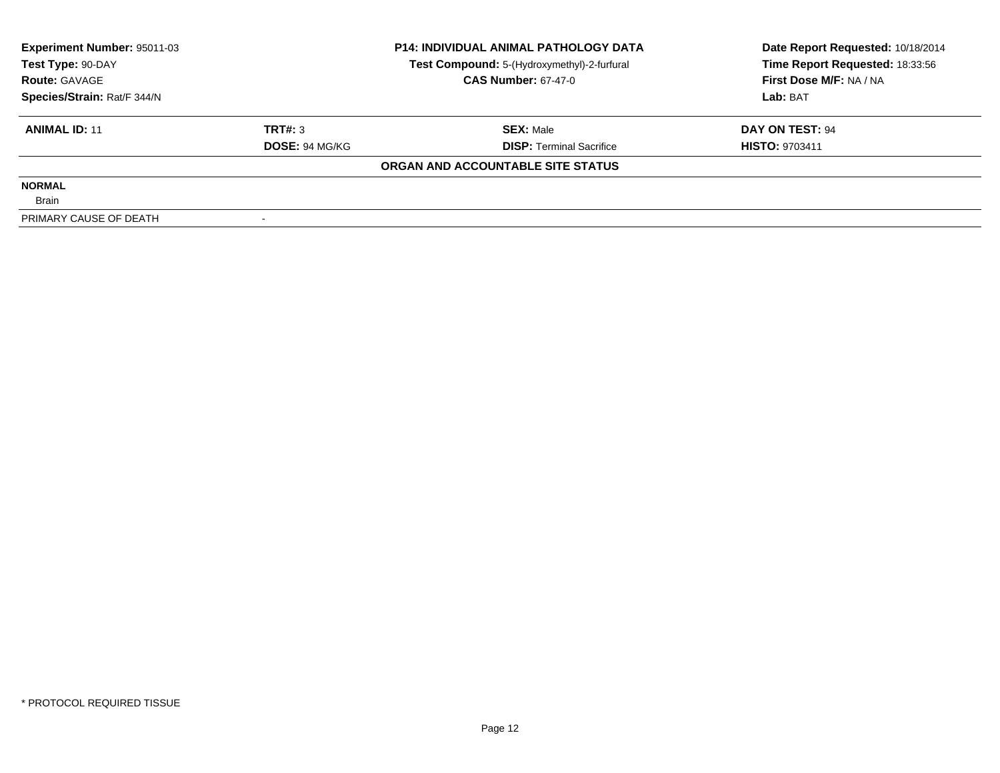| Experiment Number: 95011-03<br>Test Type: 90-DAY |                       | <b>P14: INDIVIDUAL ANIMAL PATHOLOGY DATA</b> | Date Report Requested: 10/18/2014<br>Time Report Requested: 18:33:56 |
|--------------------------------------------------|-----------------------|----------------------------------------------|----------------------------------------------------------------------|
|                                                  |                       | Test Compound: 5-(Hydroxymethyl)-2-furfural  |                                                                      |
| <b>Route: GAVAGE</b>                             |                       | <b>CAS Number: 67-47-0</b>                   | First Dose M/F: NA / NA                                              |
| Species/Strain: Rat/F 344/N                      |                       |                                              | Lab: BAT                                                             |
| <b>ANIMAL ID: 11</b>                             | TRT#: 3               | <b>SEX: Male</b>                             | DAY ON TEST: 94                                                      |
|                                                  | <b>DOSE: 94 MG/KG</b> | <b>DISP: Terminal Sacrifice</b>              | <b>HISTO: 9703411</b>                                                |
|                                                  |                       | ORGAN AND ACCOUNTABLE SITE STATUS            |                                                                      |
| <b>NORMAL</b>                                    |                       |                                              |                                                                      |
| <b>Brain</b>                                     |                       |                                              |                                                                      |
| PRIMARY CAUSE OF DEATH                           |                       |                                              |                                                                      |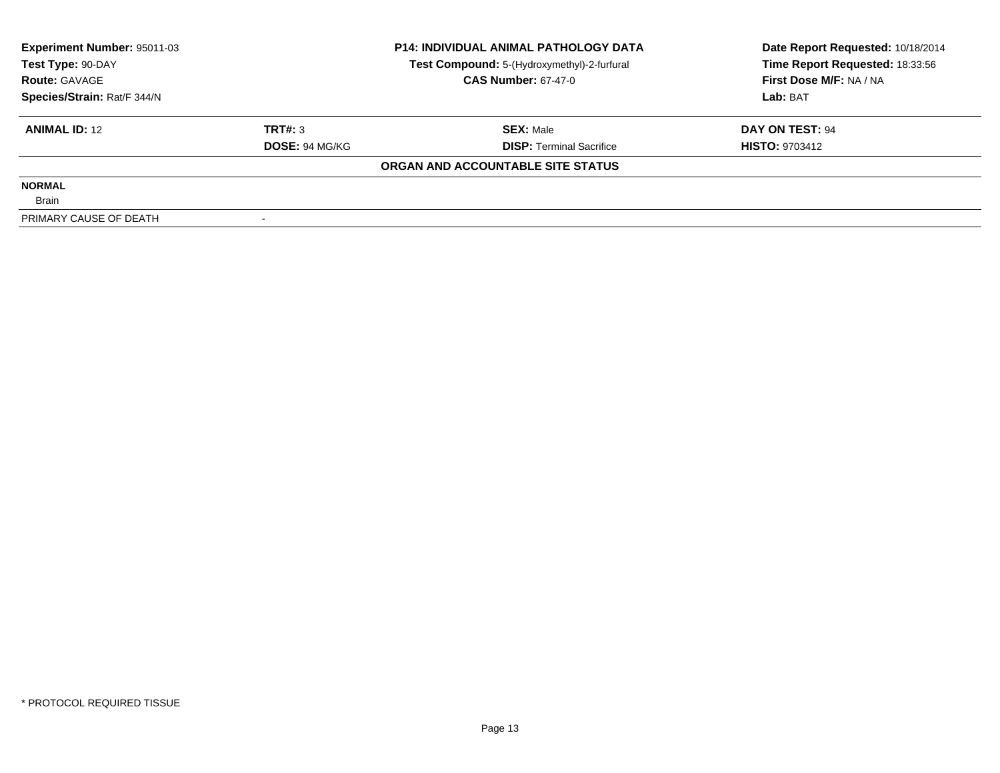| Experiment Number: 95011-03<br>Test Type: 90-DAY |                       | <b>P14: INDIVIDUAL ANIMAL PATHOLOGY DATA</b> | Date Report Requested: 10/18/2014 |
|--------------------------------------------------|-----------------------|----------------------------------------------|-----------------------------------|
|                                                  |                       | Test Compound: 5-(Hydroxymethyl)-2-furfural  | Time Report Requested: 18:33:56   |
| <b>Route: GAVAGE</b>                             |                       | <b>CAS Number: 67-47-0</b>                   | First Dose M/F: NA / NA           |
| Species/Strain: Rat/F 344/N                      |                       |                                              | Lab: BAT                          |
| <b>ANIMAL ID: 12</b>                             | TRT#: 3               | <b>SEX: Male</b>                             | DAY ON TEST: 94                   |
|                                                  | <b>DOSE: 94 MG/KG</b> | <b>DISP:</b> Terminal Sacrifice              | <b>HISTO: 9703412</b>             |
|                                                  |                       | ORGAN AND ACCOUNTABLE SITE STATUS            |                                   |
| <b>NORMAL</b>                                    |                       |                                              |                                   |
| <b>Brain</b>                                     |                       |                                              |                                   |
| PRIMARY CAUSE OF DEATH                           |                       |                                              |                                   |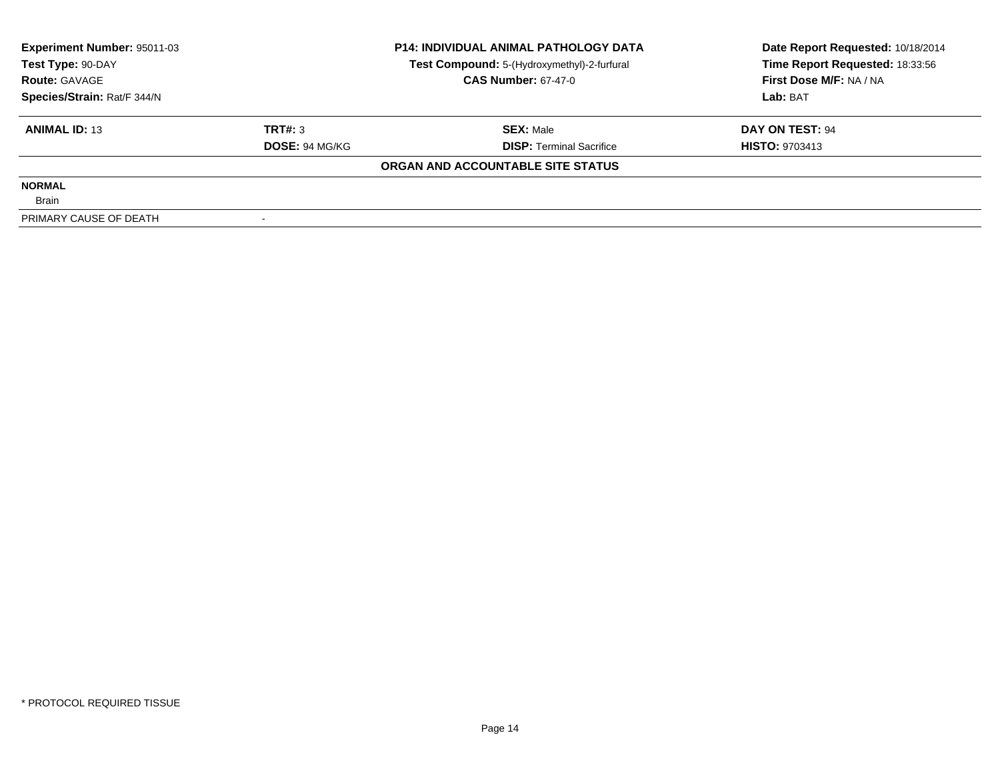| Experiment Number: 95011-03<br>Test Type: 90-DAY |                       | <b>P14: INDIVIDUAL ANIMAL PATHOLOGY DATA</b> | Date Report Requested: 10/18/2014 |
|--------------------------------------------------|-----------------------|----------------------------------------------|-----------------------------------|
|                                                  |                       | Test Compound: 5-(Hydroxymethyl)-2-furfural  | Time Report Requested: 18:33:56   |
| <b>Route: GAVAGE</b>                             |                       | <b>CAS Number: 67-47-0</b>                   | First Dose M/F: NA / NA           |
| Species/Strain: Rat/F 344/N                      |                       |                                              | Lab: BAT                          |
| <b>ANIMAL ID: 13</b>                             | TRT#: 3               | <b>SEX: Male</b>                             | DAY ON TEST: 94                   |
|                                                  | <b>DOSE: 94 MG/KG</b> | <b>DISP:</b> Terminal Sacrifice              | <b>HISTO: 9703413</b>             |
|                                                  |                       | ORGAN AND ACCOUNTABLE SITE STATUS            |                                   |
| <b>NORMAL</b>                                    |                       |                                              |                                   |
| <b>Brain</b>                                     |                       |                                              |                                   |
| PRIMARY CAUSE OF DEATH                           |                       |                                              |                                   |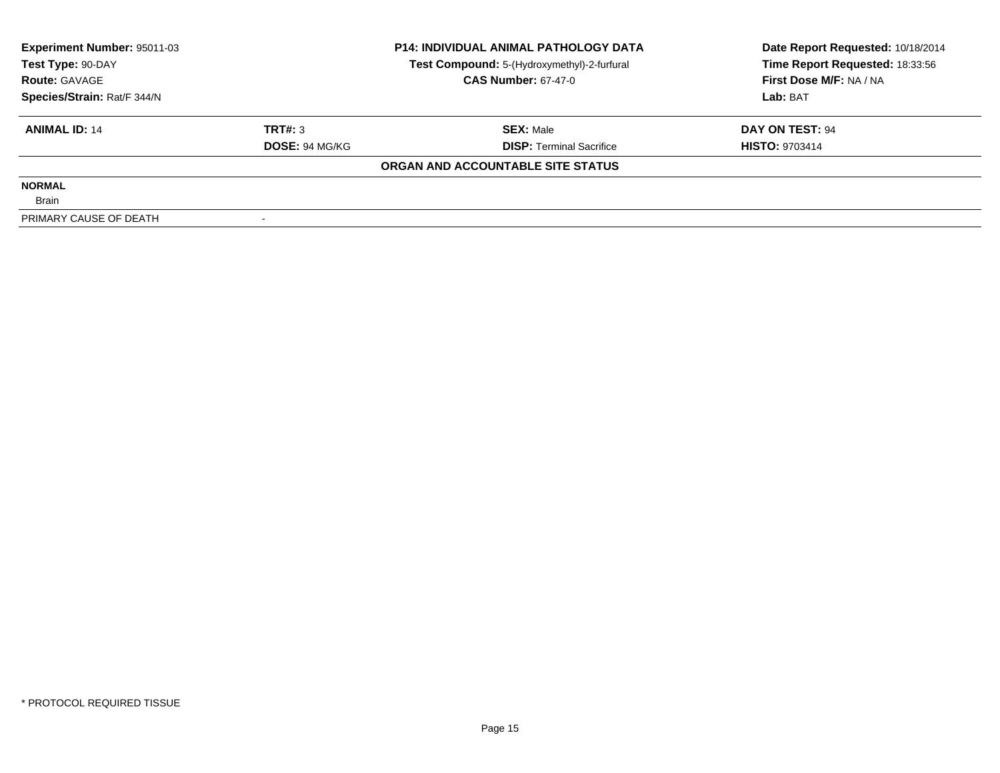| <b>Experiment Number: 95011-03</b><br>Test Type: 90-DAY |                       | <b>P14: INDIVIDUAL ANIMAL PATHOLOGY DATA</b> | Date Report Requested: 10/18/2014 |  |
|---------------------------------------------------------|-----------------------|----------------------------------------------|-----------------------------------|--|
|                                                         |                       | Test Compound: 5-(Hydroxymethyl)-2-furfural  | Time Report Requested: 18:33:56   |  |
| <b>Route: GAVAGE</b>                                    |                       | <b>CAS Number: 67-47-0</b>                   | First Dose M/F: NA / NA           |  |
| Species/Strain: Rat/F 344/N                             |                       |                                              | Lab: BAT                          |  |
| <b>ANIMAL ID: 14</b>                                    | TRT#: 3               | <b>SEX: Male</b>                             | DAY ON TEST: 94                   |  |
|                                                         | <b>DOSE: 94 MG/KG</b> | <b>DISP: Terminal Sacrifice</b>              | <b>HISTO: 9703414</b>             |  |
|                                                         |                       | ORGAN AND ACCOUNTABLE SITE STATUS            |                                   |  |
| <b>NORMAL</b>                                           |                       |                                              |                                   |  |
| <b>Brain</b>                                            |                       |                                              |                                   |  |
| PRIMARY CAUSE OF DEATH                                  |                       |                                              |                                   |  |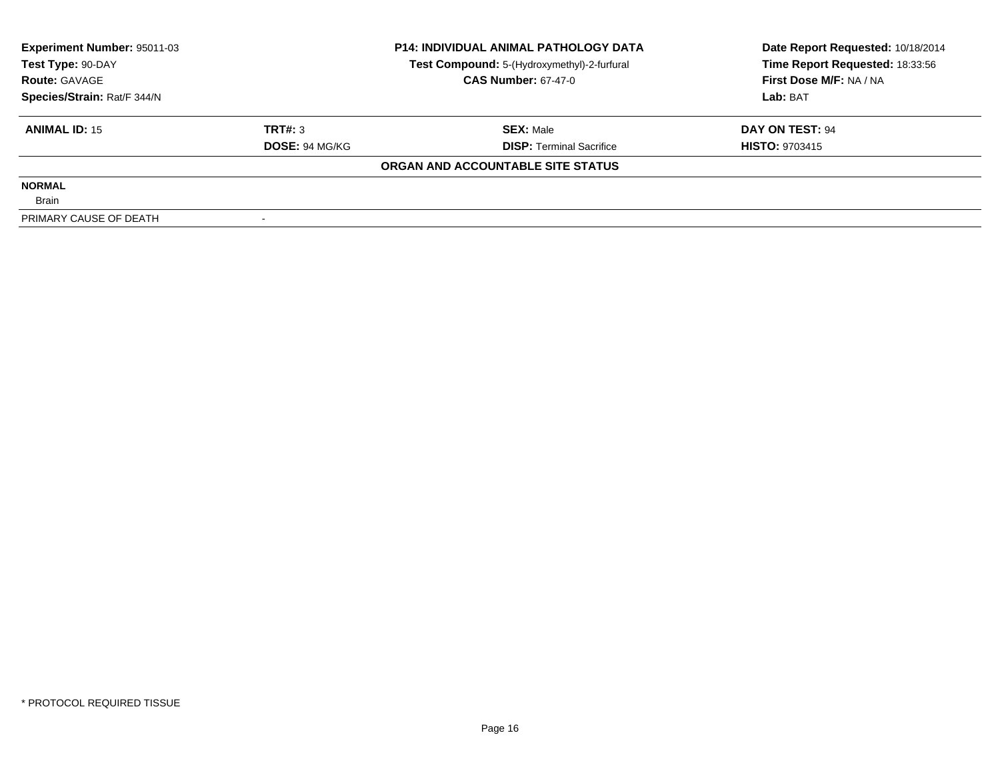| Experiment Number: 95011-03<br>Test Type: 90-DAY |                       | <b>P14: INDIVIDUAL ANIMAL PATHOLOGY DATA</b> | Date Report Requested: 10/18/2014 |
|--------------------------------------------------|-----------------------|----------------------------------------------|-----------------------------------|
|                                                  |                       | Test Compound: 5-(Hydroxymethyl)-2-furfural  | Time Report Requested: 18:33:56   |
| <b>Route: GAVAGE</b>                             |                       | <b>CAS Number: 67-47-0</b>                   | First Dose M/F: NA / NA           |
| Species/Strain: Rat/F 344/N                      |                       |                                              | Lab: BAT                          |
| <b>ANIMAL ID: 15</b>                             | TRT#: 3               | <b>SEX: Male</b>                             | DAY ON TEST: 94                   |
|                                                  | <b>DOSE: 94 MG/KG</b> | <b>DISP:</b> Terminal Sacrifice              | <b>HISTO: 9703415</b>             |
|                                                  |                       | ORGAN AND ACCOUNTABLE SITE STATUS            |                                   |
| <b>NORMAL</b>                                    |                       |                                              |                                   |
| <b>Brain</b>                                     |                       |                                              |                                   |
| PRIMARY CAUSE OF DEATH                           |                       |                                              |                                   |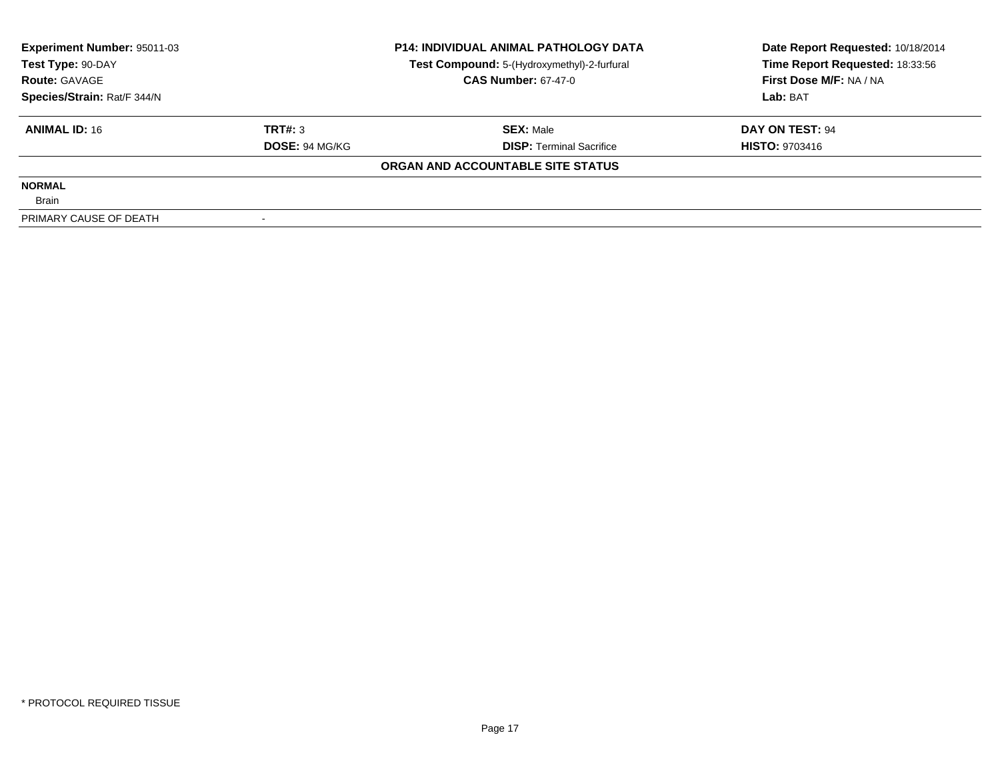| Experiment Number: 95011-03<br>Test Type: 90-DAY |                       | <b>P14: INDIVIDUAL ANIMAL PATHOLOGY DATA</b> | Date Report Requested: 10/18/2014 |
|--------------------------------------------------|-----------------------|----------------------------------------------|-----------------------------------|
|                                                  |                       | Test Compound: 5-(Hydroxymethyl)-2-furfural  | Time Report Requested: 18:33:56   |
| <b>Route: GAVAGE</b>                             |                       | <b>CAS Number: 67-47-0</b>                   | First Dose M/F: NA / NA           |
| Species/Strain: Rat/F 344/N                      |                       |                                              | Lab: BAT                          |
| <b>ANIMAL ID: 16</b>                             | TRT#: 3               | <b>SEX:</b> Male                             | DAY ON TEST: 94                   |
|                                                  | <b>DOSE: 94 MG/KG</b> | <b>DISP: Terminal Sacrifice</b>              | <b>HISTO: 9703416</b>             |
|                                                  |                       | ORGAN AND ACCOUNTABLE SITE STATUS            |                                   |
| <b>NORMAL</b>                                    |                       |                                              |                                   |
| <b>Brain</b>                                     |                       |                                              |                                   |
| PRIMARY CAUSE OF DEATH                           |                       |                                              |                                   |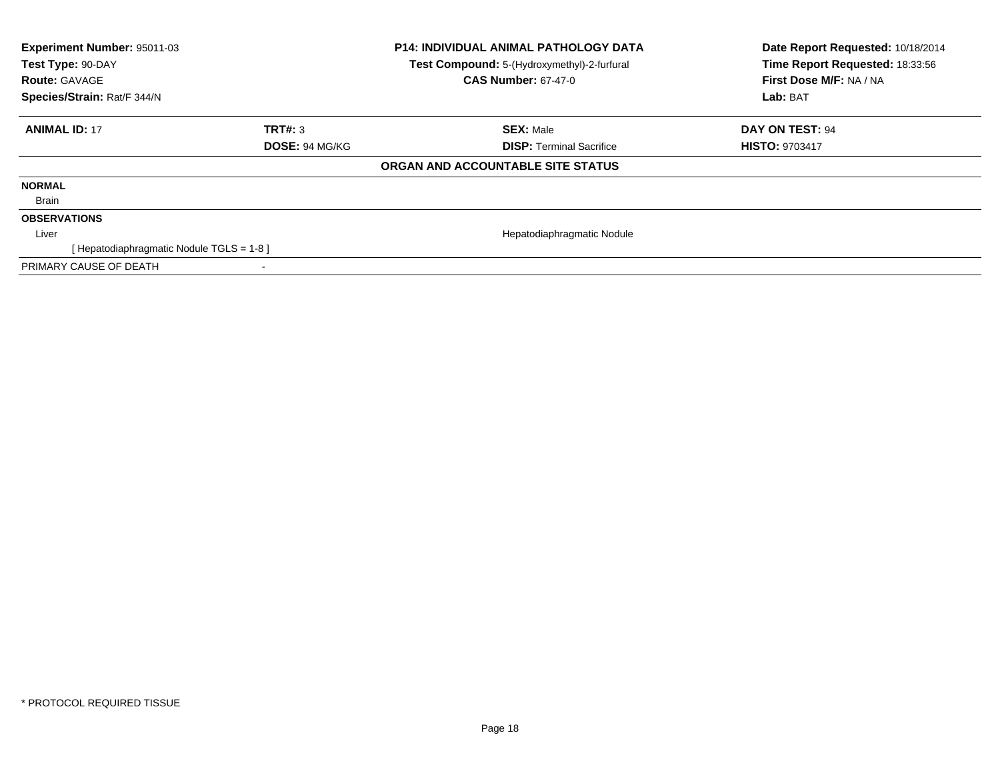| Experiment Number: 95011-03<br>Test Type: 90-DAY<br><b>Route: GAVAGE</b><br>Species/Strain: Rat/F 344/N |                       | <b>P14: INDIVIDUAL ANIMAL PATHOLOGY DATA</b><br>Test Compound: 5-(Hydroxymethyl)-2-furfural<br><b>CAS Number: 67-47-0</b> | Date Report Requested: 10/18/2014<br>Time Report Requested: 18:33:56<br>First Dose M/F: NA / NA<br>Lab: BAT |
|---------------------------------------------------------------------------------------------------------|-----------------------|---------------------------------------------------------------------------------------------------------------------------|-------------------------------------------------------------------------------------------------------------|
|                                                                                                         |                       |                                                                                                                           |                                                                                                             |
| <b>ANIMAL ID: 17</b>                                                                                    | TRT#: 3               | <b>SEX: Male</b>                                                                                                          | DAY ON TEST: 94                                                                                             |
|                                                                                                         | <b>DOSE: 94 MG/KG</b> | <b>DISP:</b> Terminal Sacrifice                                                                                           | <b>HISTO: 9703417</b>                                                                                       |
|                                                                                                         |                       | ORGAN AND ACCOUNTABLE SITE STATUS                                                                                         |                                                                                                             |
| <b>NORMAL</b>                                                                                           |                       |                                                                                                                           |                                                                                                             |
| Brain                                                                                                   |                       |                                                                                                                           |                                                                                                             |
| <b>OBSERVATIONS</b>                                                                                     |                       |                                                                                                                           |                                                                                                             |
| Liver                                                                                                   |                       | Hepatodiaphragmatic Nodule                                                                                                |                                                                                                             |
| [Hepatodiaphragmatic Nodule TGLS = 1-8]                                                                 |                       |                                                                                                                           |                                                                                                             |
| PRIMARY CAUSE OF DEATH                                                                                  |                       |                                                                                                                           |                                                                                                             |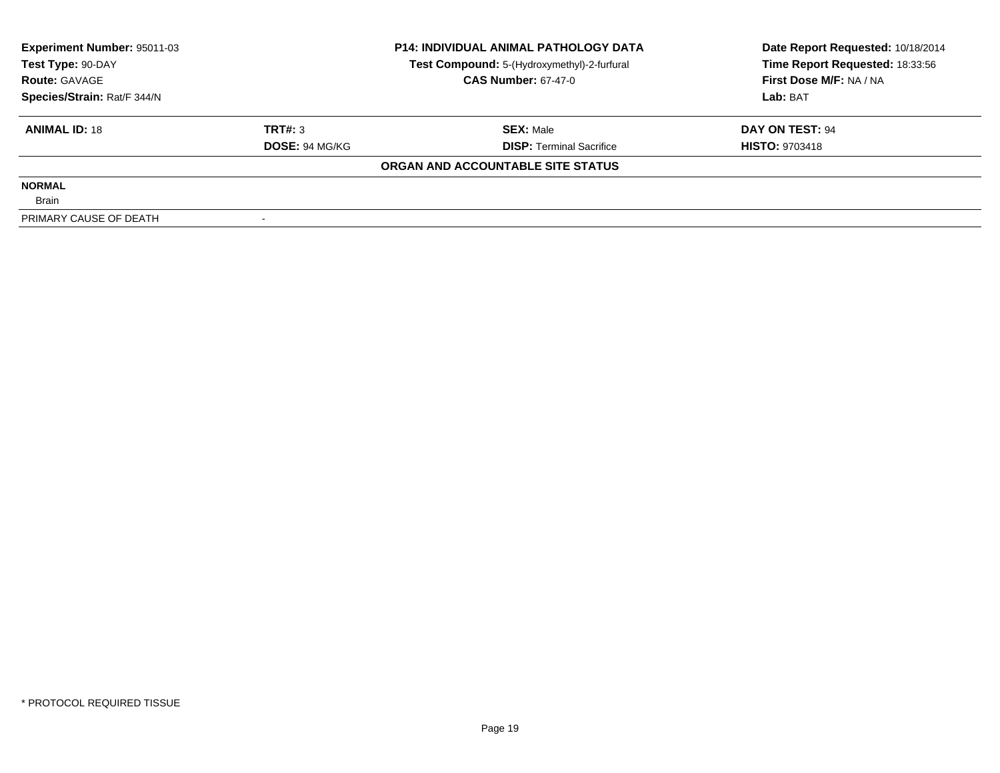| Experiment Number: 95011-03<br>Test Type: 90-DAY |                       | <b>P14: INDIVIDUAL ANIMAL PATHOLOGY DATA</b> | Date Report Requested: 10/18/2014 |
|--------------------------------------------------|-----------------------|----------------------------------------------|-----------------------------------|
|                                                  |                       | Test Compound: 5-(Hydroxymethyl)-2-furfural  | Time Report Requested: 18:33:56   |
| <b>Route: GAVAGE</b>                             |                       | <b>CAS Number: 67-47-0</b>                   | First Dose M/F: NA / NA           |
| Species/Strain: Rat/F 344/N                      |                       |                                              | Lab: BAT                          |
| <b>ANIMAL ID: 18</b>                             | TRT#: 3               | <b>SEX:</b> Male                             | DAY ON TEST: 94                   |
|                                                  | <b>DOSE: 94 MG/KG</b> | <b>DISP: Terminal Sacrifice</b>              | <b>HISTO: 9703418</b>             |
|                                                  |                       | ORGAN AND ACCOUNTABLE SITE STATUS            |                                   |
| <b>NORMAL</b>                                    |                       |                                              |                                   |
| <b>Brain</b>                                     |                       |                                              |                                   |
| PRIMARY CAUSE OF DEATH                           |                       |                                              |                                   |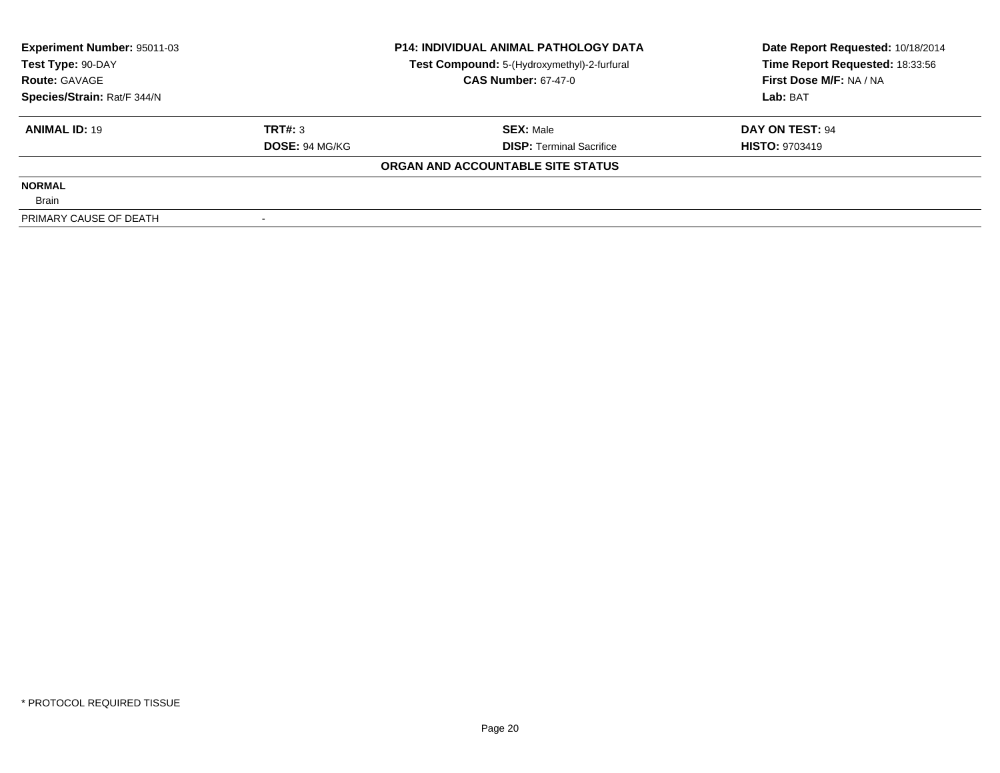| Experiment Number: 95011-03<br>Test Type: 90-DAY |                       | <b>P14: INDIVIDUAL ANIMAL PATHOLOGY DATA</b> | Date Report Requested: 10/18/2014 |
|--------------------------------------------------|-----------------------|----------------------------------------------|-----------------------------------|
|                                                  |                       | Test Compound: 5-(Hydroxymethyl)-2-furfural  | Time Report Requested: 18:33:56   |
| <b>Route: GAVAGE</b>                             |                       | <b>CAS Number: 67-47-0</b>                   | First Dose M/F: NA / NA           |
| Species/Strain: Rat/F 344/N                      |                       |                                              | Lab: BAT                          |
| <b>ANIMAL ID: 19</b>                             | TRT#: 3               | <b>SEX: Male</b>                             | DAY ON TEST: 94                   |
|                                                  | <b>DOSE: 94 MG/KG</b> | <b>DISP:</b> Terminal Sacrifice              | <b>HISTO: 9703419</b>             |
|                                                  |                       | ORGAN AND ACCOUNTABLE SITE STATUS            |                                   |
| <b>NORMAL</b>                                    |                       |                                              |                                   |
| <b>Brain</b>                                     |                       |                                              |                                   |
| PRIMARY CAUSE OF DEATH                           |                       |                                              |                                   |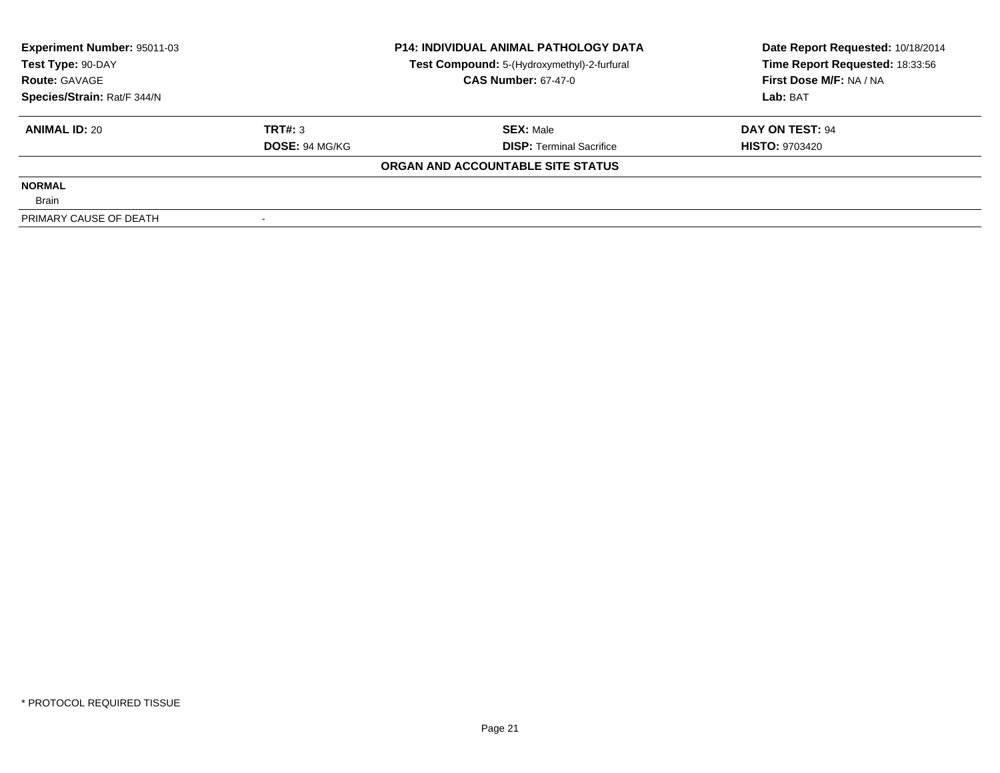| Experiment Number: 95011-03<br>Test Type: 90-DAY |                       | <b>P14: INDIVIDUAL ANIMAL PATHOLOGY DATA</b> | Date Report Requested: 10/18/2014 |
|--------------------------------------------------|-----------------------|----------------------------------------------|-----------------------------------|
|                                                  |                       | Test Compound: 5-(Hydroxymethyl)-2-furfural  | Time Report Requested: 18:33:56   |
| <b>Route: GAVAGE</b>                             |                       | <b>CAS Number: 67-47-0</b>                   | First Dose M/F: NA / NA           |
| Species/Strain: Rat/F 344/N                      |                       |                                              | Lab: BAT                          |
| <b>ANIMAL ID: 20</b>                             | TRT#: 3               | <b>SEX:</b> Male                             | DAY ON TEST: 94                   |
|                                                  | <b>DOSE: 94 MG/KG</b> | <b>DISP: Terminal Sacrifice</b>              | <b>HISTO: 9703420</b>             |
|                                                  |                       | ORGAN AND ACCOUNTABLE SITE STATUS            |                                   |
| <b>NORMAL</b>                                    |                       |                                              |                                   |
| <b>Brain</b>                                     |                       |                                              |                                   |
| PRIMARY CAUSE OF DEATH                           |                       |                                              |                                   |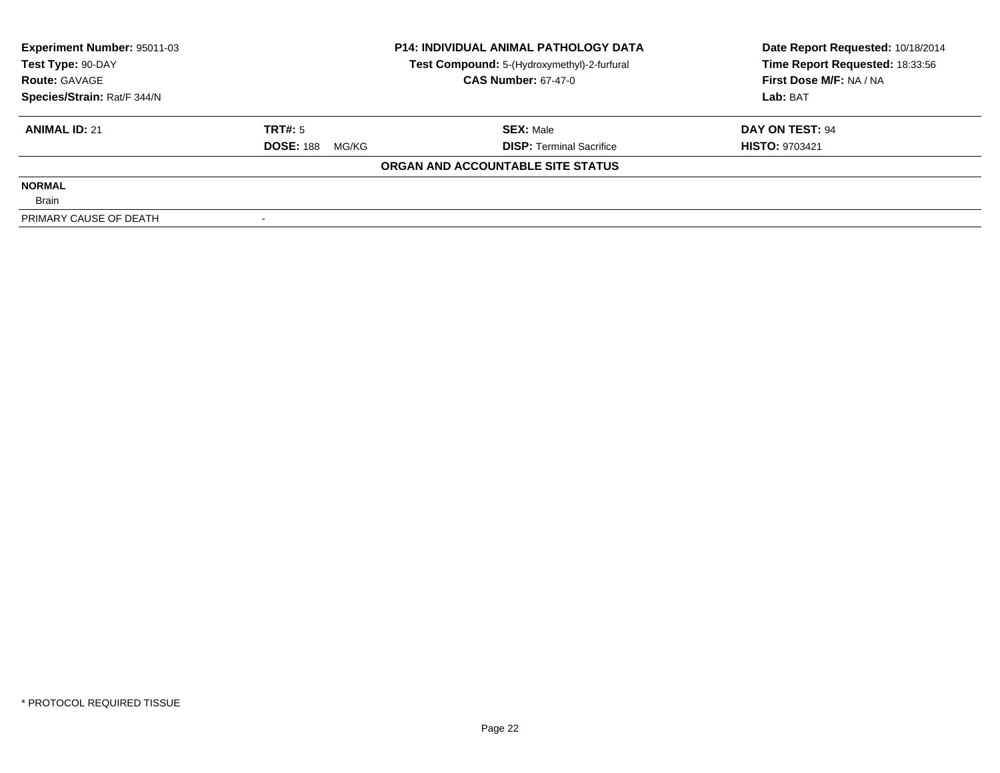| <b>Experiment Number: 95011-03</b> | <b>P14: INDIVIDUAL ANIMAL PATHOLOGY DATA</b> |                                             | Date Report Requested: 10/18/2014 |  |
|------------------------------------|----------------------------------------------|---------------------------------------------|-----------------------------------|--|
| Test Type: 90-DAY                  |                                              | Test Compound: 5-(Hydroxymethyl)-2-furfural | Time Report Requested: 18:33:56   |  |
| <b>Route: GAVAGE</b>               |                                              | <b>CAS Number: 67-47-0</b>                  | First Dose M/F: NA / NA           |  |
| Species/Strain: Rat/F 344/N        |                                              |                                             | Lab: BAT                          |  |
| <b>ANIMAL ID: 21</b>               | TRT#: 5                                      | <b>SEX: Male</b>                            | DAY ON TEST: 94                   |  |
|                                    | <b>DOSE: 188</b><br>MG/KG                    | <b>DISP:</b> Terminal Sacrifice             | <b>HISTO: 9703421</b>             |  |
|                                    |                                              | ORGAN AND ACCOUNTABLE SITE STATUS           |                                   |  |
| <b>NORMAL</b>                      |                                              |                                             |                                   |  |
| <b>Brain</b>                       |                                              |                                             |                                   |  |
| PRIMARY CAUSE OF DEATH             |                                              |                                             |                                   |  |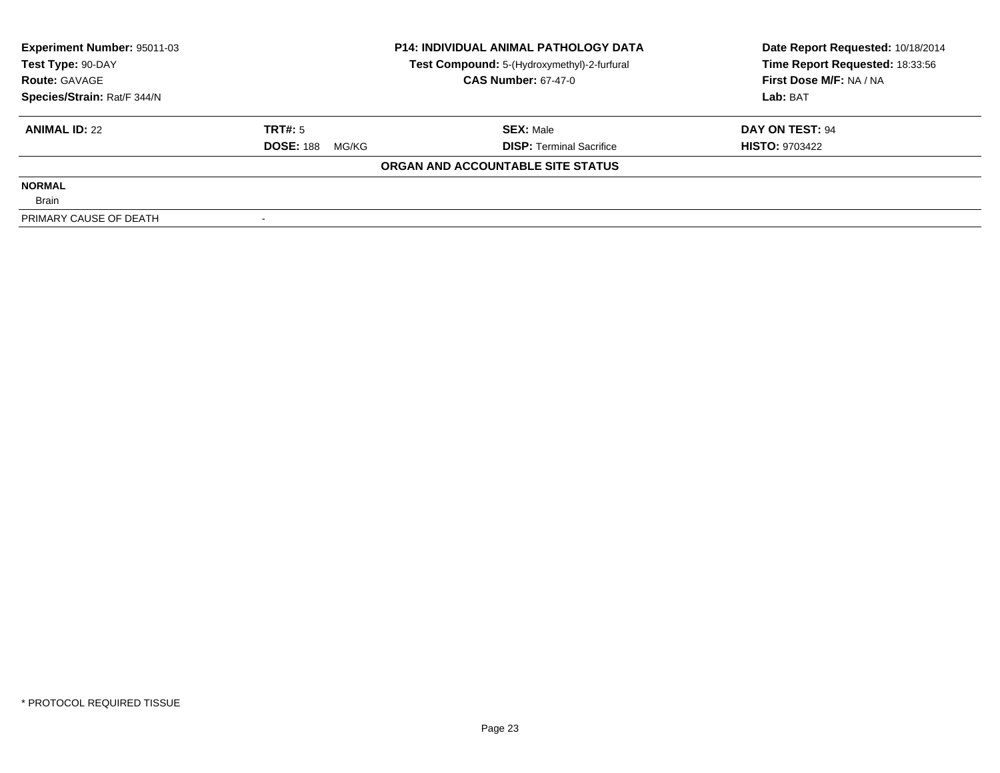| <b>Experiment Number: 95011-03</b> | <b>P14: INDIVIDUAL ANIMAL PATHOLOGY DATA</b> |                                             | Date Report Requested: 10/18/2014 |  |
|------------------------------------|----------------------------------------------|---------------------------------------------|-----------------------------------|--|
| Test Type: 90-DAY                  |                                              | Test Compound: 5-(Hydroxymethyl)-2-furfural | Time Report Requested: 18:33:56   |  |
| <b>Route: GAVAGE</b>               |                                              | <b>CAS Number: 67-47-0</b>                  | First Dose M/F: NA / NA           |  |
| Species/Strain: Rat/F 344/N        |                                              |                                             | Lab: BAT                          |  |
| <b>ANIMAL ID: 22</b>               | TRT#: 5                                      | <b>SEX:</b> Male                            | DAY ON TEST: 94                   |  |
|                                    | <b>DOSE: 188</b><br>MG/KG                    | <b>DISP: Terminal Sacrifice</b>             | <b>HISTO: 9703422</b>             |  |
|                                    |                                              | ORGAN AND ACCOUNTABLE SITE STATUS           |                                   |  |
| <b>NORMAL</b>                      |                                              |                                             |                                   |  |
| <b>Brain</b>                       |                                              |                                             |                                   |  |
| PRIMARY CAUSE OF DEATH             |                                              |                                             |                                   |  |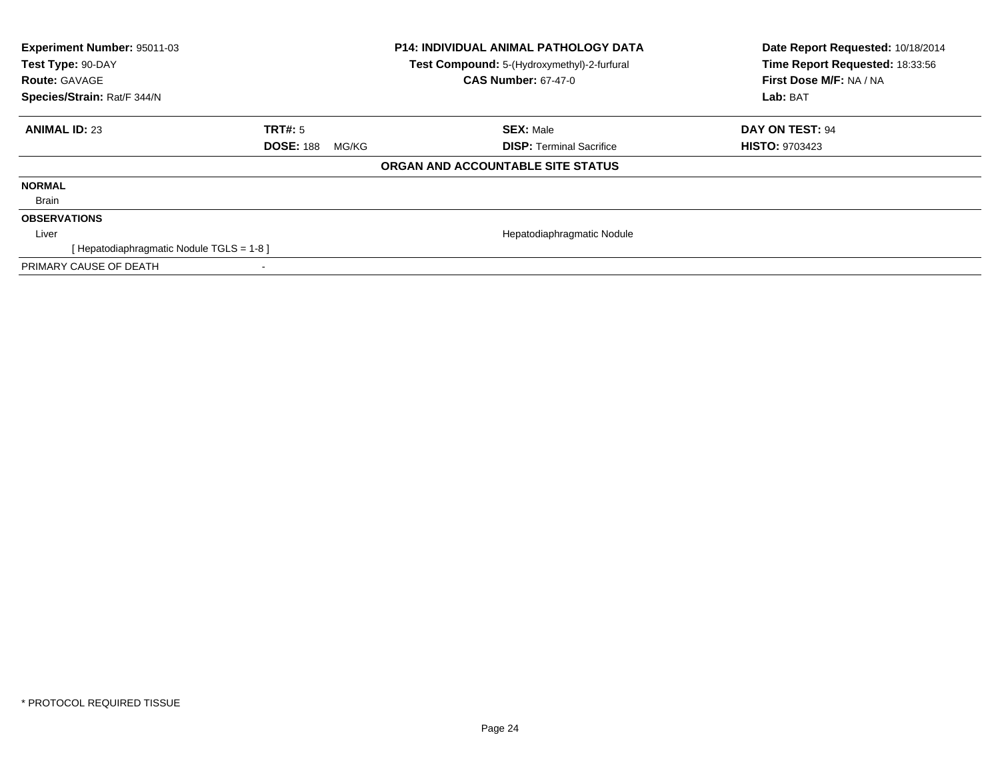| <b>Experiment Number: 95011-03</b><br>Test Type: 90-DAY<br><b>Route: GAVAGE</b><br>Species/Strain: Rat/F 344/N |                           | <b>P14: INDIVIDUAL ANIMAL PATHOLOGY DATA</b><br>Test Compound: 5-(Hydroxymethyl)-2-furfural<br><b>CAS Number: 67-47-0</b> | Date Report Requested: 10/18/2014<br>Time Report Requested: 18:33:56<br>First Dose M/F: NA / NA<br>Lab: BAT |
|----------------------------------------------------------------------------------------------------------------|---------------------------|---------------------------------------------------------------------------------------------------------------------------|-------------------------------------------------------------------------------------------------------------|
| <b>ANIMAL ID: 23</b>                                                                                           | <b>TRT#: 5</b>            | <b>SEX: Male</b>                                                                                                          | DAY ON TEST: 94                                                                                             |
|                                                                                                                | <b>DOSE: 188</b><br>MG/KG | <b>DISP:</b> Terminal Sacrifice                                                                                           | <b>HISTO: 9703423</b>                                                                                       |
|                                                                                                                |                           | ORGAN AND ACCOUNTABLE SITE STATUS                                                                                         |                                                                                                             |
| <b>NORMAL</b>                                                                                                  |                           |                                                                                                                           |                                                                                                             |
| Brain                                                                                                          |                           |                                                                                                                           |                                                                                                             |
| <b>OBSERVATIONS</b>                                                                                            |                           |                                                                                                                           |                                                                                                             |
| Liver                                                                                                          |                           | Hepatodiaphragmatic Nodule                                                                                                |                                                                                                             |
| [ Hepatodiaphragmatic Nodule TGLS = 1-8 ]                                                                      |                           |                                                                                                                           |                                                                                                             |
| PRIMARY CAUSE OF DEATH                                                                                         | ۰                         |                                                                                                                           |                                                                                                             |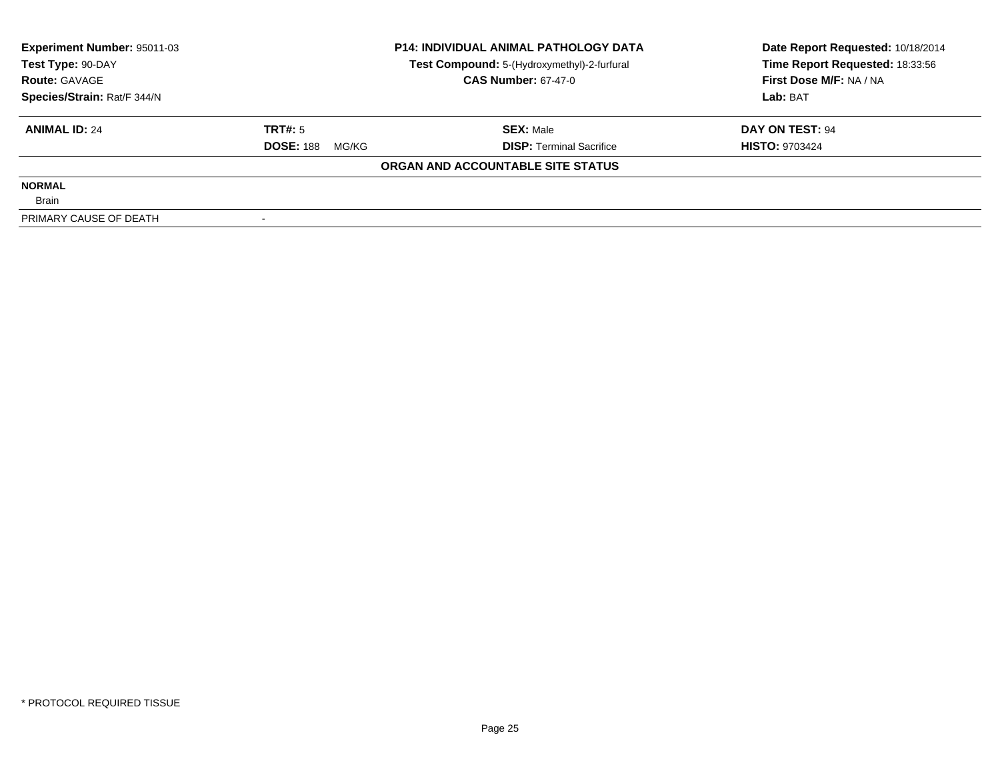| <b>Experiment Number: 95011-03</b> |                           | <b>P14: INDIVIDUAL ANIMAL PATHOLOGY DATA</b> | Date Report Requested: 10/18/2014 |  |
|------------------------------------|---------------------------|----------------------------------------------|-----------------------------------|--|
| Test Type: 90-DAY                  |                           | Test Compound: 5-(Hydroxymethyl)-2-furfural  | Time Report Requested: 18:33:56   |  |
| <b>Route: GAVAGE</b>               |                           | <b>CAS Number: 67-47-0</b>                   | First Dose M/F: NA / NA           |  |
| Species/Strain: Rat/F 344/N        |                           |                                              | Lab: BAT                          |  |
| <b>ANIMAL ID: 24</b>               | TRT#: 5                   | <b>SEX: Male</b>                             | DAY ON TEST: 94                   |  |
|                                    | <b>DOSE: 188</b><br>MG/KG | <b>DISP:</b> Terminal Sacrifice              | <b>HISTO: 9703424</b>             |  |
|                                    |                           | ORGAN AND ACCOUNTABLE SITE STATUS            |                                   |  |
| <b>NORMAL</b>                      |                           |                                              |                                   |  |
| <b>Brain</b>                       |                           |                                              |                                   |  |
| PRIMARY CAUSE OF DEATH             |                           |                                              |                                   |  |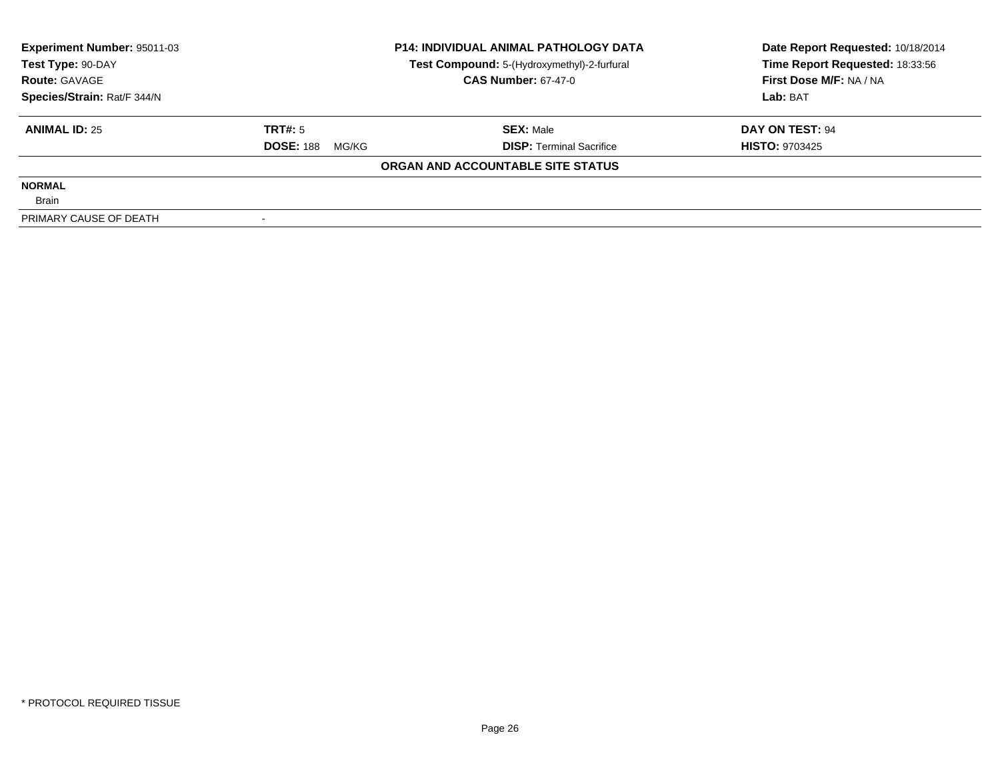| Experiment Number: 95011-03 |                           | <b>P14: INDIVIDUAL ANIMAL PATHOLOGY DATA</b> | Date Report Requested: 10/18/2014 |  |
|-----------------------------|---------------------------|----------------------------------------------|-----------------------------------|--|
| Test Type: 90-DAY           |                           | Test Compound: 5-(Hydroxymethyl)-2-furfural  | Time Report Requested: 18:33:56   |  |
| <b>Route: GAVAGE</b>        |                           | <b>CAS Number: 67-47-0</b>                   | First Dose M/F: NA / NA           |  |
| Species/Strain: Rat/F 344/N |                           |                                              | Lab: BAT                          |  |
| <b>ANIMAL ID: 25</b>        | TRT#: 5                   | <b>SEX: Male</b>                             | DAY ON TEST: 94                   |  |
|                             | <b>DOSE: 188</b><br>MG/KG | <b>DISP:</b> Terminal Sacrifice              | <b>HISTO: 9703425</b>             |  |
|                             |                           | ORGAN AND ACCOUNTABLE SITE STATUS            |                                   |  |
| <b>NORMAL</b>               |                           |                                              |                                   |  |
| <b>Brain</b>                |                           |                                              |                                   |  |
| PRIMARY CAUSE OF DEATH      |                           |                                              |                                   |  |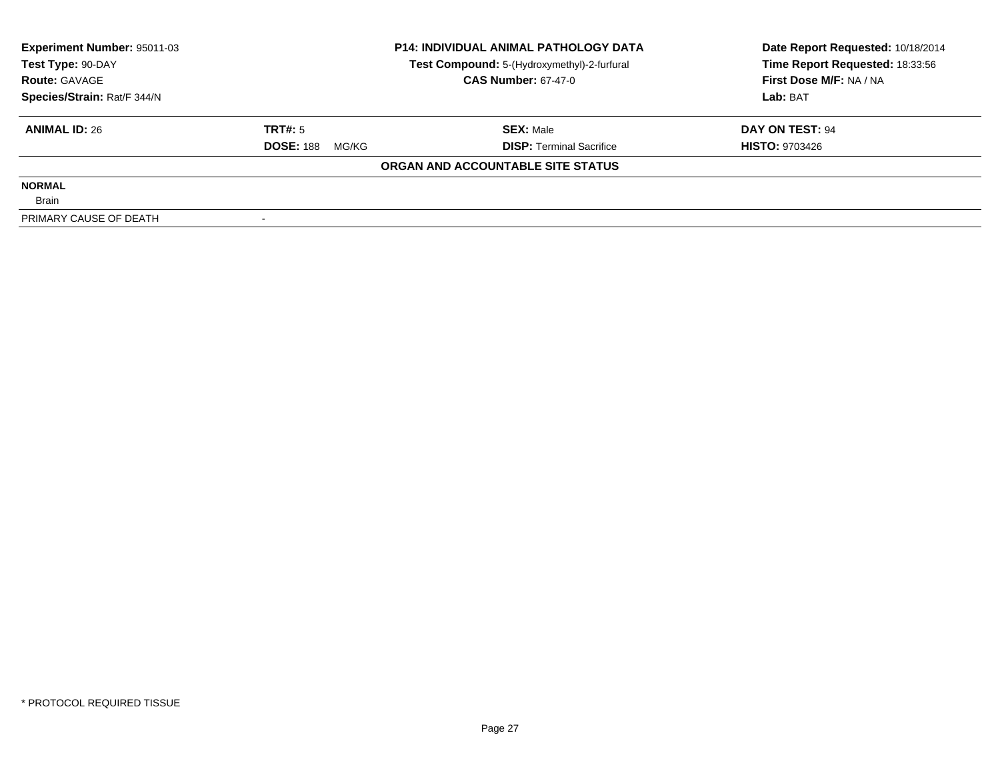| Experiment Number: 95011-03 |                           | <b>P14: INDIVIDUAL ANIMAL PATHOLOGY DATA</b> | Date Report Requested: 10/18/2014 |  |
|-----------------------------|---------------------------|----------------------------------------------|-----------------------------------|--|
| Test Type: 90-DAY           |                           | Test Compound: 5-(Hydroxymethyl)-2-furfural  | Time Report Requested: 18:33:56   |  |
| <b>Route: GAVAGE</b>        |                           | <b>CAS Number: 67-47-0</b>                   | First Dose M/F: NA / NA           |  |
| Species/Strain: Rat/F 344/N |                           |                                              | Lab: BAT                          |  |
| <b>ANIMAL ID: 26</b>        | TRT#: 5                   | <b>SEX: Male</b>                             | DAY ON TEST: 94                   |  |
|                             | <b>DOSE: 188</b><br>MG/KG | <b>DISP:</b> Terminal Sacrifice              | <b>HISTO: 9703426</b>             |  |
|                             |                           | ORGAN AND ACCOUNTABLE SITE STATUS            |                                   |  |
| <b>NORMAL</b>               |                           |                                              |                                   |  |
| <b>Brain</b>                |                           |                                              |                                   |  |
| PRIMARY CAUSE OF DEATH      |                           |                                              |                                   |  |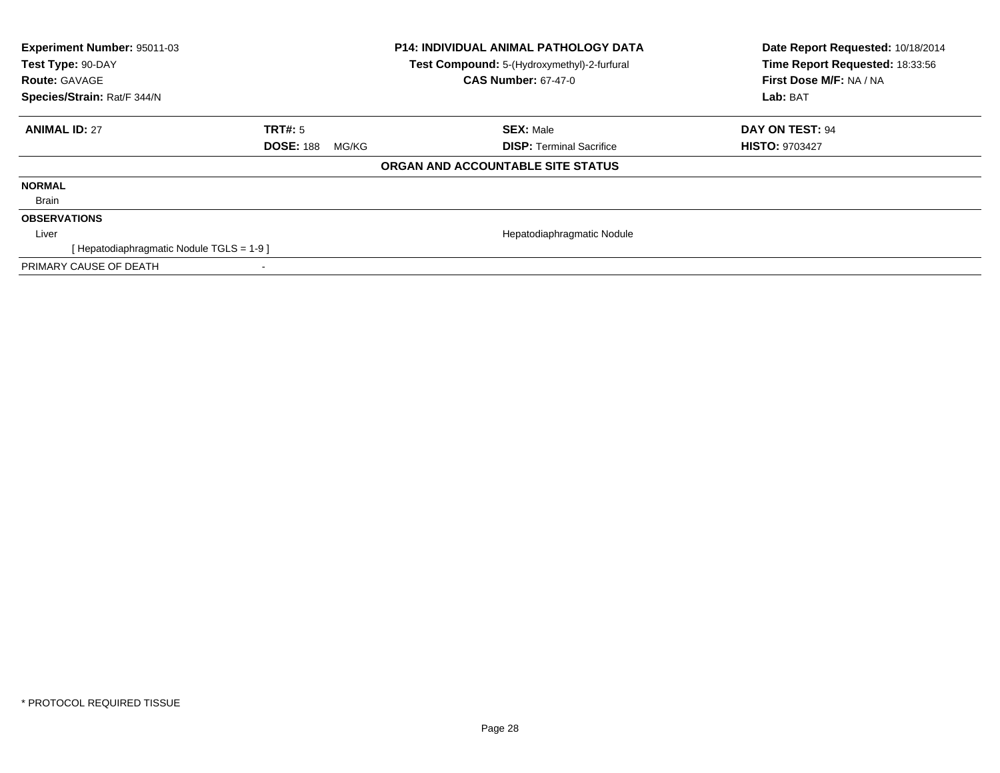| <b>Experiment Number: 95011-03</b><br>Test Type: 90-DAY<br><b>Route: GAVAGE</b><br>Species/Strain: Rat/F 344/N |                           | <b>P14: INDIVIDUAL ANIMAL PATHOLOGY DATA</b><br>Test Compound: 5-(Hydroxymethyl)-2-furfural<br><b>CAS Number: 67-47-0</b> | Date Report Requested: 10/18/2014<br>Time Report Requested: 18:33:56<br>First Dose M/F: NA / NA<br>Lab: BAT |
|----------------------------------------------------------------------------------------------------------------|---------------------------|---------------------------------------------------------------------------------------------------------------------------|-------------------------------------------------------------------------------------------------------------|
| <b>ANIMAL ID: 27</b>                                                                                           | TRT#: 5                   | <b>SEX: Male</b>                                                                                                          | DAY ON TEST: 94                                                                                             |
|                                                                                                                | <b>DOSE: 188</b><br>MG/KG | <b>DISP:</b> Terminal Sacrifice                                                                                           | <b>HISTO: 9703427</b>                                                                                       |
|                                                                                                                |                           | ORGAN AND ACCOUNTABLE SITE STATUS                                                                                         |                                                                                                             |
| <b>NORMAL</b>                                                                                                  |                           |                                                                                                                           |                                                                                                             |
| Brain                                                                                                          |                           |                                                                                                                           |                                                                                                             |
| <b>OBSERVATIONS</b>                                                                                            |                           |                                                                                                                           |                                                                                                             |
| Liver                                                                                                          |                           | Hepatodiaphragmatic Nodule                                                                                                |                                                                                                             |
| [ Hepatodiaphragmatic Nodule TGLS = 1-9 ]                                                                      |                           |                                                                                                                           |                                                                                                             |
| PRIMARY CAUSE OF DEATH                                                                                         |                           |                                                                                                                           |                                                                                                             |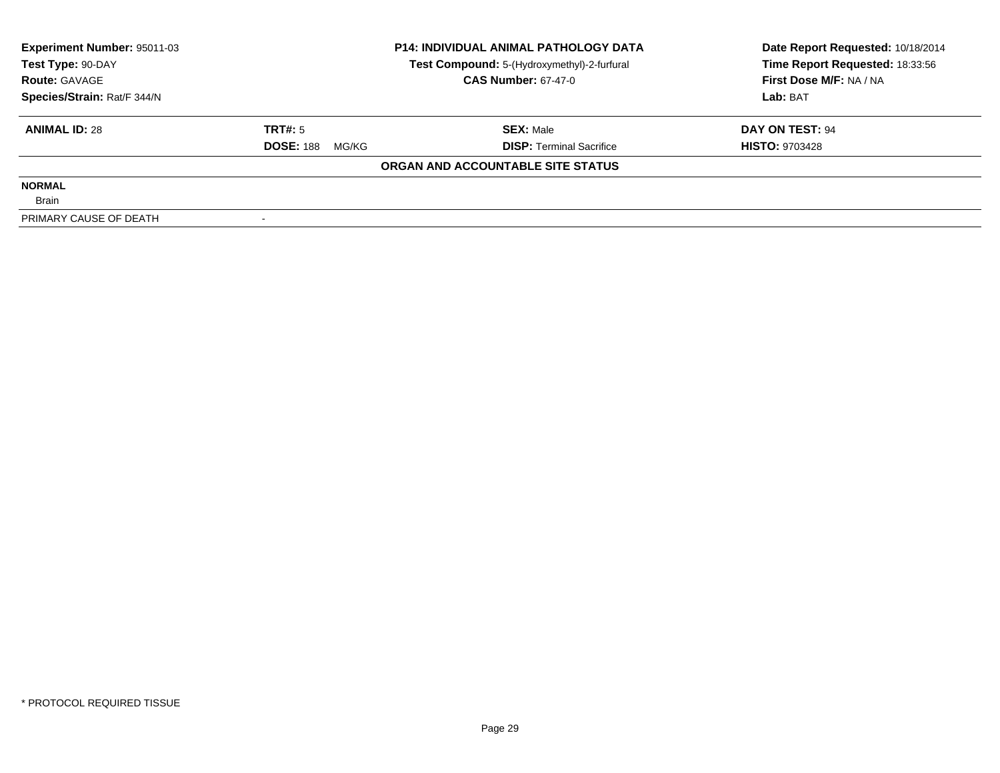| Experiment Number: 95011-03 |                           | <b>P14: INDIVIDUAL ANIMAL PATHOLOGY DATA</b> | Date Report Requested: 10/18/2014 |  |
|-----------------------------|---------------------------|----------------------------------------------|-----------------------------------|--|
| Test Type: 90-DAY           |                           | Test Compound: 5-(Hydroxymethyl)-2-furfural  | Time Report Requested: 18:33:56   |  |
| <b>Route: GAVAGE</b>        |                           | <b>CAS Number: 67-47-0</b>                   | First Dose M/F: NA / NA           |  |
| Species/Strain: Rat/F 344/N |                           |                                              | Lab: BAT                          |  |
| <b>ANIMAL ID: 28</b>        | TRT#: 5                   | <b>SEX: Male</b>                             | DAY ON TEST: 94                   |  |
|                             | <b>DOSE: 188</b><br>MG/KG | <b>DISP:</b> Terminal Sacrifice              | <b>HISTO: 9703428</b>             |  |
|                             |                           | ORGAN AND ACCOUNTABLE SITE STATUS            |                                   |  |
| <b>NORMAL</b>               |                           |                                              |                                   |  |
| <b>Brain</b>                |                           |                                              |                                   |  |
| PRIMARY CAUSE OF DEATH      |                           |                                              |                                   |  |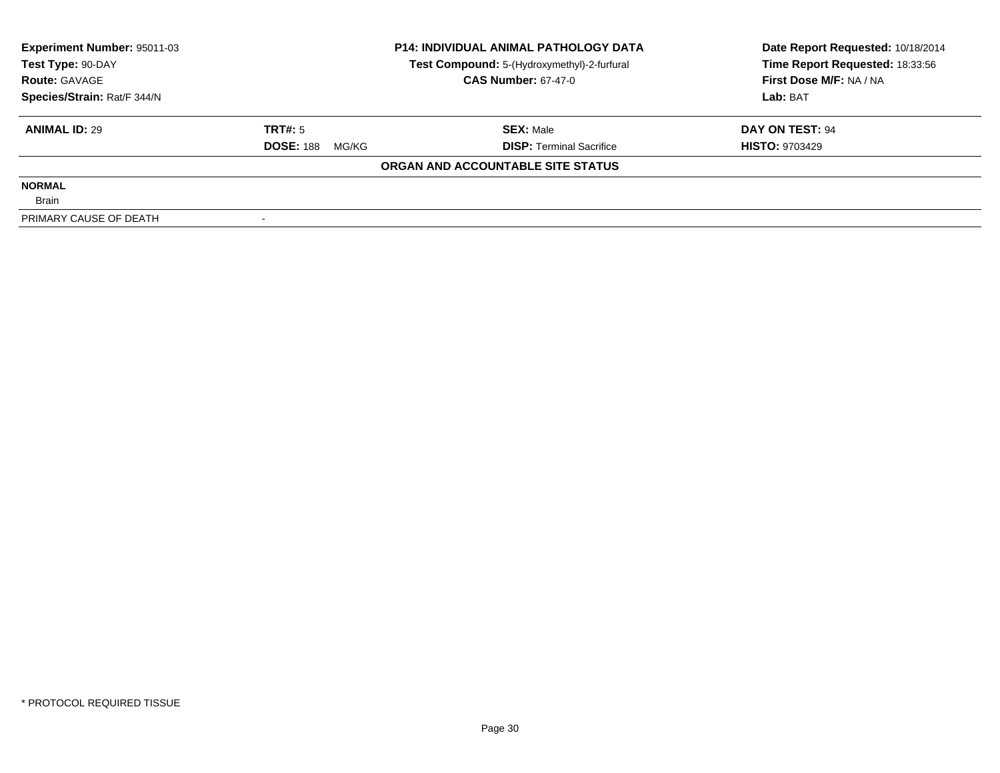| <b>Experiment Number: 95011-03</b> |                           | <b>P14: INDIVIDUAL ANIMAL PATHOLOGY DATA</b> | Date Report Requested: 10/18/2014 |  |
|------------------------------------|---------------------------|----------------------------------------------|-----------------------------------|--|
| Test Type: 90-DAY                  |                           | Test Compound: 5-(Hydroxymethyl)-2-furfural  | Time Report Requested: 18:33:56   |  |
| <b>Route: GAVAGE</b>               |                           | <b>CAS Number: 67-47-0</b>                   | First Dose M/F: NA / NA           |  |
| Species/Strain: Rat/F 344/N        |                           |                                              | Lab: BAT                          |  |
| <b>ANIMAL ID: 29</b>               | TRT#: 5                   | <b>SEX:</b> Male                             | DAY ON TEST: 94                   |  |
|                                    | <b>DOSE: 188</b><br>MG/KG | <b>DISP:</b> Terminal Sacrifice              | <b>HISTO: 9703429</b>             |  |
|                                    |                           | ORGAN AND ACCOUNTABLE SITE STATUS            |                                   |  |
| <b>NORMAL</b>                      |                           |                                              |                                   |  |
| <b>Brain</b>                       |                           |                                              |                                   |  |
| PRIMARY CAUSE OF DEATH             |                           |                                              |                                   |  |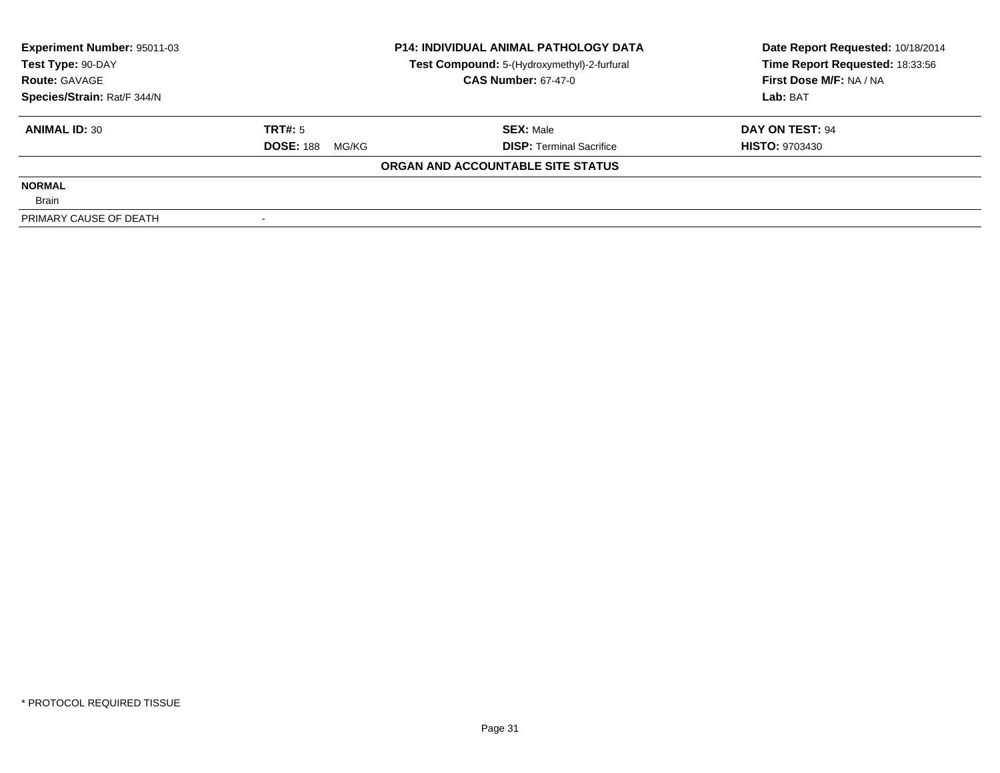| Experiment Number: 95011-03 | <b>P14: INDIVIDUAL ANIMAL PATHOLOGY DATA</b> |                                             | Date Report Requested: 10/18/2014 |  |
|-----------------------------|----------------------------------------------|---------------------------------------------|-----------------------------------|--|
| Test Type: 90-DAY           |                                              | Test Compound: 5-(Hydroxymethyl)-2-furfural | Time Report Requested: 18:33:56   |  |
| <b>Route: GAVAGE</b>        |                                              | <b>CAS Number: 67-47-0</b>                  | First Dose M/F: NA / NA           |  |
| Species/Strain: Rat/F 344/N |                                              |                                             | Lab: BAT                          |  |
| <b>ANIMAL ID: 30</b>        | TRT#: 5                                      | <b>SEX: Male</b>                            | DAY ON TEST: 94                   |  |
|                             | <b>DOSE: 188</b><br>MG/KG                    | <b>DISP:</b> Terminal Sacrifice             | <b>HISTO: 9703430</b>             |  |
|                             |                                              | ORGAN AND ACCOUNTABLE SITE STATUS           |                                   |  |
| <b>NORMAL</b>               |                                              |                                             |                                   |  |
| <b>Brain</b>                |                                              |                                             |                                   |  |
| PRIMARY CAUSE OF DEATH      |                                              |                                             |                                   |  |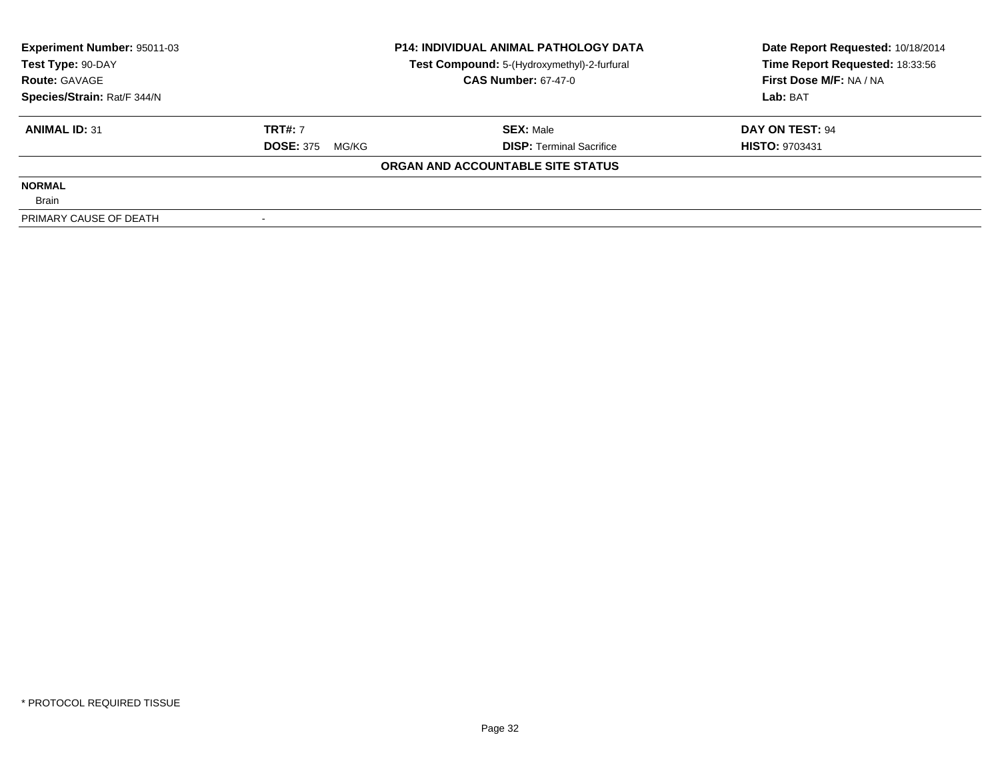| <b>Experiment Number: 95011-03</b> |                           | <b>P14: INDIVIDUAL ANIMAL PATHOLOGY DATA</b> | Date Report Requested: 10/18/2014 |  |
|------------------------------------|---------------------------|----------------------------------------------|-----------------------------------|--|
| Test Type: 90-DAY                  |                           | Test Compound: 5-(Hydroxymethyl)-2-furfural  | Time Report Requested: 18:33:56   |  |
| <b>Route: GAVAGE</b>               |                           | <b>CAS Number: 67-47-0</b>                   | First Dose M/F: NA / NA           |  |
| Species/Strain: Rat/F 344/N        |                           |                                              | Lab: BAT                          |  |
| <b>ANIMAL ID: 31</b>               | <b>TRT#: 7</b>            | <b>SEX: Male</b>                             | DAY ON TEST: 94                   |  |
|                                    | <b>DOSE: 375</b><br>MG/KG | <b>DISP:</b> Terminal Sacrifice              | <b>HISTO: 9703431</b>             |  |
|                                    |                           | ORGAN AND ACCOUNTABLE SITE STATUS            |                                   |  |
| <b>NORMAL</b>                      |                           |                                              |                                   |  |
| <b>Brain</b>                       |                           |                                              |                                   |  |
| PRIMARY CAUSE OF DEATH             |                           |                                              |                                   |  |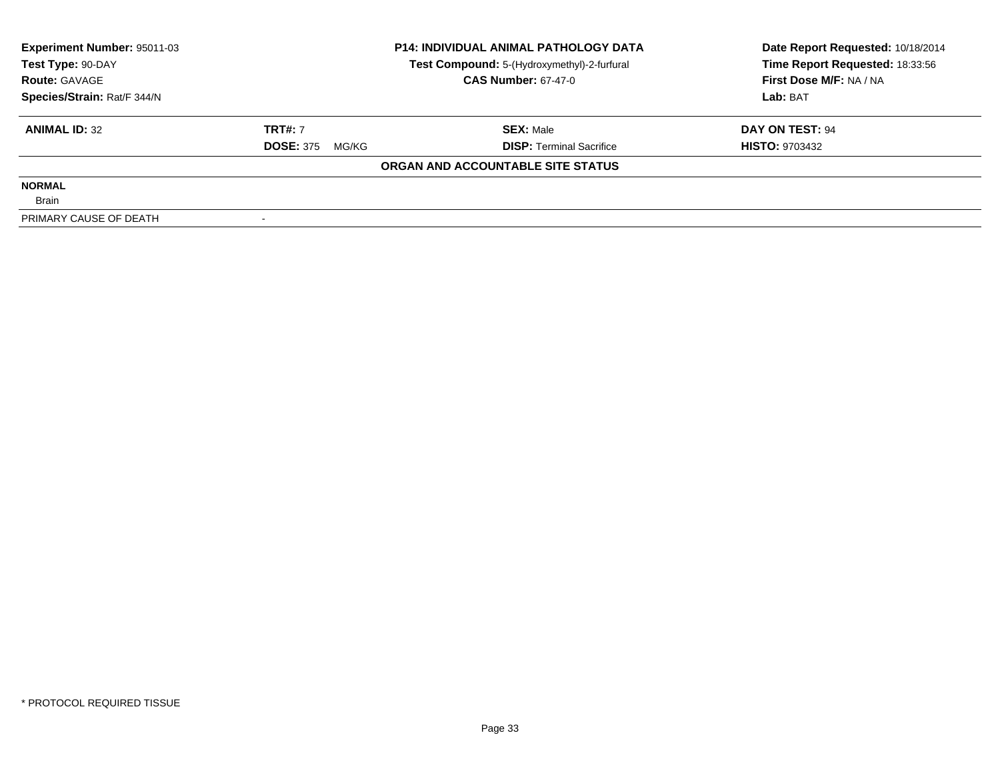| Experiment Number: 95011-03 |                           | <b>P14: INDIVIDUAL ANIMAL PATHOLOGY DATA</b> | Date Report Requested: 10/18/2014 |  |
|-----------------------------|---------------------------|----------------------------------------------|-----------------------------------|--|
| Test Type: 90-DAY           |                           | Test Compound: 5-(Hydroxymethyl)-2-furfural  | Time Report Requested: 18:33:56   |  |
| <b>Route: GAVAGE</b>        |                           | <b>CAS Number: 67-47-0</b>                   | First Dose M/F: NA / NA           |  |
| Species/Strain: Rat/F 344/N |                           |                                              | Lab: BAT                          |  |
| <b>ANIMAL ID: 32</b>        | <b>TRT#: 7</b>            | <b>SEX: Male</b>                             | DAY ON TEST: 94                   |  |
|                             | <b>DOSE: 375</b><br>MG/KG | <b>DISP:</b> Terminal Sacrifice              | <b>HISTO: 9703432</b>             |  |
|                             |                           | ORGAN AND ACCOUNTABLE SITE STATUS            |                                   |  |
| <b>NORMAL</b>               |                           |                                              |                                   |  |
| <b>Brain</b>                |                           |                                              |                                   |  |
| PRIMARY CAUSE OF DEATH      |                           |                                              |                                   |  |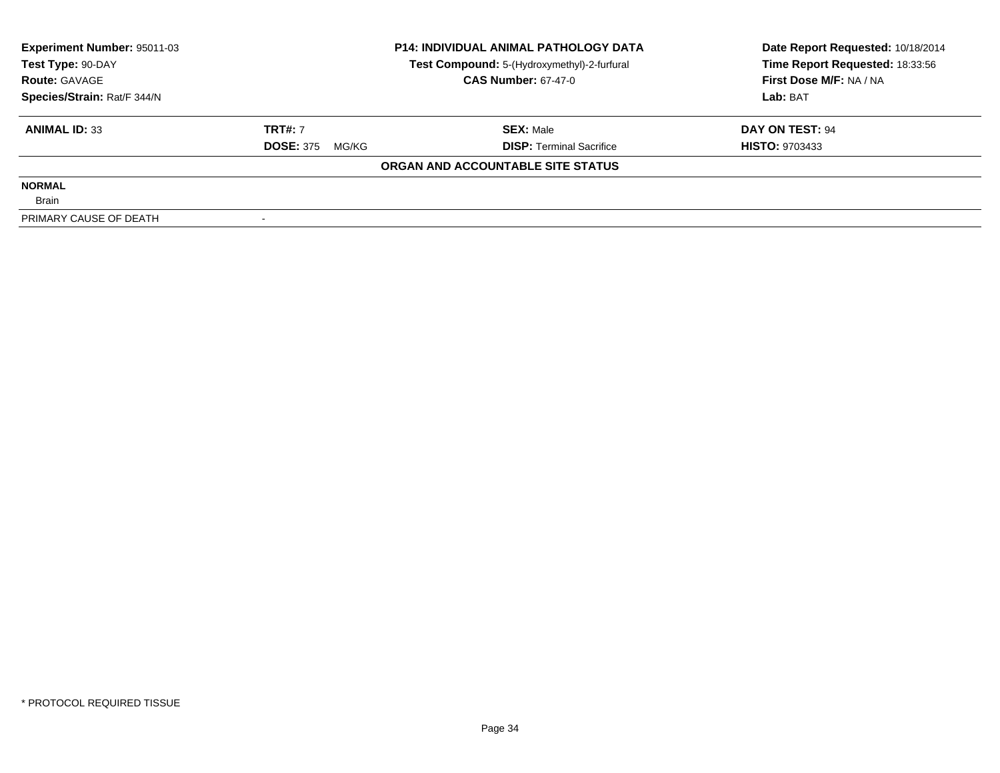| <b>Experiment Number: 95011-03</b> |                           | <b>P14: INDIVIDUAL ANIMAL PATHOLOGY DATA</b> | Date Report Requested: 10/18/2014 |  |
|------------------------------------|---------------------------|----------------------------------------------|-----------------------------------|--|
| Test Type: 90-DAY                  |                           | Test Compound: 5-(Hydroxymethyl)-2-furfural  | Time Report Requested: 18:33:56   |  |
| <b>Route: GAVAGE</b>               |                           | <b>CAS Number: 67-47-0</b>                   | First Dose M/F: NA / NA           |  |
| Species/Strain: Rat/F 344/N        |                           |                                              | Lab: BAT                          |  |
| <b>ANIMAL ID: 33</b>               | <b>TRT#: 7</b>            | <b>SEX: Male</b>                             | DAY ON TEST: 94                   |  |
|                                    | <b>DOSE: 375</b><br>MG/KG | <b>DISP:</b> Terminal Sacrifice              | <b>HISTO: 9703433</b>             |  |
|                                    |                           | ORGAN AND ACCOUNTABLE SITE STATUS            |                                   |  |
| <b>NORMAL</b>                      |                           |                                              |                                   |  |
| <b>Brain</b>                       |                           |                                              |                                   |  |
| PRIMARY CAUSE OF DEATH             |                           |                                              |                                   |  |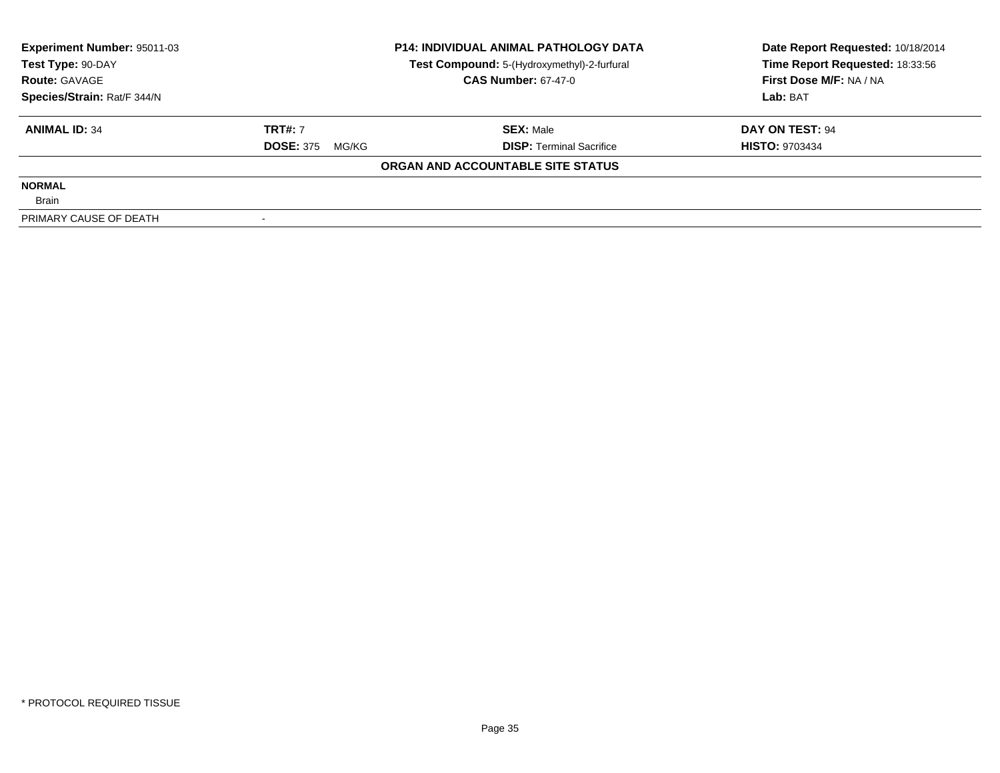| Experiment Number: 95011-03 |                           | <b>P14: INDIVIDUAL ANIMAL PATHOLOGY DATA</b> | Date Report Requested: 10/18/2014 |  |
|-----------------------------|---------------------------|----------------------------------------------|-----------------------------------|--|
| Test Type: 90-DAY           |                           | Test Compound: 5-(Hydroxymethyl)-2-furfural  | Time Report Requested: 18:33:56   |  |
| <b>Route: GAVAGE</b>        |                           | <b>CAS Number: 67-47-0</b>                   | First Dose M/F: NA / NA           |  |
| Species/Strain: Rat/F 344/N |                           |                                              | Lab: BAT                          |  |
| <b>ANIMAL ID: 34</b>        | <b>TRT#: 7</b>            | <b>SEX: Male</b>                             | DAY ON TEST: 94                   |  |
|                             | <b>DOSE: 375</b><br>MG/KG | <b>DISP:</b> Terminal Sacrifice              | <b>HISTO: 9703434</b>             |  |
|                             |                           | ORGAN AND ACCOUNTABLE SITE STATUS            |                                   |  |
| <b>NORMAL</b>               |                           |                                              |                                   |  |
| <b>Brain</b>                |                           |                                              |                                   |  |
| PRIMARY CAUSE OF DEATH      |                           |                                              |                                   |  |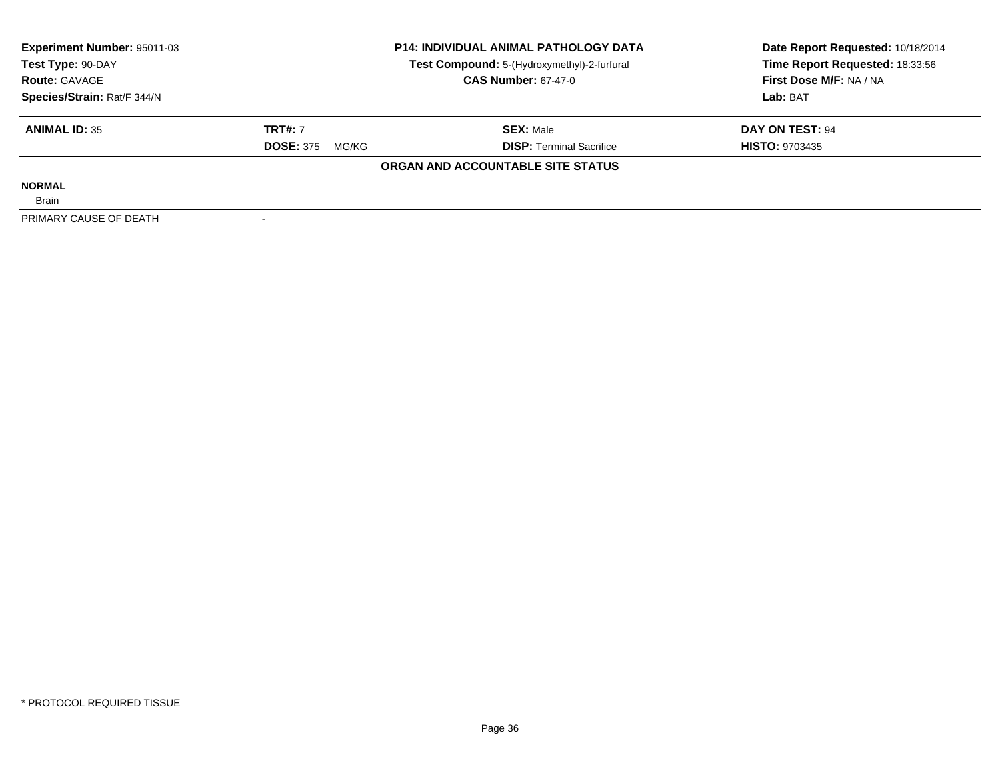| Experiment Number: 95011-03 |                           | <b>P14: INDIVIDUAL ANIMAL PATHOLOGY DATA</b> | Date Report Requested: 10/18/2014 |  |
|-----------------------------|---------------------------|----------------------------------------------|-----------------------------------|--|
| Test Type: 90-DAY           |                           | Test Compound: 5-(Hydroxymethyl)-2-furfural  | Time Report Requested: 18:33:56   |  |
| <b>Route: GAVAGE</b>        |                           | <b>CAS Number: 67-47-0</b>                   | First Dose M/F: NA / NA           |  |
| Species/Strain: Rat/F 344/N |                           |                                              | Lab: BAT                          |  |
| <b>ANIMAL ID: 35</b>        | <b>TRT#: 7</b>            | <b>SEX: Male</b>                             | DAY ON TEST: 94                   |  |
|                             | <b>DOSE: 375</b><br>MG/KG | <b>DISP:</b> Terminal Sacrifice              | <b>HISTO: 9703435</b>             |  |
|                             |                           | ORGAN AND ACCOUNTABLE SITE STATUS            |                                   |  |
| <b>NORMAL</b>               |                           |                                              |                                   |  |
| <b>Brain</b>                |                           |                                              |                                   |  |
| PRIMARY CAUSE OF DEATH      |                           |                                              |                                   |  |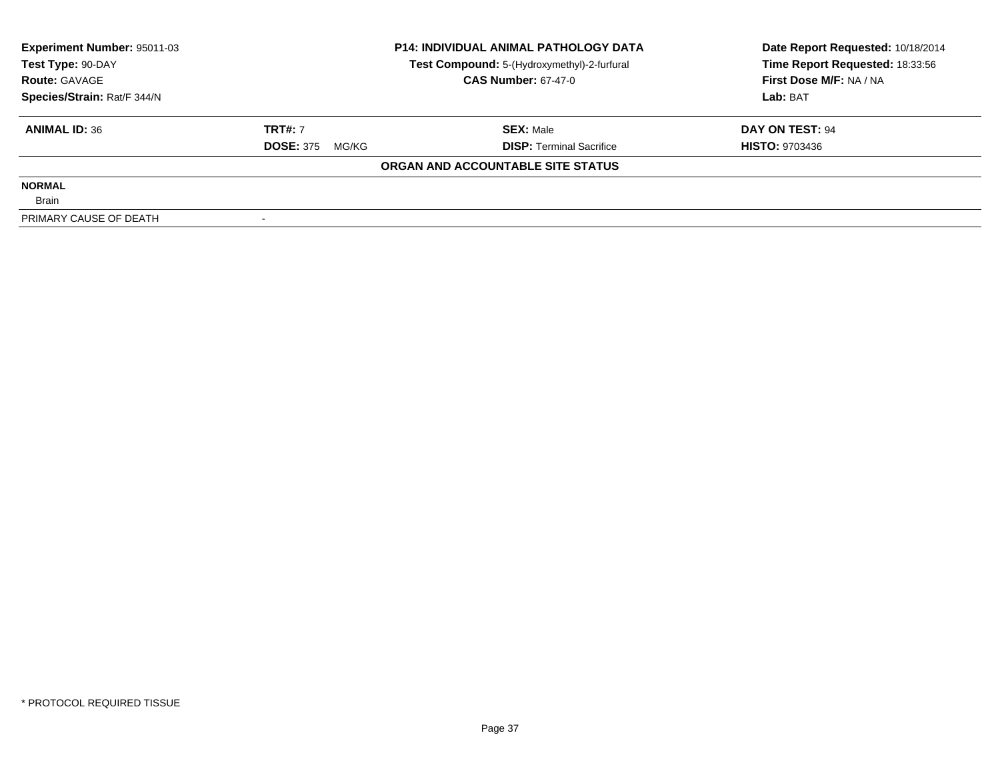| Experiment Number: 95011-03 | <b>P14: INDIVIDUAL ANIMAL PATHOLOGY DATA</b> |                                             | Date Report Requested: 10/18/2014 |  |
|-----------------------------|----------------------------------------------|---------------------------------------------|-----------------------------------|--|
| Test Type: 90-DAY           |                                              | Test Compound: 5-(Hydroxymethyl)-2-furfural | Time Report Requested: 18:33:56   |  |
| <b>Route: GAVAGE</b>        |                                              | <b>CAS Number: 67-47-0</b>                  | First Dose M/F: NA / NA           |  |
| Species/Strain: Rat/F 344/N |                                              |                                             | Lab: BAT                          |  |
| <b>ANIMAL ID: 36</b>        | <b>TRT#: 7</b>                               | <b>SEX: Male</b>                            | DAY ON TEST: 94                   |  |
|                             | <b>DOSE: 375</b><br>MG/KG                    | <b>DISP:</b> Terminal Sacrifice             | <b>HISTO: 9703436</b>             |  |
|                             |                                              | ORGAN AND ACCOUNTABLE SITE STATUS           |                                   |  |
| <b>NORMAL</b>               |                                              |                                             |                                   |  |
| <b>Brain</b>                |                                              |                                             |                                   |  |
| PRIMARY CAUSE OF DEATH      |                                              |                                             |                                   |  |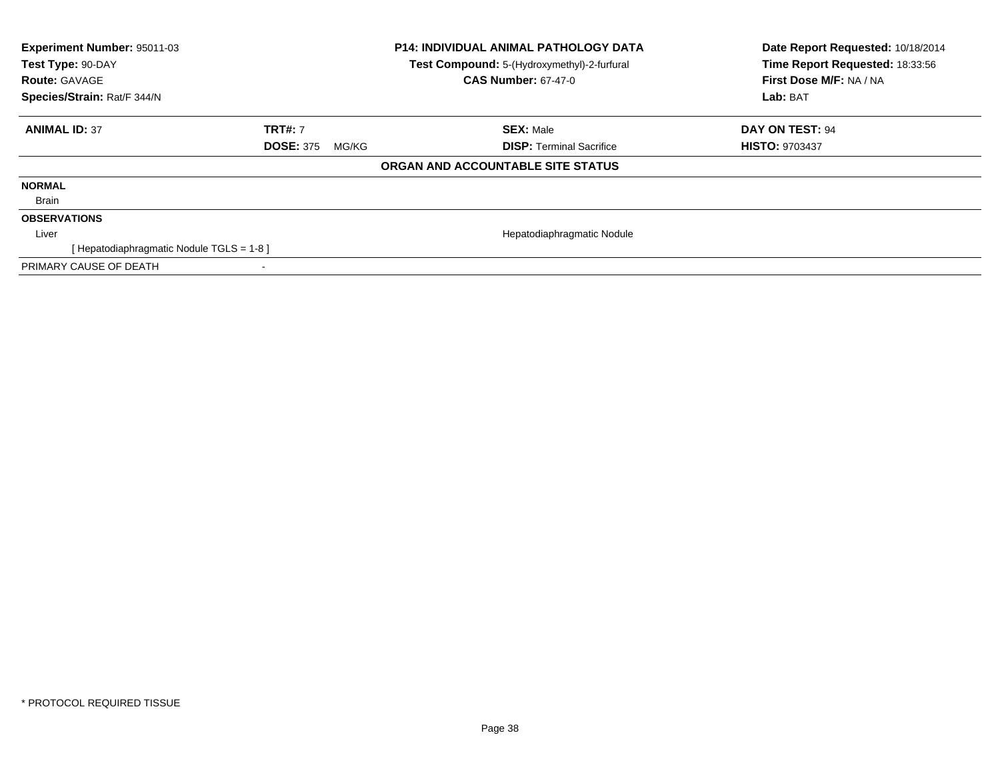| Experiment Number: 95011-03<br>Test Type: 90-DAY<br><b>Route: GAVAGE</b><br>Species/Strain: Rat/F 344/N |                           | <b>P14: INDIVIDUAL ANIMAL PATHOLOGY DATA</b><br>Test Compound: 5-(Hydroxymethyl)-2-furfural<br><b>CAS Number: 67-47-0</b> | Date Report Requested: 10/18/2014<br>Time Report Requested: 18:33:56<br>First Dose M/F: NA / NA<br>Lab: BAT |
|---------------------------------------------------------------------------------------------------------|---------------------------|---------------------------------------------------------------------------------------------------------------------------|-------------------------------------------------------------------------------------------------------------|
| <b>ANIMAL ID: 37</b>                                                                                    | <b>TRT#: 7</b>            | <b>SEX: Male</b>                                                                                                          | <b>DAY ON TEST: 94</b>                                                                                      |
|                                                                                                         | <b>DOSE: 375</b><br>MG/KG | <b>DISP: Terminal Sacrifice</b>                                                                                           | <b>HISTO: 9703437</b>                                                                                       |
|                                                                                                         |                           | ORGAN AND ACCOUNTABLE SITE STATUS                                                                                         |                                                                                                             |
| <b>NORMAL</b>                                                                                           |                           |                                                                                                                           |                                                                                                             |
| Brain                                                                                                   |                           |                                                                                                                           |                                                                                                             |
| <b>OBSERVATIONS</b>                                                                                     |                           |                                                                                                                           |                                                                                                             |
| Liver                                                                                                   |                           | Hepatodiaphragmatic Nodule                                                                                                |                                                                                                             |
| [ Hepatodiaphragmatic Nodule TGLS = 1-8 ]                                                               |                           |                                                                                                                           |                                                                                                             |
| PRIMARY CAUSE OF DEATH                                                                                  |                           |                                                                                                                           |                                                                                                             |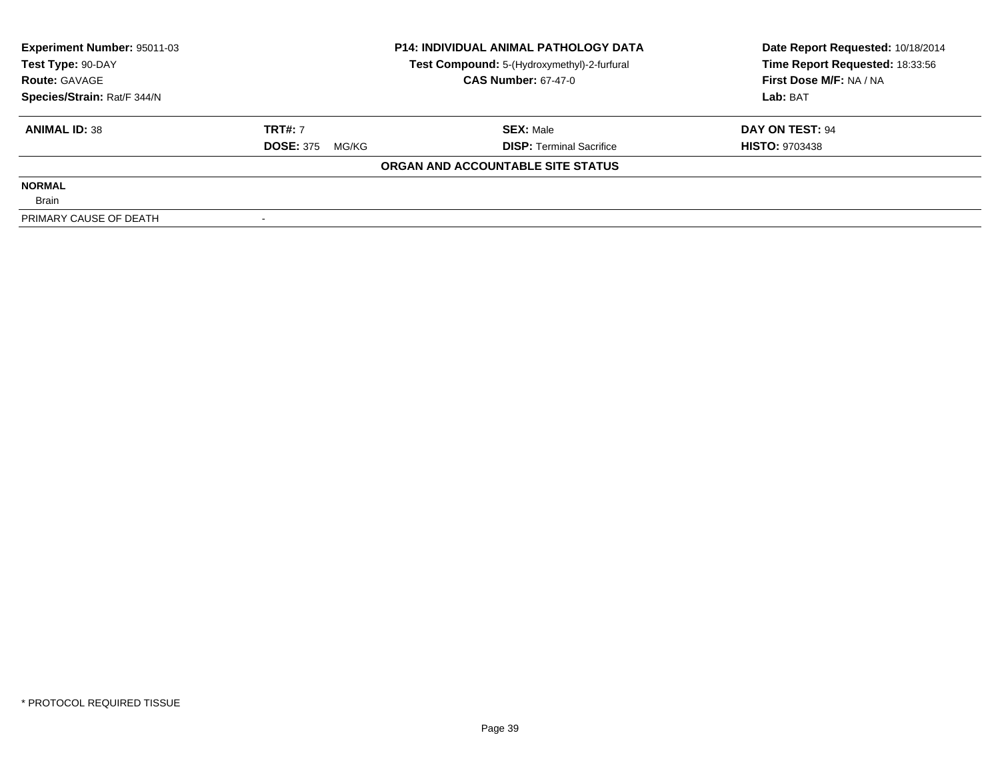| Experiment Number: 95011-03 |                           | <b>P14: INDIVIDUAL ANIMAL PATHOLOGY DATA</b> | Date Report Requested: 10/18/2014 |  |
|-----------------------------|---------------------------|----------------------------------------------|-----------------------------------|--|
| Test Type: 90-DAY           |                           | Test Compound: 5-(Hydroxymethyl)-2-furfural  | Time Report Requested: 18:33:56   |  |
| <b>Route: GAVAGE</b>        |                           | <b>CAS Number: 67-47-0</b>                   | First Dose M/F: NA / NA           |  |
| Species/Strain: Rat/F 344/N |                           |                                              | Lab: BAT                          |  |
| <b>ANIMAL ID: 38</b>        | <b>TRT#: 7</b>            | <b>SEX: Male</b>                             | DAY ON TEST: 94                   |  |
|                             | <b>DOSE: 375</b><br>MG/KG | <b>DISP:</b> Terminal Sacrifice              | <b>HISTO: 9703438</b>             |  |
|                             |                           | ORGAN AND ACCOUNTABLE SITE STATUS            |                                   |  |
| <b>NORMAL</b>               |                           |                                              |                                   |  |
| <b>Brain</b>                |                           |                                              |                                   |  |
| PRIMARY CAUSE OF DEATH      |                           |                                              |                                   |  |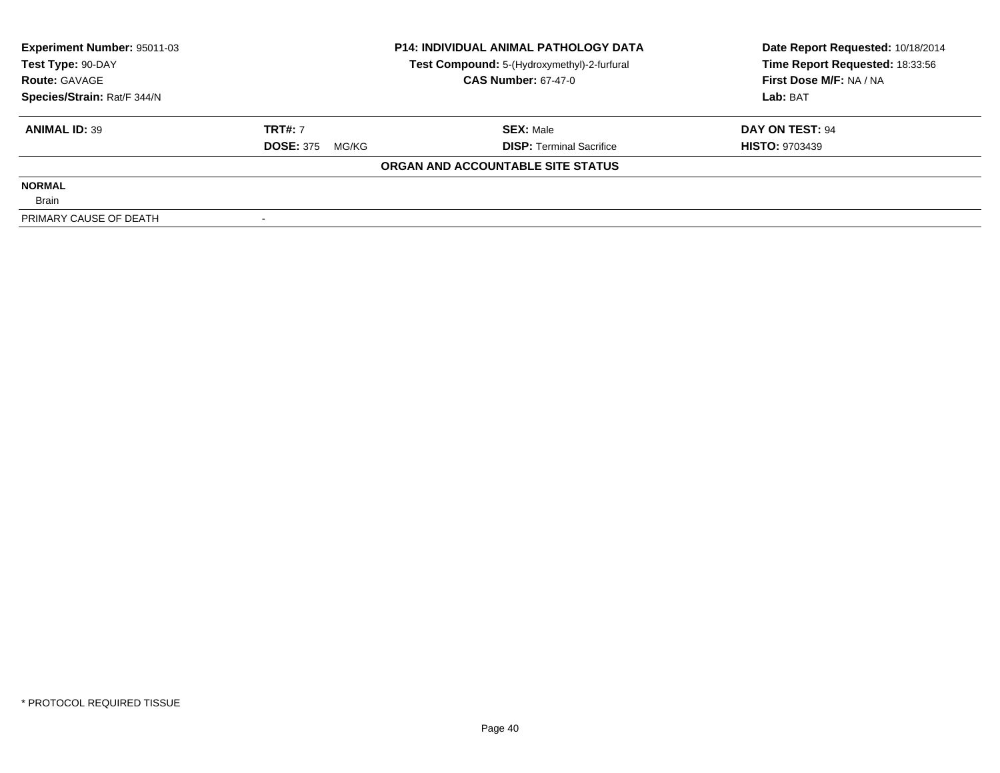| <b>Experiment Number: 95011-03</b> | <b>P14: INDIVIDUAL ANIMAL PATHOLOGY DATA</b> |                                             | Date Report Requested: 10/18/2014 |  |
|------------------------------------|----------------------------------------------|---------------------------------------------|-----------------------------------|--|
| Test Type: 90-DAY                  |                                              | Test Compound: 5-(Hydroxymethyl)-2-furfural | Time Report Requested: 18:33:56   |  |
| <b>Route: GAVAGE</b>               |                                              | <b>CAS Number: 67-47-0</b>                  | First Dose M/F: NA / NA           |  |
| Species/Strain: Rat/F 344/N        |                                              |                                             | Lab: BAT                          |  |
| <b>ANIMAL ID: 39</b>               | <b>TRT#: 7</b>                               | <b>SEX:</b> Male                            | DAY ON TEST: 94                   |  |
|                                    | <b>DOSE: 375</b><br>MG/KG                    | <b>DISP:</b> Terminal Sacrifice             | <b>HISTO: 9703439</b>             |  |
|                                    |                                              | ORGAN AND ACCOUNTABLE SITE STATUS           |                                   |  |
| <b>NORMAL</b>                      |                                              |                                             |                                   |  |
| <b>Brain</b>                       |                                              |                                             |                                   |  |
| PRIMARY CAUSE OF DEATH             |                                              |                                             |                                   |  |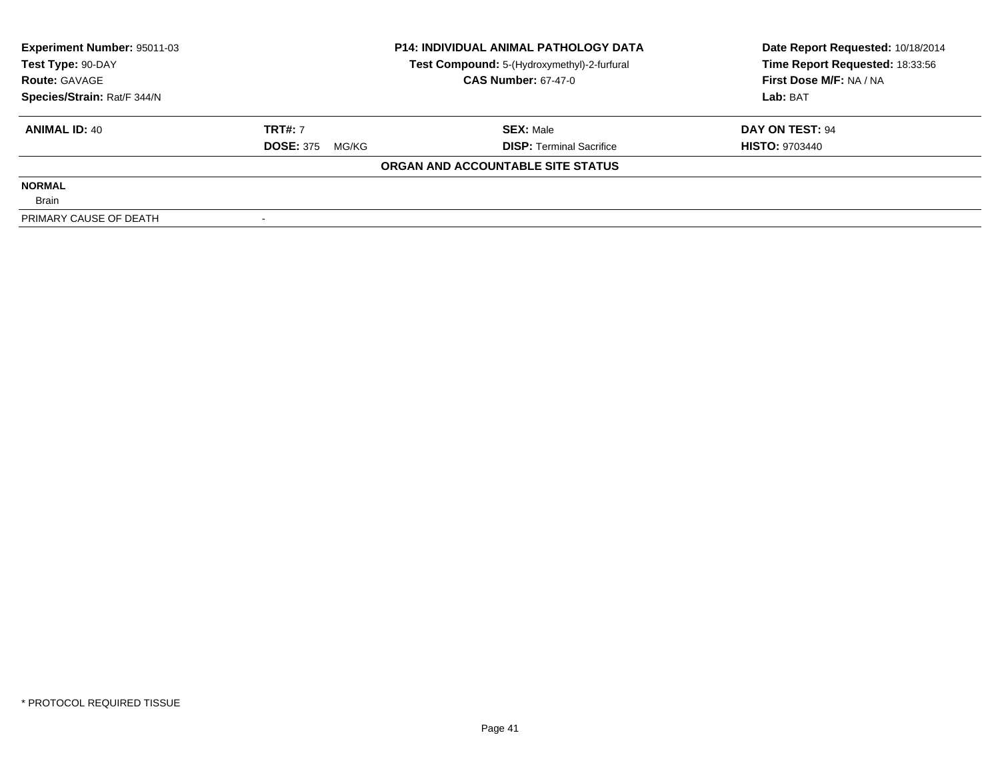| Experiment Number: 95011-03 |                           | <b>P14: INDIVIDUAL ANIMAL PATHOLOGY DATA</b> | Date Report Requested: 10/18/2014 |  |
|-----------------------------|---------------------------|----------------------------------------------|-----------------------------------|--|
| Test Type: 90-DAY           |                           | Test Compound: 5-(Hydroxymethyl)-2-furfural  | Time Report Requested: 18:33:56   |  |
| <b>Route: GAVAGE</b>        |                           | <b>CAS Number: 67-47-0</b>                   | First Dose M/F: NA / NA           |  |
| Species/Strain: Rat/F 344/N |                           |                                              | Lab: BAT                          |  |
| <b>ANIMAL ID: 40</b>        | <b>TRT#: 7</b>            | <b>SEX: Male</b>                             | DAY ON TEST: 94                   |  |
|                             | <b>DOSE: 375</b><br>MG/KG | <b>DISP:</b> Terminal Sacrifice              | <b>HISTO: 9703440</b>             |  |
|                             |                           | ORGAN AND ACCOUNTABLE SITE STATUS            |                                   |  |
| <b>NORMAL</b>               |                           |                                              |                                   |  |
| Brain                       |                           |                                              |                                   |  |
| PRIMARY CAUSE OF DEATH      |                           |                                              |                                   |  |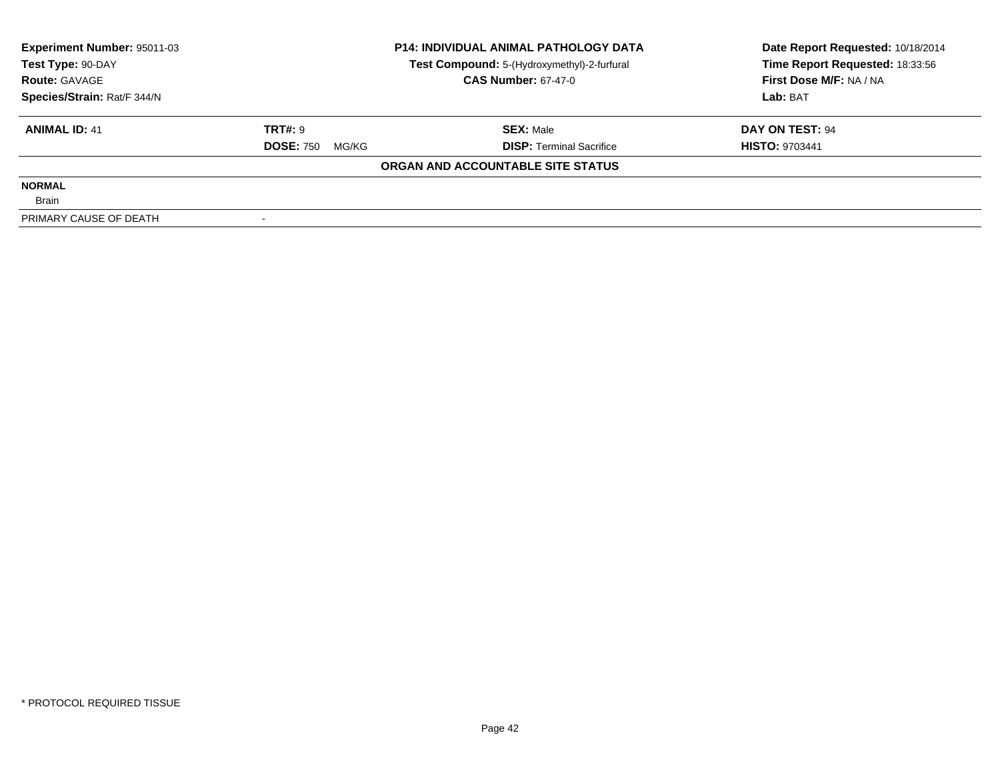| <b>Experiment Number: 95011-03</b> | <b>P14: INDIVIDUAL ANIMAL PATHOLOGY DATA</b> |                                             | Date Report Requested: 10/18/2014 |  |
|------------------------------------|----------------------------------------------|---------------------------------------------|-----------------------------------|--|
| Test Type: 90-DAY                  |                                              | Test Compound: 5-(Hydroxymethyl)-2-furfural | Time Report Requested: 18:33:56   |  |
| <b>Route: GAVAGE</b>               |                                              | <b>CAS Number: 67-47-0</b>                  | First Dose M/F: NA / NA           |  |
| Species/Strain: Rat/F 344/N        |                                              |                                             | Lab: BAT                          |  |
| <b>ANIMAL ID: 41</b>               | <b>TRT#: 9</b>                               | <b>SEX: Male</b>                            | DAY ON TEST: 94                   |  |
|                                    | <b>DOSE: 750</b><br>MG/KG                    | <b>DISP:</b> Terminal Sacrifice             | <b>HISTO: 9703441</b>             |  |
|                                    |                                              | ORGAN AND ACCOUNTABLE SITE STATUS           |                                   |  |
| <b>NORMAL</b>                      |                                              |                                             |                                   |  |
| <b>Brain</b>                       |                                              |                                             |                                   |  |
| PRIMARY CAUSE OF DEATH             |                                              |                                             |                                   |  |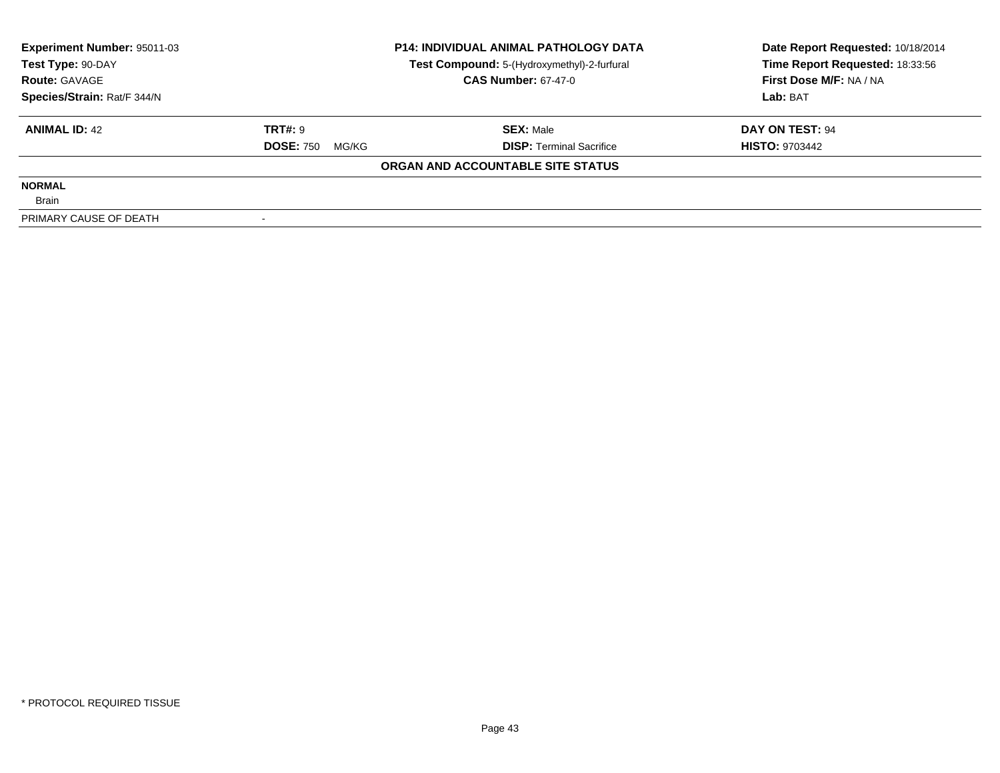| <b>Experiment Number: 95011-03</b> | <b>P14: INDIVIDUAL ANIMAL PATHOLOGY DATA</b> |                                             | Date Report Requested: 10/18/2014 |  |
|------------------------------------|----------------------------------------------|---------------------------------------------|-----------------------------------|--|
| Test Type: 90-DAY                  |                                              | Test Compound: 5-(Hydroxymethyl)-2-furfural | Time Report Requested: 18:33:56   |  |
| <b>Route: GAVAGE</b>               |                                              | <b>CAS Number: 67-47-0</b>                  | First Dose M/F: NA / NA           |  |
| Species/Strain: Rat/F 344/N        |                                              |                                             | Lab: BAT                          |  |
| <b>ANIMAL ID: 42</b>               | TRT#: 9                                      | <b>SEX: Male</b>                            | DAY ON TEST: 94                   |  |
|                                    | <b>DOSE: 750</b><br>MG/KG                    | <b>DISP:</b> Terminal Sacrifice             | <b>HISTO: 9703442</b>             |  |
|                                    |                                              | ORGAN AND ACCOUNTABLE SITE STATUS           |                                   |  |
| <b>NORMAL</b>                      |                                              |                                             |                                   |  |
| <b>Brain</b>                       |                                              |                                             |                                   |  |
| PRIMARY CAUSE OF DEATH             |                                              |                                             |                                   |  |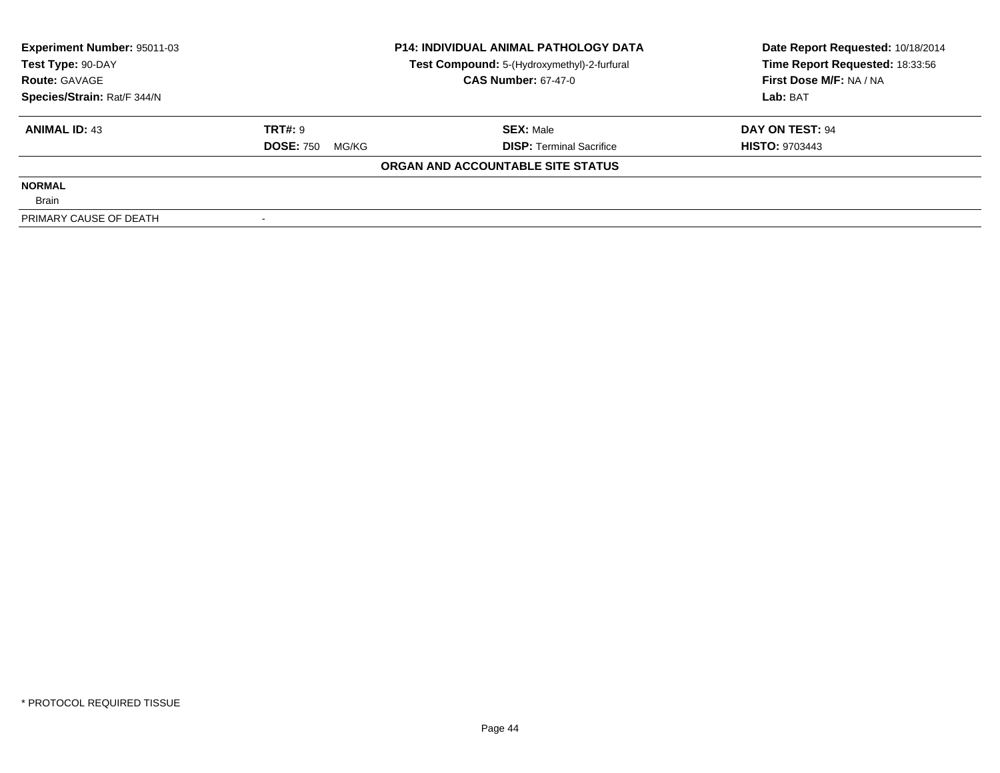| <b>Experiment Number: 95011-03</b> | <b>P14: INDIVIDUAL ANIMAL PATHOLOGY DATA</b> |                                             | Date Report Requested: 10/18/2014 |  |
|------------------------------------|----------------------------------------------|---------------------------------------------|-----------------------------------|--|
| Test Type: 90-DAY                  |                                              | Test Compound: 5-(Hydroxymethyl)-2-furfural | Time Report Requested: 18:33:56   |  |
| <b>Route: GAVAGE</b>               |                                              | <b>CAS Number: 67-47-0</b>                  | First Dose M/F: NA / NA           |  |
| Species/Strain: Rat/F 344/N        |                                              |                                             | Lab: BAT                          |  |
| <b>ANIMAL ID: 43</b>               | TRT#: 9                                      | <b>SEX: Male</b>                            | DAY ON TEST: 94                   |  |
|                                    | <b>DOSE: 750</b><br>MG/KG                    | <b>DISP:</b> Terminal Sacrifice             | <b>HISTO: 9703443</b>             |  |
|                                    |                                              | ORGAN AND ACCOUNTABLE SITE STATUS           |                                   |  |
| <b>NORMAL</b>                      |                                              |                                             |                                   |  |
| <b>Brain</b>                       |                                              |                                             |                                   |  |
| PRIMARY CAUSE OF DEATH             |                                              |                                             |                                   |  |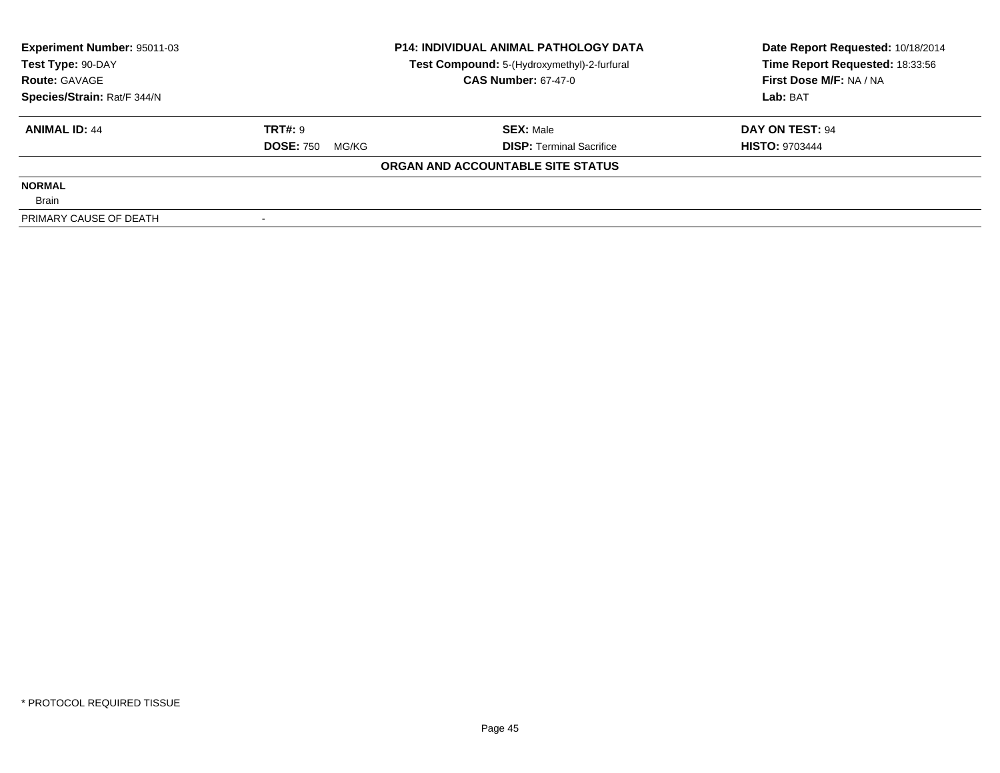| <b>Experiment Number: 95011-03</b> |                           | <b>P14: INDIVIDUAL ANIMAL PATHOLOGY DATA</b> | Date Report Requested: 10/18/2014 |  |
|------------------------------------|---------------------------|----------------------------------------------|-----------------------------------|--|
| Test Type: 90-DAY                  |                           | Test Compound: 5-(Hydroxymethyl)-2-furfural  | Time Report Requested: 18:33:56   |  |
| <b>Route: GAVAGE</b>               |                           | <b>CAS Number: 67-47-0</b>                   | First Dose M/F: NA / NA           |  |
| Species/Strain: Rat/F 344/N        |                           |                                              | Lab: BAT                          |  |
| <b>ANIMAL ID: 44</b>               | <b>TRT#: 9</b>            | <b>SEX: Male</b>                             | DAY ON TEST: 94                   |  |
|                                    | <b>DOSE: 750</b><br>MG/KG | <b>DISP:</b> Terminal Sacrifice              | <b>HISTO: 9703444</b>             |  |
|                                    |                           | ORGAN AND ACCOUNTABLE SITE STATUS            |                                   |  |
| <b>NORMAL</b>                      |                           |                                              |                                   |  |
| <b>Brain</b>                       |                           |                                              |                                   |  |
| PRIMARY CAUSE OF DEATH             |                           |                                              |                                   |  |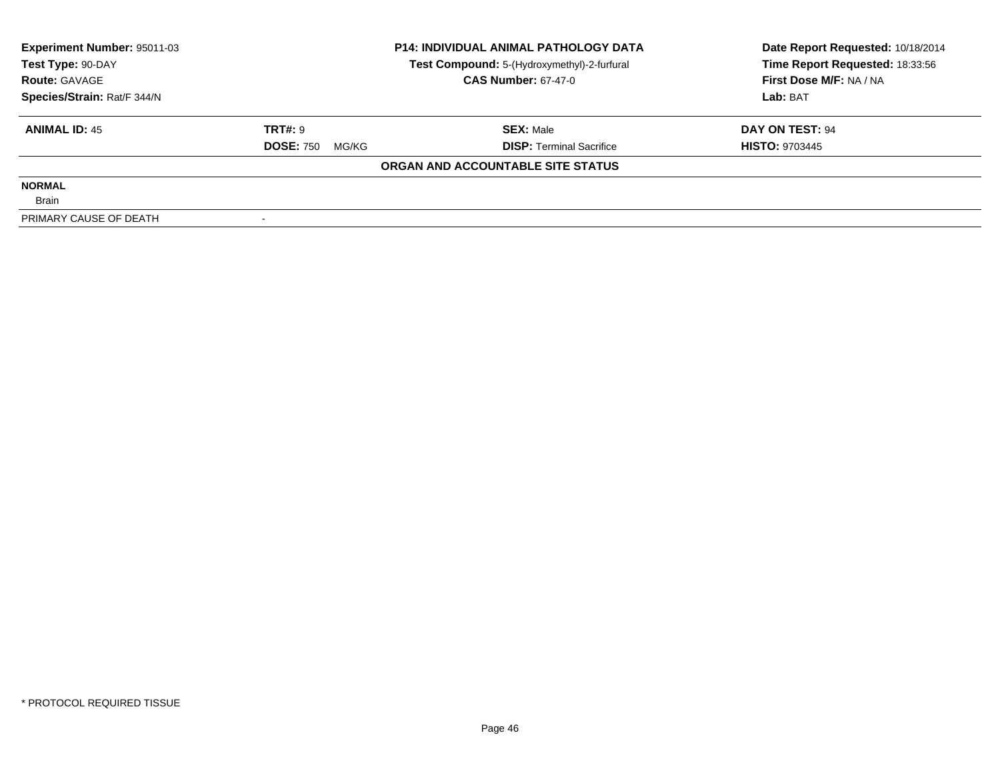| Experiment Number: 95011-03 |                           | <b>P14: INDIVIDUAL ANIMAL PATHOLOGY DATA</b> | Date Report Requested: 10/18/2014 |  |
|-----------------------------|---------------------------|----------------------------------------------|-----------------------------------|--|
| Test Type: 90-DAY           |                           | Test Compound: 5-(Hydroxymethyl)-2-furfural  | Time Report Requested: 18:33:56   |  |
| <b>Route: GAVAGE</b>        |                           | <b>CAS Number: 67-47-0</b>                   | First Dose M/F: NA / NA           |  |
| Species/Strain: Rat/F 344/N |                           |                                              | Lab: BAT                          |  |
| <b>ANIMAL ID: 45</b>        | TRT#: 9                   | <b>SEX: Male</b>                             | DAY ON TEST: 94                   |  |
|                             | <b>DOSE: 750</b><br>MG/KG | <b>DISP:</b> Terminal Sacrifice              | <b>HISTO: 9703445</b>             |  |
|                             |                           | ORGAN AND ACCOUNTABLE SITE STATUS            |                                   |  |
| <b>NORMAL</b>               |                           |                                              |                                   |  |
| <b>Brain</b>                |                           |                                              |                                   |  |
| PRIMARY CAUSE OF DEATH      |                           |                                              |                                   |  |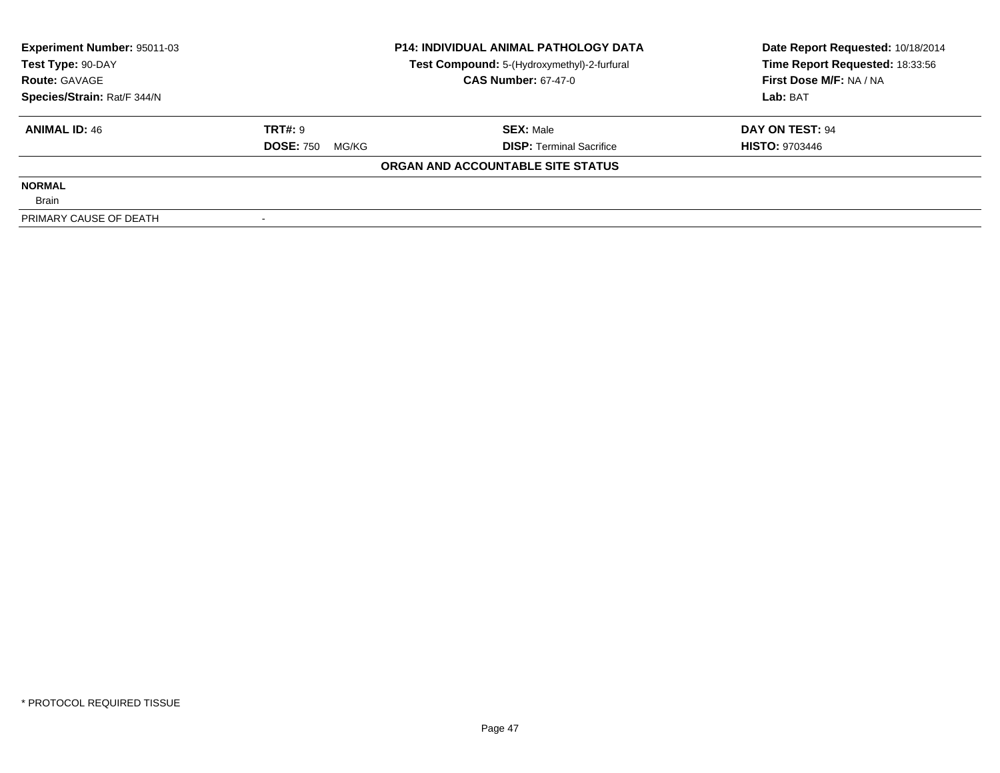| Experiment Number: 95011-03 |                           | <b>P14: INDIVIDUAL ANIMAL PATHOLOGY DATA</b> | Date Report Requested: 10/18/2014 |  |
|-----------------------------|---------------------------|----------------------------------------------|-----------------------------------|--|
| Test Type: 90-DAY           |                           | Test Compound: 5-(Hydroxymethyl)-2-furfural  | Time Report Requested: 18:33:56   |  |
| <b>Route: GAVAGE</b>        |                           | <b>CAS Number: 67-47-0</b>                   | First Dose M/F: NA / NA           |  |
| Species/Strain: Rat/F 344/N |                           |                                              | Lab: BAT                          |  |
| <b>ANIMAL ID: 46</b>        | TRT#: 9                   | <b>SEX: Male</b>                             | DAY ON TEST: 94                   |  |
|                             | <b>DOSE: 750</b><br>MG/KG | <b>DISP:</b> Terminal Sacrifice              | <b>HISTO: 9703446</b>             |  |
|                             |                           | ORGAN AND ACCOUNTABLE SITE STATUS            |                                   |  |
| <b>NORMAL</b>               |                           |                                              |                                   |  |
| <b>Brain</b>                |                           |                                              |                                   |  |
| PRIMARY CAUSE OF DEATH      |                           |                                              |                                   |  |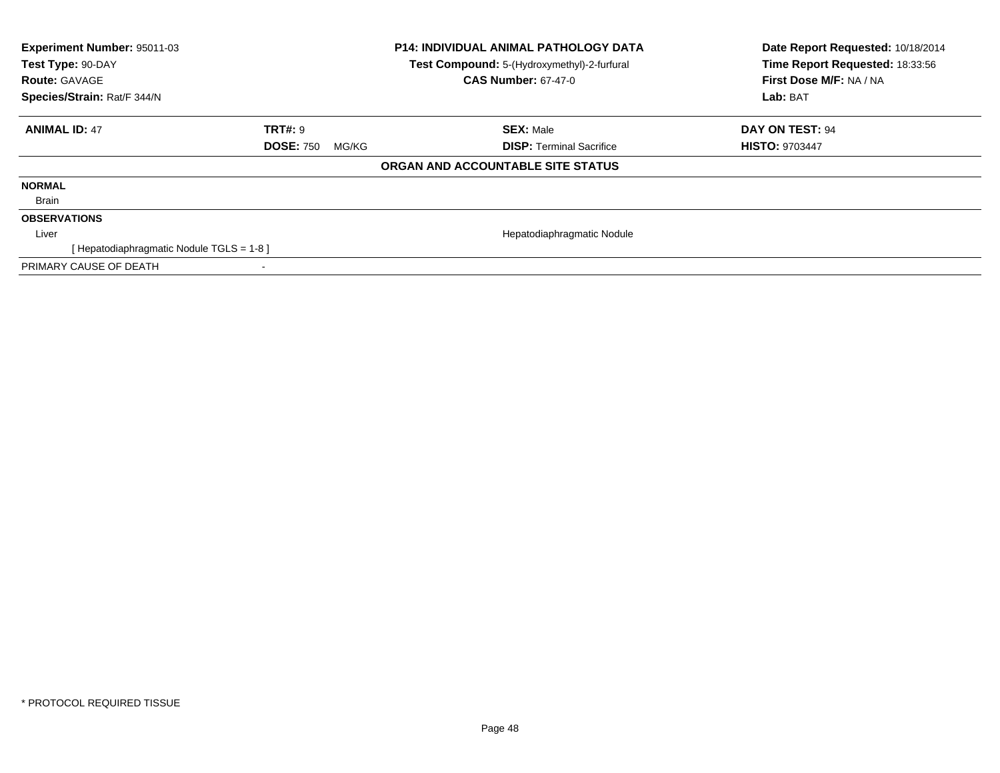| <b>Experiment Number: 95011-03</b><br>Test Type: 90-DAY<br><b>Route: GAVAGE</b><br>Species/Strain: Rat/F 344/N |                           | <b>P14: INDIVIDUAL ANIMAL PATHOLOGY DATA</b><br>Test Compound: 5-(Hydroxymethyl)-2-furfural<br><b>CAS Number: 67-47-0</b> | Date Report Requested: 10/18/2014<br>Time Report Requested: 18:33:56<br>First Dose M/F: NA / NA<br>Lab: BAT |
|----------------------------------------------------------------------------------------------------------------|---------------------------|---------------------------------------------------------------------------------------------------------------------------|-------------------------------------------------------------------------------------------------------------|
| <b>ANIMAL ID: 47</b>                                                                                           | TRT#: 9                   | <b>SEX: Male</b>                                                                                                          | DAY ON TEST: 94                                                                                             |
|                                                                                                                | <b>DOSE: 750</b><br>MG/KG | <b>DISP:</b> Terminal Sacrifice                                                                                           | <b>HISTO: 9703447</b>                                                                                       |
|                                                                                                                |                           | ORGAN AND ACCOUNTABLE SITE STATUS                                                                                         |                                                                                                             |
| <b>NORMAL</b>                                                                                                  |                           |                                                                                                                           |                                                                                                             |
| Brain                                                                                                          |                           |                                                                                                                           |                                                                                                             |
| <b>OBSERVATIONS</b>                                                                                            |                           |                                                                                                                           |                                                                                                             |
| Liver                                                                                                          |                           | Hepatodiaphragmatic Nodule                                                                                                |                                                                                                             |
| [ Hepatodiaphragmatic Nodule TGLS = 1-8 ]                                                                      |                           |                                                                                                                           |                                                                                                             |
| PRIMARY CAUSE OF DEATH                                                                                         |                           |                                                                                                                           |                                                                                                             |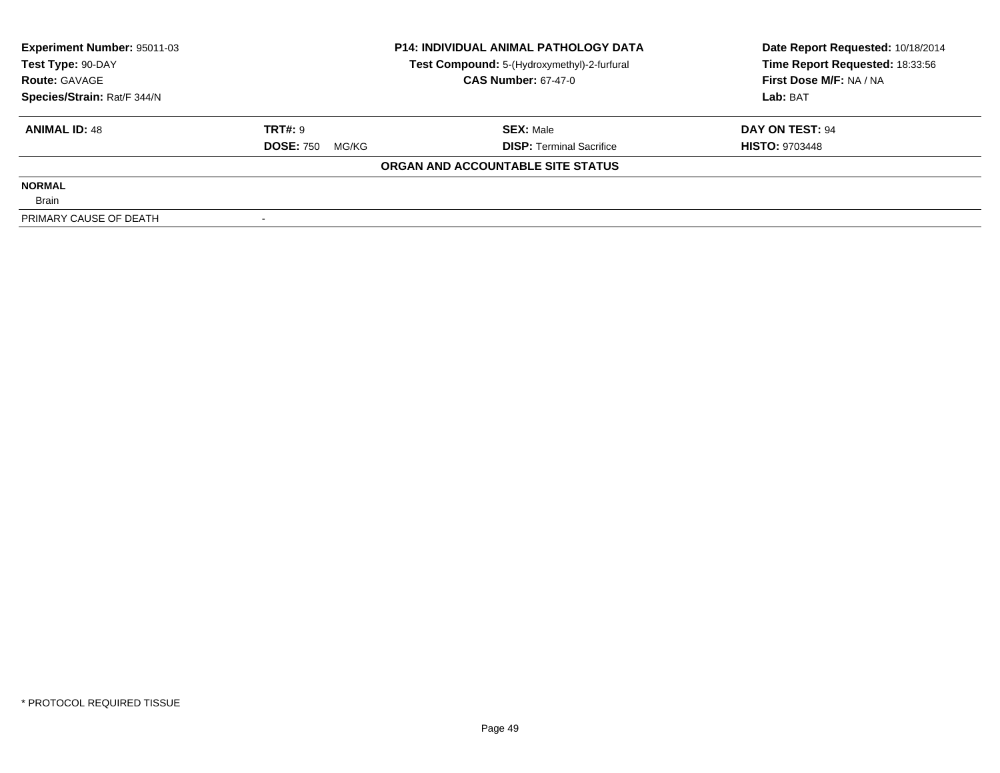| Experiment Number: 95011-03 |                           | <b>P14: INDIVIDUAL ANIMAL PATHOLOGY DATA</b> | Date Report Requested: 10/18/2014 |  |
|-----------------------------|---------------------------|----------------------------------------------|-----------------------------------|--|
| Test Type: 90-DAY           |                           | Test Compound: 5-(Hydroxymethyl)-2-furfural  | Time Report Requested: 18:33:56   |  |
| <b>Route: GAVAGE</b>        |                           | <b>CAS Number: 67-47-0</b>                   | First Dose M/F: NA / NA           |  |
| Species/Strain: Rat/F 344/N |                           |                                              | Lab: BAT                          |  |
| <b>ANIMAL ID: 48</b>        | TRT#: 9                   | <b>SEX: Male</b>                             | DAY ON TEST: 94                   |  |
|                             | <b>DOSE: 750</b><br>MG/KG | <b>DISP:</b> Terminal Sacrifice              | <b>HISTO: 9703448</b>             |  |
|                             |                           | ORGAN AND ACCOUNTABLE SITE STATUS            |                                   |  |
| <b>NORMAL</b>               |                           |                                              |                                   |  |
| <b>Brain</b>                |                           |                                              |                                   |  |
| PRIMARY CAUSE OF DEATH      |                           |                                              |                                   |  |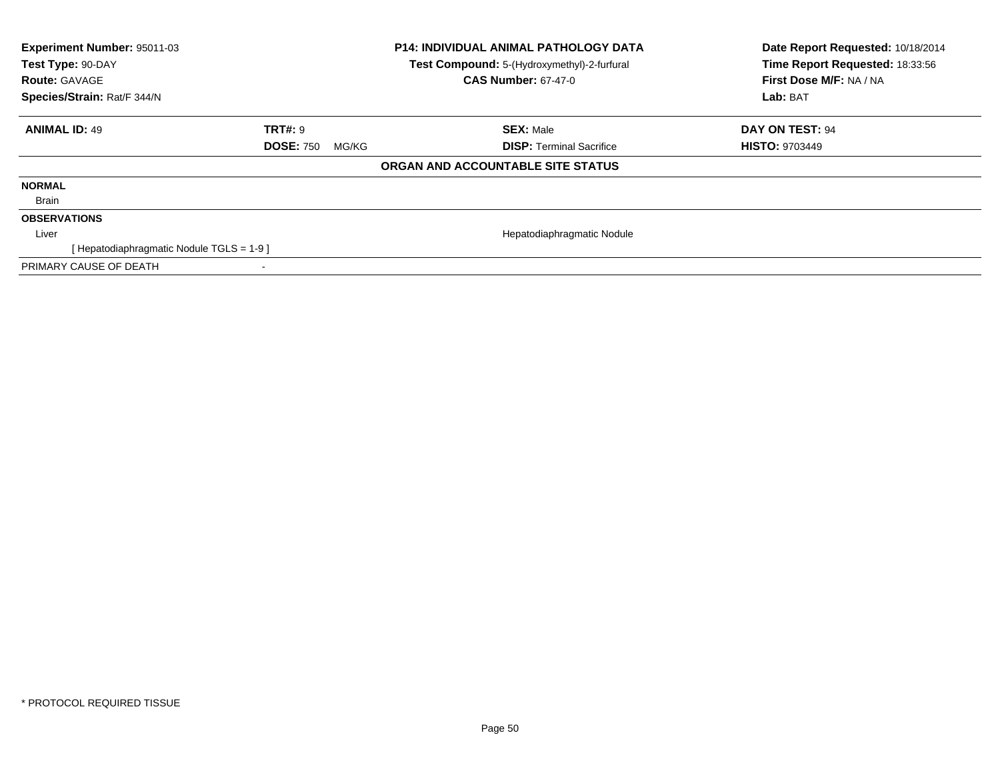| <b>Experiment Number: 95011-03</b><br>Test Type: 90-DAY<br><b>Route: GAVAGE</b> |                           | <b>P14: INDIVIDUAL ANIMAL PATHOLOGY DATA</b><br>Test Compound: 5-(Hydroxymethyl)-2-furfural<br><b>CAS Number: 67-47-0</b> | Date Report Requested: 10/18/2014<br>Time Report Requested: 18:33:56<br>First Dose M/F: NA / NA |
|---------------------------------------------------------------------------------|---------------------------|---------------------------------------------------------------------------------------------------------------------------|-------------------------------------------------------------------------------------------------|
| Species/Strain: Rat/F 344/N                                                     |                           |                                                                                                                           | Lab: BAT                                                                                        |
| <b>ANIMAL ID: 49</b>                                                            | <b>TRT#: 9</b>            | <b>SEX: Male</b>                                                                                                          | DAY ON TEST: 94                                                                                 |
|                                                                                 | <b>DOSE: 750</b><br>MG/KG | <b>DISP:</b> Terminal Sacrifice                                                                                           | <b>HISTO: 9703449</b>                                                                           |
|                                                                                 |                           | ORGAN AND ACCOUNTABLE SITE STATUS                                                                                         |                                                                                                 |
| <b>NORMAL</b>                                                                   |                           |                                                                                                                           |                                                                                                 |
| Brain                                                                           |                           |                                                                                                                           |                                                                                                 |
| <b>OBSERVATIONS</b>                                                             |                           |                                                                                                                           |                                                                                                 |
| Liver                                                                           |                           | Hepatodiaphragmatic Nodule                                                                                                |                                                                                                 |
| [Hepatodiaphragmatic Nodule TGLS = 1-9]                                         |                           |                                                                                                                           |                                                                                                 |
| PRIMARY CAUSE OF DEATH                                                          |                           |                                                                                                                           |                                                                                                 |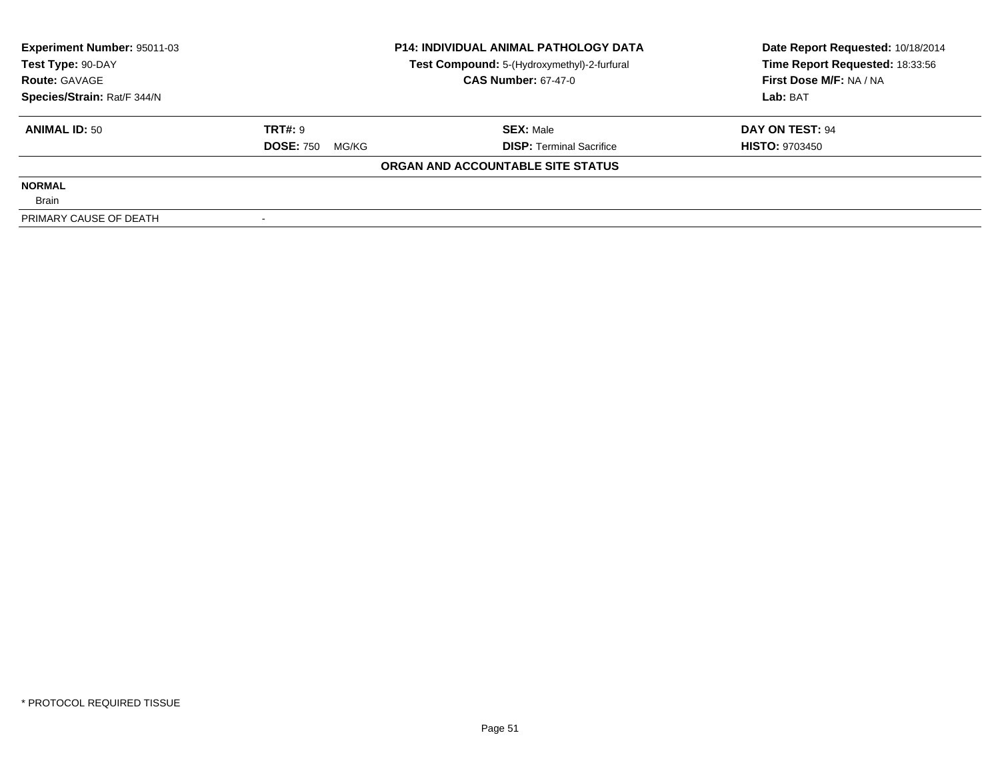| Experiment Number: 95011-03 | <b>P14: INDIVIDUAL ANIMAL PATHOLOGY DATA</b> |                                             | Date Report Requested: 10/18/2014 |  |
|-----------------------------|----------------------------------------------|---------------------------------------------|-----------------------------------|--|
| Test Type: 90-DAY           |                                              | Test Compound: 5-(Hydroxymethyl)-2-furfural | Time Report Requested: 18:33:56   |  |
| <b>Route: GAVAGE</b>        |                                              | <b>CAS Number: 67-47-0</b>                  | First Dose M/F: NA / NA           |  |
| Species/Strain: Rat/F 344/N |                                              |                                             | Lab: BAT                          |  |
| <b>ANIMAL ID: 50</b>        | TRT#: 9                                      | <b>SEX: Male</b>                            | DAY ON TEST: 94                   |  |
|                             | <b>DOSE: 750</b><br>MG/KG                    | <b>DISP:</b> Terminal Sacrifice             | <b>HISTO: 9703450</b>             |  |
|                             |                                              | ORGAN AND ACCOUNTABLE SITE STATUS           |                                   |  |
| <b>NORMAL</b>               |                                              |                                             |                                   |  |
| <b>Brain</b>                |                                              |                                             |                                   |  |
| PRIMARY CAUSE OF DEATH      |                                              |                                             |                                   |  |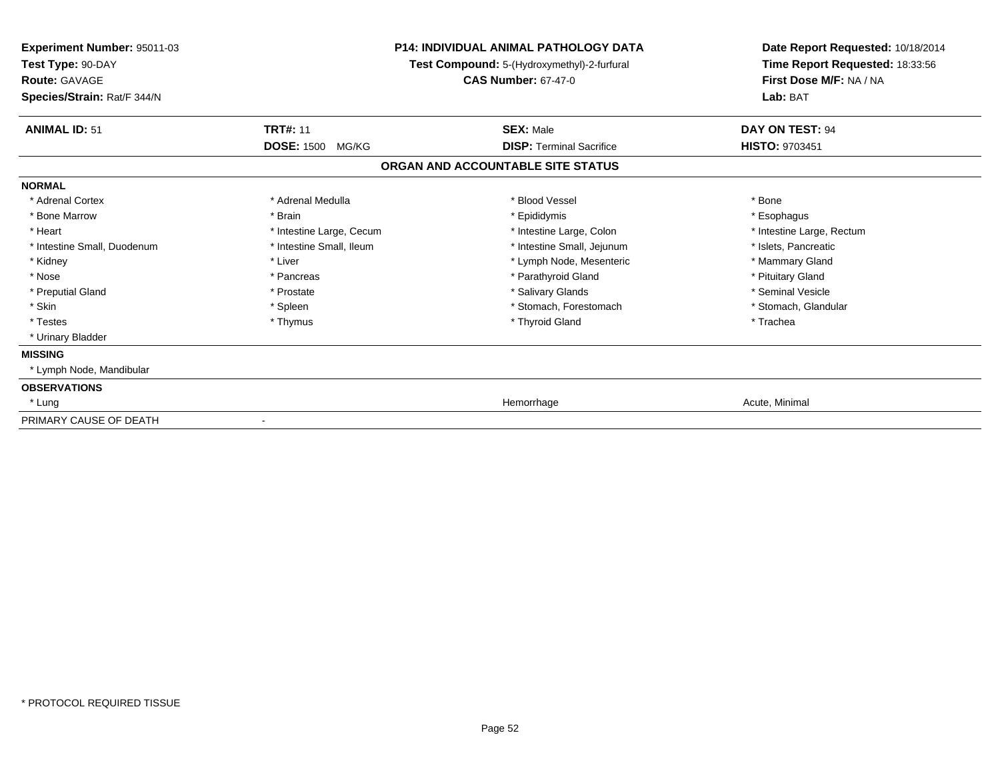| Experiment Number: 95011-03<br>Test Type: 90-DAY<br><b>Route: GAVAGE</b><br>Species/Strain: Rat/F 344/N | <b>P14: INDIVIDUAL ANIMAL PATHOLOGY DATA</b><br>Test Compound: 5-(Hydroxymethyl)-2-furfural<br><b>CAS Number: 67-47-0</b> |                                   | Date Report Requested: 10/18/2014<br>Time Report Requested: 18:33:56<br>First Dose M/F: NA / NA<br>Lab: BAT |  |
|---------------------------------------------------------------------------------------------------------|---------------------------------------------------------------------------------------------------------------------------|-----------------------------------|-------------------------------------------------------------------------------------------------------------|--|
| <b>ANIMAL ID: 51</b>                                                                                    | <b>TRT#: 11</b>                                                                                                           | <b>SEX: Male</b>                  | DAY ON TEST: 94                                                                                             |  |
|                                                                                                         | <b>DOSE: 1500</b><br>MG/KG                                                                                                | <b>DISP: Terminal Sacrifice</b>   | <b>HISTO: 9703451</b>                                                                                       |  |
|                                                                                                         |                                                                                                                           | ORGAN AND ACCOUNTABLE SITE STATUS |                                                                                                             |  |
| <b>NORMAL</b>                                                                                           |                                                                                                                           |                                   |                                                                                                             |  |
| * Adrenal Cortex                                                                                        | * Adrenal Medulla                                                                                                         | * Blood Vessel                    | * Bone                                                                                                      |  |
| * Bone Marrow                                                                                           | * Brain                                                                                                                   | * Epididymis                      | * Esophagus                                                                                                 |  |
| * Heart                                                                                                 | * Intestine Large, Cecum                                                                                                  | * Intestine Large, Colon          | * Intestine Large, Rectum                                                                                   |  |
| * Intestine Small, Duodenum                                                                             | * Intestine Small, Ileum                                                                                                  | * Intestine Small, Jejunum        | * Islets, Pancreatic                                                                                        |  |
| * Kidney                                                                                                | * Liver                                                                                                                   | * Lymph Node, Mesenteric          | * Mammary Gland                                                                                             |  |
| * Nose                                                                                                  | * Pancreas                                                                                                                | * Parathyroid Gland               | * Pituitary Gland                                                                                           |  |
| * Preputial Gland                                                                                       | * Prostate                                                                                                                | * Salivary Glands                 | * Seminal Vesicle                                                                                           |  |
| * Skin                                                                                                  | * Spleen                                                                                                                  | * Stomach, Forestomach            | * Stomach, Glandular                                                                                        |  |
| * Testes                                                                                                | * Thymus                                                                                                                  | * Thyroid Gland                   | * Trachea                                                                                                   |  |
| * Urinary Bladder                                                                                       |                                                                                                                           |                                   |                                                                                                             |  |
| <b>MISSING</b>                                                                                          |                                                                                                                           |                                   |                                                                                                             |  |
| * Lymph Node, Mandibular                                                                                |                                                                                                                           |                                   |                                                                                                             |  |
| <b>OBSERVATIONS</b>                                                                                     |                                                                                                                           |                                   |                                                                                                             |  |
| * Lung                                                                                                  |                                                                                                                           | Hemorrhage                        | Acute, Minimal                                                                                              |  |
| PRIMARY CAUSE OF DEATH                                                                                  |                                                                                                                           |                                   |                                                                                                             |  |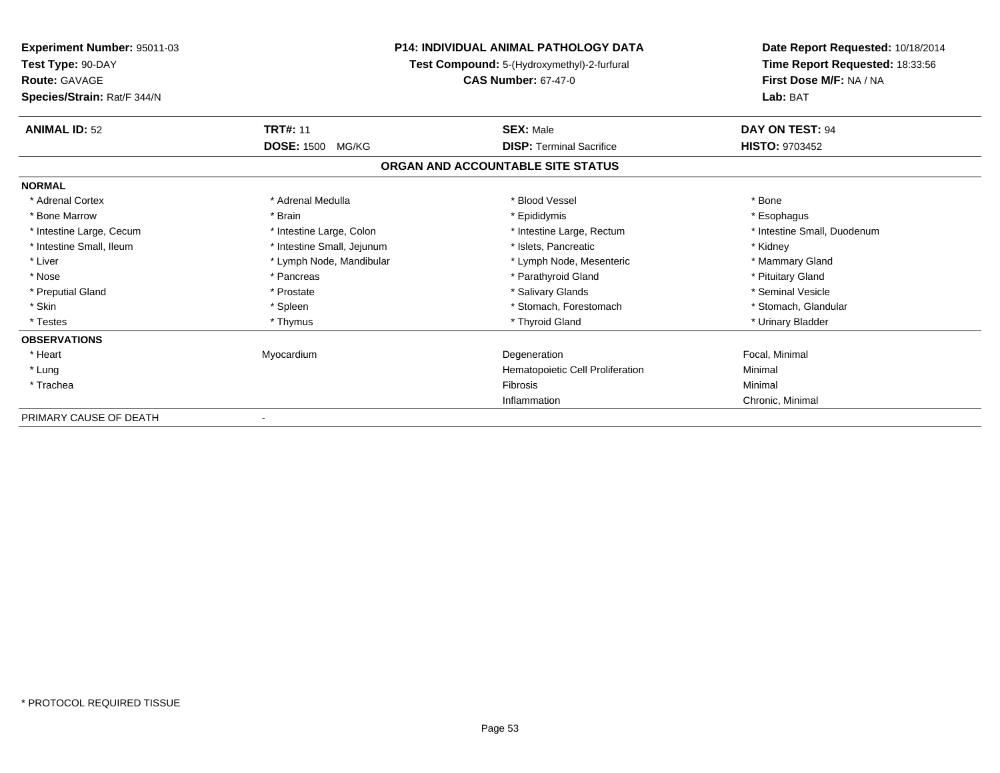| Experiment Number: 95011-03<br>Test Type: 90-DAY<br><b>Route: GAVAGE</b> |                            | <b>P14: INDIVIDUAL ANIMAL PATHOLOGY DATA</b><br>Test Compound: 5-(Hydroxymethyl)-2-furfural<br><b>CAS Number: 67-47-0</b> | Date Report Requested: 10/18/2014<br>Time Report Requested: 18:33:56<br>First Dose M/F: NA / NA |
|--------------------------------------------------------------------------|----------------------------|---------------------------------------------------------------------------------------------------------------------------|-------------------------------------------------------------------------------------------------|
| Species/Strain: Rat/F 344/N                                              |                            |                                                                                                                           | Lab: BAT                                                                                        |
| <b>ANIMAL ID: 52</b>                                                     | <b>TRT#: 11</b>            | <b>SEX: Male</b>                                                                                                          | DAY ON TEST: 94                                                                                 |
|                                                                          | <b>DOSE: 1500</b><br>MG/KG | <b>DISP: Terminal Sacrifice</b>                                                                                           | <b>HISTO: 9703452</b>                                                                           |
|                                                                          |                            | ORGAN AND ACCOUNTABLE SITE STATUS                                                                                         |                                                                                                 |
| <b>NORMAL</b>                                                            |                            |                                                                                                                           |                                                                                                 |
| * Adrenal Cortex                                                         | * Adrenal Medulla          | * Blood Vessel                                                                                                            | * Bone                                                                                          |
| * Bone Marrow                                                            | * Brain                    | * Epididymis                                                                                                              | * Esophagus                                                                                     |
| * Intestine Large, Cecum                                                 | * Intestine Large, Colon   | * Intestine Large, Rectum                                                                                                 | * Intestine Small, Duodenum                                                                     |
| * Intestine Small, Ileum                                                 | * Intestine Small, Jejunum | * Islets. Pancreatic                                                                                                      | * Kidney                                                                                        |
| * Liver                                                                  | * Lymph Node, Mandibular   | * Lymph Node, Mesenteric                                                                                                  | * Mammary Gland                                                                                 |
| * Nose                                                                   | * Pancreas                 | * Parathyroid Gland                                                                                                       | * Pituitary Gland                                                                               |
| * Preputial Gland                                                        | * Prostate                 | * Salivary Glands                                                                                                         | * Seminal Vesicle                                                                               |
| * Skin                                                                   | * Spleen                   | * Stomach, Forestomach                                                                                                    | * Stomach, Glandular                                                                            |
| * Testes                                                                 | * Thymus                   | * Thyroid Gland                                                                                                           | * Urinary Bladder                                                                               |
| <b>OBSERVATIONS</b>                                                      |                            |                                                                                                                           |                                                                                                 |
| * Heart                                                                  | Myocardium                 | Degeneration                                                                                                              | Focal, Minimal                                                                                  |
| * Lung                                                                   |                            | Hematopoietic Cell Proliferation                                                                                          | Minimal                                                                                         |
| * Trachea                                                                |                            | <b>Fibrosis</b>                                                                                                           | Minimal                                                                                         |
|                                                                          |                            | Inflammation                                                                                                              | Chronic, Minimal                                                                                |
| PRIMARY CAUSE OF DEATH                                                   |                            |                                                                                                                           |                                                                                                 |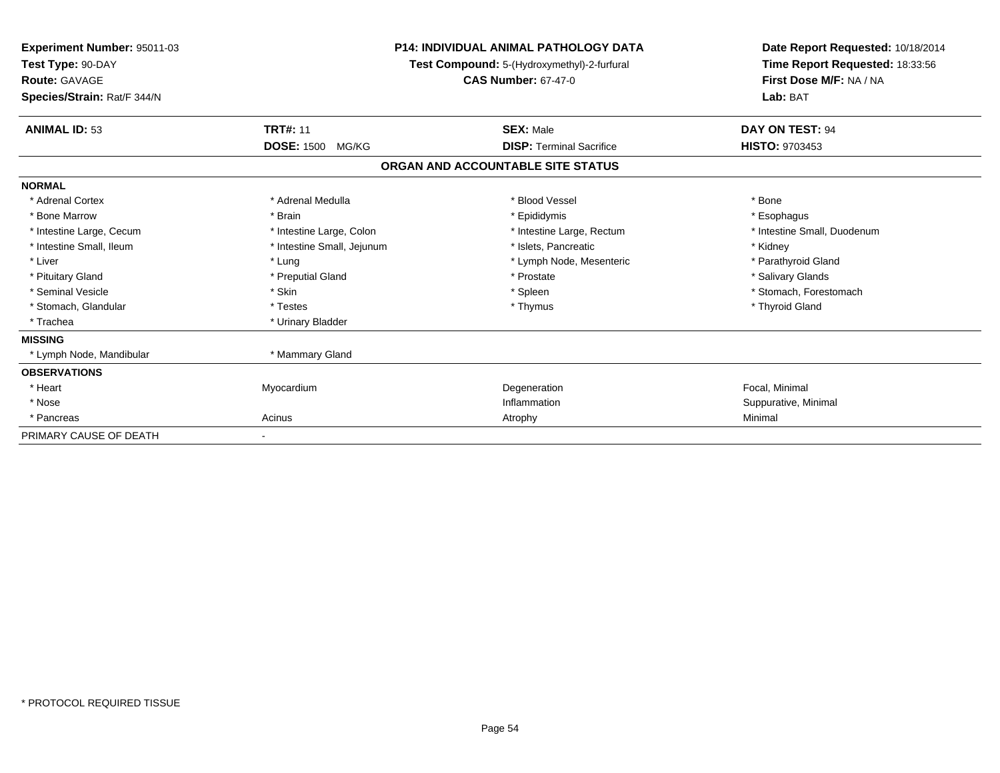| <b>Experiment Number: 95011-03</b><br>Test Type: 90-DAY<br><b>Route: GAVAGE</b><br>Species/Strain: Rat/F 344/N | <b>P14: INDIVIDUAL ANIMAL PATHOLOGY DATA</b><br>Test Compound: 5-(Hydroxymethyl)-2-furfural<br><b>CAS Number: 67-47-0</b> |                                   | Date Report Requested: 10/18/2014<br>Time Report Requested: 18:33:56<br>First Dose M/F: NA / NA<br>Lab: BAT |
|----------------------------------------------------------------------------------------------------------------|---------------------------------------------------------------------------------------------------------------------------|-----------------------------------|-------------------------------------------------------------------------------------------------------------|
| <b>ANIMAL ID: 53</b>                                                                                           | <b>TRT#: 11</b>                                                                                                           | <b>SEX: Male</b>                  | DAY ON TEST: 94                                                                                             |
|                                                                                                                | <b>DOSE: 1500</b><br>MG/KG                                                                                                | <b>DISP:</b> Terminal Sacrifice   | <b>HISTO: 9703453</b>                                                                                       |
|                                                                                                                |                                                                                                                           | ORGAN AND ACCOUNTABLE SITE STATUS |                                                                                                             |
| <b>NORMAL</b>                                                                                                  |                                                                                                                           |                                   |                                                                                                             |
| * Adrenal Cortex                                                                                               | * Adrenal Medulla                                                                                                         | * Blood Vessel                    | * Bone                                                                                                      |
| * Bone Marrow                                                                                                  | * Brain                                                                                                                   | * Epididymis                      | * Esophagus                                                                                                 |
| * Intestine Large, Cecum                                                                                       | * Intestine Large, Colon                                                                                                  | * Intestine Large, Rectum         | * Intestine Small, Duodenum                                                                                 |
| * Intestine Small, Ileum                                                                                       | * Intestine Small, Jejunum                                                                                                | * Islets, Pancreatic              | * Kidney                                                                                                    |
| * Liver                                                                                                        | * Lung                                                                                                                    | * Lymph Node, Mesenteric          | * Parathyroid Gland                                                                                         |
| * Pituitary Gland                                                                                              | * Preputial Gland                                                                                                         | * Prostate                        | * Salivary Glands                                                                                           |
| * Seminal Vesicle                                                                                              | * Skin                                                                                                                    | * Spleen                          | * Stomach, Forestomach                                                                                      |
| * Stomach, Glandular                                                                                           | * Testes                                                                                                                  | * Thymus                          | * Thyroid Gland                                                                                             |
| * Trachea                                                                                                      | * Urinary Bladder                                                                                                         |                                   |                                                                                                             |
| <b>MISSING</b>                                                                                                 |                                                                                                                           |                                   |                                                                                                             |
| * Lymph Node, Mandibular                                                                                       | * Mammary Gland                                                                                                           |                                   |                                                                                                             |
| <b>OBSERVATIONS</b>                                                                                            |                                                                                                                           |                                   |                                                                                                             |
| * Heart                                                                                                        | Myocardium                                                                                                                | Degeneration                      | Focal, Minimal                                                                                              |
| * Nose                                                                                                         |                                                                                                                           | Inflammation                      | Suppurative, Minimal                                                                                        |
| * Pancreas                                                                                                     | Acinus                                                                                                                    | Atrophy                           | Minimal                                                                                                     |
| PRIMARY CAUSE OF DEATH                                                                                         |                                                                                                                           |                                   |                                                                                                             |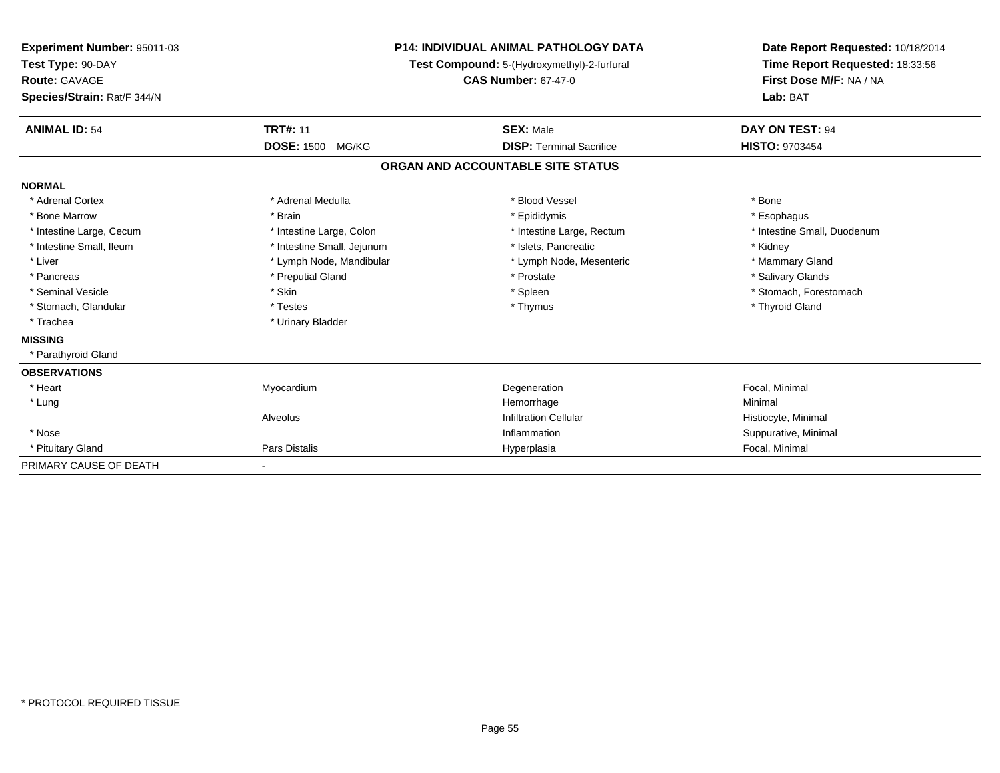| <b>Experiment Number: 95011-03</b><br>Test Type: 90-DAY<br>Route: GAVAGE<br>Species/Strain: Rat/F 344/N |                                               | <b>P14: INDIVIDUAL ANIMAL PATHOLOGY DATA</b><br>Test Compound: 5-(Hydroxymethyl)-2-furfural<br><b>CAS Number: 67-47-0</b> | Date Report Requested: 10/18/2014<br>Time Report Requested: 18:33:56<br>First Dose M/F: NA / NA<br>Lab: BAT |
|---------------------------------------------------------------------------------------------------------|-----------------------------------------------|---------------------------------------------------------------------------------------------------------------------------|-------------------------------------------------------------------------------------------------------------|
| <b>ANIMAL ID: 54</b>                                                                                    | <b>TRT#: 11</b><br><b>DOSE: 1500</b><br>MG/KG | <b>SEX: Male</b><br><b>DISP: Terminal Sacrifice</b>                                                                       | DAY ON TEST: 94<br><b>HISTO: 9703454</b>                                                                    |
|                                                                                                         |                                               | ORGAN AND ACCOUNTABLE SITE STATUS                                                                                         |                                                                                                             |
| <b>NORMAL</b>                                                                                           |                                               |                                                                                                                           |                                                                                                             |
| * Adrenal Cortex                                                                                        | * Adrenal Medulla                             | * Blood Vessel                                                                                                            | * Bone                                                                                                      |
| * Bone Marrow                                                                                           | * Brain                                       | * Epididymis                                                                                                              | * Esophagus                                                                                                 |
| * Intestine Large, Cecum                                                                                | * Intestine Large, Colon                      | * Intestine Large, Rectum                                                                                                 | * Intestine Small, Duodenum                                                                                 |
| * Intestine Small, Ileum                                                                                | * Intestine Small, Jejunum                    | * Islets, Pancreatic                                                                                                      | * Kidney                                                                                                    |
| * Liver                                                                                                 | * Lymph Node, Mandibular                      | * Lymph Node, Mesenteric                                                                                                  | * Mammary Gland                                                                                             |
| * Pancreas                                                                                              | * Preputial Gland                             | * Prostate                                                                                                                | * Salivary Glands                                                                                           |
| * Seminal Vesicle                                                                                       | * Skin                                        | * Spleen                                                                                                                  | * Stomach, Forestomach                                                                                      |
| * Stomach, Glandular                                                                                    | * Testes                                      | * Thymus                                                                                                                  | * Thyroid Gland                                                                                             |
| * Trachea                                                                                               | * Urinary Bladder                             |                                                                                                                           |                                                                                                             |
| <b>MISSING</b>                                                                                          |                                               |                                                                                                                           |                                                                                                             |
| * Parathyroid Gland                                                                                     |                                               |                                                                                                                           |                                                                                                             |
| <b>OBSERVATIONS</b>                                                                                     |                                               |                                                                                                                           |                                                                                                             |
| * Heart                                                                                                 | Myocardium                                    | Degeneration                                                                                                              | Focal, Minimal                                                                                              |
| * Lung                                                                                                  |                                               | Hemorrhage                                                                                                                | Minimal                                                                                                     |
|                                                                                                         | Alveolus                                      | <b>Infiltration Cellular</b>                                                                                              | Histiocyte, Minimal                                                                                         |
| * Nose                                                                                                  |                                               | Inflammation                                                                                                              | Suppurative, Minimal                                                                                        |
| * Pituitary Gland                                                                                       | Pars Distalis                                 | Hyperplasia                                                                                                               | Focal, Minimal                                                                                              |
| PRIMARY CAUSE OF DEATH                                                                                  | ٠                                             |                                                                                                                           |                                                                                                             |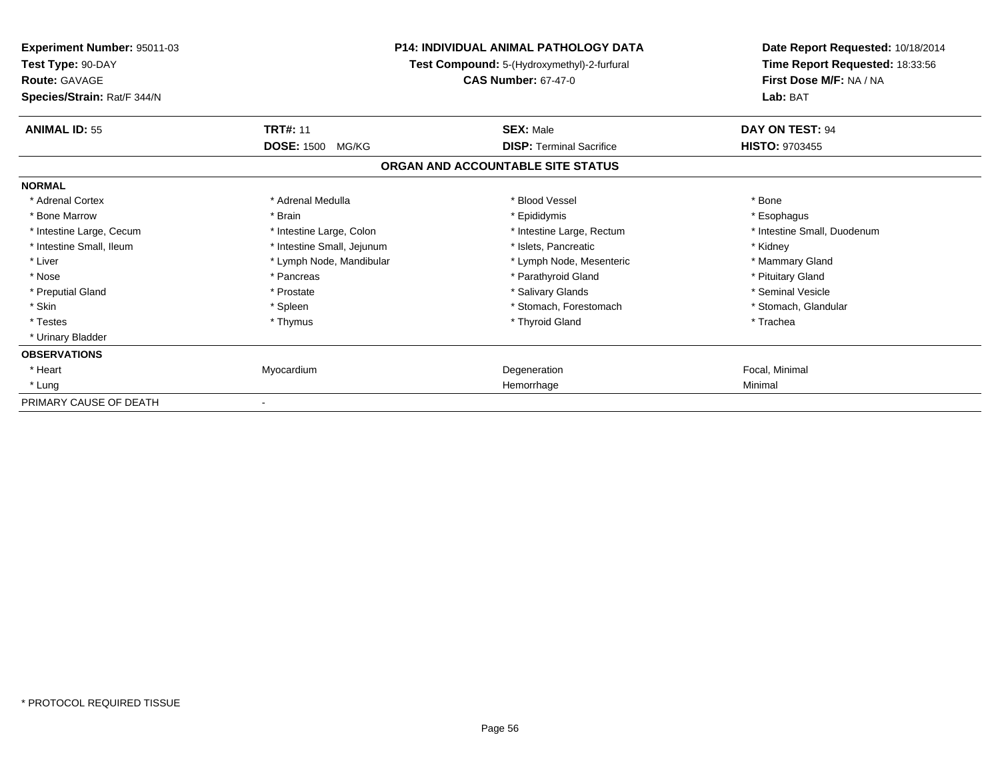| <b>Experiment Number: 95011-03</b><br>Test Type: 90-DAY<br><b>Route: GAVAGE</b><br>Species/Strain: Rat/F 344/N | <b>P14: INDIVIDUAL ANIMAL PATHOLOGY DATA</b><br>Test Compound: 5-(Hydroxymethyl)-2-furfural<br><b>CAS Number: 67-47-0</b> |                                   | Date Report Requested: 10/18/2014<br>Time Report Requested: 18:33:56<br>First Dose M/F: NA / NA<br>Lab: BAT |
|----------------------------------------------------------------------------------------------------------------|---------------------------------------------------------------------------------------------------------------------------|-----------------------------------|-------------------------------------------------------------------------------------------------------------|
| <b>ANIMAL ID: 55</b>                                                                                           | <b>TRT#: 11</b>                                                                                                           | <b>SEX: Male</b>                  | DAY ON TEST: 94                                                                                             |
|                                                                                                                | <b>DOSE: 1500</b><br>MG/KG                                                                                                | <b>DISP: Terminal Sacrifice</b>   | <b>HISTO: 9703455</b>                                                                                       |
|                                                                                                                |                                                                                                                           | ORGAN AND ACCOUNTABLE SITE STATUS |                                                                                                             |
| <b>NORMAL</b>                                                                                                  |                                                                                                                           |                                   |                                                                                                             |
| * Adrenal Cortex                                                                                               | * Adrenal Medulla                                                                                                         | * Blood Vessel                    | * Bone                                                                                                      |
| * Bone Marrow                                                                                                  | * Brain                                                                                                                   | * Epididymis                      | * Esophagus                                                                                                 |
| * Intestine Large, Cecum                                                                                       | * Intestine Large, Colon                                                                                                  | * Intestine Large, Rectum         | * Intestine Small, Duodenum                                                                                 |
| * Intestine Small, Ileum                                                                                       | * Intestine Small, Jejunum                                                                                                | * Islets, Pancreatic              | * Kidney                                                                                                    |
| * Liver                                                                                                        | * Lymph Node, Mandibular                                                                                                  | * Lymph Node, Mesenteric          | * Mammary Gland                                                                                             |
| * Nose                                                                                                         | * Pancreas                                                                                                                | * Parathyroid Gland               | * Pituitary Gland                                                                                           |
| * Preputial Gland                                                                                              | * Prostate                                                                                                                | * Salivary Glands                 | * Seminal Vesicle                                                                                           |
| * Skin                                                                                                         | * Spleen                                                                                                                  | * Stomach. Forestomach            | * Stomach, Glandular                                                                                        |
| * Testes                                                                                                       | * Thymus                                                                                                                  | * Thyroid Gland                   | * Trachea                                                                                                   |
| * Urinary Bladder                                                                                              |                                                                                                                           |                                   |                                                                                                             |
| <b>OBSERVATIONS</b>                                                                                            |                                                                                                                           |                                   |                                                                                                             |
| * Heart                                                                                                        | Myocardium                                                                                                                | Degeneration                      | Focal, Minimal                                                                                              |
| * Lung                                                                                                         |                                                                                                                           | Hemorrhage                        | Minimal                                                                                                     |
| PRIMARY CAUSE OF DEATH                                                                                         |                                                                                                                           |                                   |                                                                                                             |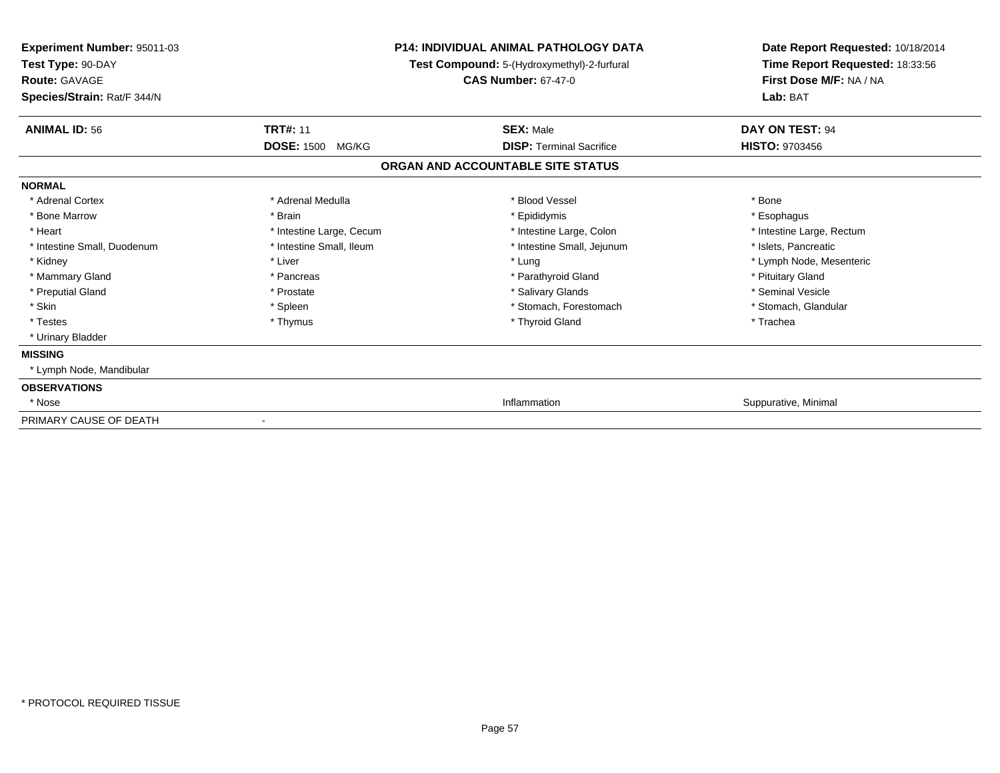| <b>Experiment Number: 95011-03</b><br>Test Type: 90-DAY<br><b>Route: GAVAGE</b><br>Species/Strain: Rat/F 344/N |                          | <b>P14: INDIVIDUAL ANIMAL PATHOLOGY DATA</b><br>Test Compound: 5-(Hydroxymethyl)-2-furfural<br><b>CAS Number: 67-47-0</b> | Date Report Requested: 10/18/2014<br>Time Report Requested: 18:33:56<br>First Dose M/F: NA / NA<br>Lab: BAT |
|----------------------------------------------------------------------------------------------------------------|--------------------------|---------------------------------------------------------------------------------------------------------------------------|-------------------------------------------------------------------------------------------------------------|
| <b>ANIMAL ID: 56</b>                                                                                           | <b>TRT#: 11</b>          | <b>SEX: Male</b>                                                                                                          | DAY ON TEST: 94                                                                                             |
|                                                                                                                | <b>DOSE: 1500 MG/KG</b>  | <b>DISP: Terminal Sacrifice</b>                                                                                           | <b>HISTO: 9703456</b>                                                                                       |
|                                                                                                                |                          | ORGAN AND ACCOUNTABLE SITE STATUS                                                                                         |                                                                                                             |
| <b>NORMAL</b>                                                                                                  |                          |                                                                                                                           |                                                                                                             |
| * Adrenal Cortex                                                                                               | * Adrenal Medulla        | * Blood Vessel                                                                                                            | * Bone                                                                                                      |
| * Bone Marrow                                                                                                  | * Brain                  | * Epididymis                                                                                                              | * Esophagus                                                                                                 |
| * Heart                                                                                                        | * Intestine Large, Cecum | * Intestine Large, Colon                                                                                                  | * Intestine Large, Rectum                                                                                   |
| * Intestine Small, Duodenum                                                                                    | * Intestine Small, Ileum | * Intestine Small, Jejunum                                                                                                | * Islets, Pancreatic                                                                                        |
| * Kidney                                                                                                       | * Liver                  | * Lung                                                                                                                    | * Lymph Node, Mesenteric                                                                                    |
| * Mammary Gland                                                                                                | * Pancreas               | * Parathyroid Gland                                                                                                       | * Pituitary Gland                                                                                           |
| * Preputial Gland                                                                                              | * Prostate               | * Salivary Glands                                                                                                         | * Seminal Vesicle                                                                                           |
| * Skin                                                                                                         | * Spleen                 | * Stomach, Forestomach                                                                                                    | * Stomach, Glandular                                                                                        |
| * Testes                                                                                                       | * Thymus                 | * Thyroid Gland                                                                                                           | * Trachea                                                                                                   |
| * Urinary Bladder                                                                                              |                          |                                                                                                                           |                                                                                                             |
| <b>MISSING</b>                                                                                                 |                          |                                                                                                                           |                                                                                                             |
| * Lymph Node, Mandibular                                                                                       |                          |                                                                                                                           |                                                                                                             |
| <b>OBSERVATIONS</b>                                                                                            |                          |                                                                                                                           |                                                                                                             |
| * Nose                                                                                                         |                          | Inflammation                                                                                                              | Suppurative, Minimal                                                                                        |
| PRIMARY CAUSE OF DEATH                                                                                         |                          |                                                                                                                           |                                                                                                             |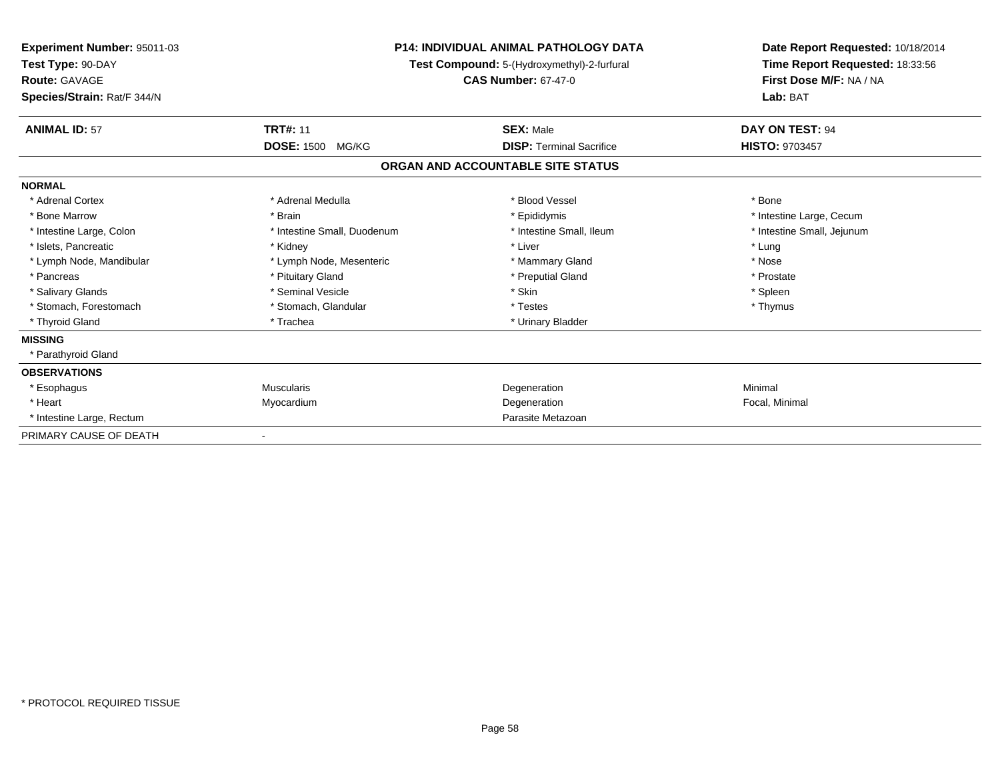| Experiment Number: 95011-03<br>Test Type: 90-DAY<br><b>Route: GAVAGE</b><br>Species/Strain: Rat/F 344/N |                             | <b>P14: INDIVIDUAL ANIMAL PATHOLOGY DATA</b><br><b>Test Compound:</b> 5-(Hydroxymethyl)-2-furfural<br><b>CAS Number: 67-47-0</b> | Date Report Requested: 10/18/2014<br>Time Report Requested: 18:33:56<br>First Dose M/F: NA / NA<br>Lab: BAT |
|---------------------------------------------------------------------------------------------------------|-----------------------------|----------------------------------------------------------------------------------------------------------------------------------|-------------------------------------------------------------------------------------------------------------|
| <b>ANIMAL ID: 57</b>                                                                                    | <b>TRT#: 11</b>             | <b>SEX: Male</b>                                                                                                                 | DAY ON TEST: 94                                                                                             |
|                                                                                                         | <b>DOSE: 1500</b><br>MG/KG  | <b>DISP: Terminal Sacrifice</b>                                                                                                  | <b>HISTO: 9703457</b>                                                                                       |
|                                                                                                         |                             | ORGAN AND ACCOUNTABLE SITE STATUS                                                                                                |                                                                                                             |
| <b>NORMAL</b>                                                                                           |                             |                                                                                                                                  |                                                                                                             |
| * Adrenal Cortex                                                                                        | * Adrenal Medulla           | * Blood Vessel                                                                                                                   | * Bone                                                                                                      |
| * Bone Marrow                                                                                           | * Brain                     | * Epididymis                                                                                                                     | * Intestine Large, Cecum                                                                                    |
| * Intestine Large, Colon                                                                                | * Intestine Small, Duodenum | * Intestine Small. Ileum                                                                                                         | * Intestine Small, Jejunum                                                                                  |
| * Islets. Pancreatic                                                                                    | * Kidney                    | * Liver                                                                                                                          | * Lung                                                                                                      |
| * Lymph Node, Mandibular                                                                                | * Lymph Node, Mesenteric    | * Mammary Gland                                                                                                                  | * Nose                                                                                                      |
| * Pancreas                                                                                              | * Pituitary Gland           | * Preputial Gland                                                                                                                | * Prostate                                                                                                  |
| * Salivary Glands                                                                                       | * Seminal Vesicle           | * Skin                                                                                                                           | * Spleen                                                                                                    |
| * Stomach, Forestomach                                                                                  | * Stomach, Glandular        | * Testes                                                                                                                         | * Thymus                                                                                                    |
| * Thyroid Gland                                                                                         | * Trachea                   | * Urinary Bladder                                                                                                                |                                                                                                             |
| <b>MISSING</b>                                                                                          |                             |                                                                                                                                  |                                                                                                             |
| * Parathyroid Gland                                                                                     |                             |                                                                                                                                  |                                                                                                             |
| <b>OBSERVATIONS</b>                                                                                     |                             |                                                                                                                                  |                                                                                                             |
| * Esophagus                                                                                             | <b>Muscularis</b>           | Degeneration                                                                                                                     | Minimal                                                                                                     |
| * Heart                                                                                                 | Myocardium                  | Degeneration                                                                                                                     | Focal, Minimal                                                                                              |
| * Intestine Large, Rectum                                                                               |                             | Parasite Metazoan                                                                                                                |                                                                                                             |
| PRIMARY CAUSE OF DEATH                                                                                  |                             |                                                                                                                                  |                                                                                                             |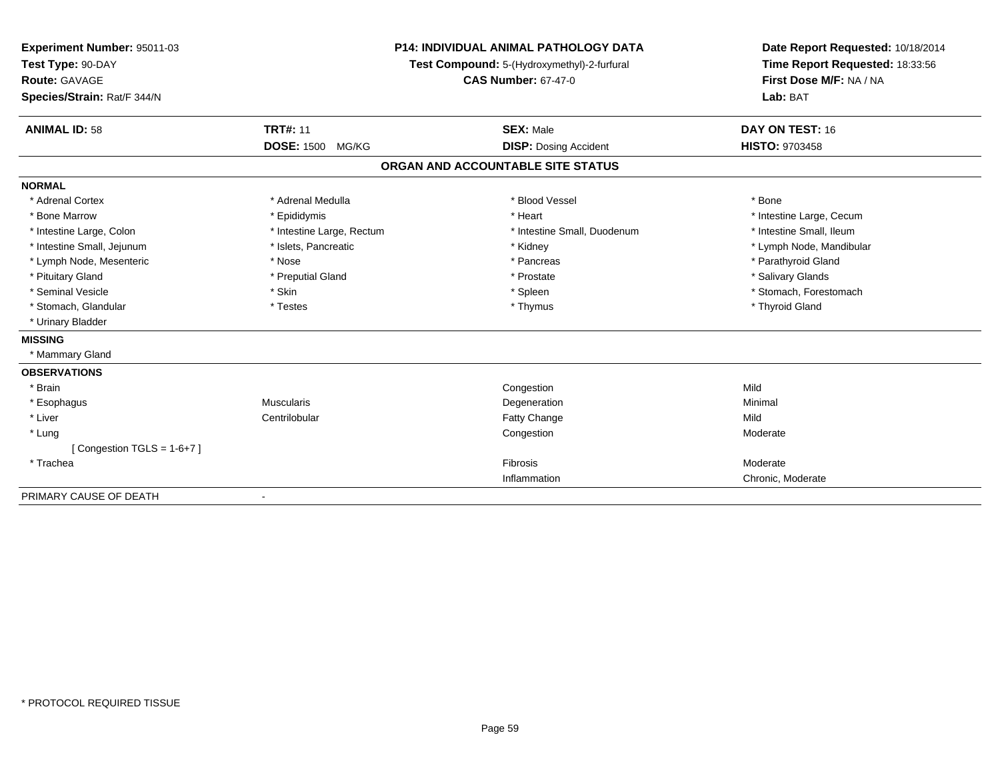| Experiment Number: 95011-03<br>Test Type: 90-DAY<br><b>Route: GAVAGE</b><br>Species/Strain: Rat/F 344/N |                           | <b>P14: INDIVIDUAL ANIMAL PATHOLOGY DATA</b><br>Test Compound: 5-(Hydroxymethyl)-2-furfural<br><b>CAS Number: 67-47-0</b> | Date Report Requested: 10/18/2014<br>Time Report Requested: 18:33:56<br>First Dose M/F: NA / NA<br>Lab: BAT |  |
|---------------------------------------------------------------------------------------------------------|---------------------------|---------------------------------------------------------------------------------------------------------------------------|-------------------------------------------------------------------------------------------------------------|--|
| <b>ANIMAL ID: 58</b>                                                                                    | <b>TRT#: 11</b>           | <b>SEX: Male</b>                                                                                                          | DAY ON TEST: 16                                                                                             |  |
|                                                                                                         | <b>DOSE: 1500 MG/KG</b>   | <b>DISP: Dosing Accident</b>                                                                                              | <b>HISTO: 9703458</b>                                                                                       |  |
|                                                                                                         |                           | ORGAN AND ACCOUNTABLE SITE STATUS                                                                                         |                                                                                                             |  |
| <b>NORMAL</b>                                                                                           |                           |                                                                                                                           |                                                                                                             |  |
| * Adrenal Cortex                                                                                        | * Adrenal Medulla         | * Blood Vessel                                                                                                            | * Bone                                                                                                      |  |
| * Bone Marrow                                                                                           | * Epididymis              | * Heart                                                                                                                   | * Intestine Large, Cecum                                                                                    |  |
| * Intestine Large, Colon                                                                                | * Intestine Large, Rectum | * Intestine Small, Duodenum                                                                                               | * Intestine Small, Ileum                                                                                    |  |
| * Intestine Small, Jejunum                                                                              | * Islets, Pancreatic      | * Kidney                                                                                                                  | * Lymph Node, Mandibular                                                                                    |  |
| * Lymph Node, Mesenteric                                                                                | * Nose                    | * Pancreas                                                                                                                | * Parathyroid Gland                                                                                         |  |
| * Pituitary Gland                                                                                       | * Preputial Gland         | * Prostate                                                                                                                | * Salivary Glands                                                                                           |  |
| * Seminal Vesicle                                                                                       | * Skin                    | * Spleen                                                                                                                  | * Stomach, Forestomach                                                                                      |  |
| * Stomach, Glandular                                                                                    | * Testes                  | * Thymus                                                                                                                  | * Thyroid Gland                                                                                             |  |
| * Urinary Bladder                                                                                       |                           |                                                                                                                           |                                                                                                             |  |
| <b>MISSING</b>                                                                                          |                           |                                                                                                                           |                                                                                                             |  |
| * Mammary Gland                                                                                         |                           |                                                                                                                           |                                                                                                             |  |
| <b>OBSERVATIONS</b>                                                                                     |                           |                                                                                                                           |                                                                                                             |  |
| * Brain                                                                                                 |                           | Congestion                                                                                                                | Mild                                                                                                        |  |
| * Esophagus                                                                                             | <b>Muscularis</b>         | Degeneration                                                                                                              | Minimal                                                                                                     |  |
| * Liver                                                                                                 | Centrilobular             | Fatty Change                                                                                                              | Mild                                                                                                        |  |
| * Lung                                                                                                  |                           | Congestion                                                                                                                | Moderate                                                                                                    |  |
| [Congestion TGLS = $1-6+7$ ]                                                                            |                           |                                                                                                                           |                                                                                                             |  |
| * Trachea                                                                                               |                           | Fibrosis                                                                                                                  | Moderate                                                                                                    |  |
|                                                                                                         |                           | Inflammation                                                                                                              | Chronic, Moderate                                                                                           |  |
| PRIMARY CAUSE OF DEATH                                                                                  |                           |                                                                                                                           |                                                                                                             |  |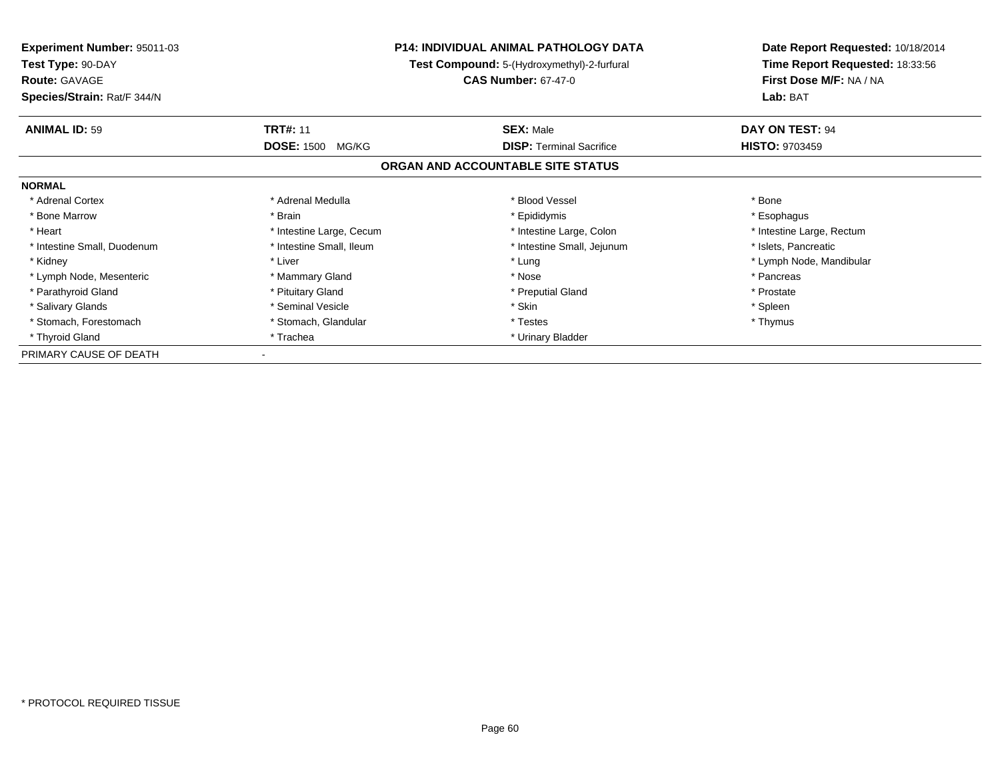| <b>Experiment Number: 95011-03</b> | <b>P14: INDIVIDUAL ANIMAL PATHOLOGY DATA</b> |                                             | Date Report Requested: 10/18/2014 |
|------------------------------------|----------------------------------------------|---------------------------------------------|-----------------------------------|
| Test Type: 90-DAY                  |                                              | Test Compound: 5-(Hydroxymethyl)-2-furfural | Time Report Requested: 18:33:56   |
| <b>Route: GAVAGE</b>               |                                              | <b>CAS Number: 67-47-0</b>                  | First Dose M/F: NA / NA           |
| Species/Strain: Rat/F 344/N        |                                              |                                             | Lab: BAT                          |
| <b>ANIMAL ID: 59</b>               | <b>TRT#: 11</b>                              | <b>SEX: Male</b>                            | DAY ON TEST: 94                   |
|                                    | <b>DOSE: 1500</b><br>MG/KG                   | <b>DISP:</b> Terminal Sacrifice             | <b>HISTO: 9703459</b>             |
|                                    |                                              | ORGAN AND ACCOUNTABLE SITE STATUS           |                                   |
| <b>NORMAL</b>                      |                                              |                                             |                                   |
| * Adrenal Cortex                   | * Adrenal Medulla                            | * Blood Vessel                              | * Bone                            |
| * Bone Marrow                      | * Brain                                      | * Epididymis                                | * Esophagus                       |
| * Heart                            | * Intestine Large, Cecum                     | * Intestine Large, Colon                    | * Intestine Large, Rectum         |
| * Intestine Small, Duodenum        | * Intestine Small, Ileum                     | * Intestine Small, Jejunum                  | * Islets, Pancreatic              |
| * Kidney                           | * Liver                                      | * Lung                                      | * Lymph Node, Mandibular          |
| * Lymph Node, Mesenteric           | * Mammary Gland                              | * Nose                                      | * Pancreas                        |
| * Parathyroid Gland                | * Pituitary Gland                            | * Preputial Gland                           | * Prostate                        |
| * Salivary Glands                  | * Seminal Vesicle                            | * Skin                                      | * Spleen                          |
| * Stomach, Forestomach             | * Stomach, Glandular                         | * Testes                                    | * Thymus                          |
| * Thyroid Gland                    | * Trachea                                    | * Urinary Bladder                           |                                   |
| PRIMARY CAUSE OF DEATH             |                                              |                                             |                                   |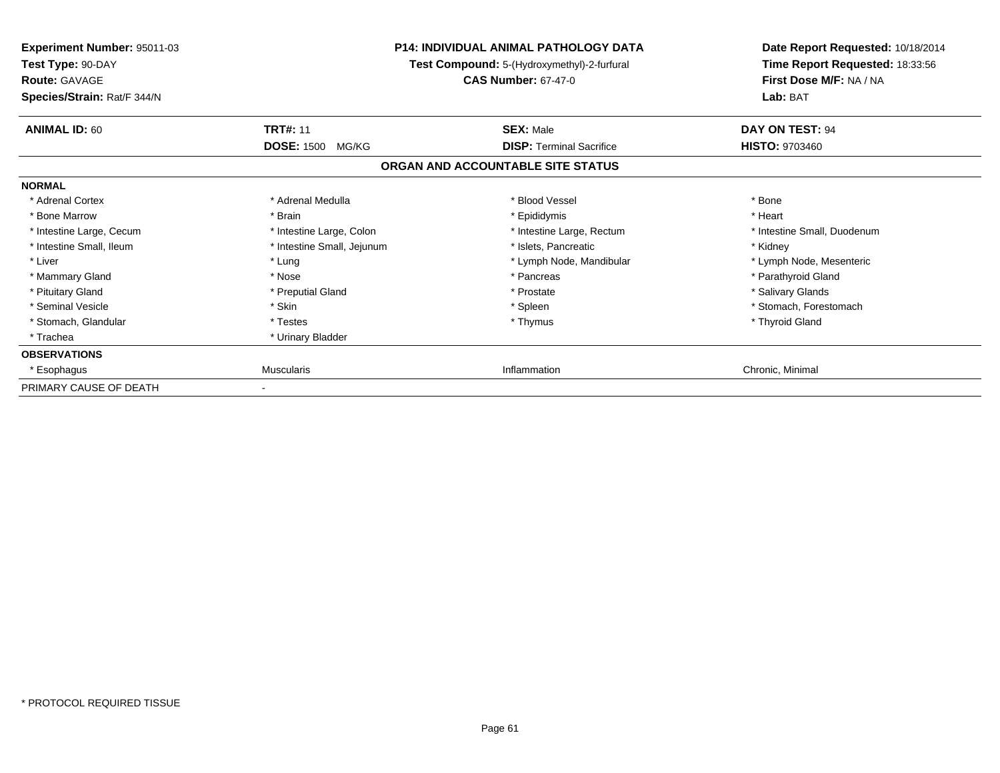| Experiment Number: 95011-03<br>Test Type: 90-DAY<br><b>Route: GAVAGE</b><br>Species/Strain: Rat/F 344/N | <b>P14: INDIVIDUAL ANIMAL PATHOLOGY DATA</b><br>Test Compound: 5-(Hydroxymethyl)-2-furfural<br><b>CAS Number: 67-47-0</b> |                                                     | Date Report Requested: 10/18/2014<br>Time Report Requested: 18:33:56<br>First Dose M/F: NA / NA<br>Lab: BAT |
|---------------------------------------------------------------------------------------------------------|---------------------------------------------------------------------------------------------------------------------------|-----------------------------------------------------|-------------------------------------------------------------------------------------------------------------|
| <b>ANIMAL ID: 60</b>                                                                                    | <b>TRT#: 11</b><br><b>DOSE: 1500</b><br>MG/KG                                                                             | <b>SEX: Male</b><br><b>DISP: Terminal Sacrifice</b> | DAY ON TEST: 94<br><b>HISTO: 9703460</b>                                                                    |
|                                                                                                         |                                                                                                                           | ORGAN AND ACCOUNTABLE SITE STATUS                   |                                                                                                             |
| <b>NORMAL</b>                                                                                           |                                                                                                                           |                                                     |                                                                                                             |
| * Adrenal Cortex                                                                                        | * Adrenal Medulla                                                                                                         | * Blood Vessel                                      | * Bone                                                                                                      |
| * Bone Marrow                                                                                           | * Brain                                                                                                                   | * Epididymis                                        | * Heart                                                                                                     |
| * Intestine Large, Cecum                                                                                | * Intestine Large, Colon                                                                                                  | * Intestine Large, Rectum                           | * Intestine Small, Duodenum                                                                                 |
| * Intestine Small, Ileum                                                                                | * Intestine Small, Jejunum                                                                                                | * Islets, Pancreatic                                | * Kidney                                                                                                    |
| * Liver                                                                                                 | * Lung                                                                                                                    | * Lymph Node, Mandibular                            | * Lymph Node, Mesenteric                                                                                    |
| * Mammary Gland                                                                                         | * Nose                                                                                                                    | * Pancreas                                          | * Parathyroid Gland                                                                                         |
| * Pituitary Gland                                                                                       | * Preputial Gland                                                                                                         | * Prostate                                          | * Salivary Glands                                                                                           |
| * Seminal Vesicle                                                                                       | * Skin                                                                                                                    | * Spleen                                            | * Stomach, Forestomach                                                                                      |
| * Stomach, Glandular                                                                                    | * Testes                                                                                                                  | * Thymus                                            | * Thyroid Gland                                                                                             |
| * Trachea                                                                                               | * Urinary Bladder                                                                                                         |                                                     |                                                                                                             |
| <b>OBSERVATIONS</b>                                                                                     |                                                                                                                           |                                                     |                                                                                                             |
| * Esophagus                                                                                             | <b>Muscularis</b>                                                                                                         | Inflammation                                        | Chronic, Minimal                                                                                            |
| PRIMARY CAUSE OF DEATH                                                                                  |                                                                                                                           |                                                     |                                                                                                             |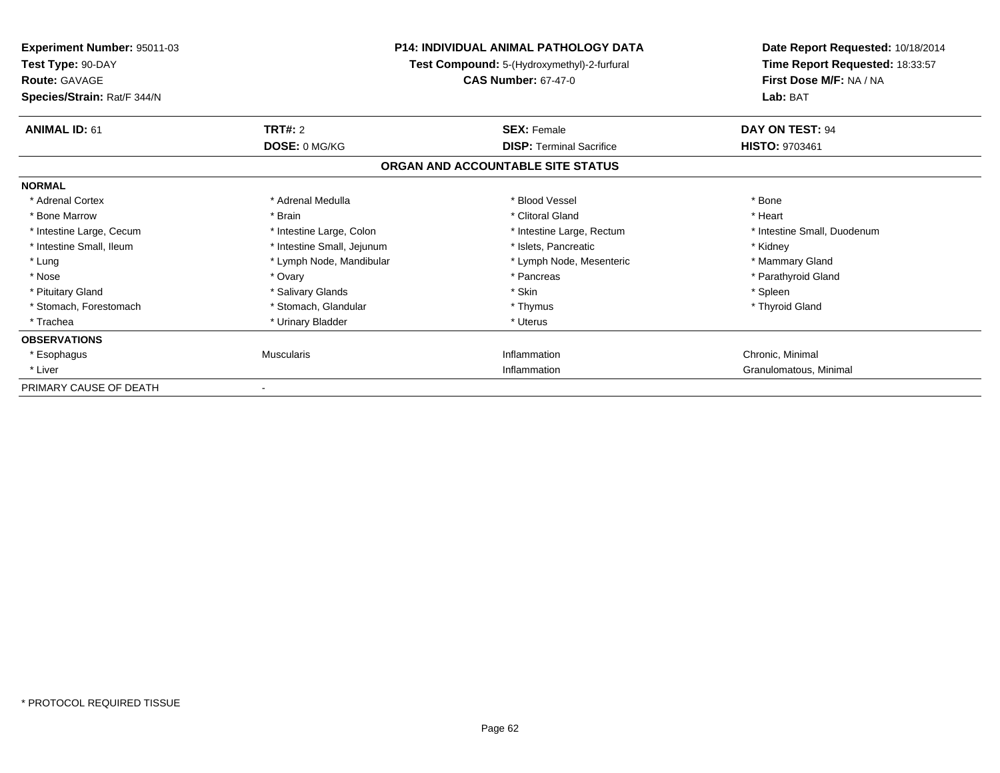| <b>Experiment Number: 95011-03</b><br>Test Type: 90-DAY<br><b>Route: GAVAGE</b><br>Species/Strain: Rat/F 344/N | <b>P14: INDIVIDUAL ANIMAL PATHOLOGY DATA</b><br>Test Compound: 5-(Hydroxymethyl)-2-furfural<br><b>CAS Number: 67-47-0</b> |                                   | Lab: BAT                    | Date Report Requested: 10/18/2014<br>Time Report Requested: 18:33:57<br>First Dose M/F: NA / NA |
|----------------------------------------------------------------------------------------------------------------|---------------------------------------------------------------------------------------------------------------------------|-----------------------------------|-----------------------------|-------------------------------------------------------------------------------------------------|
| <b>ANIMAL ID: 61</b>                                                                                           | TRT#: 2                                                                                                                   | <b>SEX: Female</b>                | DAY ON TEST: 94             |                                                                                                 |
|                                                                                                                | DOSE: 0 MG/KG                                                                                                             | <b>DISP: Terminal Sacrifice</b>   | <b>HISTO: 9703461</b>       |                                                                                                 |
|                                                                                                                |                                                                                                                           | ORGAN AND ACCOUNTABLE SITE STATUS |                             |                                                                                                 |
| <b>NORMAL</b>                                                                                                  |                                                                                                                           |                                   |                             |                                                                                                 |
| * Adrenal Cortex                                                                                               | * Adrenal Medulla                                                                                                         | * Blood Vessel                    | * Bone                      |                                                                                                 |
| * Bone Marrow                                                                                                  | * Brain                                                                                                                   | * Clitoral Gland                  | * Heart                     |                                                                                                 |
| * Intestine Large, Cecum                                                                                       | * Intestine Large, Colon                                                                                                  | * Intestine Large, Rectum         | * Intestine Small, Duodenum |                                                                                                 |
| * Intestine Small, Ileum                                                                                       | * Intestine Small, Jejunum                                                                                                | * Islets, Pancreatic              | * Kidney                    |                                                                                                 |
| * Lung                                                                                                         | * Lymph Node, Mandibular                                                                                                  | * Lymph Node, Mesenteric          | * Mammary Gland             |                                                                                                 |
| * Nose                                                                                                         | * Ovary                                                                                                                   | * Pancreas                        | * Parathyroid Gland         |                                                                                                 |
| * Pituitary Gland                                                                                              | * Salivary Glands                                                                                                         | * Skin                            | * Spleen                    |                                                                                                 |
| * Stomach, Forestomach                                                                                         | * Stomach, Glandular                                                                                                      | * Thymus                          | * Thyroid Gland             |                                                                                                 |
| * Trachea                                                                                                      | * Urinary Bladder                                                                                                         | * Uterus                          |                             |                                                                                                 |
| <b>OBSERVATIONS</b>                                                                                            |                                                                                                                           |                                   |                             |                                                                                                 |
| * Esophagus                                                                                                    | <b>Muscularis</b>                                                                                                         | Inflammation                      | Chronic, Minimal            |                                                                                                 |
| * Liver                                                                                                        |                                                                                                                           | Inflammation                      | Granulomatous, Minimal      |                                                                                                 |
| PRIMARY CAUSE OF DEATH                                                                                         |                                                                                                                           |                                   |                             |                                                                                                 |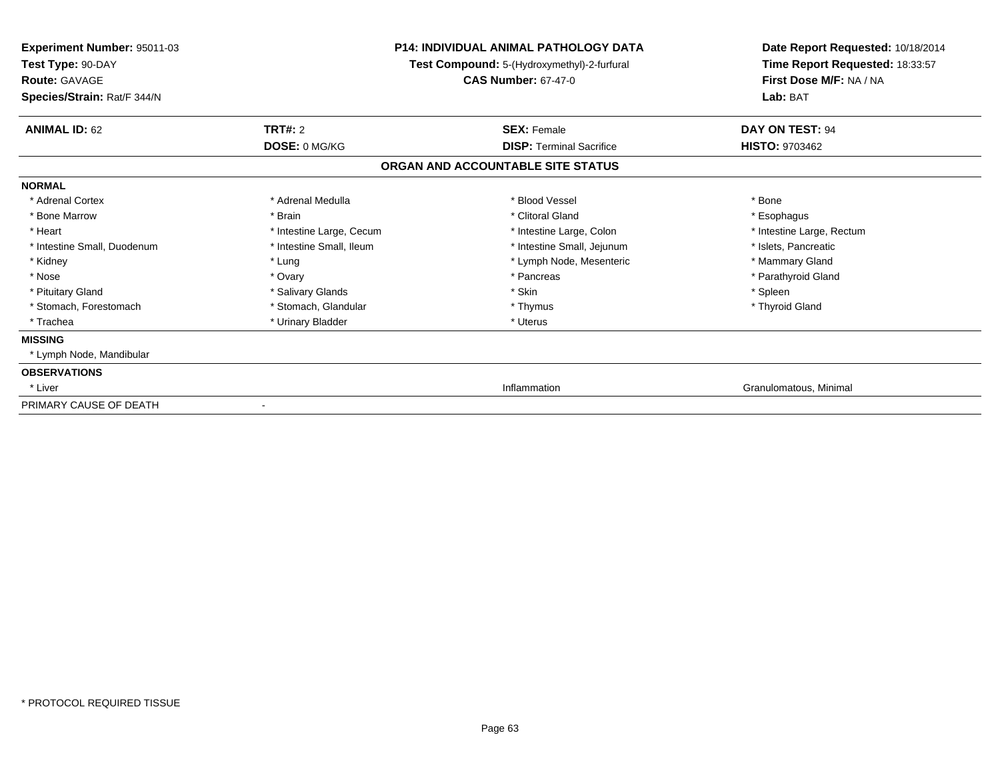| Experiment Number: 95011-03<br>Test Type: 90-DAY<br><b>Route: GAVAGE</b><br>Species/Strain: Rat/F 344/N |                          | P14: INDIVIDUAL ANIMAL PATHOLOGY DATA<br>Test Compound: 5-(Hydroxymethyl)-2-furfural<br><b>CAS Number: 67-47-0</b> | Date Report Requested: 10/18/2014<br>Time Report Requested: 18:33:57<br>First Dose M/F: NA / NA<br>Lab: BAT |
|---------------------------------------------------------------------------------------------------------|--------------------------|--------------------------------------------------------------------------------------------------------------------|-------------------------------------------------------------------------------------------------------------|
| <b>ANIMAL ID: 62</b>                                                                                    | <b>TRT#: 2</b>           | <b>SEX: Female</b>                                                                                                 | DAY ON TEST: 94                                                                                             |
|                                                                                                         | DOSE: 0 MG/KG            | <b>DISP:</b> Terminal Sacrifice                                                                                    | <b>HISTO: 9703462</b>                                                                                       |
|                                                                                                         |                          | ORGAN AND ACCOUNTABLE SITE STATUS                                                                                  |                                                                                                             |
| <b>NORMAL</b>                                                                                           |                          |                                                                                                                    |                                                                                                             |
| * Adrenal Cortex                                                                                        | * Adrenal Medulla        | * Blood Vessel                                                                                                     | * Bone                                                                                                      |
| * Bone Marrow                                                                                           | * Brain                  | * Clitoral Gland                                                                                                   | * Esophagus                                                                                                 |
| * Heart                                                                                                 | * Intestine Large, Cecum | * Intestine Large, Colon                                                                                           | * Intestine Large, Rectum                                                                                   |
| * Intestine Small, Duodenum                                                                             | * Intestine Small, Ileum | * Intestine Small, Jejunum                                                                                         | * Islets, Pancreatic                                                                                        |
| * Kidney                                                                                                | * Lung                   | * Lymph Node, Mesenteric                                                                                           | * Mammary Gland                                                                                             |
| * Nose                                                                                                  | * Ovary                  | * Pancreas                                                                                                         | * Parathyroid Gland                                                                                         |
| * Pituitary Gland                                                                                       | * Salivary Glands        | * Skin                                                                                                             | * Spleen                                                                                                    |
| * Stomach, Forestomach                                                                                  | * Stomach, Glandular     | * Thymus                                                                                                           | * Thyroid Gland                                                                                             |
| * Trachea                                                                                               | * Urinary Bladder        | * Uterus                                                                                                           |                                                                                                             |
| <b>MISSING</b>                                                                                          |                          |                                                                                                                    |                                                                                                             |
| * Lymph Node, Mandibular                                                                                |                          |                                                                                                                    |                                                                                                             |
| <b>OBSERVATIONS</b>                                                                                     |                          |                                                                                                                    |                                                                                                             |
| * Liver                                                                                                 |                          | Inflammation                                                                                                       | Granulomatous, Minimal                                                                                      |
| PRIMARY CAUSE OF DEATH                                                                                  |                          |                                                                                                                    |                                                                                                             |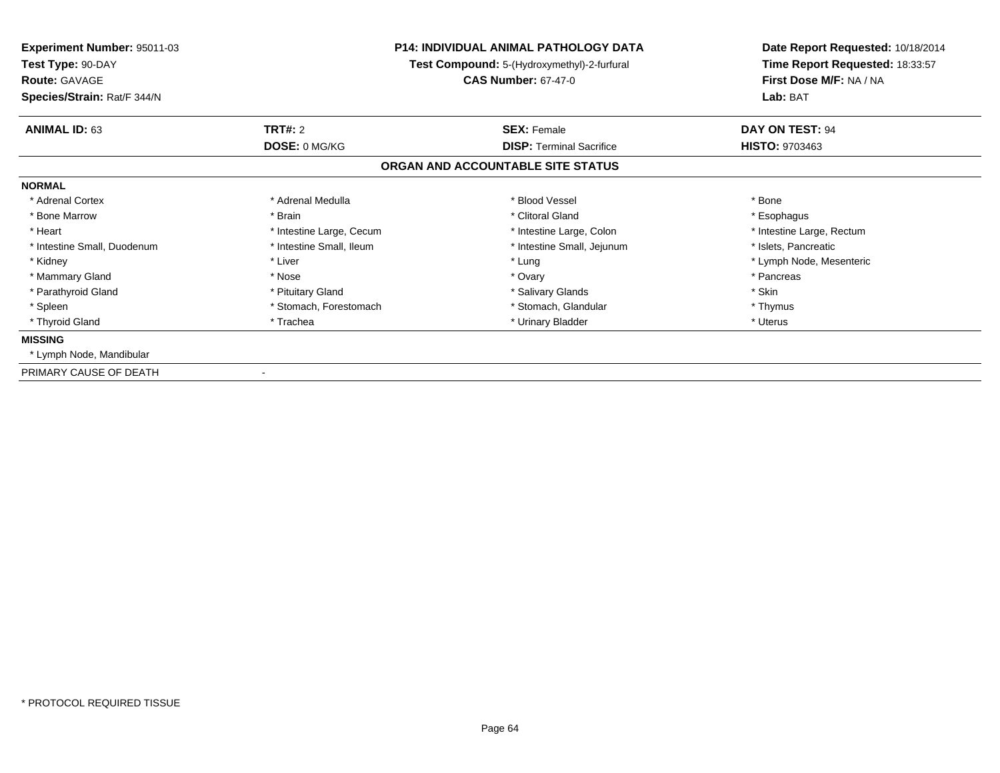| <b>Experiment Number: 95011-03</b><br>Test Type: 90-DAY<br><b>Route: GAVAGE</b> |                          | <b>P14: INDIVIDUAL ANIMAL PATHOLOGY DATA</b><br><b>Test Compound:</b> 5-(Hydroxymethyl)-2-furfural<br><b>CAS Number: 67-47-0</b> | Date Report Requested: 10/18/2014<br>Time Report Requested: 18:33:57<br>First Dose M/F: NA / NA<br>Lab: BAT |
|---------------------------------------------------------------------------------|--------------------------|----------------------------------------------------------------------------------------------------------------------------------|-------------------------------------------------------------------------------------------------------------|
| Species/Strain: Rat/F 344/N                                                     |                          |                                                                                                                                  |                                                                                                             |
| <b>ANIMAL ID: 63</b>                                                            | <b>TRT#: 2</b>           | <b>SEX: Female</b>                                                                                                               | <b>DAY ON TEST: 94</b>                                                                                      |
|                                                                                 | DOSE: 0 MG/KG            | <b>DISP: Terminal Sacrifice</b>                                                                                                  | <b>HISTO: 9703463</b>                                                                                       |
|                                                                                 |                          | ORGAN AND ACCOUNTABLE SITE STATUS                                                                                                |                                                                                                             |
| <b>NORMAL</b>                                                                   |                          |                                                                                                                                  |                                                                                                             |
| * Adrenal Cortex                                                                | * Adrenal Medulla        | * Blood Vessel                                                                                                                   | * Bone                                                                                                      |
| * Bone Marrow                                                                   | * Brain                  | * Clitoral Gland                                                                                                                 | * Esophagus                                                                                                 |
| * Heart                                                                         | * Intestine Large, Cecum | * Intestine Large, Colon                                                                                                         | * Intestine Large, Rectum                                                                                   |
| * Intestine Small, Duodenum                                                     | * Intestine Small, Ileum | * Intestine Small, Jejunum                                                                                                       | * Islets, Pancreatic                                                                                        |
| * Kidney                                                                        | * Liver                  | * Lung                                                                                                                           | * Lymph Node, Mesenteric                                                                                    |
| * Mammary Gland                                                                 | * Nose                   | * Ovary                                                                                                                          | * Pancreas                                                                                                  |
| * Parathyroid Gland                                                             | * Pituitary Gland        | * Salivary Glands                                                                                                                | * Skin                                                                                                      |
| * Spleen                                                                        | * Stomach, Forestomach   | * Stomach, Glandular                                                                                                             | * Thymus                                                                                                    |
| * Thyroid Gland                                                                 | * Trachea                | * Urinary Bladder                                                                                                                | * Uterus                                                                                                    |
| <b>MISSING</b>                                                                  |                          |                                                                                                                                  |                                                                                                             |
| * Lymph Node, Mandibular                                                        |                          |                                                                                                                                  |                                                                                                             |
| PRIMARY CAUSE OF DEATH                                                          |                          |                                                                                                                                  |                                                                                                             |

-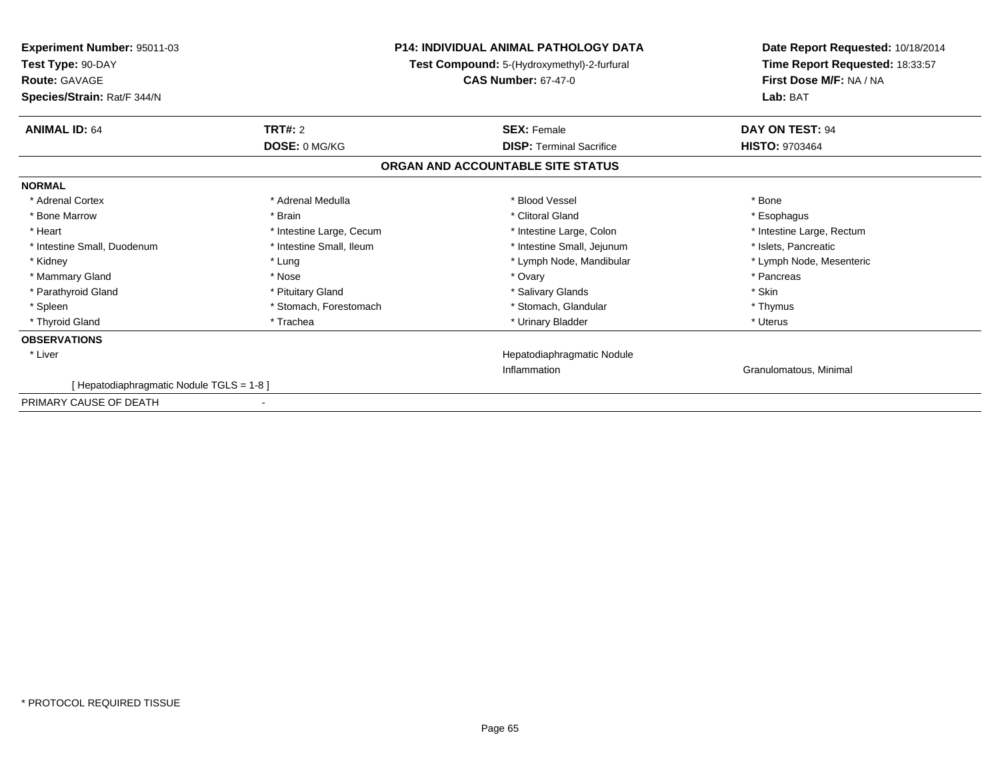| Experiment Number: 95011-03<br>Test Type: 90-DAY<br><b>Route: GAVAGE</b><br>Species/Strain: Rat/F 344/N | <b>P14: INDIVIDUAL ANIMAL PATHOLOGY DATA</b><br>Test Compound: 5-(Hydroxymethyl)-2-furfural<br><b>CAS Number: 67-47-0</b> |                                   | Date Report Requested: 10/18/2014<br>Time Report Requested: 18:33:57<br>First Dose M/F: NA / NA<br>Lab: BAT |
|---------------------------------------------------------------------------------------------------------|---------------------------------------------------------------------------------------------------------------------------|-----------------------------------|-------------------------------------------------------------------------------------------------------------|
| <b>ANIMAL ID: 64</b>                                                                                    | <b>TRT#: 2</b>                                                                                                            | <b>SEX: Female</b>                | DAY ON TEST: 94                                                                                             |
|                                                                                                         | DOSE: 0 MG/KG                                                                                                             | <b>DISP: Terminal Sacrifice</b>   | <b>HISTO: 9703464</b>                                                                                       |
|                                                                                                         |                                                                                                                           | ORGAN AND ACCOUNTABLE SITE STATUS |                                                                                                             |
| <b>NORMAL</b>                                                                                           |                                                                                                                           |                                   |                                                                                                             |
| * Adrenal Cortex                                                                                        | * Adrenal Medulla                                                                                                         | * Blood Vessel                    | * Bone                                                                                                      |
| * Bone Marrow                                                                                           | * Brain                                                                                                                   | * Clitoral Gland                  | * Esophagus                                                                                                 |
| * Heart                                                                                                 | * Intestine Large, Cecum                                                                                                  | * Intestine Large, Colon          | * Intestine Large, Rectum                                                                                   |
| * Intestine Small, Duodenum                                                                             | * Intestine Small. Ileum                                                                                                  | * Intestine Small, Jejunum        | * Islets. Pancreatic                                                                                        |
| * Kidney                                                                                                | * Lung                                                                                                                    | * Lymph Node, Mandibular          | * Lymph Node, Mesenteric                                                                                    |
| * Mammary Gland                                                                                         | * Nose                                                                                                                    | * Ovary                           | * Pancreas                                                                                                  |
| * Parathyroid Gland                                                                                     | * Pituitary Gland                                                                                                         | * Salivary Glands                 | * Skin                                                                                                      |
| * Spleen                                                                                                | * Stomach, Forestomach                                                                                                    | * Stomach, Glandular              | * Thymus                                                                                                    |
| * Thyroid Gland                                                                                         | * Trachea                                                                                                                 | * Urinary Bladder                 | * Uterus                                                                                                    |
| <b>OBSERVATIONS</b>                                                                                     |                                                                                                                           |                                   |                                                                                                             |
| * Liver                                                                                                 |                                                                                                                           | Hepatodiaphragmatic Nodule        |                                                                                                             |
|                                                                                                         |                                                                                                                           | Inflammation                      | Granulomatous, Minimal                                                                                      |
| [Hepatodiaphragmatic Nodule TGLS = 1-8]                                                                 |                                                                                                                           |                                   |                                                                                                             |
| PRIMARY CAUSE OF DEATH                                                                                  |                                                                                                                           |                                   |                                                                                                             |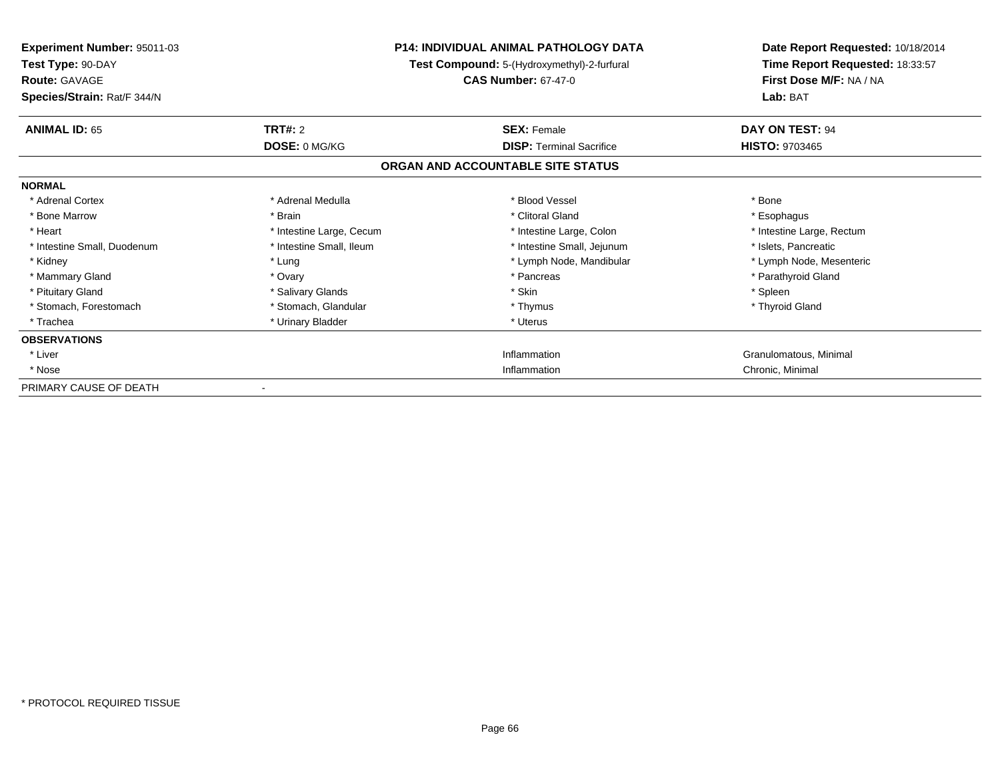| <b>Experiment Number: 95011-03</b><br>Test Type: 90-DAY<br><b>Route: GAVAGE</b><br>Species/Strain: Rat/F 344/N | P14: INDIVIDUAL ANIMAL PATHOLOGY DATA<br>Test Compound: 5-(Hydroxymethyl)-2-furfural<br><b>CAS Number: 67-47-0</b> |                                   | Date Report Requested: 10/18/2014<br>Time Report Requested: 18:33:57<br>First Dose M/F: NA / NA<br>Lab: BAT |
|----------------------------------------------------------------------------------------------------------------|--------------------------------------------------------------------------------------------------------------------|-----------------------------------|-------------------------------------------------------------------------------------------------------------|
| <b>ANIMAL ID: 65</b>                                                                                           | TRT#: 2                                                                                                            | <b>SEX: Female</b>                | DAY ON TEST: 94                                                                                             |
|                                                                                                                | DOSE: 0 MG/KG                                                                                                      | <b>DISP: Terminal Sacrifice</b>   | <b>HISTO: 9703465</b>                                                                                       |
|                                                                                                                |                                                                                                                    | ORGAN AND ACCOUNTABLE SITE STATUS |                                                                                                             |
| <b>NORMAL</b>                                                                                                  |                                                                                                                    |                                   |                                                                                                             |
| * Adrenal Cortex                                                                                               | * Adrenal Medulla                                                                                                  | * Blood Vessel                    | * Bone                                                                                                      |
| * Bone Marrow                                                                                                  | * Brain                                                                                                            | * Clitoral Gland                  | * Esophagus                                                                                                 |
| * Heart                                                                                                        | * Intestine Large, Cecum                                                                                           | * Intestine Large, Colon          | * Intestine Large, Rectum                                                                                   |
| * Intestine Small, Duodenum                                                                                    | * Intestine Small, Ileum                                                                                           | * Intestine Small, Jejunum        | * Islets, Pancreatic                                                                                        |
| * Kidney                                                                                                       | * Lung                                                                                                             | * Lymph Node, Mandibular          | * Lymph Node, Mesenteric                                                                                    |
| * Mammary Gland                                                                                                | * Ovary                                                                                                            | * Pancreas                        | * Parathyroid Gland                                                                                         |
| * Pituitary Gland                                                                                              | * Salivary Glands                                                                                                  | * Skin                            | * Spleen                                                                                                    |
| * Stomach, Forestomach                                                                                         | * Stomach, Glandular                                                                                               | * Thymus                          | * Thyroid Gland                                                                                             |
| * Trachea                                                                                                      | * Urinary Bladder                                                                                                  | * Uterus                          |                                                                                                             |
| <b>OBSERVATIONS</b>                                                                                            |                                                                                                                    |                                   |                                                                                                             |
| * Liver                                                                                                        |                                                                                                                    | Inflammation                      | Granulomatous, Minimal                                                                                      |
| * Nose                                                                                                         |                                                                                                                    | Inflammation                      | Chronic, Minimal                                                                                            |
| PRIMARY CAUSE OF DEATH                                                                                         |                                                                                                                    |                                   |                                                                                                             |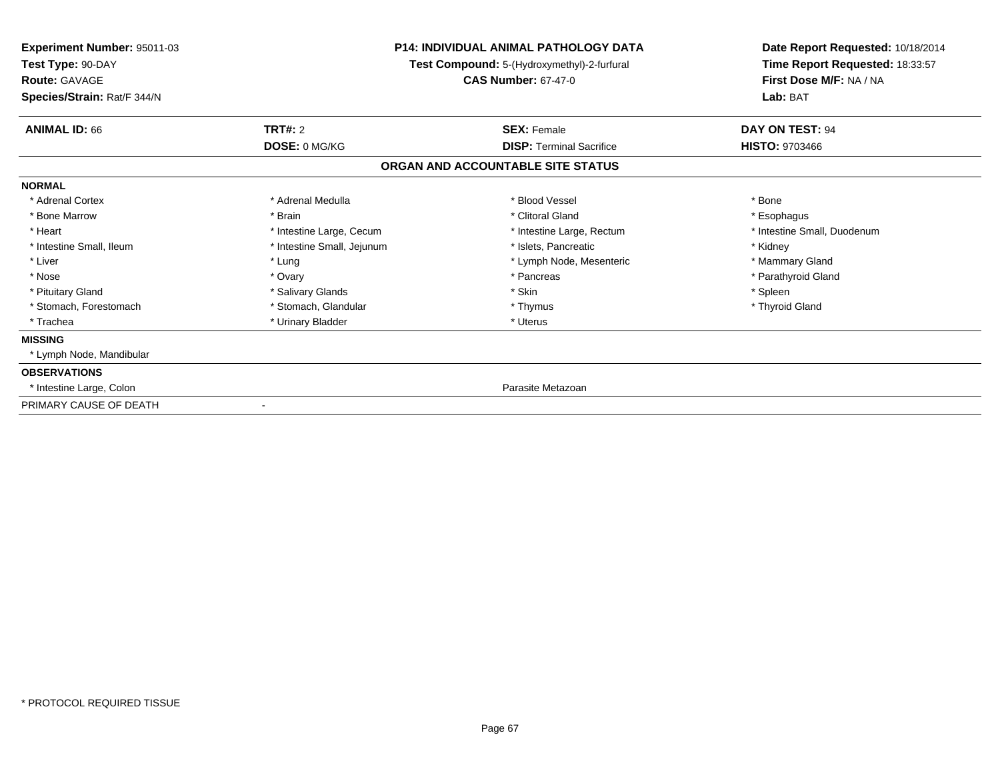| Experiment Number: 95011-03<br>Test Type: 90-DAY<br><b>Route: GAVAGE</b><br>Species/Strain: Rat/F 344/N | <b>P14: INDIVIDUAL ANIMAL PATHOLOGY DATA</b><br>Test Compound: 5-(Hydroxymethyl)-2-furfural<br><b>CAS Number: 67-47-0</b> |                                   | Date Report Requested: 10/18/2014<br>Time Report Requested: 18:33:57<br>First Dose M/F: NA / NA<br>Lab: BAT |  |
|---------------------------------------------------------------------------------------------------------|---------------------------------------------------------------------------------------------------------------------------|-----------------------------------|-------------------------------------------------------------------------------------------------------------|--|
| <b>TRT#: 2</b><br><b>ANIMAL ID: 66</b>                                                                  |                                                                                                                           | <b>SEX: Female</b>                | DAY ON TEST: 94                                                                                             |  |
| DOSE: 0 MG/KG                                                                                           |                                                                                                                           | <b>DISP: Terminal Sacrifice</b>   | <b>HISTO: 9703466</b>                                                                                       |  |
|                                                                                                         |                                                                                                                           | ORGAN AND ACCOUNTABLE SITE STATUS |                                                                                                             |  |
| <b>NORMAL</b>                                                                                           |                                                                                                                           |                                   |                                                                                                             |  |
| * Adrenal Medulla<br>* Adrenal Cortex                                                                   |                                                                                                                           | * Blood Vessel                    | * Bone                                                                                                      |  |
| * Bone Marrow<br>* Brain                                                                                |                                                                                                                           | * Clitoral Gland                  | * Esophagus                                                                                                 |  |
| * Heart                                                                                                 | * Intestine Large, Cecum                                                                                                  | * Intestine Large, Rectum         | * Intestine Small, Duodenum                                                                                 |  |
| * Intestine Small, Ileum                                                                                | * Intestine Small, Jejunum                                                                                                | * Islets, Pancreatic              | * Kidney                                                                                                    |  |
| * Liver<br>* Lung                                                                                       |                                                                                                                           | * Lymph Node, Mesenteric          | * Mammary Gland                                                                                             |  |
| * Nose<br>* Ovary                                                                                       |                                                                                                                           | * Pancreas                        | * Parathyroid Gland                                                                                         |  |
| * Pituitary Gland<br>* Salivary Glands                                                                  |                                                                                                                           | * Skin                            | * Spleen                                                                                                    |  |
| * Stomach, Forestomach<br>* Stomach, Glandular                                                          |                                                                                                                           | * Thymus                          | * Thyroid Gland                                                                                             |  |
| * Trachea<br>* Urinary Bladder                                                                          |                                                                                                                           | * Uterus                          |                                                                                                             |  |
| <b>MISSING</b>                                                                                          |                                                                                                                           |                                   |                                                                                                             |  |
| * Lymph Node, Mandibular                                                                                |                                                                                                                           |                                   |                                                                                                             |  |
| <b>OBSERVATIONS</b>                                                                                     |                                                                                                                           |                                   |                                                                                                             |  |
| * Intestine Large, Colon                                                                                |                                                                                                                           | Parasite Metazoan                 |                                                                                                             |  |
| PRIMARY CAUSE OF DEATH                                                                                  |                                                                                                                           |                                   |                                                                                                             |  |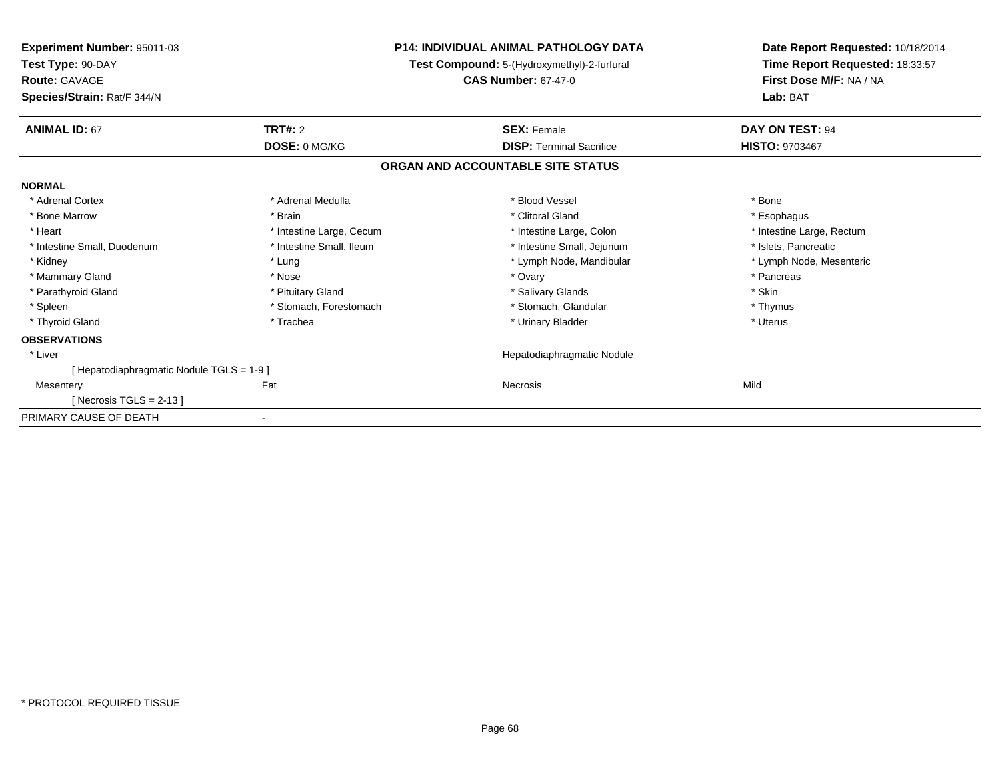| Experiment Number: 95011-03<br>Test Type: 90-DAY<br>Route: GAVAGE | <b>P14: INDIVIDUAL ANIMAL PATHOLOGY DATA</b><br>Test Compound: 5-(Hydroxymethyl)-2-furfural<br><b>CAS Number: 67-47-0</b> |                                   | Date Report Requested: 10/18/2014<br>Time Report Requested: 18:33:57<br>First Dose M/F: NA / NA |  |
|-------------------------------------------------------------------|---------------------------------------------------------------------------------------------------------------------------|-----------------------------------|-------------------------------------------------------------------------------------------------|--|
| Species/Strain: Rat/F 344/N                                       |                                                                                                                           |                                   | Lab: BAT                                                                                        |  |
| <b>ANIMAL ID: 67</b>                                              | <b>TRT#: 2</b>                                                                                                            | <b>SEX: Female</b>                | DAY ON TEST: 94                                                                                 |  |
|                                                                   | DOSE: 0 MG/KG                                                                                                             | <b>DISP: Terminal Sacrifice</b>   | <b>HISTO: 9703467</b>                                                                           |  |
|                                                                   |                                                                                                                           | ORGAN AND ACCOUNTABLE SITE STATUS |                                                                                                 |  |
| <b>NORMAL</b>                                                     |                                                                                                                           |                                   |                                                                                                 |  |
| * Adrenal Cortex                                                  | * Adrenal Medulla                                                                                                         | * Blood Vessel                    | * Bone                                                                                          |  |
| * Bone Marrow                                                     | * Brain                                                                                                                   | * Clitoral Gland                  | * Esophagus                                                                                     |  |
| * Heart                                                           | * Intestine Large, Cecum                                                                                                  | * Intestine Large, Colon          | * Intestine Large, Rectum                                                                       |  |
| * Intestine Small, Duodenum                                       | * Intestine Small, Ileum                                                                                                  | * Intestine Small, Jejunum        | * Islets, Pancreatic                                                                            |  |
| * Kidney                                                          | * Lung                                                                                                                    | * Lymph Node, Mandibular          | * Lymph Node, Mesenteric                                                                        |  |
| * Mammary Gland                                                   | * Nose                                                                                                                    | * Ovary                           | * Pancreas                                                                                      |  |
| * Parathyroid Gland                                               | * Pituitary Gland                                                                                                         | * Salivary Glands                 | * Skin                                                                                          |  |
| * Spleen                                                          | * Stomach, Forestomach                                                                                                    | * Stomach, Glandular              | * Thymus                                                                                        |  |
| * Thyroid Gland                                                   | * Trachea                                                                                                                 | * Urinary Bladder                 | * Uterus                                                                                        |  |
| <b>OBSERVATIONS</b>                                               |                                                                                                                           |                                   |                                                                                                 |  |
| * Liver                                                           |                                                                                                                           | Hepatodiaphragmatic Nodule        |                                                                                                 |  |
| [Hepatodiaphragmatic Nodule TGLS = 1-9]                           |                                                                                                                           |                                   |                                                                                                 |  |
| Mesentery                                                         | Fat                                                                                                                       | <b>Necrosis</b>                   | Mild                                                                                            |  |
| [Necrosis TGLS = $2-13$ ]                                         |                                                                                                                           |                                   |                                                                                                 |  |
| PRIMARY CAUSE OF DEATH                                            |                                                                                                                           |                                   |                                                                                                 |  |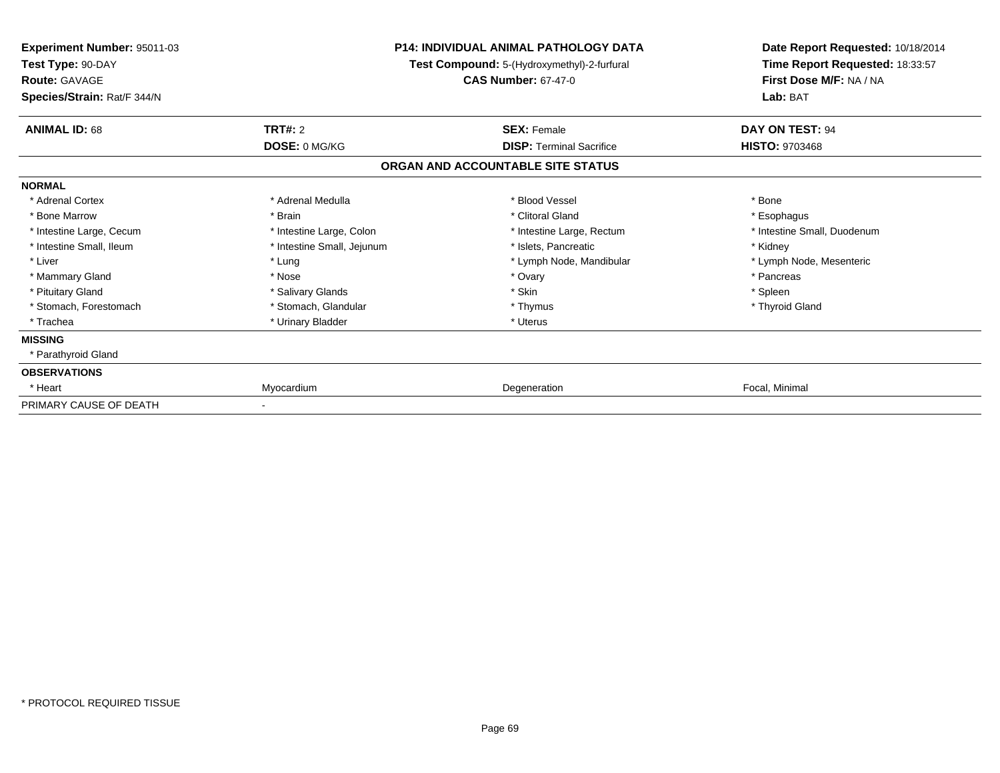| Experiment Number: 95011-03<br>Test Type: 90-DAY<br><b>Route: GAVAGE</b><br>Species/Strain: Rat/F 344/N |                            | P14: INDIVIDUAL ANIMAL PATHOLOGY DATA<br>Test Compound: 5-(Hydroxymethyl)-2-furfural<br><b>CAS Number: 67-47-0</b> | Date Report Requested: 10/18/2014<br>Time Report Requested: 18:33:57<br>First Dose M/F: NA / NA<br>Lab: BAT |
|---------------------------------------------------------------------------------------------------------|----------------------------|--------------------------------------------------------------------------------------------------------------------|-------------------------------------------------------------------------------------------------------------|
| <b>ANIMAL ID: 68</b>                                                                                    | <b>TRT#: 2</b>             | <b>SEX: Female</b>                                                                                                 | DAY ON TEST: 94                                                                                             |
|                                                                                                         | DOSE: 0 MG/KG              | <b>DISP: Terminal Sacrifice</b><br>ORGAN AND ACCOUNTABLE SITE STATUS                                               | <b>HISTO: 9703468</b>                                                                                       |
| <b>NORMAL</b>                                                                                           |                            |                                                                                                                    |                                                                                                             |
| * Adrenal Cortex                                                                                        | * Adrenal Medulla          | * Blood Vessel                                                                                                     | * Bone                                                                                                      |
| * Bone Marrow                                                                                           | * Brain                    | * Clitoral Gland                                                                                                   | * Esophagus                                                                                                 |
| * Intestine Large, Cecum                                                                                | * Intestine Large, Colon   | * Intestine Large, Rectum                                                                                          | * Intestine Small, Duodenum                                                                                 |
| * Intestine Small. Ileum                                                                                | * Intestine Small, Jejunum | * Islets, Pancreatic                                                                                               | * Kidney                                                                                                    |
| * Liver                                                                                                 | * Lung                     | * Lymph Node, Mandibular                                                                                           | * Lymph Node, Mesenteric                                                                                    |
| * Mammary Gland                                                                                         | * Nose                     | * Ovary                                                                                                            | * Pancreas                                                                                                  |
| * Pituitary Gland                                                                                       | * Salivary Glands          | * Skin                                                                                                             | * Spleen                                                                                                    |
| * Stomach, Forestomach                                                                                  | * Stomach, Glandular       | * Thymus                                                                                                           | * Thyroid Gland                                                                                             |
| * Trachea                                                                                               | * Urinary Bladder          | * Uterus                                                                                                           |                                                                                                             |
| <b>MISSING</b>                                                                                          |                            |                                                                                                                    |                                                                                                             |
| * Parathyroid Gland                                                                                     |                            |                                                                                                                    |                                                                                                             |
| <b>OBSERVATIONS</b>                                                                                     |                            |                                                                                                                    |                                                                                                             |
| * Heart                                                                                                 | Myocardium                 | Degeneration                                                                                                       | Focal, Minimal                                                                                              |
| PRIMARY CAUSE OF DEATH                                                                                  |                            |                                                                                                                    |                                                                                                             |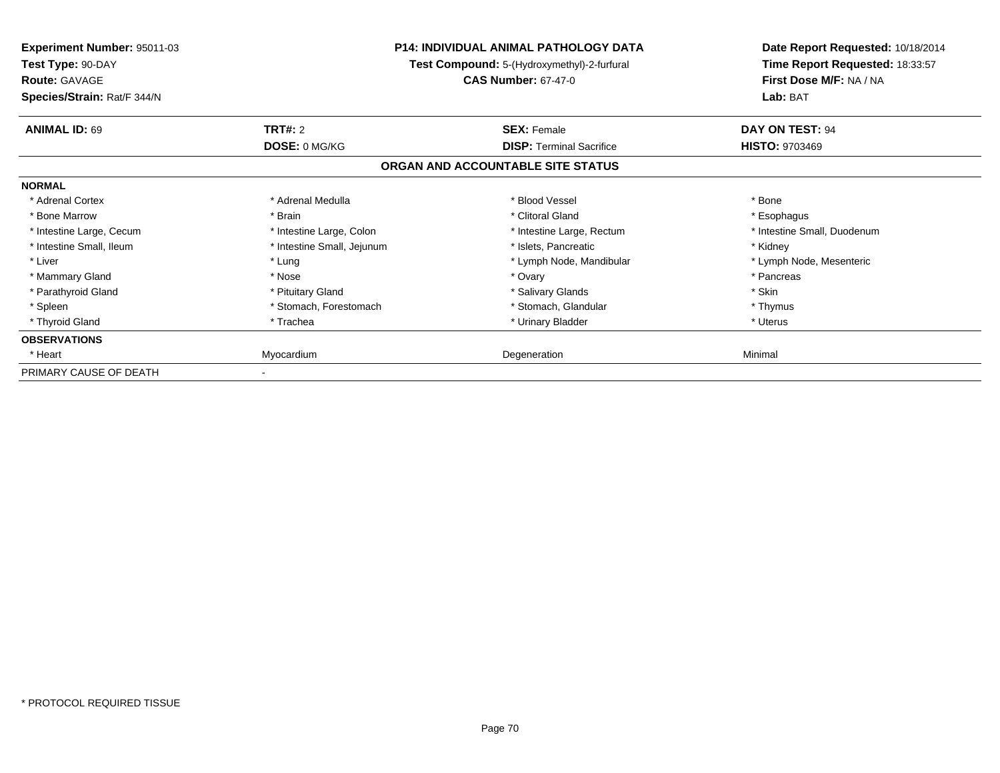| Experiment Number: 95011-03<br>Test Type: 90-DAY<br><b>Route: GAVAGE</b><br>Species/Strain: Rat/F 344/N |                            | <b>P14: INDIVIDUAL ANIMAL PATHOLOGY DATA</b><br>Test Compound: 5-(Hydroxymethyl)-2-furfural<br><b>CAS Number: 67-47-0</b> | Date Report Requested: 10/18/2014<br>Time Report Requested: 18:33:57<br>First Dose M/F: NA / NA<br>Lab: BAT |
|---------------------------------------------------------------------------------------------------------|----------------------------|---------------------------------------------------------------------------------------------------------------------------|-------------------------------------------------------------------------------------------------------------|
| <b>ANIMAL ID: 69</b>                                                                                    | <b>TRT#: 2</b>             | <b>SEX: Female</b>                                                                                                        | DAY ON TEST: 94                                                                                             |
|                                                                                                         | DOSE: 0 MG/KG              | <b>DISP:</b> Terminal Sacrifice                                                                                           | <b>HISTO: 9703469</b>                                                                                       |
|                                                                                                         |                            | ORGAN AND ACCOUNTABLE SITE STATUS                                                                                         |                                                                                                             |
| <b>NORMAL</b>                                                                                           |                            |                                                                                                                           |                                                                                                             |
| * Adrenal Cortex                                                                                        | * Adrenal Medulla          | * Blood Vessel                                                                                                            | * Bone                                                                                                      |
| * Bone Marrow                                                                                           | * Brain                    | * Clitoral Gland                                                                                                          | * Esophagus                                                                                                 |
| * Intestine Large, Cecum                                                                                | * Intestine Large, Colon   | * Intestine Large, Rectum                                                                                                 | * Intestine Small, Duodenum                                                                                 |
| * Intestine Small, Ileum                                                                                | * Intestine Small, Jejunum | * Islets, Pancreatic                                                                                                      | * Kidney                                                                                                    |
| * Liver                                                                                                 | * Lung                     | * Lymph Node, Mandibular                                                                                                  | * Lymph Node, Mesenteric                                                                                    |
| * Mammary Gland                                                                                         | * Nose                     | * Ovary                                                                                                                   | * Pancreas                                                                                                  |
| * Parathyroid Gland                                                                                     | * Pituitary Gland          | * Salivary Glands                                                                                                         | * Skin                                                                                                      |
| * Spleen                                                                                                | * Stomach, Forestomach     | * Stomach, Glandular                                                                                                      | * Thymus                                                                                                    |
| * Thyroid Gland                                                                                         | * Trachea                  | * Urinary Bladder                                                                                                         | * Uterus                                                                                                    |
| <b>OBSERVATIONS</b>                                                                                     |                            |                                                                                                                           |                                                                                                             |
| * Heart                                                                                                 | Myocardium                 | Degeneration                                                                                                              | Minimal                                                                                                     |
| PRIMARY CAUSE OF DEATH                                                                                  |                            |                                                                                                                           |                                                                                                             |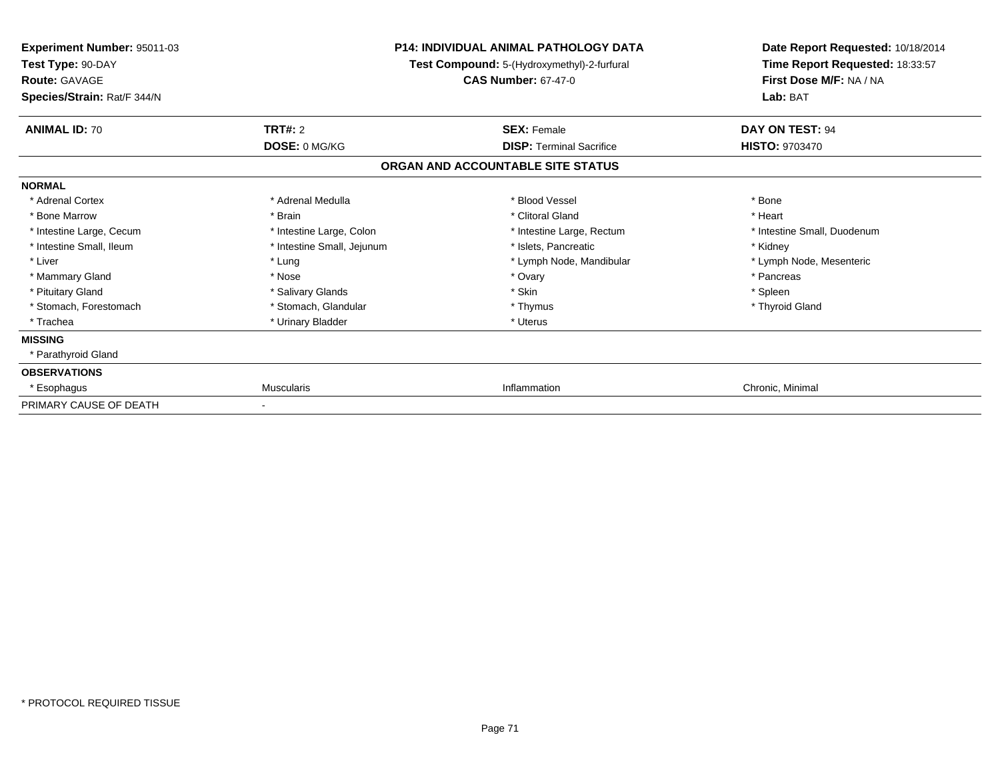| Experiment Number: 95011-03<br>Test Type: 90-DAY<br><b>Route: GAVAGE</b><br>Species/Strain: Rat/F 344/N |                            | <b>P14: INDIVIDUAL ANIMAL PATHOLOGY DATA</b><br>Test Compound: 5-(Hydroxymethyl)-2-furfural<br><b>CAS Number: 67-47-0</b> | Date Report Requested: 10/18/2014<br>Time Report Requested: 18:33:57<br>First Dose M/F: NA / NA<br>Lab: BAT |
|---------------------------------------------------------------------------------------------------------|----------------------------|---------------------------------------------------------------------------------------------------------------------------|-------------------------------------------------------------------------------------------------------------|
| <b>ANIMAL ID: 70</b>                                                                                    | <b>TRT#: 2</b>             | <b>SEX: Female</b>                                                                                                        | DAY ON TEST: 94                                                                                             |
|                                                                                                         | DOSE: 0 MG/KG              | <b>DISP: Terminal Sacrifice</b>                                                                                           | HISTO: 9703470                                                                                              |
|                                                                                                         |                            | ORGAN AND ACCOUNTABLE SITE STATUS                                                                                         |                                                                                                             |
| <b>NORMAL</b>                                                                                           |                            |                                                                                                                           |                                                                                                             |
| * Adrenal Cortex                                                                                        | * Adrenal Medulla          | * Blood Vessel                                                                                                            | * Bone                                                                                                      |
| * Bone Marrow                                                                                           | * Brain                    | * Clitoral Gland                                                                                                          | * Heart                                                                                                     |
| * Intestine Large, Cecum                                                                                | * Intestine Large, Colon   | * Intestine Large, Rectum                                                                                                 | * Intestine Small, Duodenum                                                                                 |
| * Intestine Small. Ileum                                                                                | * Intestine Small, Jejunum | * Islets, Pancreatic                                                                                                      | * Kidney                                                                                                    |
| * Liver                                                                                                 | * Lung                     | * Lymph Node, Mandibular                                                                                                  | * Lymph Node, Mesenteric                                                                                    |
| * Mammary Gland                                                                                         | * Nose                     | * Ovary                                                                                                                   | * Pancreas                                                                                                  |
| * Pituitary Gland                                                                                       | * Salivary Glands          | * Skin                                                                                                                    | * Spleen                                                                                                    |
| * Stomach, Forestomach                                                                                  | * Stomach, Glandular       | * Thymus                                                                                                                  | * Thyroid Gland                                                                                             |
| * Trachea                                                                                               | * Urinary Bladder          | * Uterus                                                                                                                  |                                                                                                             |
| <b>MISSING</b>                                                                                          |                            |                                                                                                                           |                                                                                                             |
| * Parathyroid Gland                                                                                     |                            |                                                                                                                           |                                                                                                             |
| <b>OBSERVATIONS</b>                                                                                     |                            |                                                                                                                           |                                                                                                             |
| * Esophagus                                                                                             | <b>Muscularis</b>          | Inflammation                                                                                                              | Chronic, Minimal                                                                                            |
| PRIMARY CAUSE OF DEATH                                                                                  |                            |                                                                                                                           |                                                                                                             |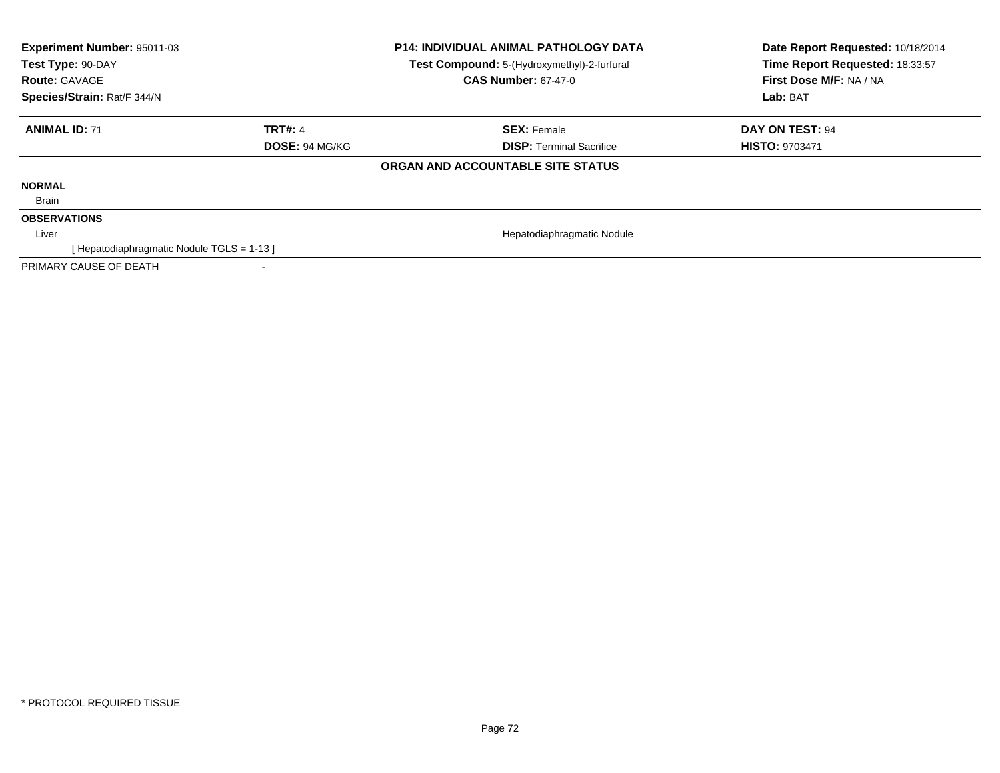| Experiment Number: 95011-03<br>Test Type: 90-DAY<br><b>Route: GAVAGE</b> |                | <b>P14: INDIVIDUAL ANIMAL PATHOLOGY DATA</b><br>Test Compound: 5-(Hydroxymethyl)-2-furfural<br><b>CAS Number: 67-47-0</b> | Date Report Requested: 10/18/2014<br>Time Report Requested: 18:33:57<br>First Dose M/F: NA / NA |
|--------------------------------------------------------------------------|----------------|---------------------------------------------------------------------------------------------------------------------------|-------------------------------------------------------------------------------------------------|
| Species/Strain: Rat/F 344/N                                              |                |                                                                                                                           | Lab: BAT                                                                                        |
| <b>ANIMAL ID: 71</b>                                                     | <b>TRT#: 4</b> | <b>SEX: Female</b>                                                                                                        | DAY ON TEST: 94                                                                                 |
|                                                                          | DOSE: 94 MG/KG | <b>DISP: Terminal Sacrifice</b>                                                                                           | <b>HISTO: 9703471</b>                                                                           |
|                                                                          |                | ORGAN AND ACCOUNTABLE SITE STATUS                                                                                         |                                                                                                 |
| <b>NORMAL</b>                                                            |                |                                                                                                                           |                                                                                                 |
| Brain                                                                    |                |                                                                                                                           |                                                                                                 |
| <b>OBSERVATIONS</b>                                                      |                |                                                                                                                           |                                                                                                 |
| Liver                                                                    |                | Hepatodiaphragmatic Nodule                                                                                                |                                                                                                 |
| [Hepatodiaphragmatic Nodule TGLS = 1-13]                                 |                |                                                                                                                           |                                                                                                 |
| PRIMARY CAUSE OF DEATH                                                   |                |                                                                                                                           |                                                                                                 |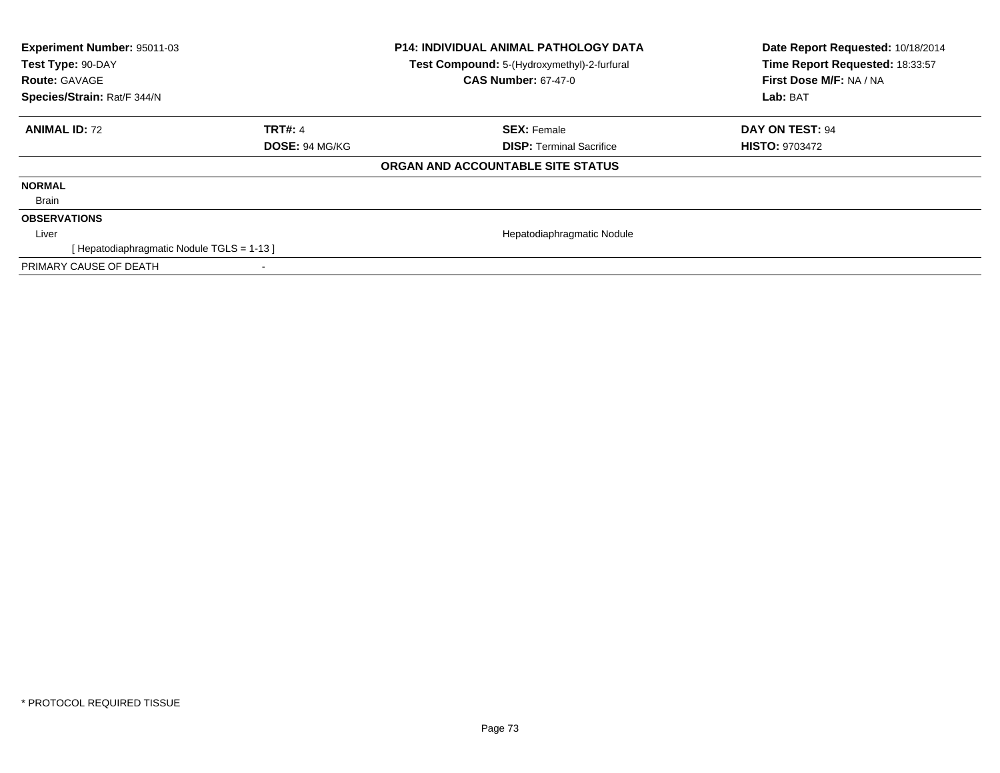| <b>Experiment Number: 95011-03</b><br>Test Type: 90-DAY<br><b>Route: GAVAGE</b><br>Species/Strain: Rat/F 344/N |                | <b>P14: INDIVIDUAL ANIMAL PATHOLOGY DATA</b><br>Test Compound: 5-(Hydroxymethyl)-2-furfural<br><b>CAS Number: 67-47-0</b> | Date Report Requested: 10/18/2014<br>Time Report Requested: 18:33:57<br>First Dose M/F: NA / NA<br>Lab: BAT |
|----------------------------------------------------------------------------------------------------------------|----------------|---------------------------------------------------------------------------------------------------------------------------|-------------------------------------------------------------------------------------------------------------|
| <b>ANIMAL ID: 72</b>                                                                                           | <b>TRT#: 4</b> | <b>SEX: Female</b>                                                                                                        | <b>DAY ON TEST: 94</b>                                                                                      |
|                                                                                                                | DOSE: 94 MG/KG | <b>DISP: Terminal Sacrifice</b>                                                                                           | <b>HISTO: 9703472</b>                                                                                       |
|                                                                                                                |                | ORGAN AND ACCOUNTABLE SITE STATUS                                                                                         |                                                                                                             |
| <b>NORMAL</b>                                                                                                  |                |                                                                                                                           |                                                                                                             |
| Brain                                                                                                          |                |                                                                                                                           |                                                                                                             |
| <b>OBSERVATIONS</b>                                                                                            |                |                                                                                                                           |                                                                                                             |
| Liver                                                                                                          |                | Hepatodiaphragmatic Nodule                                                                                                |                                                                                                             |
| [ Hepatodiaphragmatic Nodule TGLS = 1-13 ]                                                                     |                |                                                                                                                           |                                                                                                             |
| PRIMARY CAUSE OF DEATH                                                                                         |                |                                                                                                                           |                                                                                                             |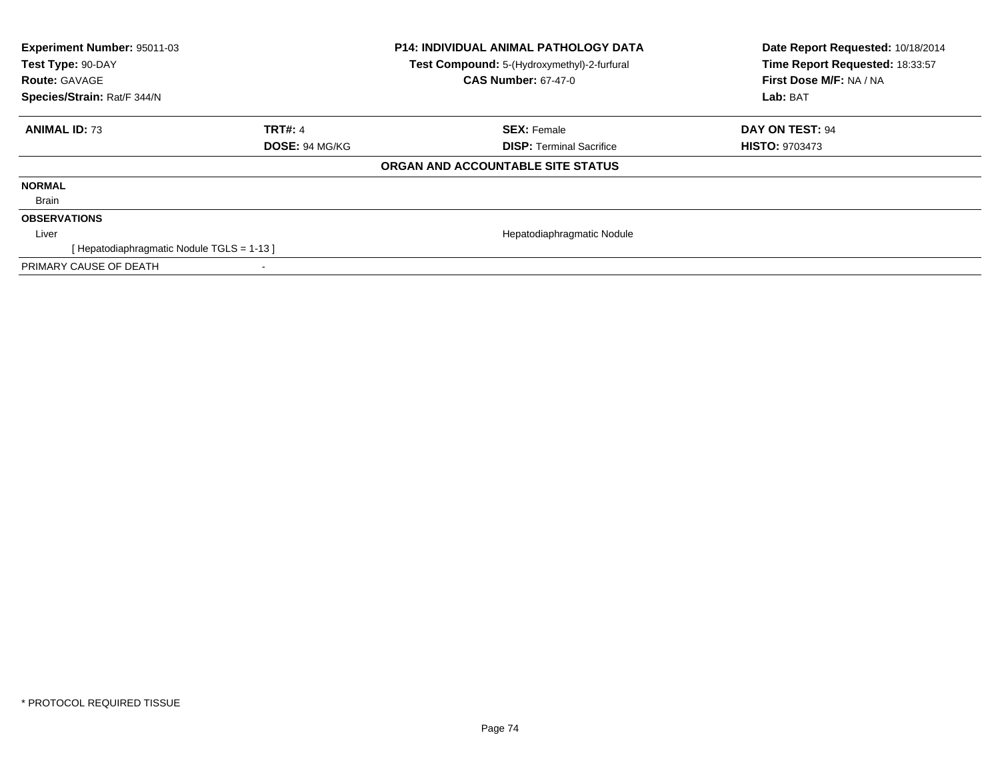| <b>Experiment Number: 95011-03</b><br>Test Type: 90-DAY<br><b>Route: GAVAGE</b><br>Species/Strain: Rat/F 344/N |                | <b>P14: INDIVIDUAL ANIMAL PATHOLOGY DATA</b><br>Test Compound: 5-(Hydroxymethyl)-2-furfural<br><b>CAS Number: 67-47-0</b> | Date Report Requested: 10/18/2014<br>Time Report Requested: 18:33:57<br>First Dose M/F: NA / NA<br>Lab: BAT |
|----------------------------------------------------------------------------------------------------------------|----------------|---------------------------------------------------------------------------------------------------------------------------|-------------------------------------------------------------------------------------------------------------|
|                                                                                                                |                |                                                                                                                           |                                                                                                             |
| <b>ANIMAL ID: 73</b>                                                                                           | <b>TRT#: 4</b> | <b>SEX: Female</b>                                                                                                        | <b>DAY ON TEST: 94</b>                                                                                      |
|                                                                                                                | DOSE: 94 MG/KG | <b>DISP: Terminal Sacrifice</b>                                                                                           | <b>HISTO: 9703473</b>                                                                                       |
|                                                                                                                |                | ORGAN AND ACCOUNTABLE SITE STATUS                                                                                         |                                                                                                             |
| <b>NORMAL</b>                                                                                                  |                |                                                                                                                           |                                                                                                             |
| Brain                                                                                                          |                |                                                                                                                           |                                                                                                             |
| <b>OBSERVATIONS</b>                                                                                            |                |                                                                                                                           |                                                                                                             |
| Liver                                                                                                          |                | Hepatodiaphragmatic Nodule                                                                                                |                                                                                                             |
| [ Hepatodiaphragmatic Nodule TGLS = 1-13 ]                                                                     |                |                                                                                                                           |                                                                                                             |
| PRIMARY CAUSE OF DEATH                                                                                         |                |                                                                                                                           |                                                                                                             |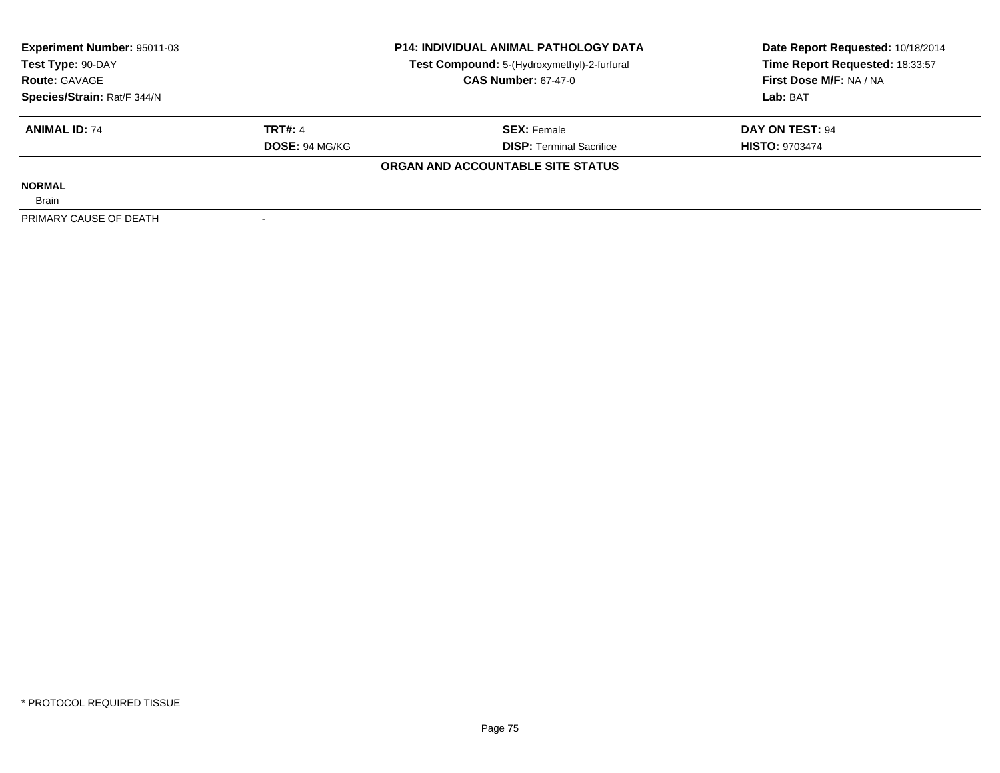| <b>Experiment Number: 95011-03</b><br>Test Type: 90-DAY<br><b>Route: GAVAGE</b><br>Species/Strain: Rat/F 344/N |                | <b>P14: INDIVIDUAL ANIMAL PATHOLOGY DATA</b> | Date Report Requested: 10/18/2014 |  |
|----------------------------------------------------------------------------------------------------------------|----------------|----------------------------------------------|-----------------------------------|--|
|                                                                                                                |                | Test Compound: 5-(Hydroxymethyl)-2-furfural  | Time Report Requested: 18:33:57   |  |
|                                                                                                                |                | <b>CAS Number: 67-47-0</b>                   | First Dose M/F: NA / NA           |  |
|                                                                                                                |                |                                              | Lab: BAT                          |  |
| <b>ANIMAL ID: 74</b>                                                                                           | <b>TRT#: 4</b> | <b>SEX: Female</b>                           | DAY ON TEST: 94                   |  |
|                                                                                                                | DOSE: 94 MG/KG | <b>DISP:</b> Terminal Sacrifice              | <b>HISTO: 9703474</b>             |  |
|                                                                                                                |                | ORGAN AND ACCOUNTABLE SITE STATUS            |                                   |  |
| <b>NORMAL</b>                                                                                                  |                |                                              |                                   |  |
| <b>Brain</b>                                                                                                   |                |                                              |                                   |  |
| PRIMARY CAUSE OF DEATH                                                                                         |                |                                              |                                   |  |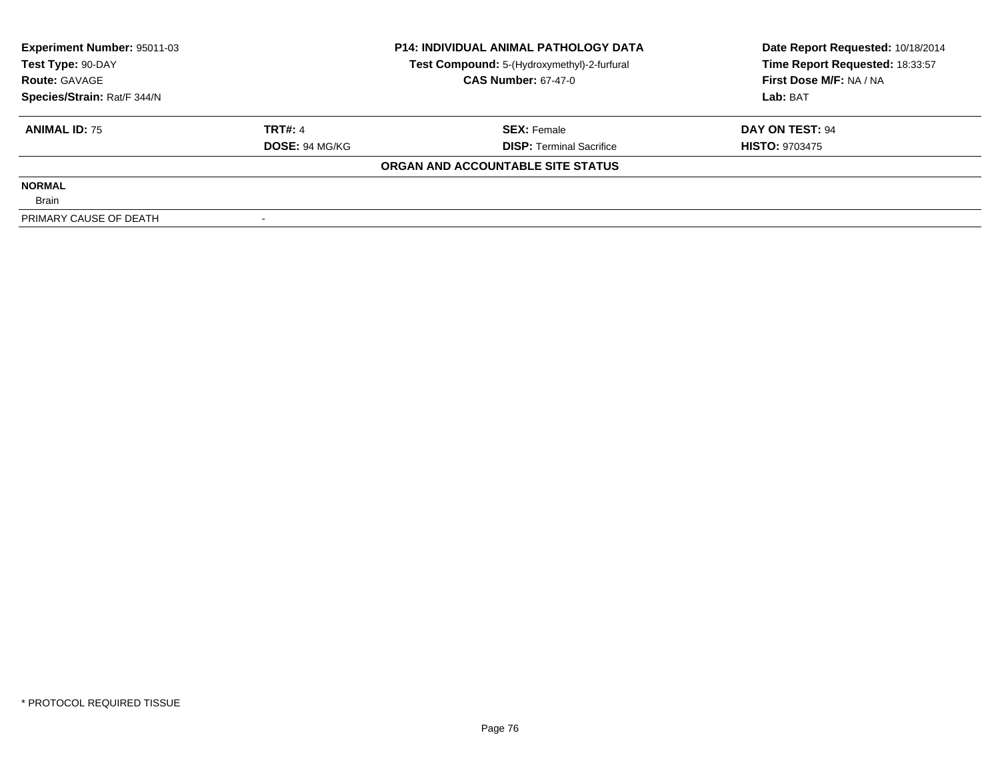| Experiment Number: 95011-03<br>Test Type: 90-DAY<br><b>Route: GAVAGE</b><br>Species/Strain: Rat/F 344/N |                       | <b>P14: INDIVIDUAL ANIMAL PATHOLOGY DATA</b> | Date Report Requested: 10/18/2014 |
|---------------------------------------------------------------------------------------------------------|-----------------------|----------------------------------------------|-----------------------------------|
|                                                                                                         |                       | Test Compound: 5-(Hydroxymethyl)-2-furfural  | Time Report Requested: 18:33:57   |
|                                                                                                         |                       | <b>CAS Number: 67-47-0</b>                   | First Dose M/F: NA / NA           |
|                                                                                                         |                       |                                              | Lab: BAT                          |
| <b>ANIMAL ID: 75</b>                                                                                    | <b>TRT#: 4</b>        | <b>SEX: Female</b>                           | DAY ON TEST: 94                   |
|                                                                                                         | <b>DOSE: 94 MG/KG</b> | <b>DISP:</b> Terminal Sacrifice              | <b>HISTO: 9703475</b>             |
|                                                                                                         |                       | ORGAN AND ACCOUNTABLE SITE STATUS            |                                   |
| <b>NORMAL</b>                                                                                           |                       |                                              |                                   |
| <b>Brain</b>                                                                                            |                       |                                              |                                   |
| PRIMARY CAUSE OF DEATH                                                                                  |                       |                                              |                                   |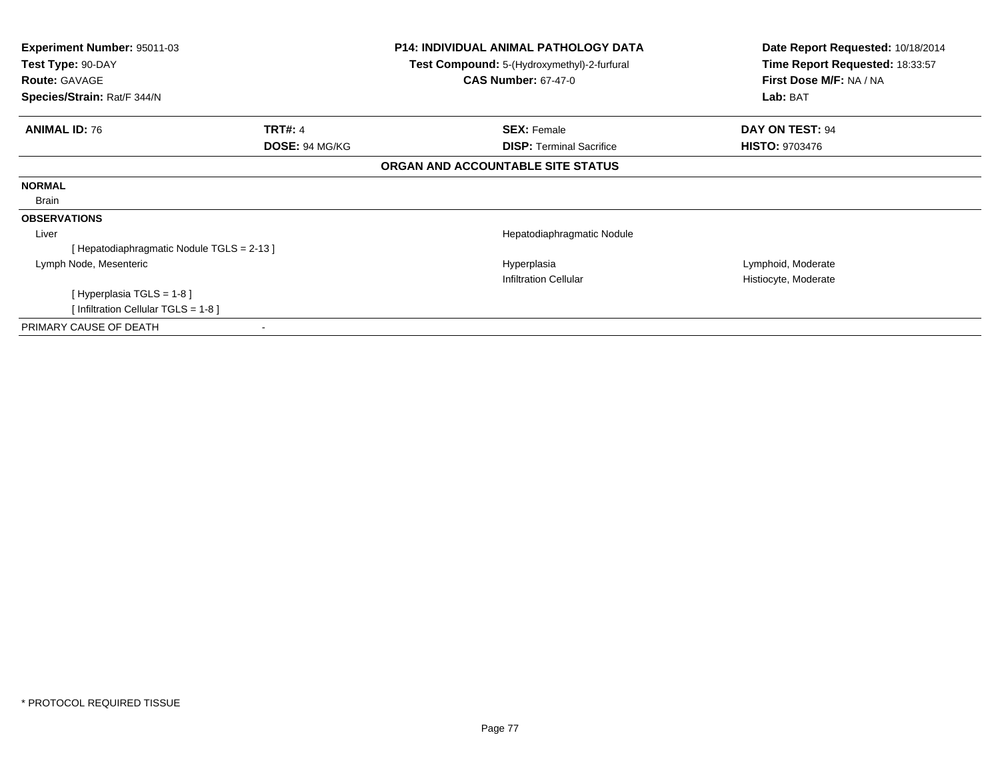| <b>Experiment Number: 95011-03</b><br>Test Type: 90-DAY<br><b>Route: GAVAGE</b><br>Species/Strain: Rat/F 344/N |                | <b>P14: INDIVIDUAL ANIMAL PATHOLOGY DATA</b><br>Test Compound: 5-(Hydroxymethyl)-2-furfural<br><b>CAS Number: 67-47-0</b> | Date Report Requested: 10/18/2014<br>Time Report Requested: 18:33:57<br>First Dose M/F: NA / NA |
|----------------------------------------------------------------------------------------------------------------|----------------|---------------------------------------------------------------------------------------------------------------------------|-------------------------------------------------------------------------------------------------|
|                                                                                                                |                |                                                                                                                           | Lab: BAT                                                                                        |
| <b>ANIMAL ID: 76</b>                                                                                           | <b>TRT#: 4</b> | <b>SEX: Female</b>                                                                                                        | DAY ON TEST: 94                                                                                 |
|                                                                                                                | DOSE: 94 MG/KG | <b>DISP:</b> Terminal Sacrifice                                                                                           | <b>HISTO: 9703476</b>                                                                           |
|                                                                                                                |                | ORGAN AND ACCOUNTABLE SITE STATUS                                                                                         |                                                                                                 |
| <b>NORMAL</b>                                                                                                  |                |                                                                                                                           |                                                                                                 |
| Brain                                                                                                          |                |                                                                                                                           |                                                                                                 |
| <b>OBSERVATIONS</b>                                                                                            |                |                                                                                                                           |                                                                                                 |
| Liver                                                                                                          |                | Hepatodiaphragmatic Nodule                                                                                                |                                                                                                 |
| [Hepatodiaphragmatic Nodule TGLS = 2-13]                                                                       |                |                                                                                                                           |                                                                                                 |
| Lymph Node, Mesenteric                                                                                         |                | Hyperplasia                                                                                                               | Lymphoid, Moderate                                                                              |
|                                                                                                                |                | <b>Infiltration Cellular</b>                                                                                              | Histiocyte, Moderate                                                                            |
| [Hyperplasia TGLS = 1-8]                                                                                       |                |                                                                                                                           |                                                                                                 |
| [Infiltration Cellular TGLS = 1-8]                                                                             |                |                                                                                                                           |                                                                                                 |
| PRIMARY CAUSE OF DEATH                                                                                         |                |                                                                                                                           |                                                                                                 |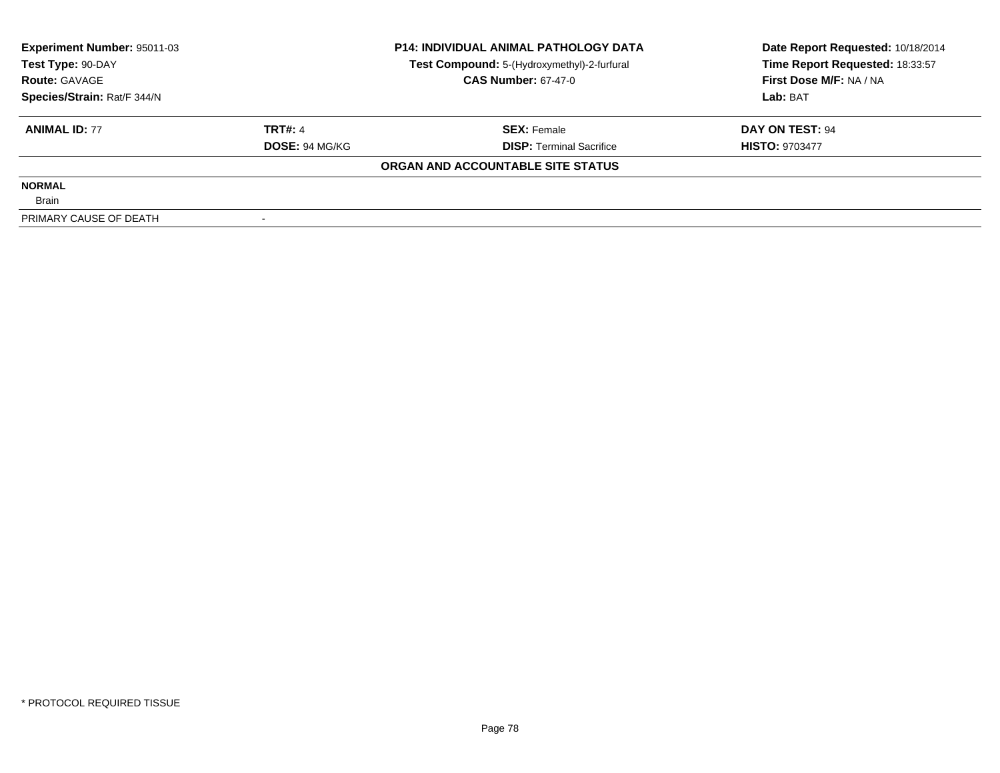| <b>Experiment Number: 95011-03</b><br>Test Type: 90-DAY<br><b>Route: GAVAGE</b><br>Species/Strain: Rat/F 344/N |                       | <b>P14: INDIVIDUAL ANIMAL PATHOLOGY DATA</b> | Date Report Requested: 10/18/2014 |
|----------------------------------------------------------------------------------------------------------------|-----------------------|----------------------------------------------|-----------------------------------|
|                                                                                                                |                       | Test Compound: 5-(Hydroxymethyl)-2-furfural  | Time Report Requested: 18:33:57   |
|                                                                                                                |                       | <b>CAS Number: 67-47-0</b>                   | First Dose M/F: NA / NA           |
|                                                                                                                |                       |                                              | Lab: BAT                          |
| <b>ANIMAL ID: 77</b>                                                                                           | <b>TRT#: 4</b>        | <b>SEX: Female</b>                           | DAY ON TEST: 94                   |
|                                                                                                                | <b>DOSE: 94 MG/KG</b> | <b>DISP: Terminal Sacrifice</b>              | <b>HISTO: 9703477</b>             |
|                                                                                                                |                       | ORGAN AND ACCOUNTABLE SITE STATUS            |                                   |
| <b>NORMAL</b>                                                                                                  |                       |                                              |                                   |
| <b>Brain</b>                                                                                                   |                       |                                              |                                   |
| PRIMARY CAUSE OF DEATH                                                                                         |                       |                                              |                                   |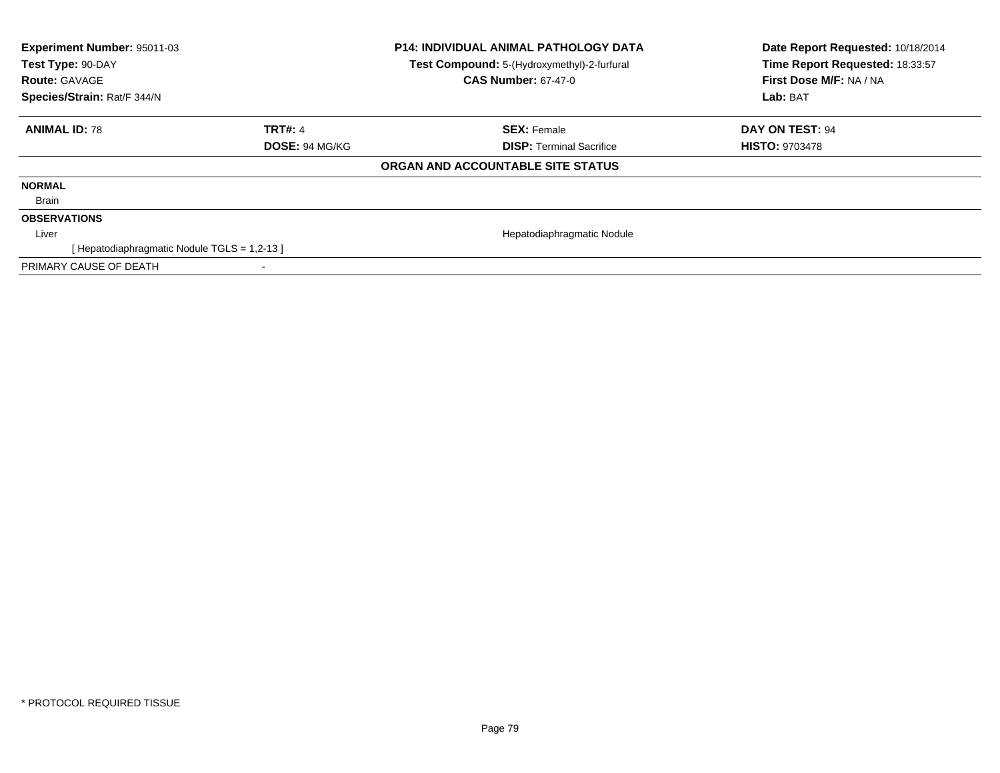| Experiment Number: 95011-03<br>Test Type: 90-DAY<br><b>Route: GAVAGE</b> |                | <b>P14: INDIVIDUAL ANIMAL PATHOLOGY DATA</b><br>Test Compound: 5-(Hydroxymethyl)-2-furfural<br><b>CAS Number: 67-47-0</b> | Date Report Requested: 10/18/2014<br>Time Report Requested: 18:33:57<br>First Dose M/F: NA / NA |  |
|--------------------------------------------------------------------------|----------------|---------------------------------------------------------------------------------------------------------------------------|-------------------------------------------------------------------------------------------------|--|
| Species/Strain: Rat/F 344/N                                              |                |                                                                                                                           | Lab: BAT                                                                                        |  |
| <b>ANIMAL ID: 78</b>                                                     | TRT#: 4        | <b>SEX: Female</b>                                                                                                        | DAY ON TEST: 94                                                                                 |  |
|                                                                          | DOSE: 94 MG/KG | <b>DISP:</b> Terminal Sacrifice                                                                                           | <b>HISTO: 9703478</b>                                                                           |  |
|                                                                          |                | ORGAN AND ACCOUNTABLE SITE STATUS                                                                                         |                                                                                                 |  |
| <b>NORMAL</b>                                                            |                |                                                                                                                           |                                                                                                 |  |
| Brain                                                                    |                |                                                                                                                           |                                                                                                 |  |
| <b>OBSERVATIONS</b>                                                      |                |                                                                                                                           |                                                                                                 |  |
| Liver                                                                    |                | Hepatodiaphragmatic Nodule                                                                                                |                                                                                                 |  |
| [Hepatodiaphragmatic Nodule TGLS = 1,2-13]                               |                |                                                                                                                           |                                                                                                 |  |
| PRIMARY CAUSE OF DEATH                                                   |                |                                                                                                                           |                                                                                                 |  |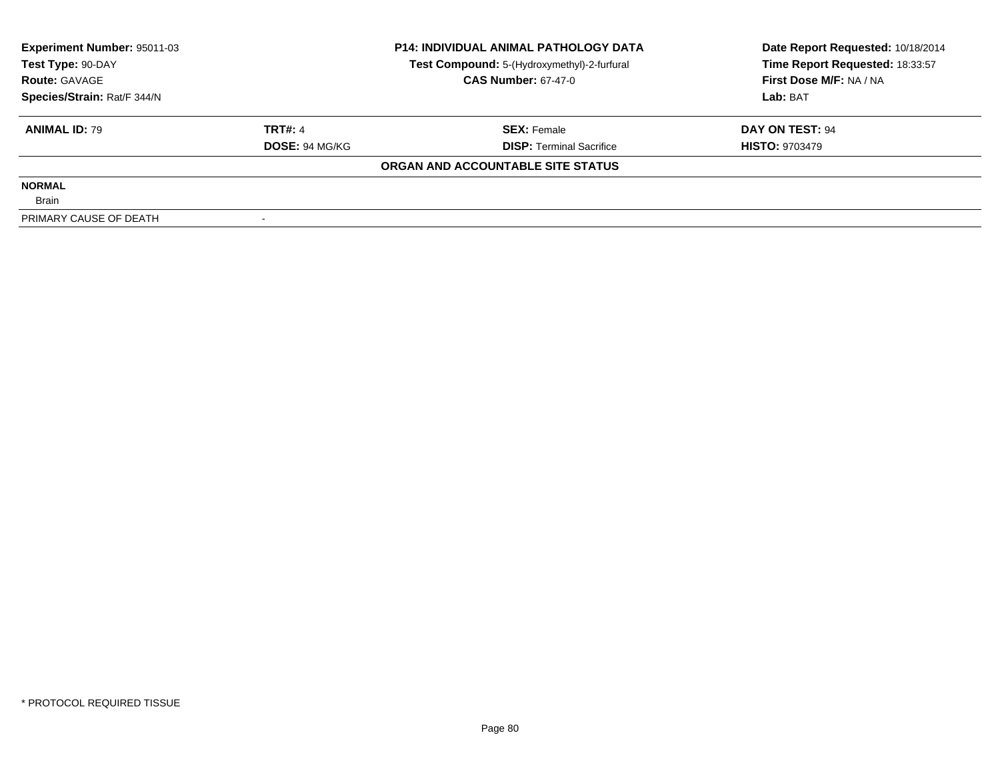| <b>Experiment Number: 95011-03</b><br>Test Type: 90-DAY<br><b>Route: GAVAGE</b> |                       | <b>P14: INDIVIDUAL ANIMAL PATHOLOGY DATA</b> | Date Report Requested: 10/18/2014 |
|---------------------------------------------------------------------------------|-----------------------|----------------------------------------------|-----------------------------------|
|                                                                                 |                       | Test Compound: 5-(Hydroxymethyl)-2-furfural  | Time Report Requested: 18:33:57   |
|                                                                                 |                       | <b>CAS Number: 67-47-0</b>                   | First Dose M/F: NA / NA           |
| Species/Strain: Rat/F 344/N                                                     |                       |                                              | Lab: BAT                          |
| <b>ANIMAL ID: 79</b>                                                            | <b>TRT#: 4</b>        | <b>SEX: Female</b>                           | DAY ON TEST: 94                   |
|                                                                                 | <b>DOSE: 94 MG/KG</b> | <b>DISP:</b> Terminal Sacrifice              | <b>HISTO: 9703479</b>             |
|                                                                                 |                       | ORGAN AND ACCOUNTABLE SITE STATUS            |                                   |
| <b>NORMAL</b>                                                                   |                       |                                              |                                   |
| <b>Brain</b>                                                                    |                       |                                              |                                   |
| PRIMARY CAUSE OF DEATH                                                          |                       |                                              |                                   |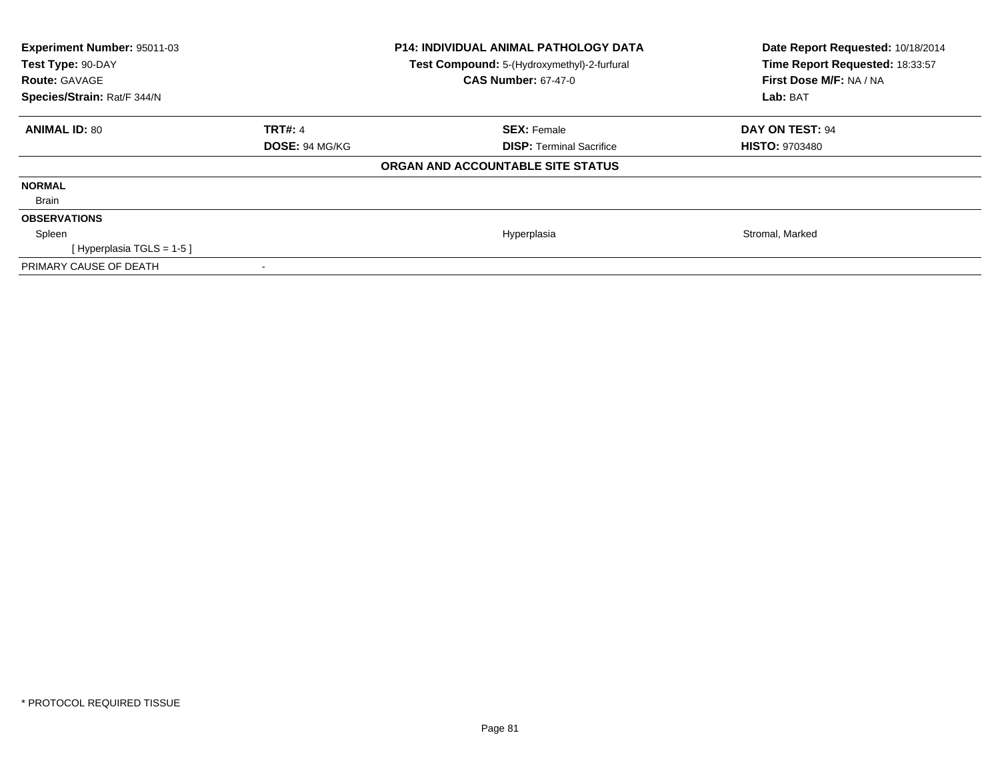| Experiment Number: 95011-03<br>Test Type: 90-DAY<br><b>Route: GAVAGE</b><br>Species/Strain: Rat/F 344/N |                       | <b>P14: INDIVIDUAL ANIMAL PATHOLOGY DATA</b><br>Test Compound: 5-(Hydroxymethyl)-2-furfural<br><b>CAS Number: 67-47-0</b> | Date Report Requested: 10/18/2014<br>Time Report Requested: 18:33:57<br>First Dose M/F: NA / NA<br>Lab: BAT |
|---------------------------------------------------------------------------------------------------------|-----------------------|---------------------------------------------------------------------------------------------------------------------------|-------------------------------------------------------------------------------------------------------------|
| <b>ANIMAL ID: 80</b>                                                                                    | <b>TRT#: 4</b>        | <b>SEX: Female</b>                                                                                                        | DAY ON TEST: 94                                                                                             |
|                                                                                                         | <b>DOSE: 94 MG/KG</b> | <b>DISP:</b> Terminal Sacrifice                                                                                           | <b>HISTO: 9703480</b>                                                                                       |
|                                                                                                         |                       | ORGAN AND ACCOUNTABLE SITE STATUS                                                                                         |                                                                                                             |
| <b>NORMAL</b>                                                                                           |                       |                                                                                                                           |                                                                                                             |
| Brain                                                                                                   |                       |                                                                                                                           |                                                                                                             |
| <b>OBSERVATIONS</b>                                                                                     |                       |                                                                                                                           |                                                                                                             |
| Spleen                                                                                                  |                       | Hyperplasia                                                                                                               | Stromal, Marked                                                                                             |
| [Hyperplasia TGLS = $1-5$ ]                                                                             |                       |                                                                                                                           |                                                                                                             |
| PRIMARY CAUSE OF DEATH                                                                                  |                       |                                                                                                                           |                                                                                                             |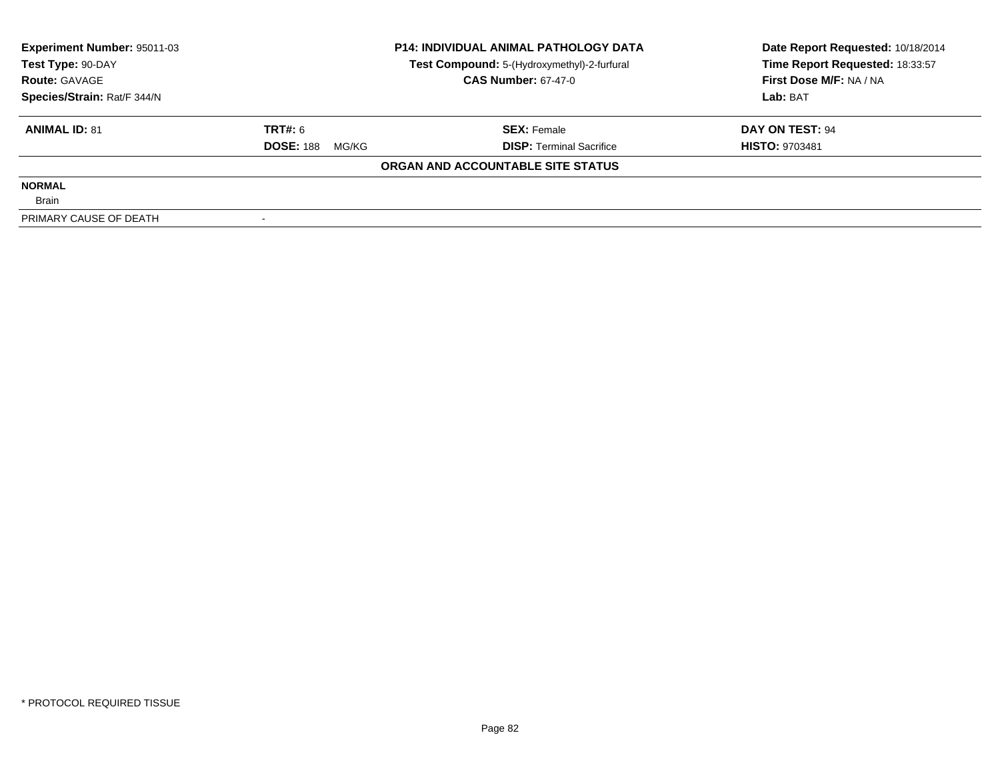| <b>Experiment Number: 95011-03</b> | <b>P14: INDIVIDUAL ANIMAL PATHOLOGY DATA</b> |                                             | Date Report Requested: 10/18/2014 |  |
|------------------------------------|----------------------------------------------|---------------------------------------------|-----------------------------------|--|
| Test Type: 90-DAY                  |                                              | Test Compound: 5-(Hydroxymethyl)-2-furfural | Time Report Requested: 18:33:57   |  |
| <b>Route: GAVAGE</b>               |                                              | <b>CAS Number: 67-47-0</b>                  | First Dose M/F: NA / NA           |  |
| Species/Strain: Rat/F 344/N        |                                              |                                             | Lab: BAT                          |  |
| <b>ANIMAL ID: 81</b>               | TRT#: 6                                      | <b>SEX: Female</b>                          | DAY ON TEST: 94                   |  |
|                                    | <b>DOSE: 188</b><br>MG/KG                    | <b>DISP:</b> Terminal Sacrifice             | <b>HISTO: 9703481</b>             |  |
|                                    |                                              | ORGAN AND ACCOUNTABLE SITE STATUS           |                                   |  |
| <b>NORMAL</b>                      |                                              |                                             |                                   |  |
| <b>Brain</b>                       |                                              |                                             |                                   |  |
| PRIMARY CAUSE OF DEATH             |                                              |                                             |                                   |  |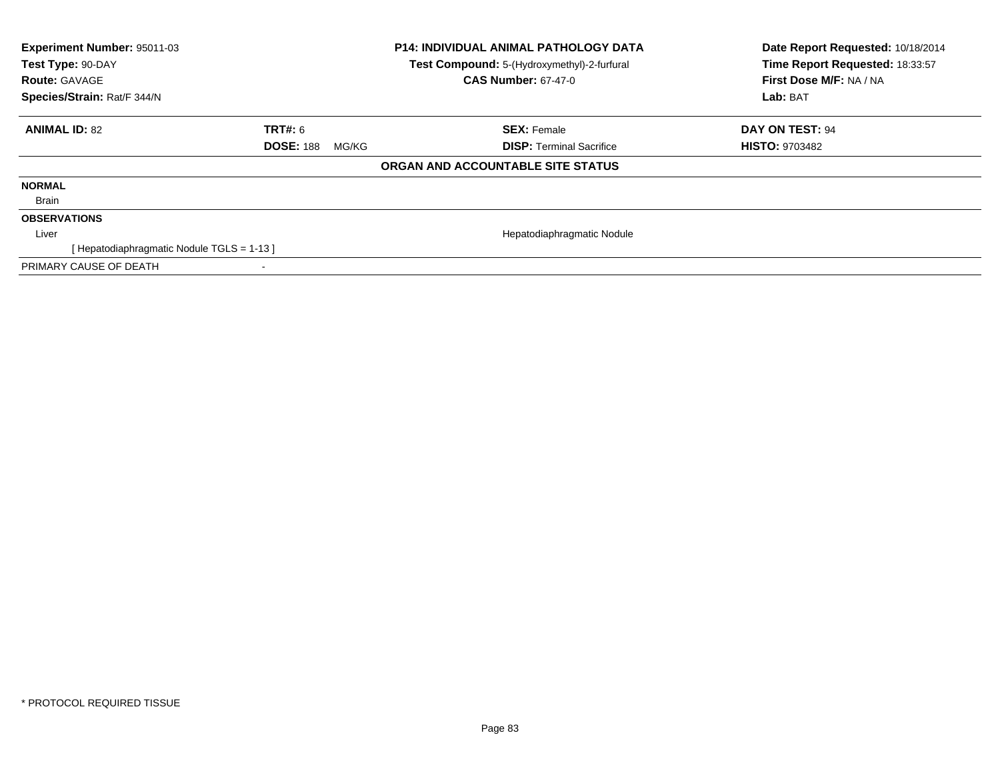| Experiment Number: 95011-03<br>Test Type: 90-DAY<br><b>Route: GAVAGE</b><br>Species/Strain: Rat/F 344/N |                           | <b>P14: INDIVIDUAL ANIMAL PATHOLOGY DATA</b><br>Test Compound: 5-(Hydroxymethyl)-2-furfural<br><b>CAS Number: 67-47-0</b> | Date Report Requested: 10/18/2014<br>Time Report Requested: 18:33:57<br>First Dose M/F: NA / NA<br>Lab: BAT |
|---------------------------------------------------------------------------------------------------------|---------------------------|---------------------------------------------------------------------------------------------------------------------------|-------------------------------------------------------------------------------------------------------------|
| <b>ANIMAL ID: 82</b>                                                                                    | TRT#: 6                   | <b>SEX: Female</b>                                                                                                        | <b>DAY ON TEST: 94</b>                                                                                      |
|                                                                                                         | <b>DOSE: 188</b><br>MG/KG | <b>DISP:</b> Terminal Sacrifice                                                                                           | <b>HISTO: 9703482</b>                                                                                       |
|                                                                                                         |                           | ORGAN AND ACCOUNTABLE SITE STATUS                                                                                         |                                                                                                             |
| <b>NORMAL</b>                                                                                           |                           |                                                                                                                           |                                                                                                             |
| Brain                                                                                                   |                           |                                                                                                                           |                                                                                                             |
| <b>OBSERVATIONS</b>                                                                                     |                           |                                                                                                                           |                                                                                                             |
| Liver                                                                                                   |                           | Hepatodiaphragmatic Nodule                                                                                                |                                                                                                             |
| [Hepatodiaphragmatic Nodule TGLS = 1-13]                                                                |                           |                                                                                                                           |                                                                                                             |
| PRIMARY CAUSE OF DEATH                                                                                  |                           |                                                                                                                           |                                                                                                             |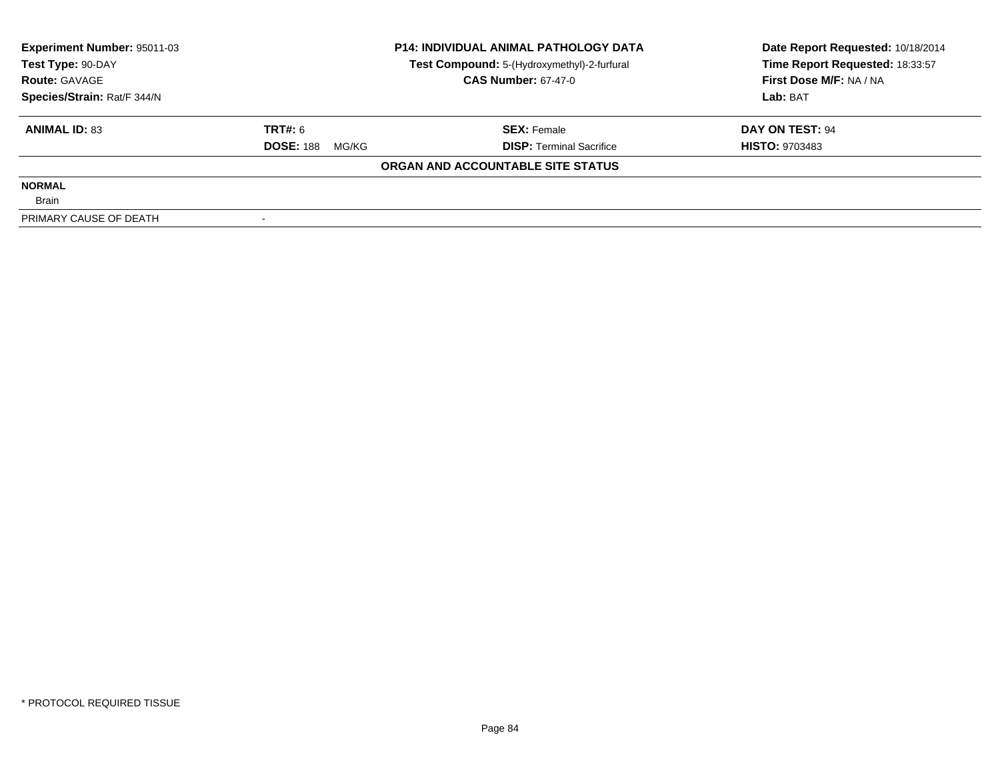| Experiment Number: 95011-03 |                           | <b>P14: INDIVIDUAL ANIMAL PATHOLOGY DATA</b> | Date Report Requested: 10/18/2014 |  |
|-----------------------------|---------------------------|----------------------------------------------|-----------------------------------|--|
| Test Type: 90-DAY           |                           | Test Compound: 5-(Hydroxymethyl)-2-furfural  | Time Report Requested: 18:33:57   |  |
| <b>Route: GAVAGE</b>        |                           | <b>CAS Number: 67-47-0</b>                   | First Dose M/F: NA / NA           |  |
| Species/Strain: Rat/F 344/N |                           |                                              | Lab: BAT                          |  |
| <b>ANIMAL ID: 83</b>        | TRT#: 6                   | <b>SEX: Female</b>                           | DAY ON TEST: 94                   |  |
|                             | <b>DOSE: 188</b><br>MG/KG | <b>DISP:</b> Terminal Sacrifice              | <b>HISTO: 9703483</b>             |  |
|                             |                           | ORGAN AND ACCOUNTABLE SITE STATUS            |                                   |  |
| <b>NORMAL</b>               |                           |                                              |                                   |  |
| <b>Brain</b>                |                           |                                              |                                   |  |
| PRIMARY CAUSE OF DEATH      |                           |                                              |                                   |  |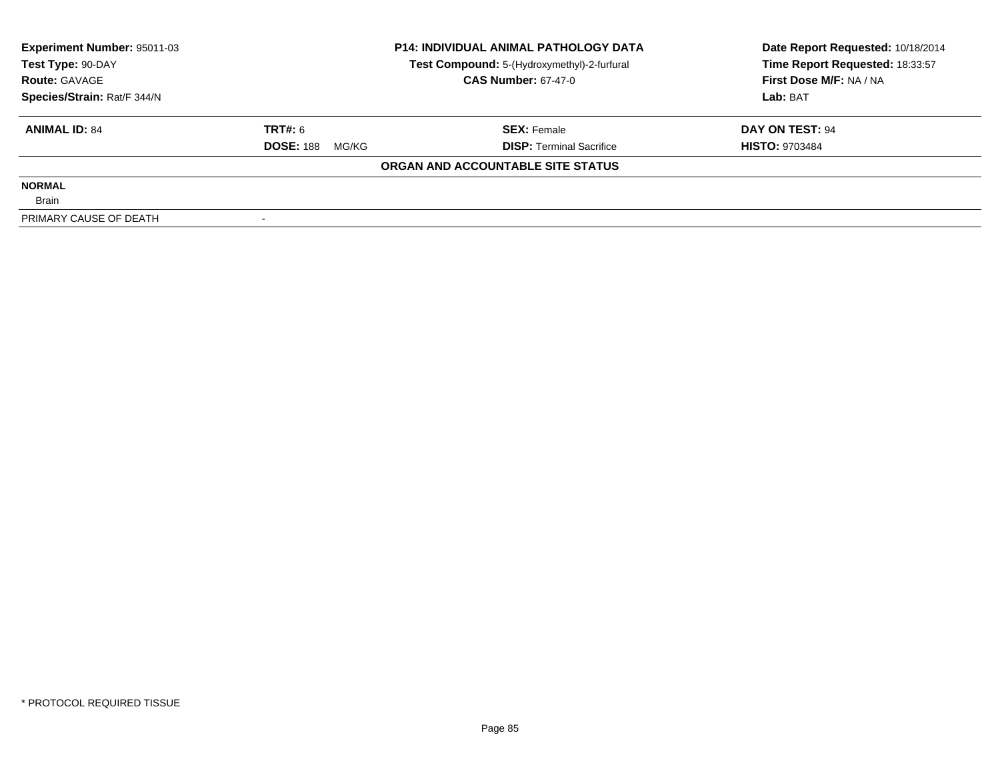| Experiment Number: 95011-03 |                           | <b>P14: INDIVIDUAL ANIMAL PATHOLOGY DATA</b> | Date Report Requested: 10/18/2014 |  |
|-----------------------------|---------------------------|----------------------------------------------|-----------------------------------|--|
| Test Type: 90-DAY           |                           | Test Compound: 5-(Hydroxymethyl)-2-furfural  | Time Report Requested: 18:33:57   |  |
| <b>Route: GAVAGE</b>        |                           | <b>CAS Number: 67-47-0</b>                   | First Dose M/F: NA / NA           |  |
| Species/Strain: Rat/F 344/N |                           |                                              | Lab: BAT                          |  |
| <b>ANIMAL ID: 84</b>        | TRT#: 6                   | <b>SEX: Female</b>                           | DAY ON TEST: 94                   |  |
|                             | <b>DOSE: 188</b><br>MG/KG | <b>DISP:</b> Terminal Sacrifice              | <b>HISTO: 9703484</b>             |  |
|                             |                           | ORGAN AND ACCOUNTABLE SITE STATUS            |                                   |  |
| <b>NORMAL</b>               |                           |                                              |                                   |  |
| <b>Brain</b>                |                           |                                              |                                   |  |
| PRIMARY CAUSE OF DEATH      |                           |                                              |                                   |  |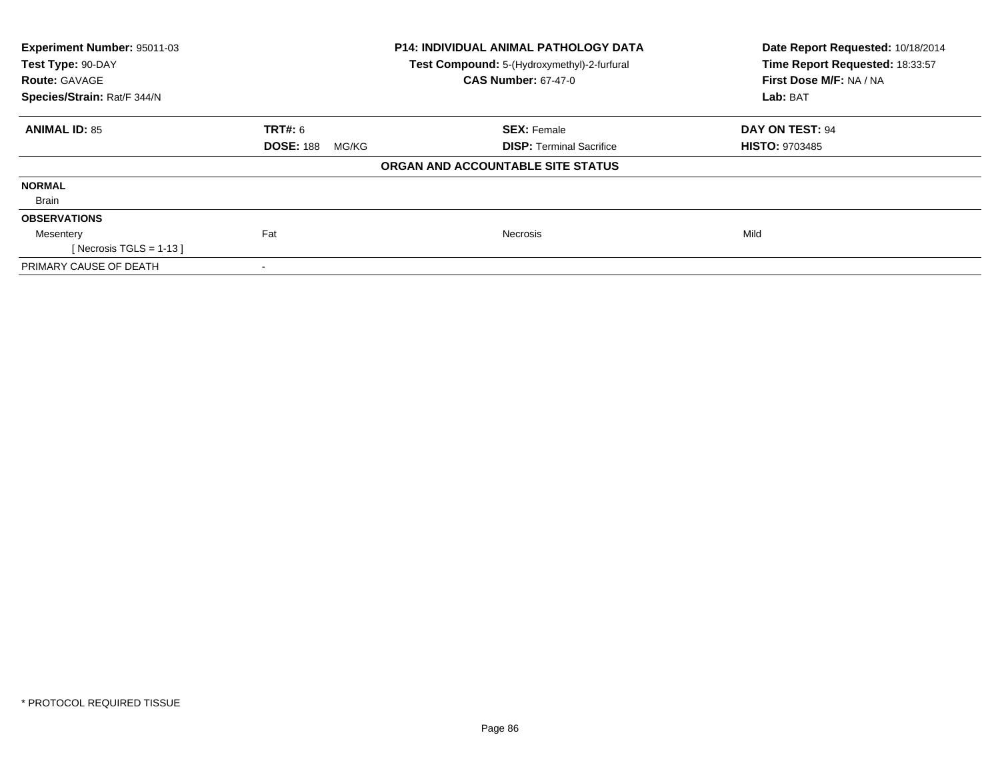| Experiment Number: 95011-03<br>Test Type: 90-DAY<br><b>Route: GAVAGE</b> |                           | <b>P14: INDIVIDUAL ANIMAL PATHOLOGY DATA</b><br>Test Compound: 5-(Hydroxymethyl)-2-furfural<br><b>CAS Number: 67-47-0</b> | Date Report Requested: 10/18/2014<br>Time Report Requested: 18:33:57<br>First Dose M/F: NA / NA |  |
|--------------------------------------------------------------------------|---------------------------|---------------------------------------------------------------------------------------------------------------------------|-------------------------------------------------------------------------------------------------|--|
| Species/Strain: Rat/F 344/N                                              |                           |                                                                                                                           | Lab: BAT                                                                                        |  |
| <b>ANIMAL ID: 85</b>                                                     | <b>TRT#: 6</b>            | <b>SEX: Female</b>                                                                                                        | DAY ON TEST: 94                                                                                 |  |
|                                                                          | <b>DOSE: 188</b><br>MG/KG | <b>DISP:</b> Terminal Sacrifice                                                                                           | <b>HISTO: 9703485</b>                                                                           |  |
|                                                                          |                           | ORGAN AND ACCOUNTABLE SITE STATUS                                                                                         |                                                                                                 |  |
| <b>NORMAL</b>                                                            |                           |                                                                                                                           |                                                                                                 |  |
| Brain                                                                    |                           |                                                                                                                           |                                                                                                 |  |
| <b>OBSERVATIONS</b>                                                      |                           |                                                                                                                           |                                                                                                 |  |
| Mesentery                                                                | Fat                       | <b>Necrosis</b>                                                                                                           | Mild                                                                                            |  |
| [Necrosis TGLS = $1-13$ ]                                                |                           |                                                                                                                           |                                                                                                 |  |
| PRIMARY CAUSE OF DEATH                                                   | ۰                         |                                                                                                                           |                                                                                                 |  |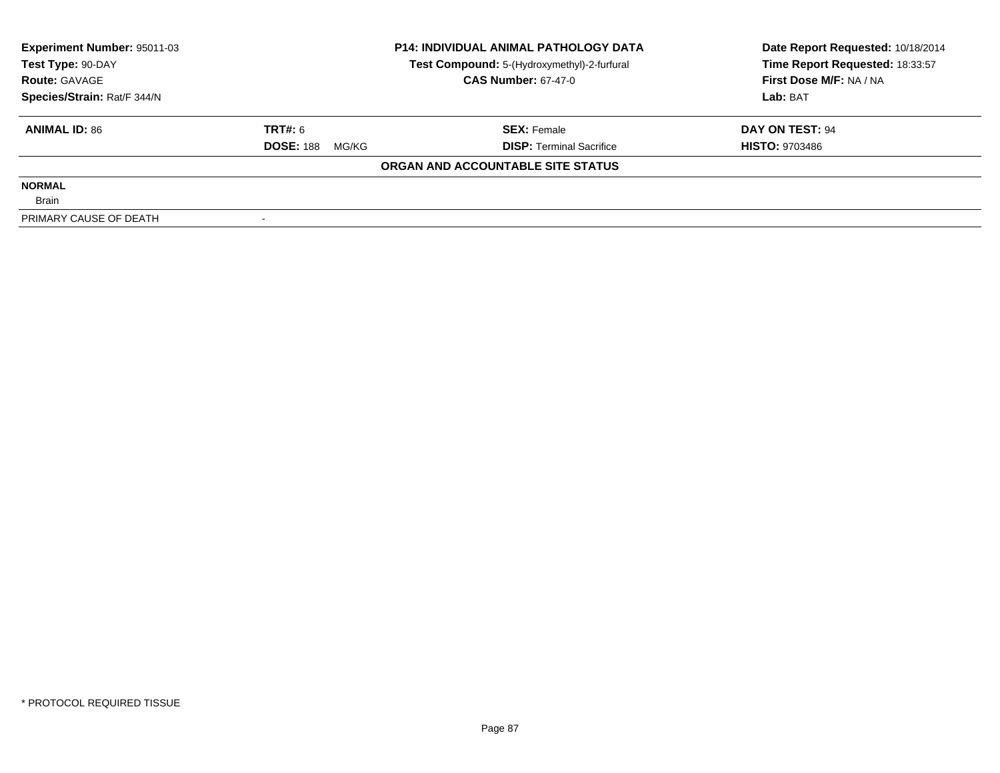| Experiment Number: 95011-03 | <b>P14: INDIVIDUAL ANIMAL PATHOLOGY DATA</b> |                                             | Date Report Requested: 10/18/2014 |  |
|-----------------------------|----------------------------------------------|---------------------------------------------|-----------------------------------|--|
| Test Type: 90-DAY           |                                              | Test Compound: 5-(Hydroxymethyl)-2-furfural | Time Report Requested: 18:33:57   |  |
| <b>Route: GAVAGE</b>        |                                              | <b>CAS Number: 67-47-0</b>                  | First Dose M/F: NA / NA           |  |
| Species/Strain: Rat/F 344/N |                                              |                                             | Lab: BAT                          |  |
| <b>ANIMAL ID: 86</b>        | TRT#: 6                                      | <b>SEX: Female</b>                          | DAY ON TEST: 94                   |  |
|                             | <b>DOSE: 188</b><br>MG/KG                    | <b>DISP:</b> Terminal Sacrifice             | <b>HISTO: 9703486</b>             |  |
|                             |                                              | ORGAN AND ACCOUNTABLE SITE STATUS           |                                   |  |
| <b>NORMAL</b>               |                                              |                                             |                                   |  |
| <b>Brain</b>                |                                              |                                             |                                   |  |
| PRIMARY CAUSE OF DEATH      |                                              |                                             |                                   |  |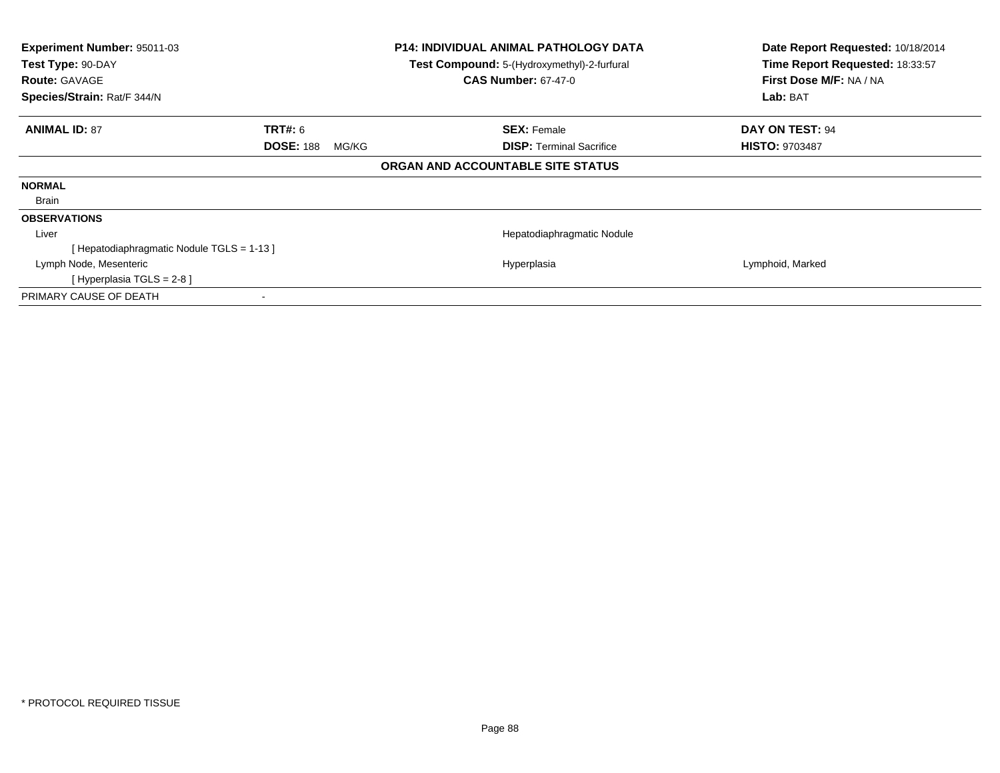| Experiment Number: 95011-03<br>Test Type: 90-DAY<br><b>Route: GAVAGE</b><br>Species/Strain: Rat/F 344/N |                                             | <b>P14: INDIVIDUAL ANIMAL PATHOLOGY DATA</b><br>Test Compound: 5-(Hydroxymethyl)-2-furfural<br><b>CAS Number: 67-47-0</b> | Date Report Requested: 10/18/2014<br>Time Report Requested: 18:33:57<br>First Dose M/F: NA / NA<br>Lab: BAT |
|---------------------------------------------------------------------------------------------------------|---------------------------------------------|---------------------------------------------------------------------------------------------------------------------------|-------------------------------------------------------------------------------------------------------------|
| <b>ANIMAL ID: 87</b>                                                                                    | <b>TRT#: 6</b><br><b>DOSE: 188</b><br>MG/KG | <b>SEX: Female</b><br><b>DISP:</b> Terminal Sacrifice                                                                     | <b>DAY ON TEST: 94</b><br><b>HISTO: 9703487</b>                                                             |
|                                                                                                         |                                             | ORGAN AND ACCOUNTABLE SITE STATUS                                                                                         |                                                                                                             |
| <b>NORMAL</b>                                                                                           |                                             |                                                                                                                           |                                                                                                             |
| Brain                                                                                                   |                                             |                                                                                                                           |                                                                                                             |
| <b>OBSERVATIONS</b>                                                                                     |                                             |                                                                                                                           |                                                                                                             |
| Liver                                                                                                   |                                             | Hepatodiaphragmatic Nodule                                                                                                |                                                                                                             |
| [Hepatodiaphragmatic Nodule TGLS = 1-13]                                                                |                                             |                                                                                                                           |                                                                                                             |
| Lymph Node, Mesenteric                                                                                  |                                             | Hyperplasia                                                                                                               | Lymphoid, Marked                                                                                            |
| [ Hyperplasia TGLS = 2-8 ]                                                                              |                                             |                                                                                                                           |                                                                                                             |
| PRIMARY CAUSE OF DEATH                                                                                  | ۰                                           |                                                                                                                           |                                                                                                             |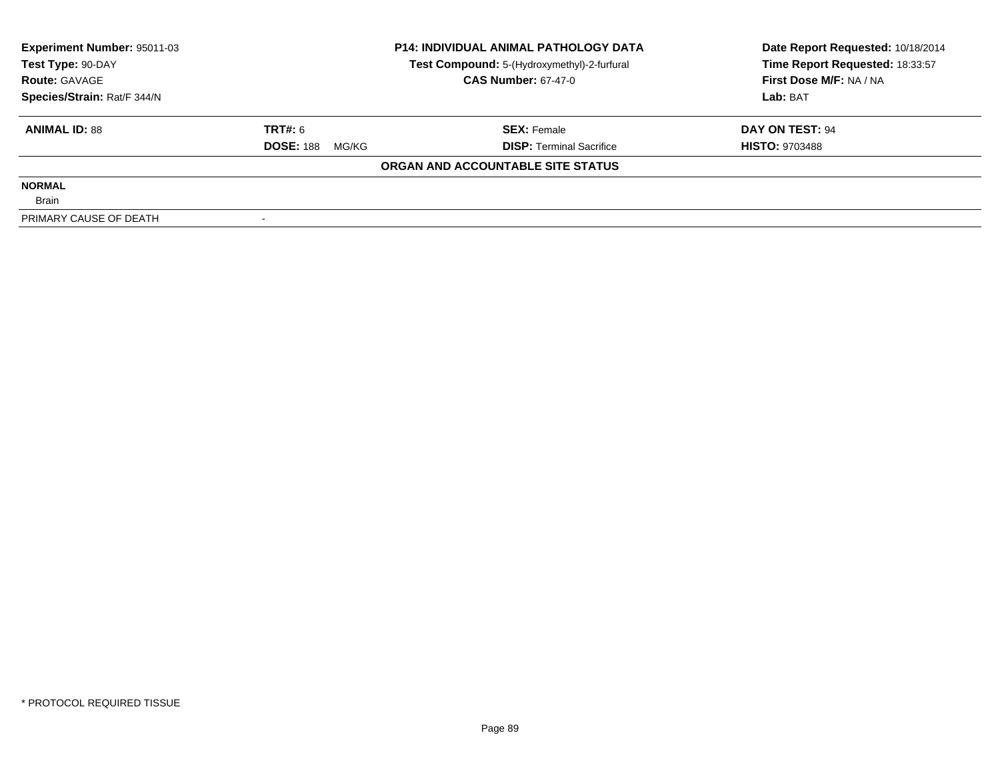| Experiment Number: 95011-03 |                           | <b>P14: INDIVIDUAL ANIMAL PATHOLOGY DATA</b> | Date Report Requested: 10/18/2014 |  |
|-----------------------------|---------------------------|----------------------------------------------|-----------------------------------|--|
| Test Type: 90-DAY           |                           | Test Compound: 5-(Hydroxymethyl)-2-furfural  | Time Report Requested: 18:33:57   |  |
| <b>Route: GAVAGE</b>        |                           | <b>CAS Number: 67-47-0</b>                   | First Dose M/F: NA / NA           |  |
| Species/Strain: Rat/F 344/N |                           |                                              | Lab: BAT                          |  |
| <b>ANIMAL ID: 88</b>        | TRT#: 6                   | <b>SEX: Female</b>                           | DAY ON TEST: 94                   |  |
|                             | <b>DOSE: 188</b><br>MG/KG | <b>DISP:</b> Terminal Sacrifice              | <b>HISTO: 9703488</b>             |  |
|                             |                           | ORGAN AND ACCOUNTABLE SITE STATUS            |                                   |  |
| <b>NORMAL</b>               |                           |                                              |                                   |  |
| <b>Brain</b>                |                           |                                              |                                   |  |
| PRIMARY CAUSE OF DEATH      |                           |                                              |                                   |  |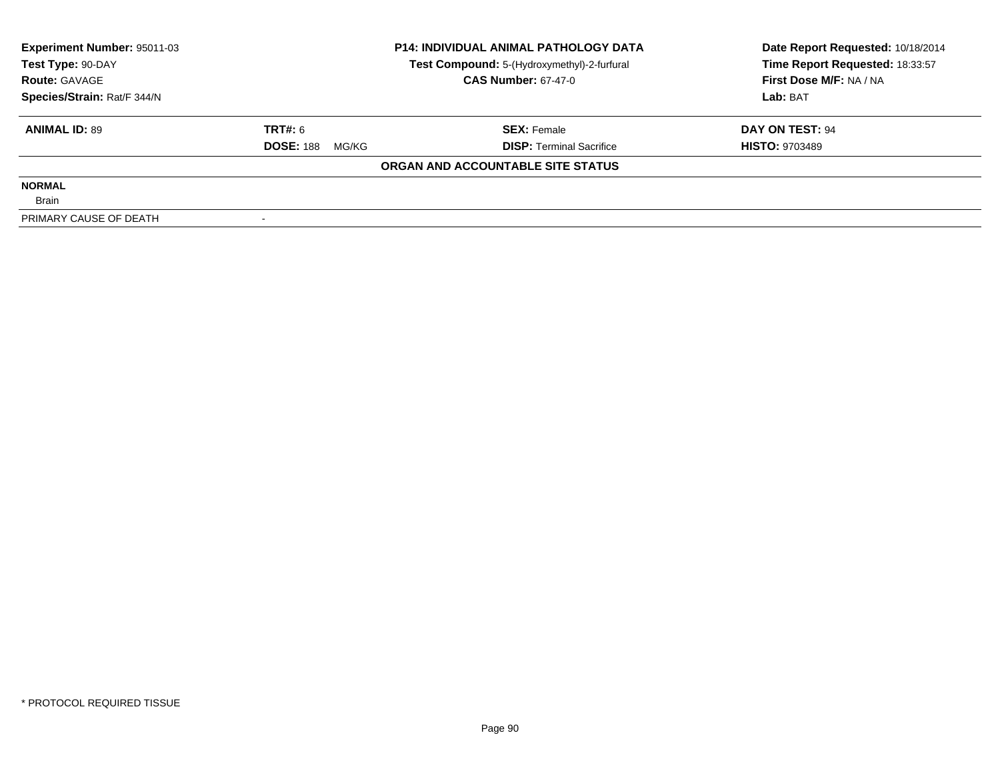| Experiment Number: 95011-03 |                           | <b>P14: INDIVIDUAL ANIMAL PATHOLOGY DATA</b> | Date Report Requested: 10/18/2014 |  |
|-----------------------------|---------------------------|----------------------------------------------|-----------------------------------|--|
| Test Type: 90-DAY           |                           | Test Compound: 5-(Hydroxymethyl)-2-furfural  | Time Report Requested: 18:33:57   |  |
| <b>Route: GAVAGE</b>        |                           | <b>CAS Number: 67-47-0</b>                   | First Dose M/F: NA / NA           |  |
| Species/Strain: Rat/F 344/N |                           |                                              | Lab: BAT                          |  |
| <b>ANIMAL ID: 89</b>        | TRT#: 6                   | <b>SEX: Female</b>                           | DAY ON TEST: 94                   |  |
|                             | <b>DOSE: 188</b><br>MG/KG | <b>DISP:</b> Terminal Sacrifice              | <b>HISTO: 9703489</b>             |  |
|                             |                           | ORGAN AND ACCOUNTABLE SITE STATUS            |                                   |  |
| <b>NORMAL</b>               |                           |                                              |                                   |  |
| <b>Brain</b>                |                           |                                              |                                   |  |
| PRIMARY CAUSE OF DEATH      |                           |                                              |                                   |  |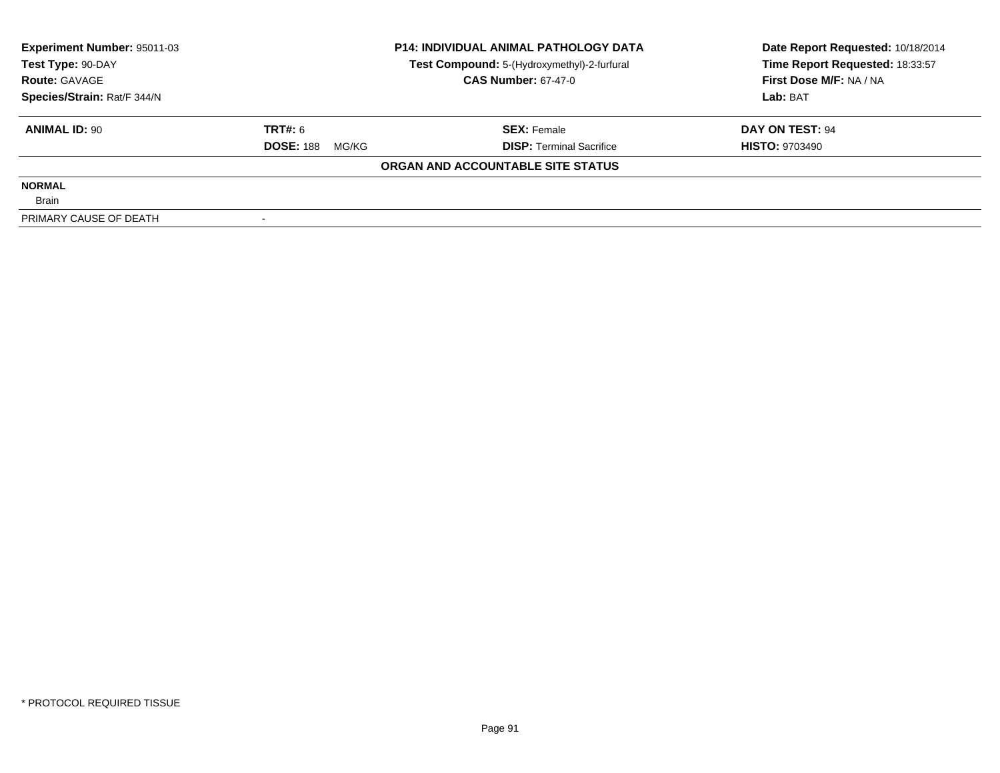| <b>Experiment Number: 95011-03</b> |                           | <b>P14: INDIVIDUAL ANIMAL PATHOLOGY DATA</b> | Date Report Requested: 10/18/2014 |  |
|------------------------------------|---------------------------|----------------------------------------------|-----------------------------------|--|
| Test Type: 90-DAY                  |                           | Test Compound: 5-(Hydroxymethyl)-2-furfural  | Time Report Requested: 18:33:57   |  |
| <b>Route: GAVAGE</b>               |                           | <b>CAS Number: 67-47-0</b>                   | First Dose M/F: NA / NA           |  |
| Species/Strain: Rat/F 344/N        |                           |                                              | Lab: BAT                          |  |
| <b>ANIMAL ID: 90</b>               | TRT#: 6                   | <b>SEX: Female</b>                           | DAY ON TEST: 94                   |  |
|                                    | <b>DOSE: 188</b><br>MG/KG | <b>DISP:</b> Terminal Sacrifice              | <b>HISTO: 9703490</b>             |  |
|                                    |                           | ORGAN AND ACCOUNTABLE SITE STATUS            |                                   |  |
| <b>NORMAL</b>                      |                           |                                              |                                   |  |
| <b>Brain</b>                       |                           |                                              |                                   |  |
| PRIMARY CAUSE OF DEATH             |                           |                                              |                                   |  |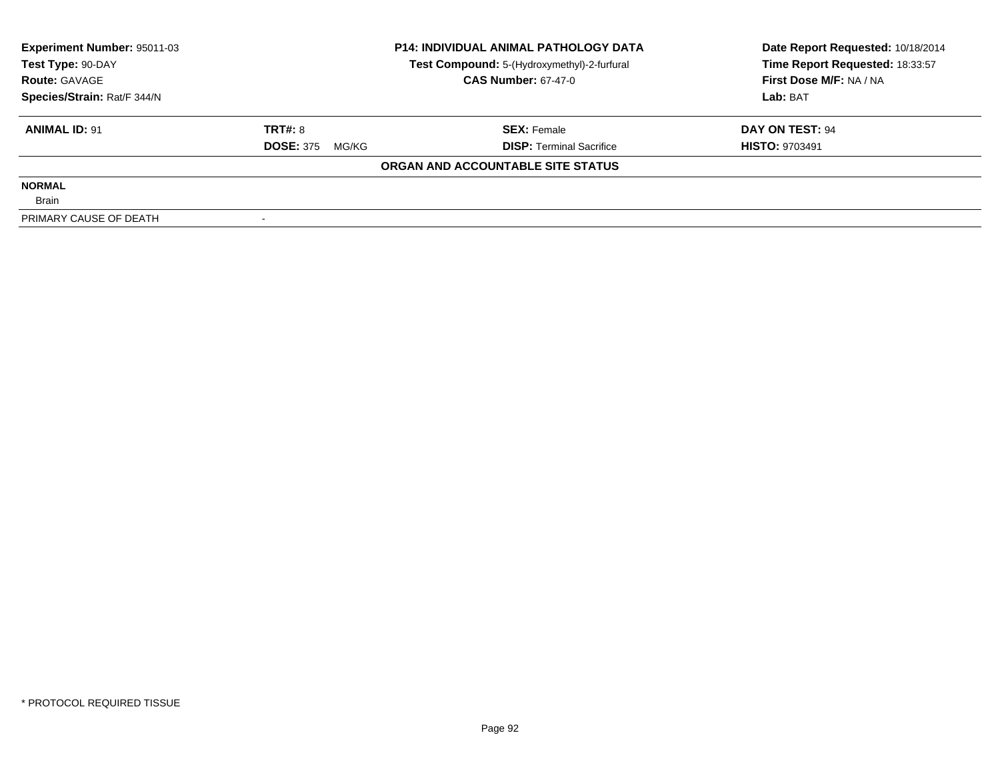| <b>Experiment Number: 95011-03</b> | <b>P14: INDIVIDUAL ANIMAL PATHOLOGY DATA</b> |                                             | Date Report Requested: 10/18/2014 |  |
|------------------------------------|----------------------------------------------|---------------------------------------------|-----------------------------------|--|
| Test Type: 90-DAY                  |                                              | Test Compound: 5-(Hydroxymethyl)-2-furfural | Time Report Requested: 18:33:57   |  |
| <b>Route: GAVAGE</b>               |                                              | <b>CAS Number: 67-47-0</b>                  | First Dose M/F: NA / NA           |  |
| Species/Strain: Rat/F 344/N        |                                              |                                             | Lab: BAT                          |  |
| <b>ANIMAL ID: 91</b>               | TRT#: 8                                      | <b>SEX: Female</b>                          | DAY ON TEST: 94                   |  |
|                                    | <b>DOSE: 375</b><br>MG/KG                    | <b>DISP:</b> Terminal Sacrifice             | <b>HISTO: 9703491</b>             |  |
|                                    |                                              | ORGAN AND ACCOUNTABLE SITE STATUS           |                                   |  |
| <b>NORMAL</b>                      |                                              |                                             |                                   |  |
| <b>Brain</b>                       |                                              |                                             |                                   |  |
| PRIMARY CAUSE OF DEATH             |                                              |                                             |                                   |  |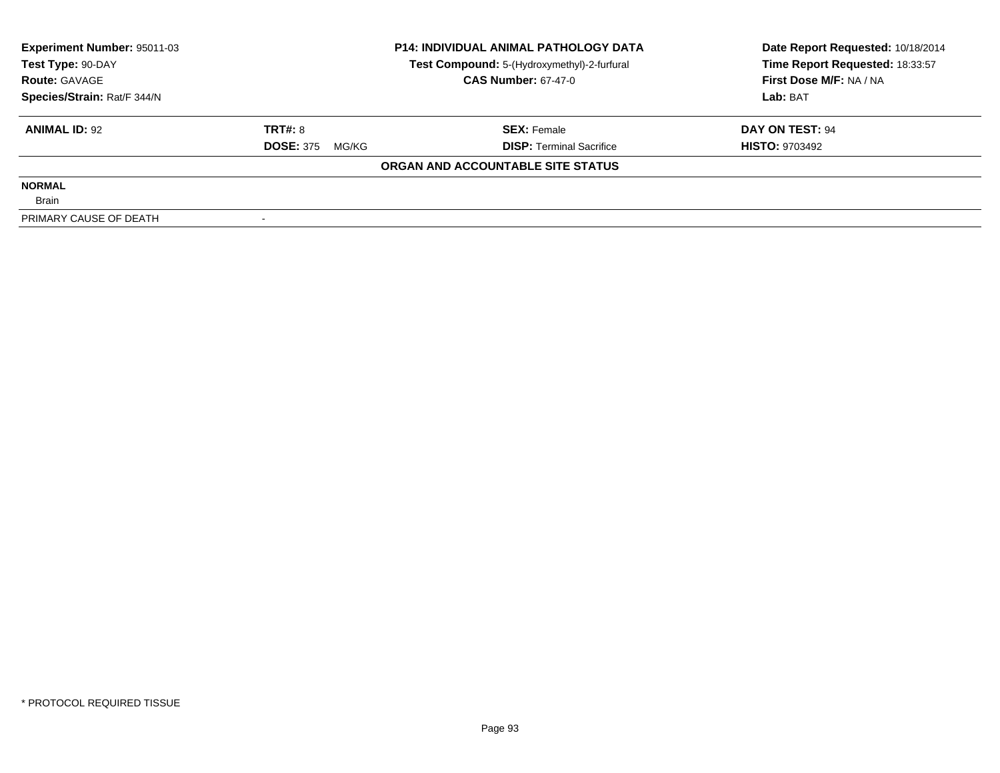| <b>Experiment Number: 95011-03</b> | <b>P14: INDIVIDUAL ANIMAL PATHOLOGY DATA</b> |                                             | Date Report Requested: 10/18/2014 |  |
|------------------------------------|----------------------------------------------|---------------------------------------------|-----------------------------------|--|
| Test Type: 90-DAY                  |                                              | Test Compound: 5-(Hydroxymethyl)-2-furfural | Time Report Requested: 18:33:57   |  |
| <b>Route: GAVAGE</b>               |                                              | <b>CAS Number: 67-47-0</b>                  | First Dose M/F: NA / NA           |  |
| Species/Strain: Rat/F 344/N        |                                              |                                             | Lab: BAT                          |  |
| <b>ANIMAL ID: 92</b>               | TRT#: 8                                      | <b>SEX: Female</b>                          | DAY ON TEST: 94                   |  |
|                                    | <b>DOSE: 375</b><br>MG/KG                    | <b>DISP:</b> Terminal Sacrifice             | <b>HISTO: 9703492</b>             |  |
|                                    |                                              | ORGAN AND ACCOUNTABLE SITE STATUS           |                                   |  |
| <b>NORMAL</b>                      |                                              |                                             |                                   |  |
| <b>Brain</b>                       |                                              |                                             |                                   |  |
| PRIMARY CAUSE OF DEATH             |                                              |                                             |                                   |  |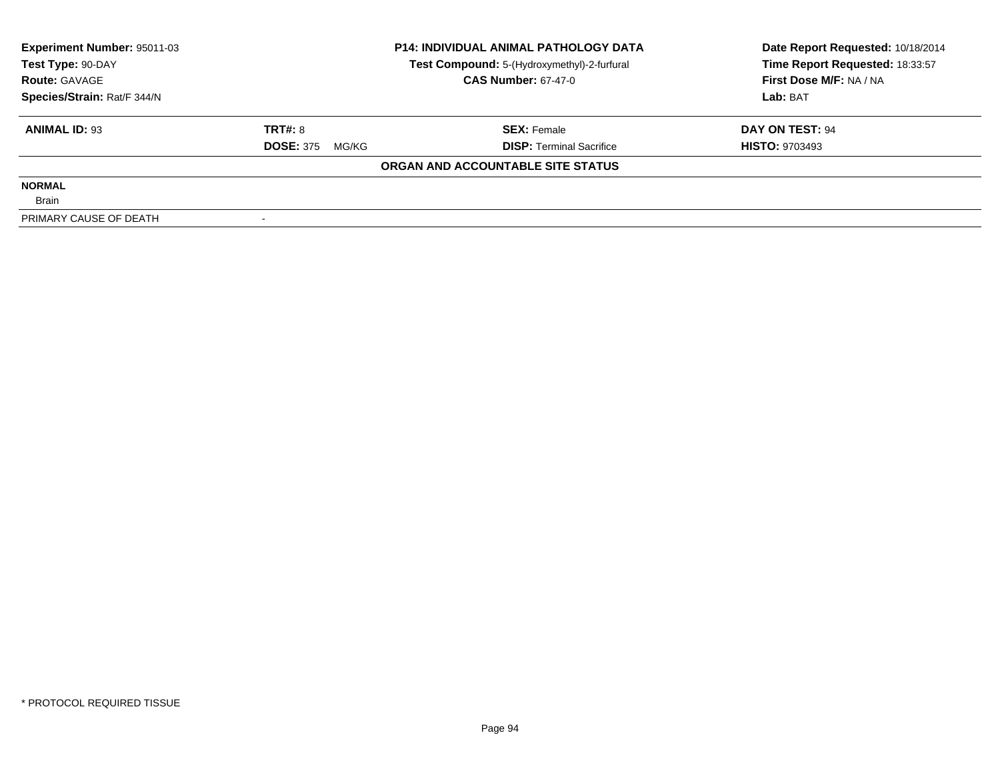| <b>Experiment Number: 95011-03</b> | <b>P14: INDIVIDUAL ANIMAL PATHOLOGY DATA</b> |                                             | Date Report Requested: 10/18/2014 |  |
|------------------------------------|----------------------------------------------|---------------------------------------------|-----------------------------------|--|
| Test Type: 90-DAY                  |                                              | Test Compound: 5-(Hydroxymethyl)-2-furfural | Time Report Requested: 18:33:57   |  |
| <b>Route: GAVAGE</b>               |                                              | <b>CAS Number: 67-47-0</b>                  | First Dose M/F: NA / NA           |  |
| Species/Strain: Rat/F 344/N        |                                              |                                             | Lab: BAT                          |  |
| <b>ANIMAL ID: 93</b>               | TRT#: 8                                      | <b>SEX: Female</b>                          | DAY ON TEST: 94                   |  |
|                                    | <b>DOSE: 375</b><br>MG/KG                    | <b>DISP:</b> Terminal Sacrifice             | <b>HISTO: 9703493</b>             |  |
|                                    |                                              | ORGAN AND ACCOUNTABLE SITE STATUS           |                                   |  |
| <b>NORMAL</b>                      |                                              |                                             |                                   |  |
| <b>Brain</b>                       |                                              |                                             |                                   |  |
| PRIMARY CAUSE OF DEATH             |                                              |                                             |                                   |  |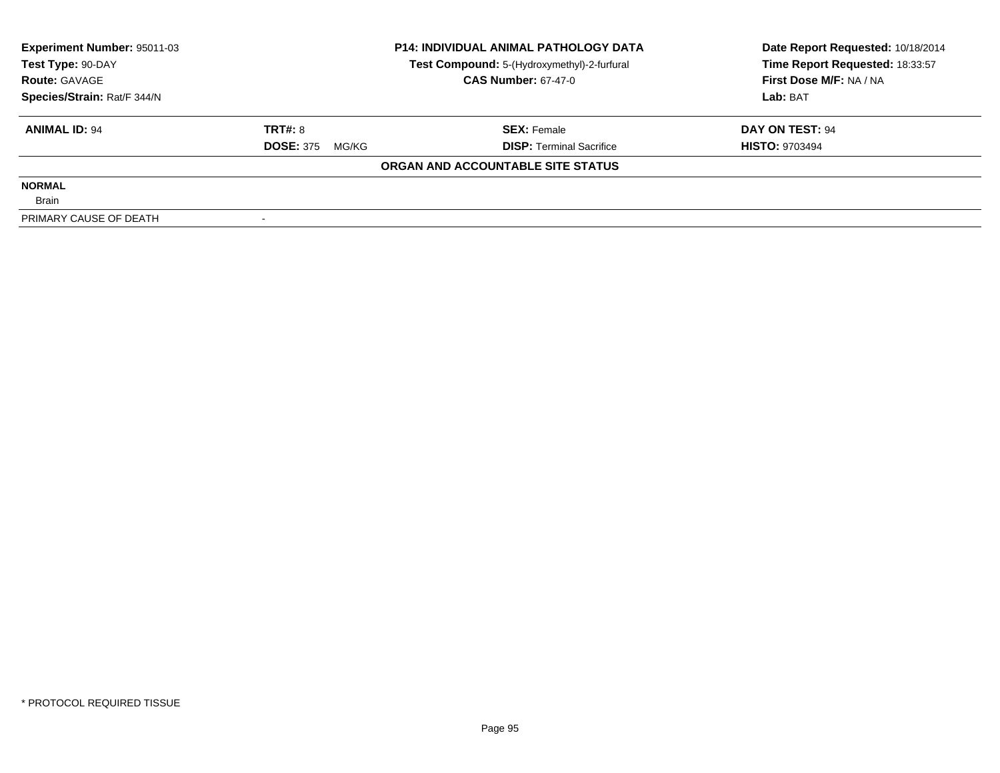| <b>Experiment Number: 95011-03</b> | <b>P14: INDIVIDUAL ANIMAL PATHOLOGY DATA</b> |                                             | Date Report Requested: 10/18/2014 |  |
|------------------------------------|----------------------------------------------|---------------------------------------------|-----------------------------------|--|
| Test Type: 90-DAY                  |                                              | Test Compound: 5-(Hydroxymethyl)-2-furfural | Time Report Requested: 18:33:57   |  |
| <b>Route: GAVAGE</b>               |                                              | <b>CAS Number: 67-47-0</b>                  | First Dose M/F: NA / NA           |  |
| Species/Strain: Rat/F 344/N        |                                              |                                             | Lab: BAT                          |  |
| <b>ANIMAL ID: 94</b>               | TRT#: 8                                      | <b>SEX: Female</b>                          | DAY ON TEST: 94                   |  |
|                                    | <b>DOSE: 375</b><br>MG/KG                    | <b>DISP:</b> Terminal Sacrifice             | <b>HISTO: 9703494</b>             |  |
|                                    |                                              | ORGAN AND ACCOUNTABLE SITE STATUS           |                                   |  |
| <b>NORMAL</b>                      |                                              |                                             |                                   |  |
| <b>Brain</b>                       |                                              |                                             |                                   |  |
| PRIMARY CAUSE OF DEATH             |                                              |                                             |                                   |  |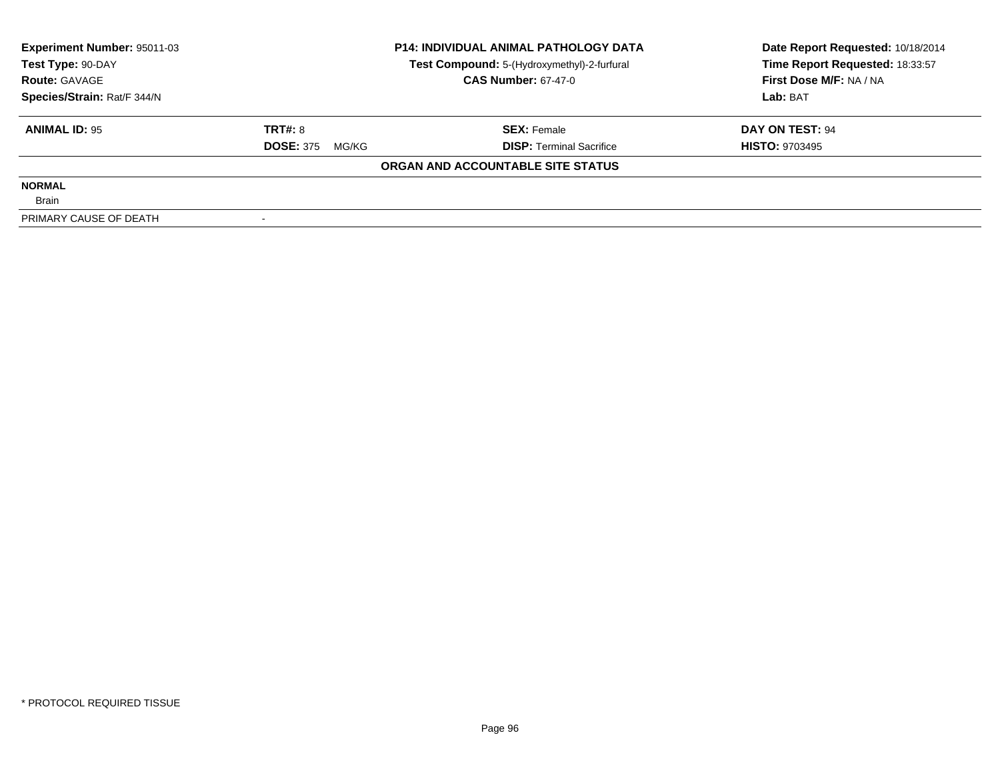| <b>Experiment Number: 95011-03</b> | <b>P14: INDIVIDUAL ANIMAL PATHOLOGY DATA</b> |                                             | Date Report Requested: 10/18/2014 |  |
|------------------------------------|----------------------------------------------|---------------------------------------------|-----------------------------------|--|
| Test Type: 90-DAY                  |                                              | Test Compound: 5-(Hydroxymethyl)-2-furfural | Time Report Requested: 18:33:57   |  |
| <b>Route: GAVAGE</b>               |                                              | <b>CAS Number: 67-47-0</b>                  | First Dose M/F: NA / NA           |  |
| Species/Strain: Rat/F 344/N        |                                              |                                             | Lab: BAT                          |  |
| <b>ANIMAL ID: 95</b>               | TRT#: 8                                      | <b>SEX: Female</b>                          | DAY ON TEST: 94                   |  |
|                                    | <b>DOSE: 375</b><br>MG/KG                    | <b>DISP:</b> Terminal Sacrifice             | <b>HISTO: 9703495</b>             |  |
|                                    |                                              | ORGAN AND ACCOUNTABLE SITE STATUS           |                                   |  |
| <b>NORMAL</b>                      |                                              |                                             |                                   |  |
| <b>Brain</b>                       |                                              |                                             |                                   |  |
| PRIMARY CAUSE OF DEATH             |                                              |                                             |                                   |  |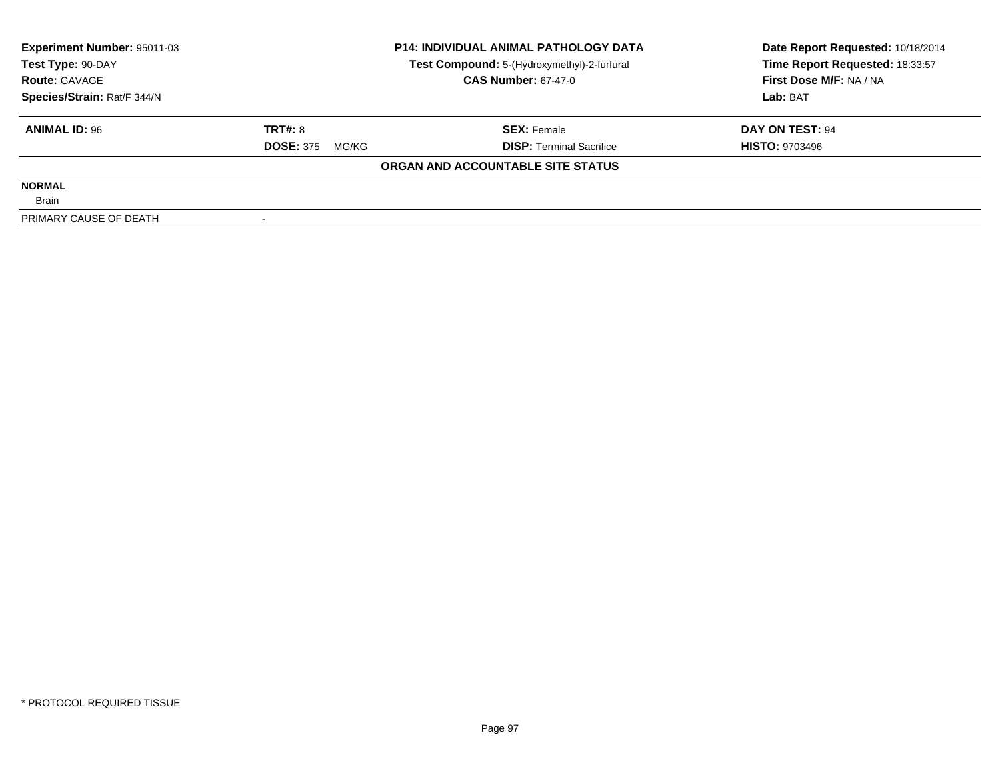| Experiment Number: 95011-03 |                           | <b>P14: INDIVIDUAL ANIMAL PATHOLOGY DATA</b> | Date Report Requested: 10/18/2014 |  |
|-----------------------------|---------------------------|----------------------------------------------|-----------------------------------|--|
| Test Type: 90-DAY           |                           | Test Compound: 5-(Hydroxymethyl)-2-furfural  | Time Report Requested: 18:33:57   |  |
| <b>Route: GAVAGE</b>        |                           | <b>CAS Number: 67-47-0</b>                   | First Dose M/F: NA / NA           |  |
| Species/Strain: Rat/F 344/N |                           |                                              | Lab: BAT                          |  |
| <b>ANIMAL ID: 96</b>        | TRT#: 8                   | <b>SEX: Female</b>                           | DAY ON TEST: 94                   |  |
|                             | <b>DOSE: 375</b><br>MG/KG | <b>DISP:</b> Terminal Sacrifice              | <b>HISTO: 9703496</b>             |  |
|                             |                           | ORGAN AND ACCOUNTABLE SITE STATUS            |                                   |  |
| <b>NORMAL</b>               |                           |                                              |                                   |  |
| <b>Brain</b>                |                           |                                              |                                   |  |
| PRIMARY CAUSE OF DEATH      |                           |                                              |                                   |  |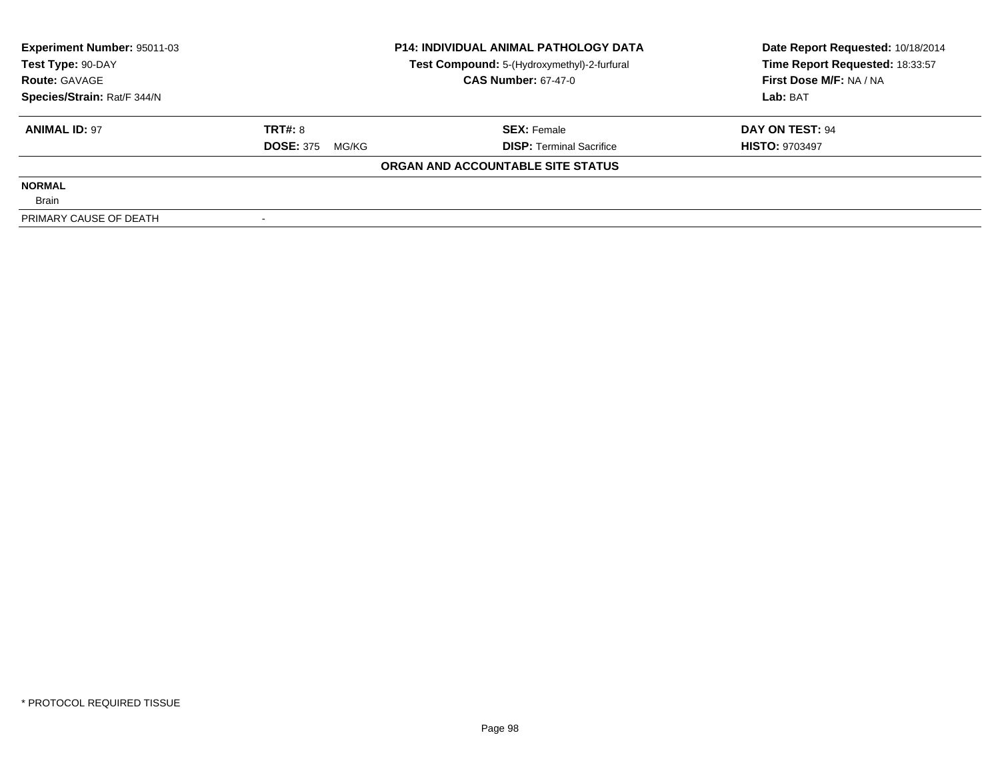| <b>Experiment Number: 95011-03</b> |                           | <b>P14: INDIVIDUAL ANIMAL PATHOLOGY DATA</b> | Date Report Requested: 10/18/2014 |  |
|------------------------------------|---------------------------|----------------------------------------------|-----------------------------------|--|
| Test Type: 90-DAY                  |                           | Test Compound: 5-(Hydroxymethyl)-2-furfural  | Time Report Requested: 18:33:57   |  |
| <b>Route: GAVAGE</b>               |                           | <b>CAS Number: 67-47-0</b>                   | First Dose M/F: NA / NA           |  |
| Species/Strain: Rat/F 344/N        |                           |                                              | Lab: BAT                          |  |
| <b>ANIMAL ID: 97</b>               | TRT#: 8                   | <b>SEX: Female</b>                           | DAY ON TEST: 94                   |  |
|                                    | <b>DOSE: 375</b><br>MG/KG | <b>DISP:</b> Terminal Sacrifice              | <b>HISTO: 9703497</b>             |  |
|                                    |                           | ORGAN AND ACCOUNTABLE SITE STATUS            |                                   |  |
| <b>NORMAL</b>                      |                           |                                              |                                   |  |
| <b>Brain</b>                       |                           |                                              |                                   |  |
| PRIMARY CAUSE OF DEATH             |                           |                                              |                                   |  |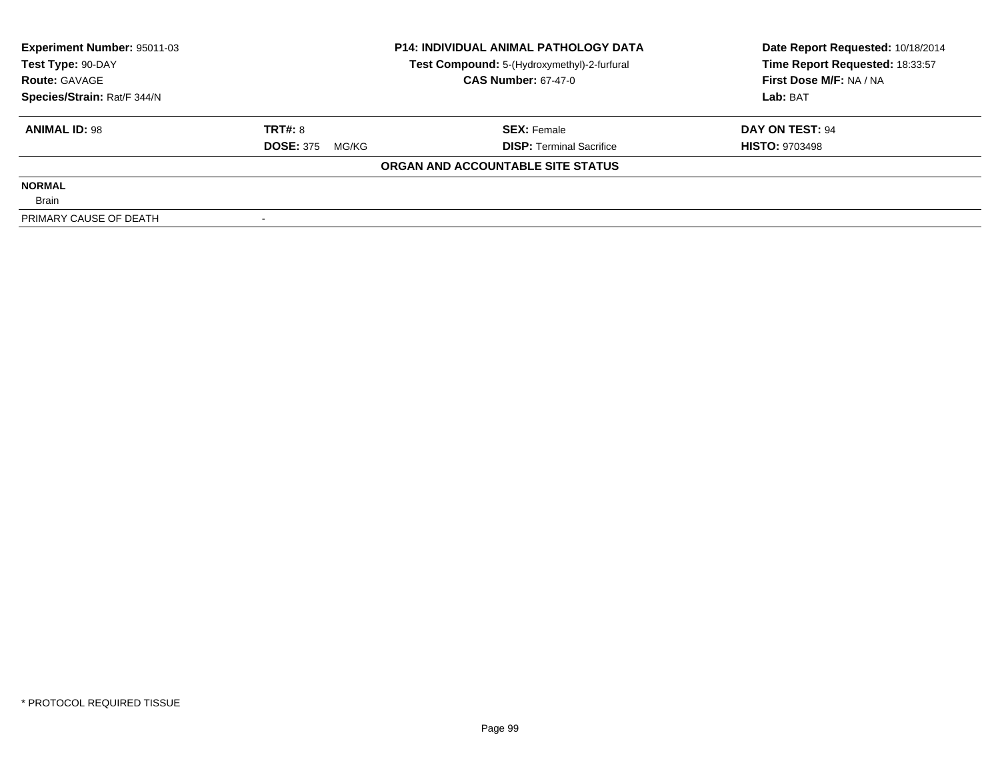| Experiment Number: 95011-03 |                           | <b>P14: INDIVIDUAL ANIMAL PATHOLOGY DATA</b> | Date Report Requested: 10/18/2014 |  |
|-----------------------------|---------------------------|----------------------------------------------|-----------------------------------|--|
| Test Type: 90-DAY           |                           | Test Compound: 5-(Hydroxymethyl)-2-furfural  | Time Report Requested: 18:33:57   |  |
| <b>Route: GAVAGE</b>        |                           | <b>CAS Number: 67-47-0</b>                   | First Dose M/F: NA / NA           |  |
| Species/Strain: Rat/F 344/N |                           |                                              | Lab: BAT                          |  |
| <b>ANIMAL ID: 98</b>        | <b>TRT#: 8</b>            | <b>SEX:</b> Female                           | DAY ON TEST: 94                   |  |
|                             | <b>DOSE: 375</b><br>MG/KG | <b>DISP:</b> Terminal Sacrifice              | <b>HISTO: 9703498</b>             |  |
|                             |                           | ORGAN AND ACCOUNTABLE SITE STATUS            |                                   |  |
| <b>NORMAL</b>               |                           |                                              |                                   |  |
| <b>Brain</b>                |                           |                                              |                                   |  |
| PRIMARY CAUSE OF DEATH      |                           |                                              |                                   |  |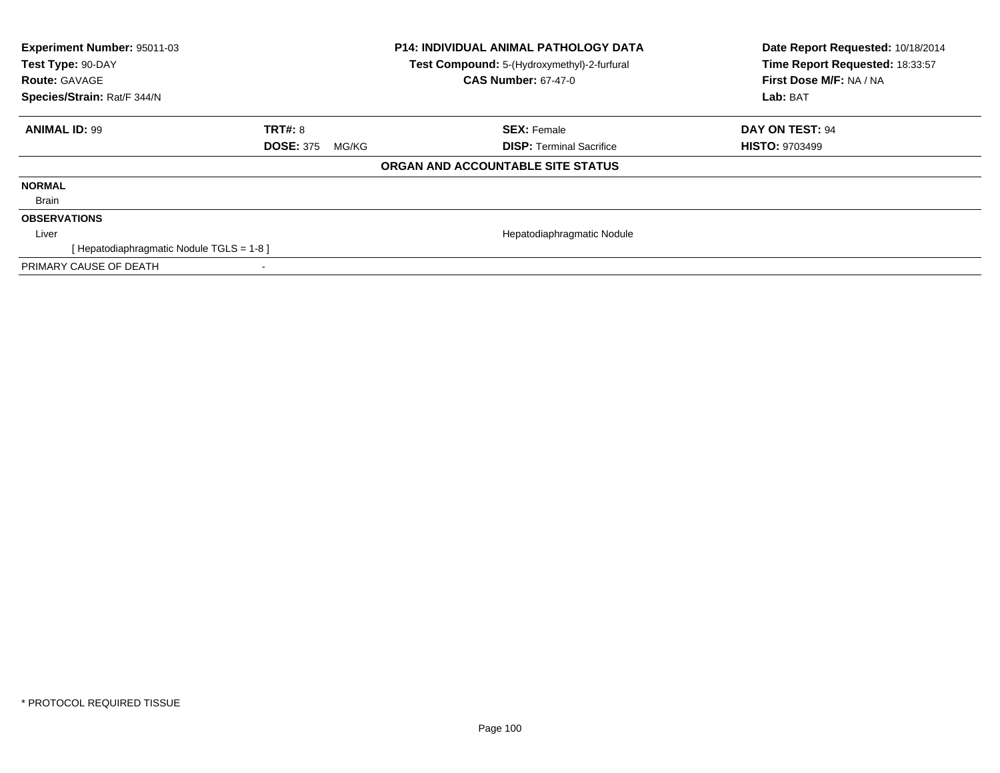| Experiment Number: 95011-03<br>Test Type: 90-DAY<br><b>Route: GAVAGE</b><br>Species/Strain: Rat/F 344/N |                           | <b>P14: INDIVIDUAL ANIMAL PATHOLOGY DATA</b><br>Test Compound: 5-(Hydroxymethyl)-2-furfural<br><b>CAS Number: 67-47-0</b> | Date Report Requested: 10/18/2014<br>Time Report Requested: 18:33:57<br>First Dose M/F: NA / NA<br>Lab: BAT |
|---------------------------------------------------------------------------------------------------------|---------------------------|---------------------------------------------------------------------------------------------------------------------------|-------------------------------------------------------------------------------------------------------------|
| <b>ANIMAL ID: 99</b>                                                                                    | <b>TRT#: 8</b>            | <b>SEX: Female</b>                                                                                                        | DAY ON TEST: 94                                                                                             |
|                                                                                                         | <b>DOSE: 375</b><br>MG/KG | <b>DISP:</b> Terminal Sacrifice                                                                                           | <b>HISTO: 9703499</b>                                                                                       |
|                                                                                                         |                           | ORGAN AND ACCOUNTABLE SITE STATUS                                                                                         |                                                                                                             |
| <b>NORMAL</b>                                                                                           |                           |                                                                                                                           |                                                                                                             |
| Brain                                                                                                   |                           |                                                                                                                           |                                                                                                             |
| <b>OBSERVATIONS</b>                                                                                     |                           |                                                                                                                           |                                                                                                             |
| Liver                                                                                                   |                           | Hepatodiaphragmatic Nodule                                                                                                |                                                                                                             |
| [Hepatodiaphragmatic Nodule TGLS = 1-8]                                                                 |                           |                                                                                                                           |                                                                                                             |
| PRIMARY CAUSE OF DEATH                                                                                  |                           |                                                                                                                           |                                                                                                             |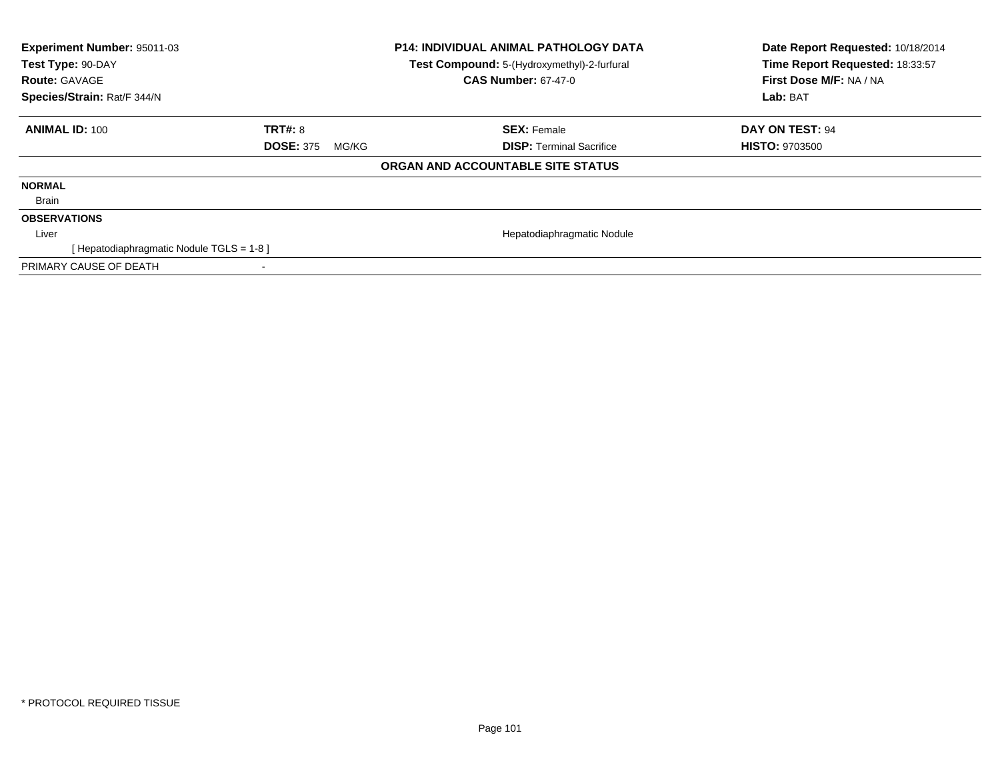| Experiment Number: 95011-03<br>Test Type: 90-DAY<br><b>Route: GAVAGE</b><br>Species/Strain: Rat/F 344/N |                           | <b>P14: INDIVIDUAL ANIMAL PATHOLOGY DATA</b><br>Test Compound: 5-(Hydroxymethyl)-2-furfural<br><b>CAS Number: 67-47-0</b> | Date Report Requested: 10/18/2014<br>Time Report Requested: 18:33:57<br>First Dose M/F: NA / NA<br>Lab: BAT |
|---------------------------------------------------------------------------------------------------------|---------------------------|---------------------------------------------------------------------------------------------------------------------------|-------------------------------------------------------------------------------------------------------------|
| <b>ANIMAL ID: 100</b>                                                                                   | <b>TRT#: 8</b>            | <b>SEX: Female</b>                                                                                                        | <b>DAY ON TEST: 94</b>                                                                                      |
|                                                                                                         | <b>DOSE: 375</b><br>MG/KG | <b>DISP:</b> Terminal Sacrifice                                                                                           | <b>HISTO: 9703500</b>                                                                                       |
|                                                                                                         |                           | ORGAN AND ACCOUNTABLE SITE STATUS                                                                                         |                                                                                                             |
| <b>NORMAL</b>                                                                                           |                           |                                                                                                                           |                                                                                                             |
| Brain                                                                                                   |                           |                                                                                                                           |                                                                                                             |
| <b>OBSERVATIONS</b>                                                                                     |                           |                                                                                                                           |                                                                                                             |
| Liver                                                                                                   |                           | Hepatodiaphragmatic Nodule                                                                                                |                                                                                                             |
| [Hepatodiaphragmatic Nodule TGLS = 1-8]                                                                 |                           |                                                                                                                           |                                                                                                             |
| PRIMARY CAUSE OF DEATH                                                                                  | $\blacksquare$            |                                                                                                                           |                                                                                                             |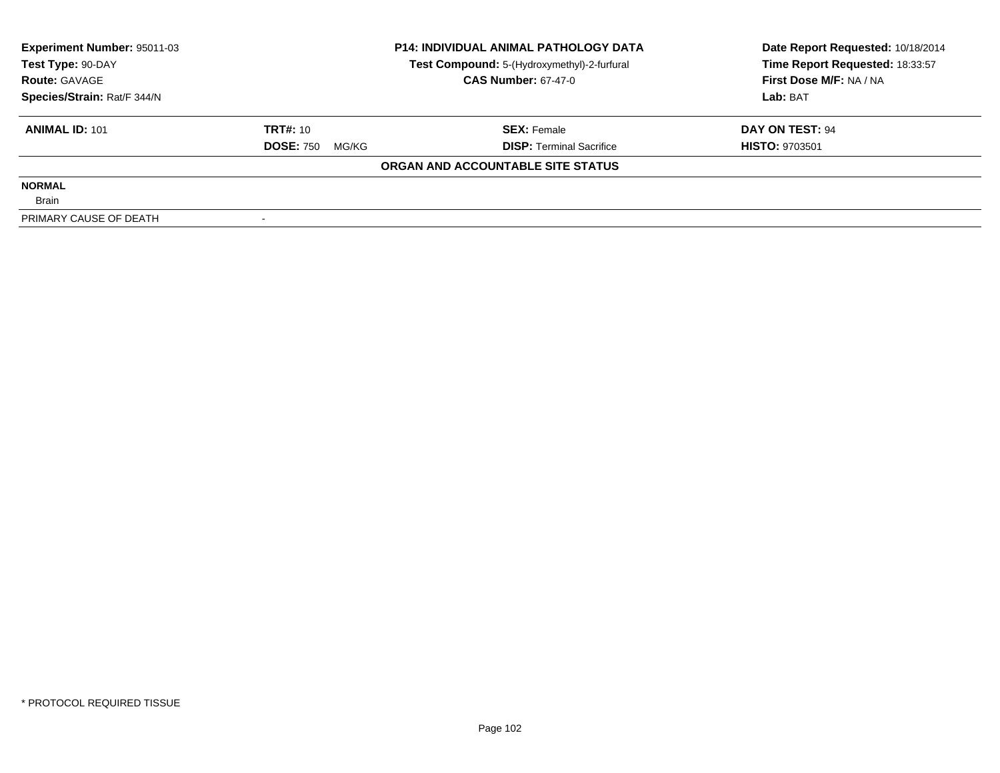| <b>Experiment Number: 95011-03</b> |                           | <b>P14: INDIVIDUAL ANIMAL PATHOLOGY DATA</b> | Date Report Requested: 10/18/2014 |  |
|------------------------------------|---------------------------|----------------------------------------------|-----------------------------------|--|
| Test Type: 90-DAY                  |                           | Test Compound: 5-(Hydroxymethyl)-2-furfural  | Time Report Requested: 18:33:57   |  |
| <b>Route: GAVAGE</b>               |                           | <b>CAS Number: 67-47-0</b>                   | First Dose M/F: NA / NA           |  |
| Species/Strain: Rat/F 344/N        |                           |                                              | Lab: BAT                          |  |
| <b>ANIMAL ID: 101</b>              | <b>TRT#: 10</b>           | <b>SEX: Female</b>                           | DAY ON TEST: 94                   |  |
|                                    | <b>DOSE: 750</b><br>MG/KG | <b>DISP: Terminal Sacrifice</b>              | <b>HISTO: 9703501</b>             |  |
|                                    |                           | ORGAN AND ACCOUNTABLE SITE STATUS            |                                   |  |
| <b>NORMAL</b>                      |                           |                                              |                                   |  |
| <b>Brain</b>                       |                           |                                              |                                   |  |
| PRIMARY CAUSE OF DEATH             |                           |                                              |                                   |  |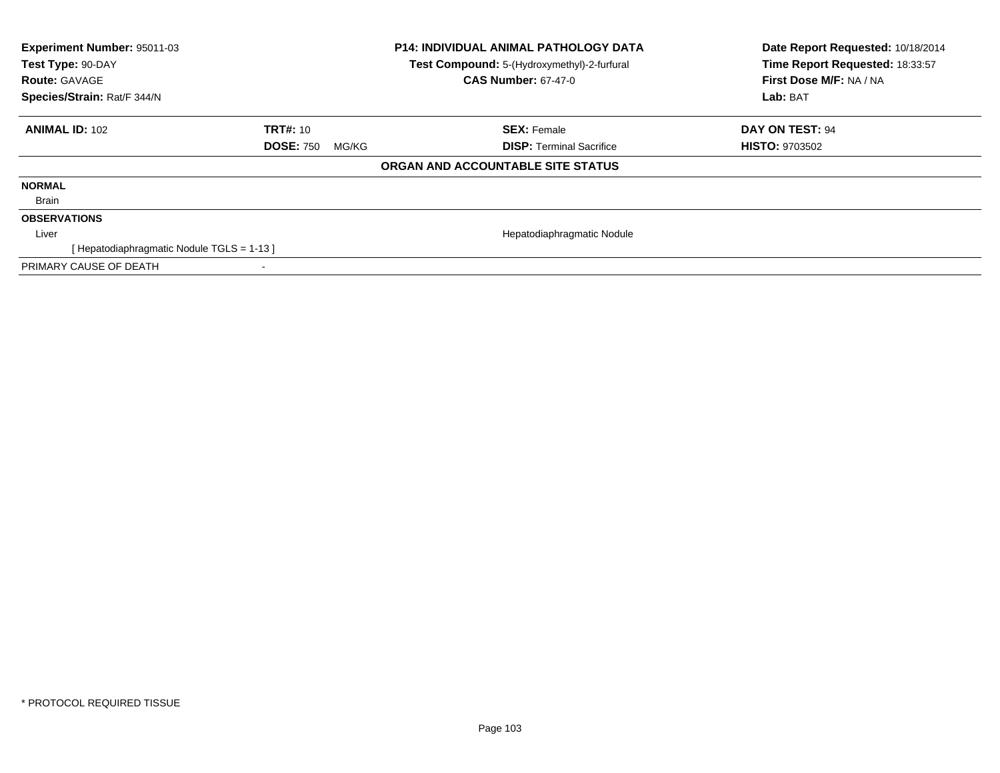| Experiment Number: 95011-03<br>Test Type: 90-DAY<br><b>Route: GAVAGE</b><br>Species/Strain: Rat/F 344/N |                           | P14: INDIVIDUAL ANIMAL PATHOLOGY DATA<br>Test Compound: 5-(Hydroxymethyl)-2-furfural<br><b>CAS Number: 67-47-0</b> | Date Report Requested: 10/18/2014<br>Time Report Requested: 18:33:57<br>First Dose M/F: NA / NA<br>Lab: BAT |
|---------------------------------------------------------------------------------------------------------|---------------------------|--------------------------------------------------------------------------------------------------------------------|-------------------------------------------------------------------------------------------------------------|
| <b>ANIMAL ID: 102</b>                                                                                   | <b>TRT#:</b> 10           | <b>SEX: Female</b>                                                                                                 | DAY ON TEST: 94                                                                                             |
|                                                                                                         | <b>DOSE: 750</b><br>MG/KG | <b>DISP:</b> Terminal Sacrifice                                                                                    | <b>HISTO: 9703502</b>                                                                                       |
|                                                                                                         |                           | ORGAN AND ACCOUNTABLE SITE STATUS                                                                                  |                                                                                                             |
| <b>NORMAL</b>                                                                                           |                           |                                                                                                                    |                                                                                                             |
| Brain                                                                                                   |                           |                                                                                                                    |                                                                                                             |
| <b>OBSERVATIONS</b>                                                                                     |                           |                                                                                                                    |                                                                                                             |
| Liver                                                                                                   |                           | Hepatodiaphragmatic Nodule                                                                                         |                                                                                                             |
| [Hepatodiaphragmatic Nodule TGLS = 1-13]                                                                |                           |                                                                                                                    |                                                                                                             |
| PRIMARY CAUSE OF DEATH                                                                                  |                           |                                                                                                                    |                                                                                                             |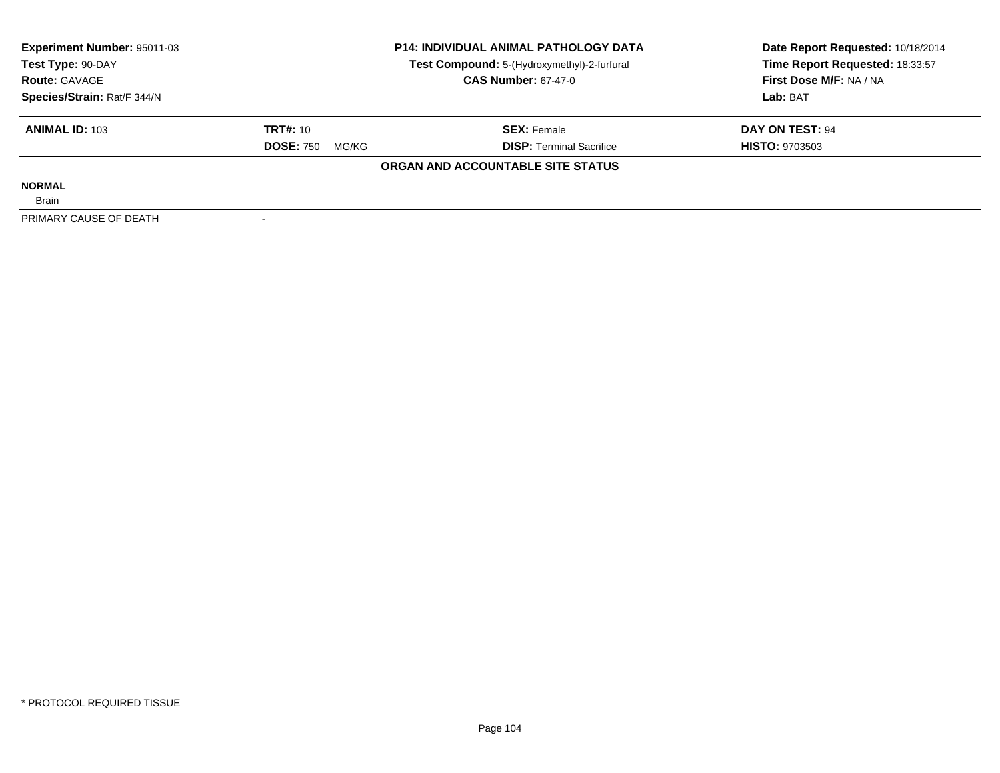| <b>Experiment Number: 95011-03</b> | <b>P14: INDIVIDUAL ANIMAL PATHOLOGY DATA</b> |                                             | Date Report Requested: 10/18/2014 |  |
|------------------------------------|----------------------------------------------|---------------------------------------------|-----------------------------------|--|
| Test Type: 90-DAY                  |                                              | Test Compound: 5-(Hydroxymethyl)-2-furfural | Time Report Requested: 18:33:57   |  |
| <b>Route: GAVAGE</b>               |                                              | <b>CAS Number: 67-47-0</b>                  | First Dose M/F: NA / NA           |  |
| Species/Strain: Rat/F 344/N        |                                              |                                             | Lab: BAT                          |  |
| <b>ANIMAL ID: 103</b>              | <b>TRT#: 10</b>                              | <b>SEX: Female</b>                          | DAY ON TEST: 94                   |  |
|                                    | <b>DOSE: 750</b><br>MG/KG                    | <b>DISP:</b> Terminal Sacrifice             | <b>HISTO: 9703503</b>             |  |
|                                    |                                              | ORGAN AND ACCOUNTABLE SITE STATUS           |                                   |  |
| <b>NORMAL</b>                      |                                              |                                             |                                   |  |
| <b>Brain</b>                       |                                              |                                             |                                   |  |
| PRIMARY CAUSE OF DEATH             |                                              |                                             |                                   |  |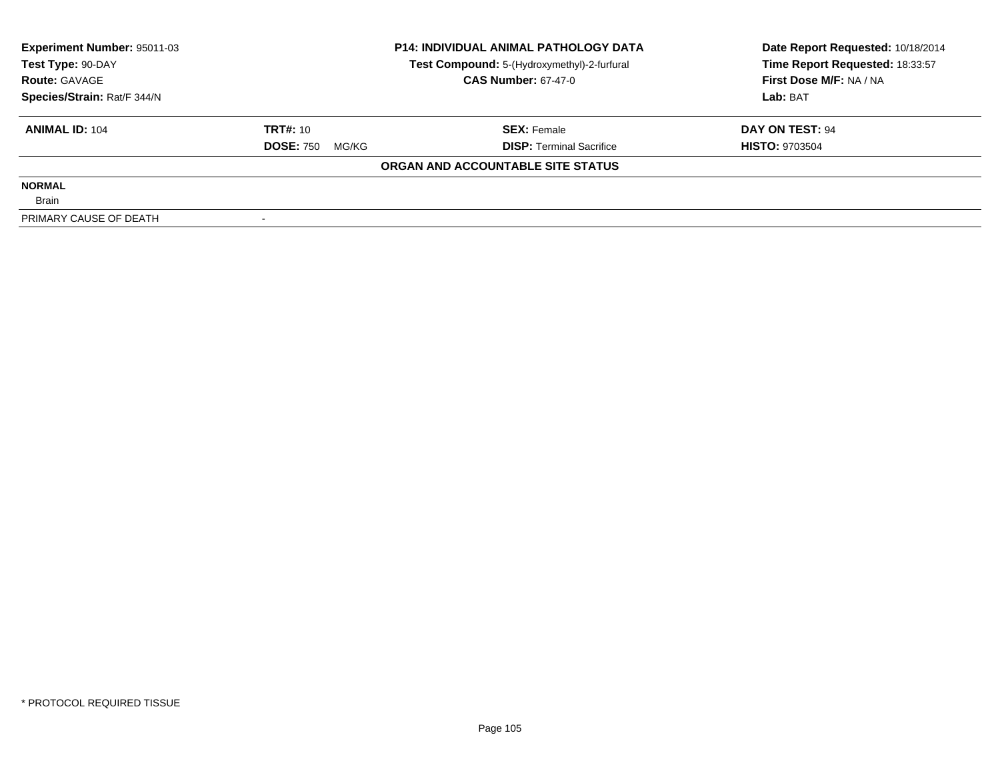| <b>Experiment Number: 95011-03</b> |                           | <b>P14: INDIVIDUAL ANIMAL PATHOLOGY DATA</b> | Date Report Requested: 10/18/2014 |  |
|------------------------------------|---------------------------|----------------------------------------------|-----------------------------------|--|
| Test Type: 90-DAY                  |                           | Test Compound: 5-(Hydroxymethyl)-2-furfural  | Time Report Requested: 18:33:57   |  |
| <b>Route: GAVAGE</b>               |                           | <b>CAS Number: 67-47-0</b>                   | First Dose M/F: NA / NA           |  |
| Species/Strain: Rat/F 344/N        |                           |                                              | Lab: BAT                          |  |
| <b>ANIMAL ID: 104</b>              | <b>TRT#: 10</b>           | <b>SEX: Female</b>                           | DAY ON TEST: 94                   |  |
|                                    | <b>DOSE: 750</b><br>MG/KG | <b>DISP:</b> Terminal Sacrifice              | <b>HISTO: 9703504</b>             |  |
|                                    |                           | ORGAN AND ACCOUNTABLE SITE STATUS            |                                   |  |
| <b>NORMAL</b>                      |                           |                                              |                                   |  |
| <b>Brain</b>                       |                           |                                              |                                   |  |
| PRIMARY CAUSE OF DEATH             |                           |                                              |                                   |  |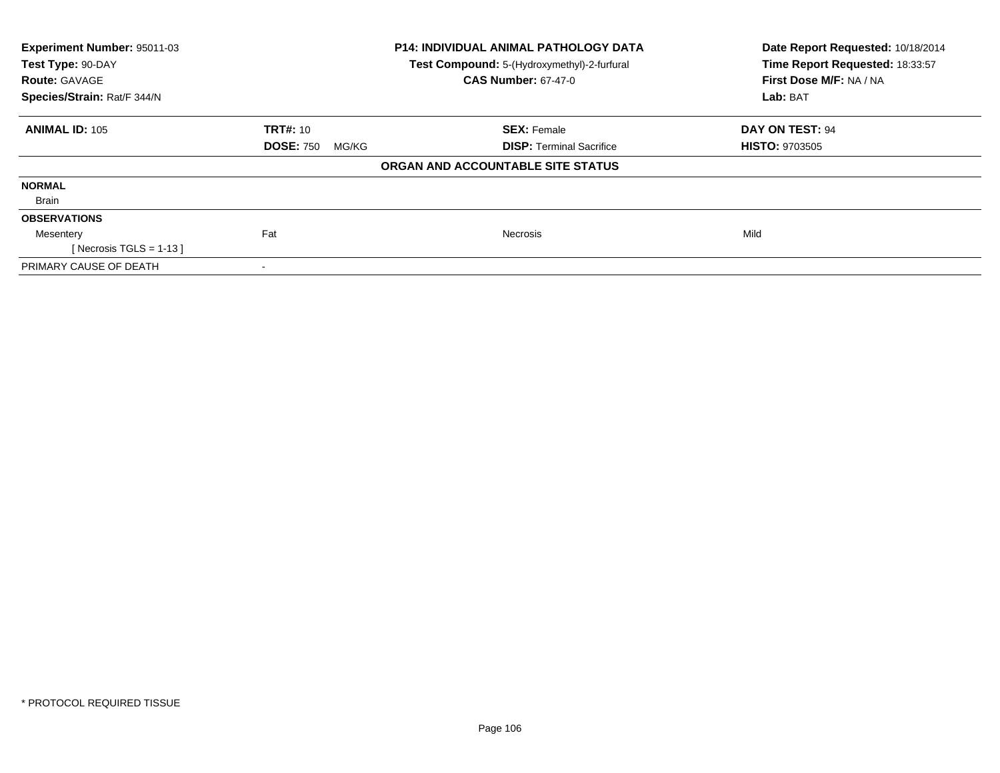| Experiment Number: 95011-03<br>Test Type: 90-DAY<br><b>Route: GAVAGE</b> |                           | <b>P14: INDIVIDUAL ANIMAL PATHOLOGY DATA</b><br>Test Compound: 5-(Hydroxymethyl)-2-furfural<br><b>CAS Number: 67-47-0</b> | Date Report Requested: 10/18/2014<br>Time Report Requested: 18:33:57<br>First Dose M/F: NA / NA |  |
|--------------------------------------------------------------------------|---------------------------|---------------------------------------------------------------------------------------------------------------------------|-------------------------------------------------------------------------------------------------|--|
| Species/Strain: Rat/F 344/N                                              |                           |                                                                                                                           | Lab: BAT                                                                                        |  |
| <b>ANIMAL ID: 105</b>                                                    | <b>TRT#: 10</b>           | <b>SEX: Female</b>                                                                                                        | DAY ON TEST: 94                                                                                 |  |
|                                                                          | <b>DOSE: 750</b><br>MG/KG | <b>DISP: Terminal Sacrifice</b>                                                                                           | <b>HISTO: 9703505</b>                                                                           |  |
|                                                                          |                           | ORGAN AND ACCOUNTABLE SITE STATUS                                                                                         |                                                                                                 |  |
| <b>NORMAL</b>                                                            |                           |                                                                                                                           |                                                                                                 |  |
| Brain                                                                    |                           |                                                                                                                           |                                                                                                 |  |
| <b>OBSERVATIONS</b>                                                      |                           |                                                                                                                           |                                                                                                 |  |
| Mesentery                                                                | Fat                       | <b>Necrosis</b>                                                                                                           | Mild                                                                                            |  |
| [ Necrosis TGLS = $1-13$ ]                                               |                           |                                                                                                                           |                                                                                                 |  |
| PRIMARY CAUSE OF DEATH                                                   | ۰                         |                                                                                                                           |                                                                                                 |  |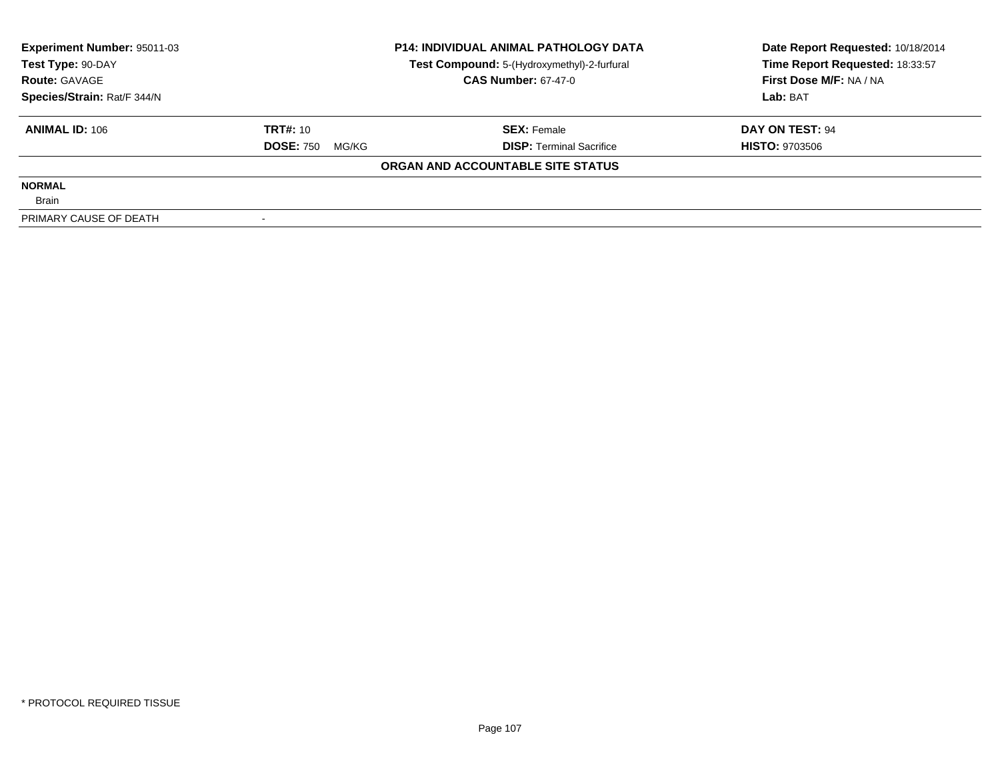| <b>Experiment Number: 95011-03</b> |                           | <b>P14: INDIVIDUAL ANIMAL PATHOLOGY DATA</b> | Date Report Requested: 10/18/2014 |  |
|------------------------------------|---------------------------|----------------------------------------------|-----------------------------------|--|
| Test Type: 90-DAY                  |                           | Test Compound: 5-(Hydroxymethyl)-2-furfural  | Time Report Requested: 18:33:57   |  |
| <b>Route: GAVAGE</b>               |                           | <b>CAS Number: 67-47-0</b>                   | First Dose M/F: NA / NA           |  |
| Species/Strain: Rat/F 344/N        |                           |                                              | Lab: BAT                          |  |
| <b>ANIMAL ID: 106</b>              | <b>TRT#: 10</b>           | <b>SEX: Female</b>                           | DAY ON TEST: 94                   |  |
|                                    | <b>DOSE: 750</b><br>MG/KG | <b>DISP: Terminal Sacrifice</b>              | <b>HISTO: 9703506</b>             |  |
|                                    |                           | ORGAN AND ACCOUNTABLE SITE STATUS            |                                   |  |
| <b>NORMAL</b>                      |                           |                                              |                                   |  |
| <b>Brain</b>                       |                           |                                              |                                   |  |
| PRIMARY CAUSE OF DEATH             |                           |                                              |                                   |  |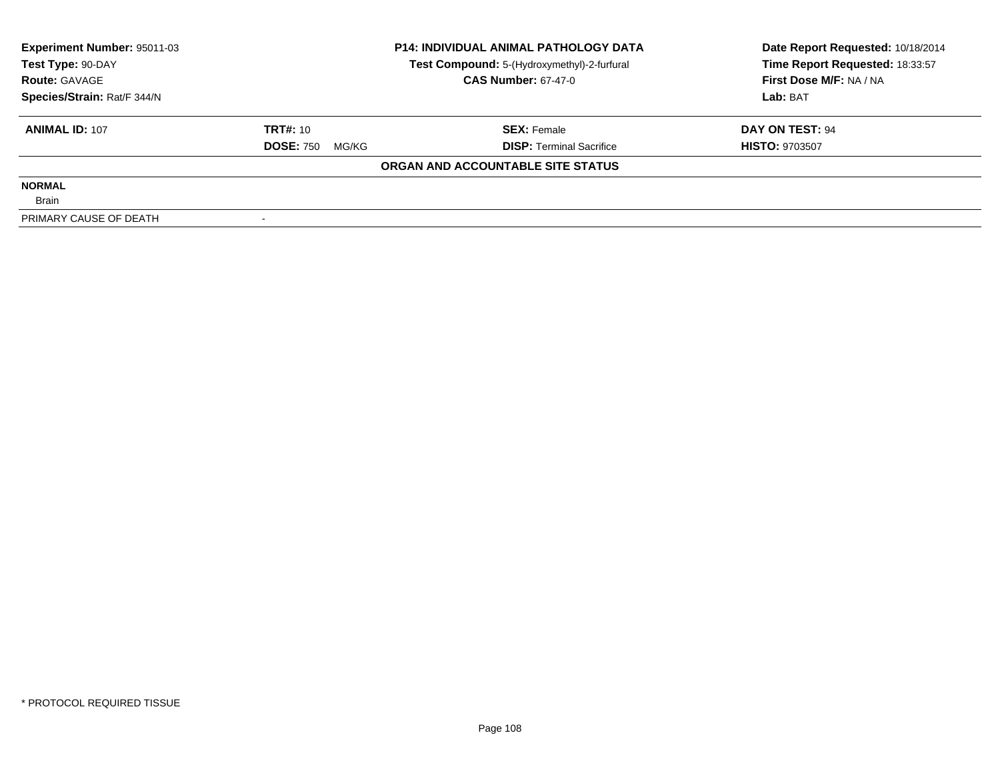| <b>Experiment Number: 95011-03</b> | <b>P14: INDIVIDUAL ANIMAL PATHOLOGY DATA</b> |                                             | Date Report Requested: 10/18/2014 |  |
|------------------------------------|----------------------------------------------|---------------------------------------------|-----------------------------------|--|
| Test Type: 90-DAY                  |                                              | Test Compound: 5-(Hydroxymethyl)-2-furfural | Time Report Requested: 18:33:57   |  |
| <b>Route: GAVAGE</b>               |                                              | <b>CAS Number: 67-47-0</b>                  | First Dose M/F: NA / NA           |  |
| Species/Strain: Rat/F 344/N        |                                              |                                             | Lab: BAT                          |  |
| <b>ANIMAL ID: 107</b>              | <b>TRT#: 10</b>                              | <b>SEX: Female</b>                          | DAY ON TEST: 94                   |  |
|                                    | <b>DOSE: 750</b><br>MG/KG                    | <b>DISP:</b> Terminal Sacrifice             | <b>HISTO: 9703507</b>             |  |
|                                    |                                              | ORGAN AND ACCOUNTABLE SITE STATUS           |                                   |  |
| <b>NORMAL</b>                      |                                              |                                             |                                   |  |
| <b>Brain</b>                       |                                              |                                             |                                   |  |
| PRIMARY CAUSE OF DEATH             |                                              |                                             |                                   |  |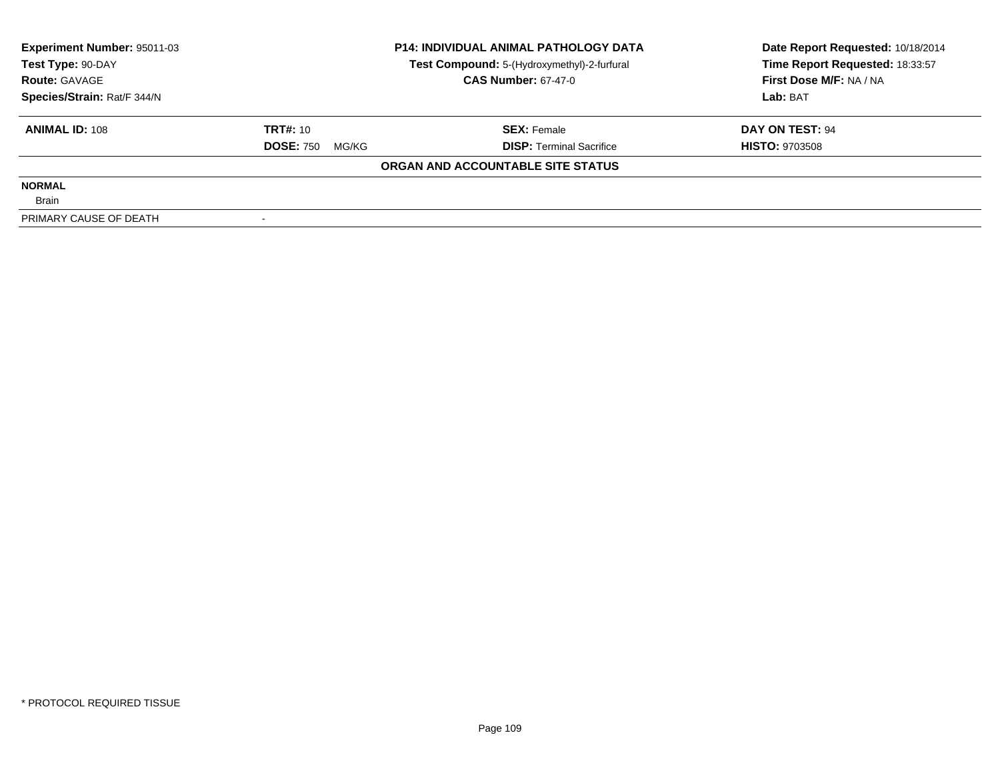| <b>Experiment Number: 95011-03</b> | <b>P14: INDIVIDUAL ANIMAL PATHOLOGY DATA</b> |                                             | Date Report Requested: 10/18/2014 |
|------------------------------------|----------------------------------------------|---------------------------------------------|-----------------------------------|
| Test Type: 90-DAY                  |                                              | Test Compound: 5-(Hydroxymethyl)-2-furfural | Time Report Requested: 18:33:57   |
| <b>Route: GAVAGE</b>               |                                              | <b>CAS Number: 67-47-0</b>                  | First Dose M/F: NA / NA           |
| Species/Strain: Rat/F 344/N        |                                              |                                             | Lab: BAT                          |
| <b>ANIMAL ID: 108</b>              | <b>TRT#: 10</b>                              | <b>SEX: Female</b>                          | DAY ON TEST: 94                   |
|                                    | <b>DOSE: 750</b><br>MG/KG                    | <b>DISP:</b> Terminal Sacrifice             | <b>HISTO: 9703508</b>             |
|                                    |                                              | ORGAN AND ACCOUNTABLE SITE STATUS           |                                   |
| <b>NORMAL</b>                      |                                              |                                             |                                   |
| <b>Brain</b>                       |                                              |                                             |                                   |
| PRIMARY CAUSE OF DEATH             |                                              |                                             |                                   |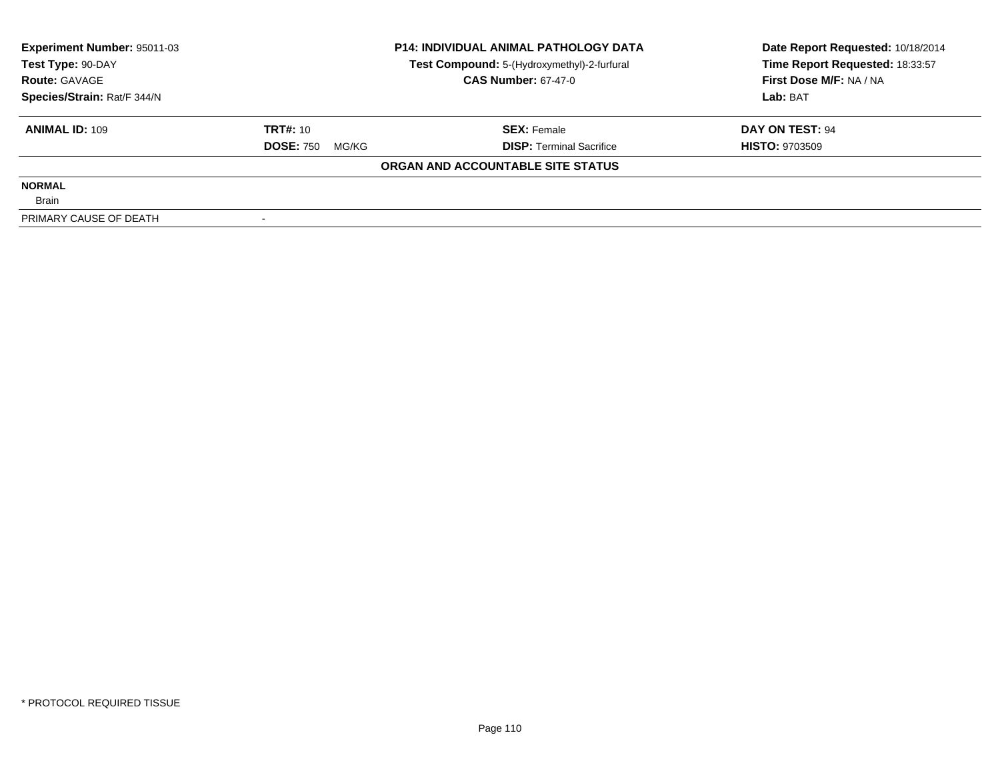| <b>Experiment Number: 95011-03</b> | <b>P14: INDIVIDUAL ANIMAL PATHOLOGY DATA</b> |                                             | Date Report Requested: 10/18/2014 |
|------------------------------------|----------------------------------------------|---------------------------------------------|-----------------------------------|
| Test Type: 90-DAY                  |                                              | Test Compound: 5-(Hydroxymethyl)-2-furfural | Time Report Requested: 18:33:57   |
| <b>Route: GAVAGE</b>               |                                              | <b>CAS Number: 67-47-0</b>                  | First Dose M/F: NA / NA           |
| Species/Strain: Rat/F 344/N        |                                              |                                             | Lab: BAT                          |
| <b>ANIMAL ID: 109</b>              | <b>TRT#: 10</b>                              | <b>SEX: Female</b>                          | DAY ON TEST: 94                   |
|                                    | <b>DOSE: 750</b><br>MG/KG                    | <b>DISP:</b> Terminal Sacrifice             | <b>HISTO: 9703509</b>             |
|                                    |                                              | ORGAN AND ACCOUNTABLE SITE STATUS           |                                   |
| <b>NORMAL</b>                      |                                              |                                             |                                   |
| <b>Brain</b>                       |                                              |                                             |                                   |
| PRIMARY CAUSE OF DEATH             |                                              |                                             |                                   |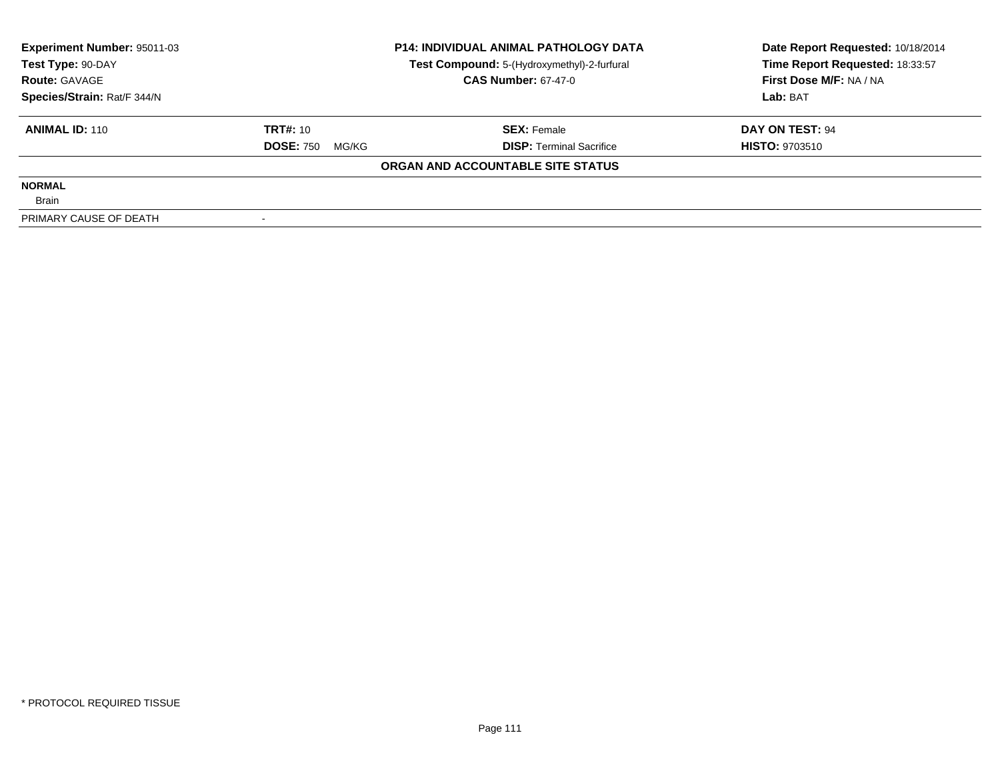| <b>Experiment Number: 95011-03</b> | <b>P14: INDIVIDUAL ANIMAL PATHOLOGY DATA</b> |                                             | Date Report Requested: 10/18/2014 |
|------------------------------------|----------------------------------------------|---------------------------------------------|-----------------------------------|
| Test Type: 90-DAY                  |                                              | Test Compound: 5-(Hydroxymethyl)-2-furfural | Time Report Requested: 18:33:57   |
| <b>Route: GAVAGE</b>               |                                              | <b>CAS Number: 67-47-0</b>                  | First Dose M/F: NA / NA           |
| Species/Strain: Rat/F 344/N        |                                              |                                             | Lab: BAT                          |
| <b>ANIMAL ID: 110</b>              | <b>TRT#: 10</b>                              | <b>SEX: Female</b>                          | DAY ON TEST: 94                   |
|                                    | <b>DOSE: 750</b><br>MG/KG                    | <b>DISP:</b> Terminal Sacrifice             | <b>HISTO: 9703510</b>             |
|                                    |                                              | ORGAN AND ACCOUNTABLE SITE STATUS           |                                   |
| <b>NORMAL</b>                      |                                              |                                             |                                   |
| <b>Brain</b>                       |                                              |                                             |                                   |
| PRIMARY CAUSE OF DEATH             |                                              |                                             |                                   |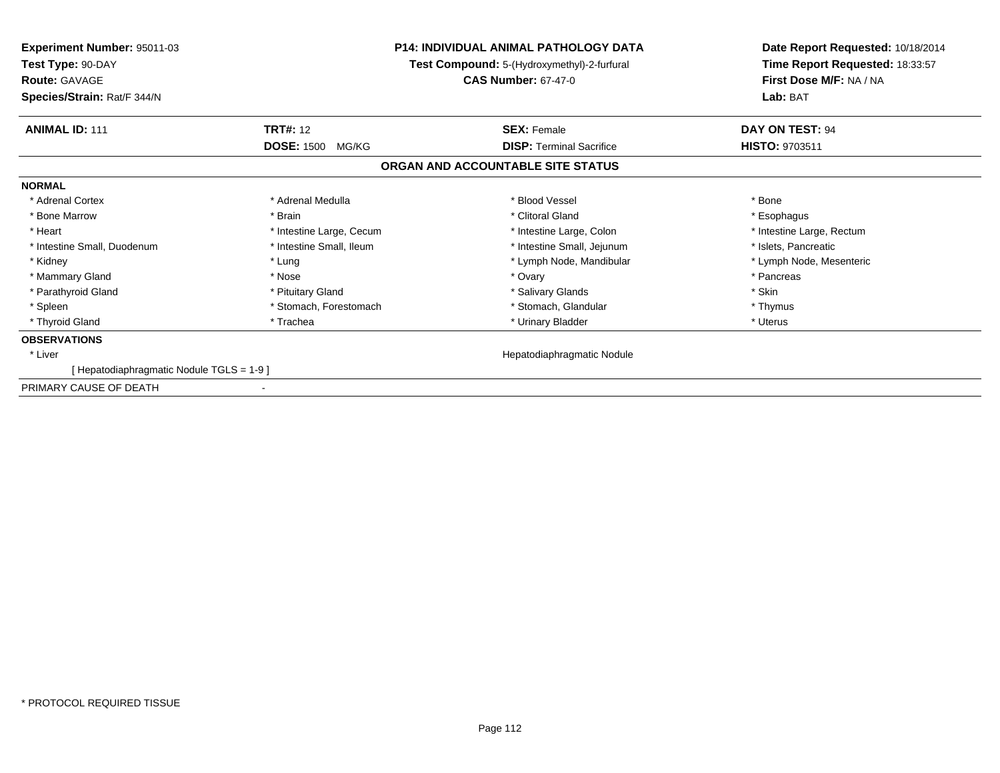| <b>Experiment Number: 95011-03</b><br>Test Type: 90-DAY<br><b>Route: GAVAGE</b> |                            | <b>P14: INDIVIDUAL ANIMAL PATHOLOGY DATA</b><br>Test Compound: 5-(Hydroxymethyl)-2-furfural<br><b>CAS Number: 67-47-0</b> | Date Report Requested: 10/18/2014<br>Time Report Requested: 18:33:57<br>First Dose M/F: NA / NA |
|---------------------------------------------------------------------------------|----------------------------|---------------------------------------------------------------------------------------------------------------------------|-------------------------------------------------------------------------------------------------|
| Species/Strain: Rat/F 344/N                                                     |                            |                                                                                                                           | Lab: BAT                                                                                        |
| <b>ANIMAL ID: 111</b>                                                           | <b>TRT#: 12</b>            | <b>SEX: Female</b>                                                                                                        | DAY ON TEST: 94                                                                                 |
|                                                                                 | <b>DOSE: 1500</b><br>MG/KG | <b>DISP: Terminal Sacrifice</b>                                                                                           | HISTO: 9703511                                                                                  |
|                                                                                 |                            | ORGAN AND ACCOUNTABLE SITE STATUS                                                                                         |                                                                                                 |
| <b>NORMAL</b>                                                                   |                            |                                                                                                                           |                                                                                                 |
| * Adrenal Cortex                                                                | * Adrenal Medulla          | * Blood Vessel                                                                                                            | * Bone                                                                                          |
| * Bone Marrow                                                                   | * Brain                    | * Clitoral Gland                                                                                                          | * Esophagus                                                                                     |
| * Heart                                                                         | * Intestine Large, Cecum   | * Intestine Large, Colon                                                                                                  | * Intestine Large, Rectum                                                                       |
| * Intestine Small, Duodenum                                                     | * Intestine Small, Ileum   | * Intestine Small, Jejunum                                                                                                | * Islets, Pancreatic                                                                            |
| * Kidney                                                                        | * Lung                     | * Lymph Node, Mandibular                                                                                                  | * Lymph Node, Mesenteric                                                                        |
| * Mammary Gland                                                                 | * Nose                     | * Ovary                                                                                                                   | * Pancreas                                                                                      |
| * Parathyroid Gland                                                             | * Pituitary Gland          | * Salivary Glands                                                                                                         | * Skin                                                                                          |
| * Spleen                                                                        | * Stomach, Forestomach     | * Stomach, Glandular                                                                                                      | * Thymus                                                                                        |
| * Thyroid Gland                                                                 | * Trachea                  | * Urinary Bladder                                                                                                         | * Uterus                                                                                        |
| <b>OBSERVATIONS</b>                                                             |                            |                                                                                                                           |                                                                                                 |
| * Liver                                                                         |                            | Hepatodiaphragmatic Nodule                                                                                                |                                                                                                 |
| [Hepatodiaphragmatic Nodule TGLS = 1-9]                                         |                            |                                                                                                                           |                                                                                                 |
| PRIMARY CAUSE OF DEATH                                                          |                            |                                                                                                                           |                                                                                                 |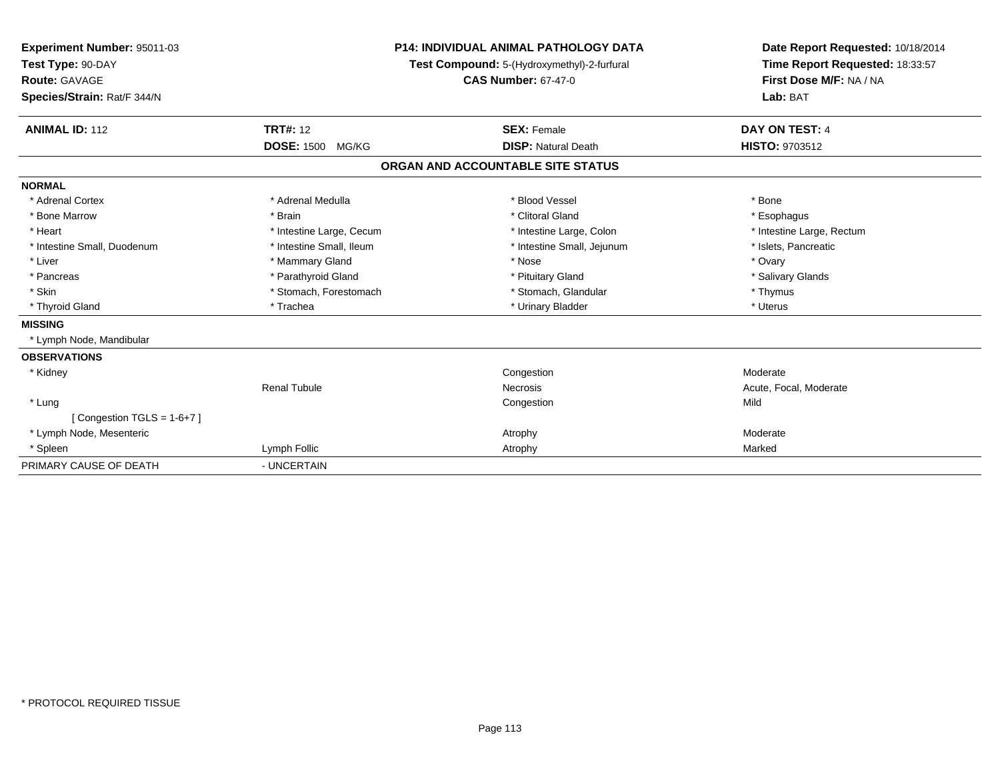| Experiment Number: 95011-03<br>Test Type: 90-DAY<br><b>Route: GAVAGE</b><br>Species/Strain: Rat/F 344/N |                            | <b>P14: INDIVIDUAL ANIMAL PATHOLOGY DATA</b><br>Test Compound: 5-(Hydroxymethyl)-2-furfural<br><b>CAS Number: 67-47-0</b> | Date Report Requested: 10/18/2014<br>Time Report Requested: 18:33:57<br>First Dose M/F: NA / NA<br>Lab: BAT |
|---------------------------------------------------------------------------------------------------------|----------------------------|---------------------------------------------------------------------------------------------------------------------------|-------------------------------------------------------------------------------------------------------------|
| <b>ANIMAL ID: 112</b>                                                                                   | <b>TRT#: 12</b>            | <b>SEX: Female</b>                                                                                                        | <b>DAY ON TEST: 4</b>                                                                                       |
|                                                                                                         | <b>DOSE: 1500</b><br>MG/KG | <b>DISP: Natural Death</b>                                                                                                | <b>HISTO: 9703512</b>                                                                                       |
|                                                                                                         |                            | ORGAN AND ACCOUNTABLE SITE STATUS                                                                                         |                                                                                                             |
| <b>NORMAL</b>                                                                                           |                            |                                                                                                                           |                                                                                                             |
| * Adrenal Cortex                                                                                        | * Adrenal Medulla          | * Blood Vessel                                                                                                            | * Bone                                                                                                      |
| * Bone Marrow                                                                                           | * Brain                    | * Clitoral Gland                                                                                                          | * Esophagus                                                                                                 |
| * Heart                                                                                                 | * Intestine Large, Cecum   | * Intestine Large, Colon                                                                                                  | * Intestine Large, Rectum                                                                                   |
| * Intestine Small, Duodenum                                                                             | * Intestine Small, Ileum   | * Intestine Small, Jejunum                                                                                                | * Islets, Pancreatic                                                                                        |
| * Liver                                                                                                 | * Mammary Gland            | * Nose                                                                                                                    | * Ovary                                                                                                     |
| * Pancreas                                                                                              | * Parathyroid Gland        | * Pituitary Gland                                                                                                         | * Salivary Glands                                                                                           |
| * Skin                                                                                                  | * Stomach, Forestomach     | * Stomach, Glandular                                                                                                      | * Thymus                                                                                                    |
| * Thyroid Gland                                                                                         | * Trachea                  | * Urinary Bladder                                                                                                         | * Uterus                                                                                                    |
| <b>MISSING</b>                                                                                          |                            |                                                                                                                           |                                                                                                             |
| * Lymph Node, Mandibular                                                                                |                            |                                                                                                                           |                                                                                                             |
| <b>OBSERVATIONS</b>                                                                                     |                            |                                                                                                                           |                                                                                                             |
| * Kidney                                                                                                |                            | Congestion                                                                                                                | Moderate                                                                                                    |
|                                                                                                         | <b>Renal Tubule</b>        | <b>Necrosis</b>                                                                                                           | Acute, Focal, Moderate                                                                                      |
| * Lung                                                                                                  |                            | Congestion                                                                                                                | Mild                                                                                                        |
| [Congestion TGLS = $1-6+7$ ]                                                                            |                            |                                                                                                                           |                                                                                                             |
| * Lymph Node, Mesenteric                                                                                |                            | Atrophy                                                                                                                   | Moderate                                                                                                    |
| * Spleen                                                                                                | Lymph Follic               | Atrophy                                                                                                                   | Marked                                                                                                      |
| PRIMARY CAUSE OF DEATH                                                                                  | - UNCERTAIN                |                                                                                                                           |                                                                                                             |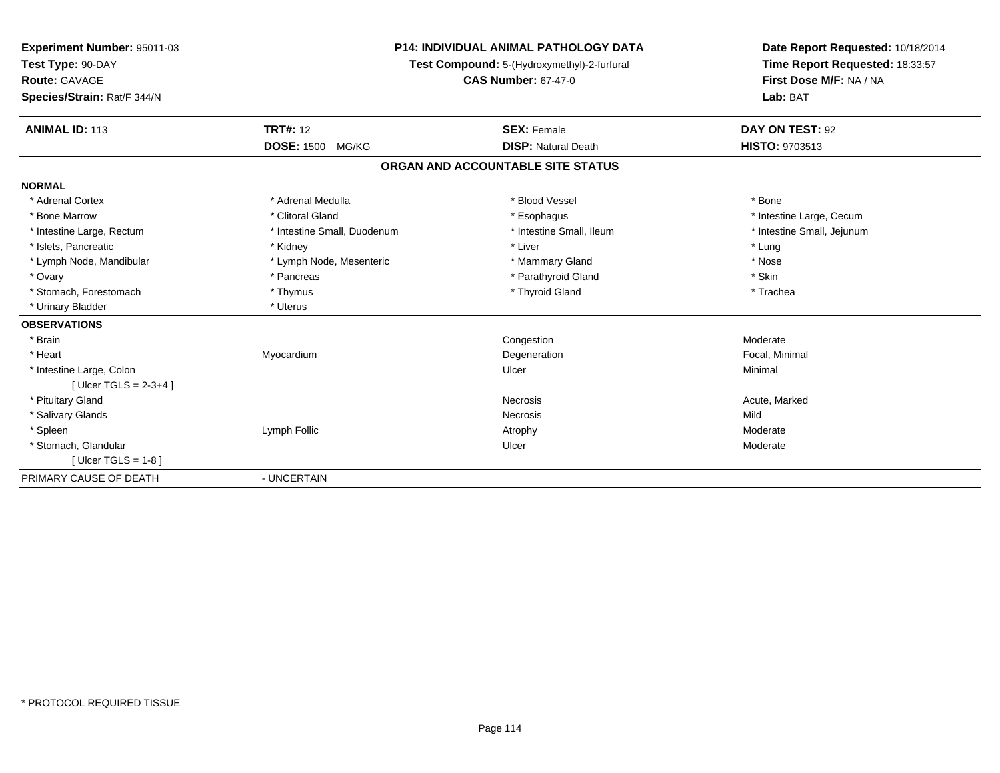| Experiment Number: 95011-03<br>Test Type: 90-DAY<br>Route: GAVAGE<br>Species/Strain: Rat/F 344/N<br><b>ANIMAL ID: 113</b> | <b>TRT#: 12</b>             | <b>P14: INDIVIDUAL ANIMAL PATHOLOGY DATA</b><br>Test Compound: 5-(Hydroxymethyl)-2-furfural<br><b>CAS Number: 67-47-0</b><br><b>SEX: Female</b> | Date Report Requested: 10/18/2014<br>Time Report Requested: 18:33:57<br>First Dose M/F: NA / NA<br>Lab: BAT<br>DAY ON TEST: 92 |
|---------------------------------------------------------------------------------------------------------------------------|-----------------------------|-------------------------------------------------------------------------------------------------------------------------------------------------|--------------------------------------------------------------------------------------------------------------------------------|
|                                                                                                                           | <b>DOSE: 1500 MG/KG</b>     | <b>DISP: Natural Death</b>                                                                                                                      | <b>HISTO: 9703513</b>                                                                                                          |
|                                                                                                                           |                             | ORGAN AND ACCOUNTABLE SITE STATUS                                                                                                               |                                                                                                                                |
| <b>NORMAL</b>                                                                                                             |                             |                                                                                                                                                 |                                                                                                                                |
| * Adrenal Cortex                                                                                                          | * Adrenal Medulla           | * Blood Vessel                                                                                                                                  | * Bone                                                                                                                         |
| * Bone Marrow                                                                                                             | * Clitoral Gland            | * Esophagus                                                                                                                                     | * Intestine Large, Cecum                                                                                                       |
| * Intestine Large, Rectum                                                                                                 | * Intestine Small, Duodenum | * Intestine Small, Ileum                                                                                                                        | * Intestine Small, Jejunum                                                                                                     |
| * Islets, Pancreatic                                                                                                      | * Kidney                    | * Liver                                                                                                                                         | * Lung                                                                                                                         |
| * Lymph Node, Mandibular                                                                                                  | * Lymph Node, Mesenteric    | * Mammary Gland                                                                                                                                 | * Nose                                                                                                                         |
| * Ovary                                                                                                                   | * Pancreas                  | * Parathyroid Gland                                                                                                                             | * Skin                                                                                                                         |
| * Stomach, Forestomach                                                                                                    | * Thymus                    | * Thyroid Gland                                                                                                                                 | * Trachea                                                                                                                      |
| * Urinary Bladder                                                                                                         | * Uterus                    |                                                                                                                                                 |                                                                                                                                |
| <b>OBSERVATIONS</b>                                                                                                       |                             |                                                                                                                                                 |                                                                                                                                |
| * Brain                                                                                                                   |                             | Congestion                                                                                                                                      | Moderate                                                                                                                       |
| * Heart                                                                                                                   | Myocardium                  | Degeneration                                                                                                                                    | Focal, Minimal                                                                                                                 |
| * Intestine Large, Colon                                                                                                  |                             | Ulcer                                                                                                                                           | Minimal                                                                                                                        |
| [ Ulcer TGLS = $2-3+4$ ]                                                                                                  |                             |                                                                                                                                                 |                                                                                                                                |
| * Pituitary Gland                                                                                                         |                             | <b>Necrosis</b>                                                                                                                                 | Acute, Marked                                                                                                                  |
| * Salivary Glands                                                                                                         |                             | Necrosis                                                                                                                                        | Mild                                                                                                                           |
| * Spleen                                                                                                                  | Lymph Follic                | Atrophy                                                                                                                                         | Moderate                                                                                                                       |
| * Stomach, Glandular                                                                                                      |                             | Ulcer                                                                                                                                           | Moderate                                                                                                                       |
| [Ulcer TGLS = $1-8$ ]                                                                                                     |                             |                                                                                                                                                 |                                                                                                                                |
| PRIMARY CAUSE OF DEATH                                                                                                    | - UNCERTAIN                 |                                                                                                                                                 |                                                                                                                                |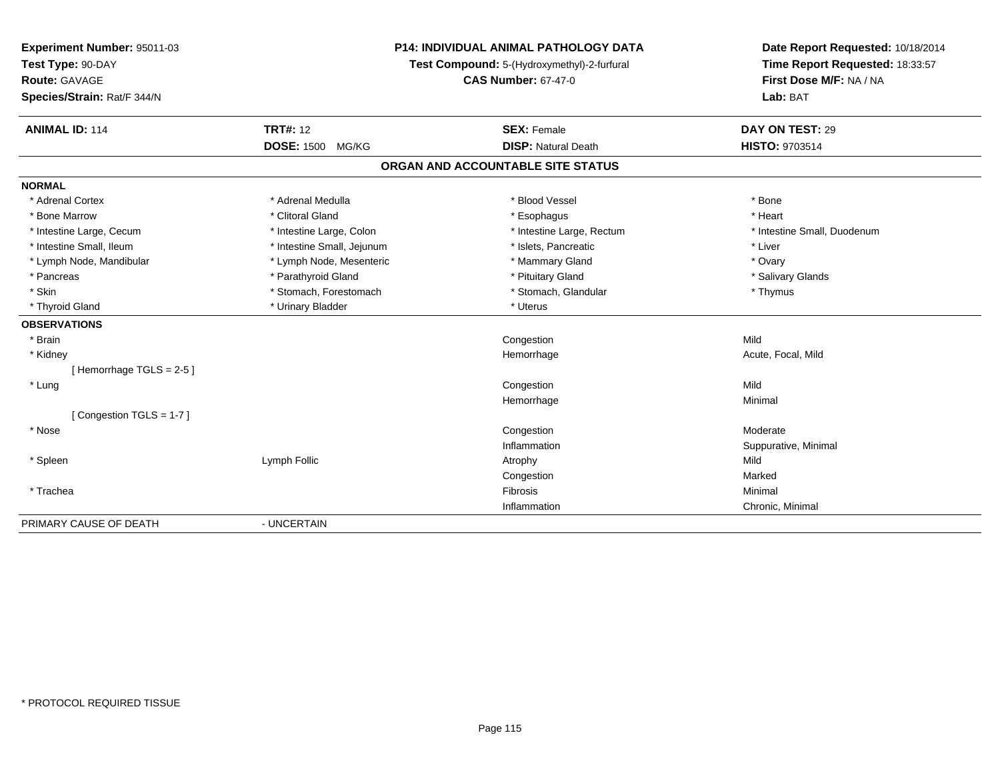| Experiment Number: 95011-03<br>Test Type: 90-DAY<br><b>Route: GAVAGE</b><br>Species/Strain: Rat/F 344/N |                            | P14: INDIVIDUAL ANIMAL PATHOLOGY DATA<br>Test Compound: 5-(Hydroxymethyl)-2-furfural<br><b>CAS Number: 67-47-0</b> | Date Report Requested: 10/18/2014<br>Time Report Requested: 18:33:57<br>First Dose M/F: NA / NA<br>Lab: BAT |
|---------------------------------------------------------------------------------------------------------|----------------------------|--------------------------------------------------------------------------------------------------------------------|-------------------------------------------------------------------------------------------------------------|
| <b>ANIMAL ID: 114</b>                                                                                   | <b>TRT#: 12</b>            | <b>SEX: Female</b>                                                                                                 | DAY ON TEST: 29                                                                                             |
|                                                                                                         | <b>DOSE: 1500</b><br>MG/KG | <b>DISP: Natural Death</b>                                                                                         | <b>HISTO: 9703514</b>                                                                                       |
|                                                                                                         |                            | ORGAN AND ACCOUNTABLE SITE STATUS                                                                                  |                                                                                                             |
| <b>NORMAL</b>                                                                                           |                            |                                                                                                                    |                                                                                                             |
| * Adrenal Cortex                                                                                        | * Adrenal Medulla          | * Blood Vessel                                                                                                     | * Bone                                                                                                      |
| * Bone Marrow                                                                                           | * Clitoral Gland           | * Esophagus                                                                                                        | * Heart                                                                                                     |
| * Intestine Large, Cecum                                                                                | * Intestine Large, Colon   | * Intestine Large, Rectum                                                                                          | * Intestine Small, Duodenum                                                                                 |
| * Intestine Small, Ileum                                                                                | * Intestine Small, Jejunum | * Islets, Pancreatic                                                                                               | * Liver                                                                                                     |
| * Lymph Node, Mandibular                                                                                | * Lymph Node, Mesenteric   | * Mammary Gland                                                                                                    | * Ovary                                                                                                     |
| * Pancreas                                                                                              | * Parathyroid Gland        | * Pituitary Gland                                                                                                  | * Salivary Glands                                                                                           |
| * Skin                                                                                                  | * Stomach, Forestomach     | * Stomach, Glandular                                                                                               | * Thymus                                                                                                    |
| * Thyroid Gland                                                                                         | * Urinary Bladder          | * Uterus                                                                                                           |                                                                                                             |
| <b>OBSERVATIONS</b>                                                                                     |                            |                                                                                                                    |                                                                                                             |
| * Brain                                                                                                 |                            | Congestion                                                                                                         | Mild                                                                                                        |
| * Kidney                                                                                                |                            | Hemorrhage                                                                                                         | Acute, Focal, Mild                                                                                          |
| [Hemorrhage TGLS = $2-5$ ]                                                                              |                            |                                                                                                                    |                                                                                                             |
| * Lung                                                                                                  |                            | Congestion                                                                                                         | Mild                                                                                                        |
|                                                                                                         |                            | Hemorrhage                                                                                                         | Minimal                                                                                                     |
| [Congestion TGLS = 1-7]                                                                                 |                            |                                                                                                                    |                                                                                                             |
| * Nose                                                                                                  |                            | Congestion                                                                                                         | Moderate                                                                                                    |
|                                                                                                         |                            | Inflammation                                                                                                       | Suppurative, Minimal                                                                                        |
| * Spleen                                                                                                | Lymph Follic               | Atrophy                                                                                                            | Mild                                                                                                        |
|                                                                                                         |                            | Congestion                                                                                                         | Marked                                                                                                      |
| * Trachea                                                                                               |                            | Fibrosis                                                                                                           | Minimal                                                                                                     |
|                                                                                                         |                            | Inflammation                                                                                                       | Chronic, Minimal                                                                                            |
| PRIMARY CAUSE OF DEATH                                                                                  | - UNCERTAIN                |                                                                                                                    |                                                                                                             |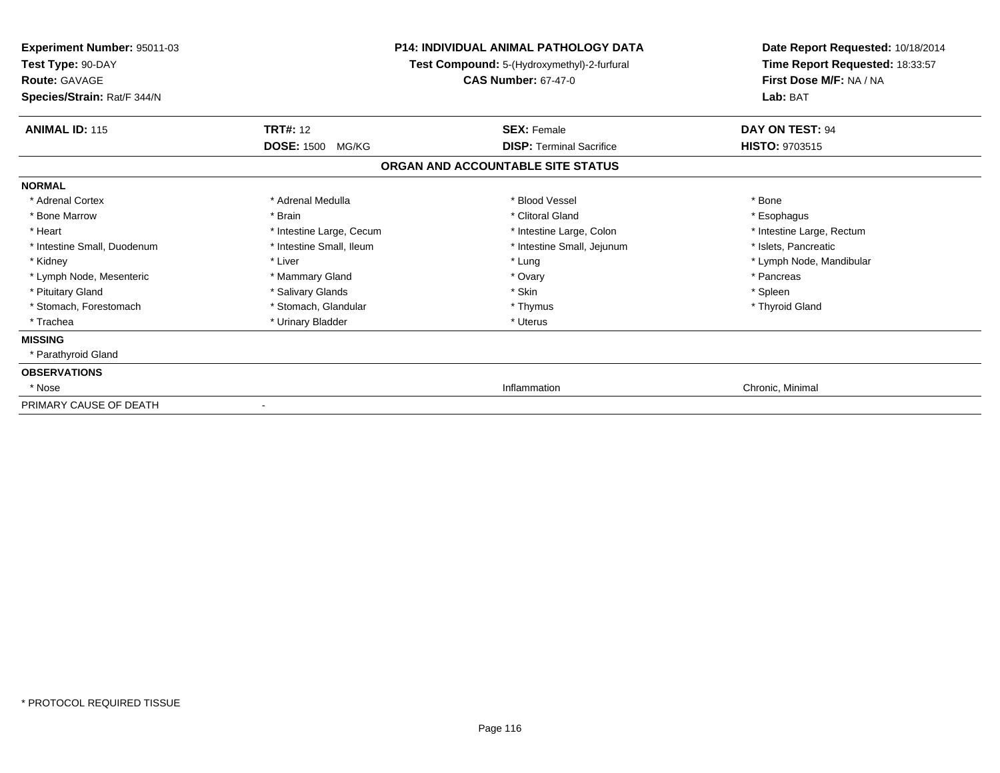| Experiment Number: 95011-03<br>Test Type: 90-DAY<br><b>Route: GAVAGE</b><br>Species/Strain: Rat/F 344/N |                          | <b>P14: INDIVIDUAL ANIMAL PATHOLOGY DATA</b><br>Test Compound: 5-(Hydroxymethyl)-2-furfural<br><b>CAS Number: 67-47-0</b> | Date Report Requested: 10/18/2014<br>Time Report Requested: 18:33:57<br>First Dose M/F: NA / NA<br>Lab: BAT |
|---------------------------------------------------------------------------------------------------------|--------------------------|---------------------------------------------------------------------------------------------------------------------------|-------------------------------------------------------------------------------------------------------------|
| <b>ANIMAL ID: 115</b>                                                                                   | <b>TRT#: 12</b>          | <b>SEX: Female</b>                                                                                                        | DAY ON TEST: 94                                                                                             |
|                                                                                                         | <b>DOSE: 1500 MG/KG</b>  | <b>DISP: Terminal Sacrifice</b>                                                                                           | HISTO: 9703515                                                                                              |
|                                                                                                         |                          | ORGAN AND ACCOUNTABLE SITE STATUS                                                                                         |                                                                                                             |
| <b>NORMAL</b>                                                                                           |                          |                                                                                                                           |                                                                                                             |
| * Adrenal Cortex                                                                                        | * Adrenal Medulla        | * Blood Vessel                                                                                                            | * Bone                                                                                                      |
| * Bone Marrow                                                                                           | * Brain                  | * Clitoral Gland                                                                                                          | * Esophagus                                                                                                 |
| * Heart                                                                                                 | * Intestine Large, Cecum | * Intestine Large, Colon                                                                                                  | * Intestine Large, Rectum                                                                                   |
| * Intestine Small, Duodenum                                                                             | * Intestine Small, Ileum | * Intestine Small, Jejunum                                                                                                | * Islets, Pancreatic                                                                                        |
| * Kidney                                                                                                | * Liver                  | * Lung                                                                                                                    | * Lymph Node, Mandibular                                                                                    |
| * Lymph Node, Mesenteric                                                                                | * Mammary Gland          | * Ovary                                                                                                                   | * Pancreas                                                                                                  |
| * Pituitary Gland                                                                                       | * Salivary Glands        | * Skin                                                                                                                    | * Spleen                                                                                                    |
| * Stomach, Forestomach                                                                                  | * Stomach, Glandular     | * Thymus                                                                                                                  | * Thyroid Gland                                                                                             |
| * Trachea                                                                                               | * Urinary Bladder        | * Uterus                                                                                                                  |                                                                                                             |
| <b>MISSING</b>                                                                                          |                          |                                                                                                                           |                                                                                                             |
| * Parathyroid Gland                                                                                     |                          |                                                                                                                           |                                                                                                             |
| <b>OBSERVATIONS</b>                                                                                     |                          |                                                                                                                           |                                                                                                             |
| * Nose                                                                                                  |                          | Inflammation                                                                                                              | Chronic, Minimal                                                                                            |
| PRIMARY CAUSE OF DEATH                                                                                  |                          |                                                                                                                           |                                                                                                             |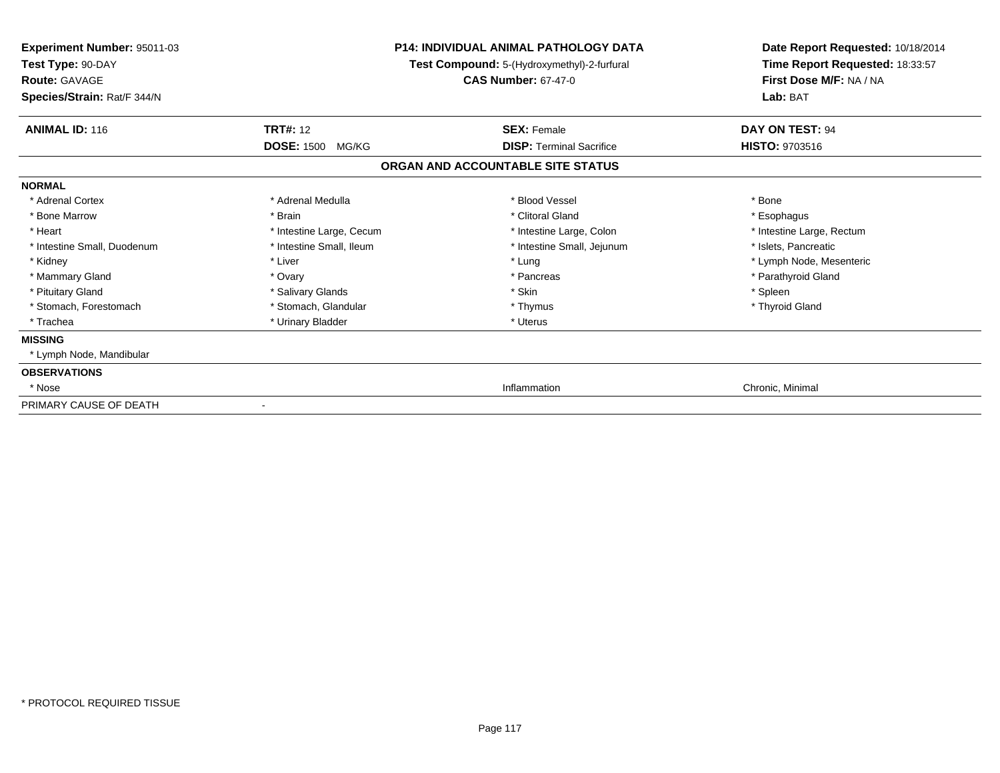| Experiment Number: 95011-03<br>Test Type: 90-DAY<br><b>Route: GAVAGE</b><br>Species/Strain: Rat/F 344/N |                            | P14: INDIVIDUAL ANIMAL PATHOLOGY DATA<br>Test Compound: 5-(Hydroxymethyl)-2-furfural<br><b>CAS Number: 67-47-0</b> | Date Report Requested: 10/18/2014<br>Time Report Requested: 18:33:57<br>First Dose M/F: NA / NA<br>Lab: BAT |
|---------------------------------------------------------------------------------------------------------|----------------------------|--------------------------------------------------------------------------------------------------------------------|-------------------------------------------------------------------------------------------------------------|
| <b>ANIMAL ID: 116</b>                                                                                   | <b>TRT#: 12</b>            | <b>SEX: Female</b>                                                                                                 | <b>DAY ON TEST: 94</b>                                                                                      |
|                                                                                                         | <b>DOSE: 1500</b><br>MG/KG | <b>DISP:</b> Terminal Sacrifice                                                                                    | HISTO: 9703516                                                                                              |
|                                                                                                         |                            | ORGAN AND ACCOUNTABLE SITE STATUS                                                                                  |                                                                                                             |
| <b>NORMAL</b>                                                                                           |                            |                                                                                                                    |                                                                                                             |
| * Adrenal Cortex                                                                                        | * Adrenal Medulla          | * Blood Vessel                                                                                                     | * Bone                                                                                                      |
| * Bone Marrow                                                                                           | * Brain                    | * Clitoral Gland                                                                                                   | * Esophagus                                                                                                 |
| * Heart                                                                                                 | * Intestine Large, Cecum   | * Intestine Large, Colon                                                                                           | * Intestine Large, Rectum                                                                                   |
| * Intestine Small, Duodenum                                                                             | * Intestine Small, Ileum   | * Intestine Small, Jejunum                                                                                         | * Islets, Pancreatic                                                                                        |
| * Kidney                                                                                                | * Liver                    | * Lung                                                                                                             | * Lymph Node, Mesenteric                                                                                    |
| * Mammary Gland                                                                                         | * Ovary                    | * Pancreas                                                                                                         | * Parathyroid Gland                                                                                         |
| * Pituitary Gland                                                                                       | * Salivary Glands          | * Skin                                                                                                             | * Spleen                                                                                                    |
| * Stomach, Forestomach                                                                                  | * Stomach, Glandular       | * Thymus                                                                                                           | * Thyroid Gland                                                                                             |
| * Trachea                                                                                               | * Urinary Bladder          | * Uterus                                                                                                           |                                                                                                             |
| <b>MISSING</b>                                                                                          |                            |                                                                                                                    |                                                                                                             |
| * Lymph Node, Mandibular                                                                                |                            |                                                                                                                    |                                                                                                             |
| <b>OBSERVATIONS</b>                                                                                     |                            |                                                                                                                    |                                                                                                             |
| * Nose                                                                                                  |                            | Inflammation                                                                                                       | Chronic, Minimal                                                                                            |
| PRIMARY CAUSE OF DEATH                                                                                  |                            |                                                                                                                    |                                                                                                             |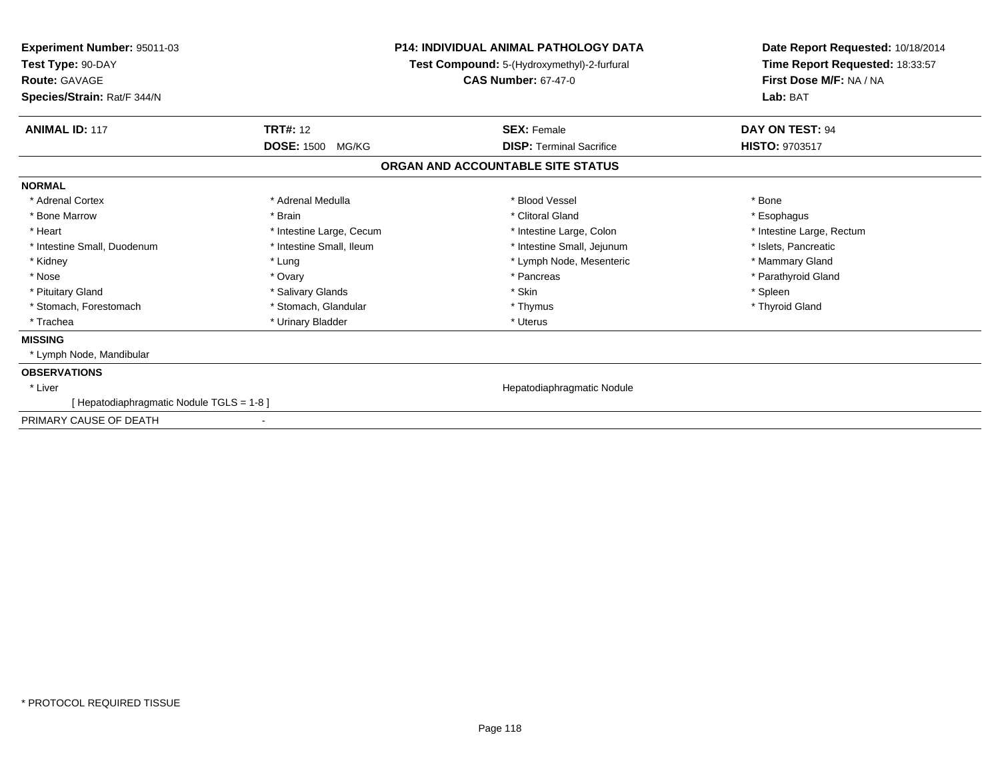| <b>TRT#: 12</b><br><b>ANIMAL ID: 117</b><br>DAY ON TEST: 94<br><b>SEX: Female</b><br><b>DOSE: 1500</b><br><b>HISTO: 9703517</b><br><b>DISP: Terminal Sacrifice</b><br>MG/KG<br>ORGAN AND ACCOUNTABLE SITE STATUS<br>* Blood Vessel<br>* Adrenal Cortex<br>* Adrenal Medulla<br>* Bone<br>* Clitoral Gland<br>* Bone Marrow<br>* Brain<br>* Esophagus<br>* Heart<br>* Intestine Large, Cecum<br>* Intestine Large, Colon<br>* Intestine Large, Rectum<br>* Intestine Small, Ileum<br>* Intestine Small, Duodenum<br>* Intestine Small, Jejunum<br>* Islets, Pancreatic<br>* Kidney<br>* Lymph Node, Mesenteric<br>* Mammary Gland<br>* Lung<br>* Nose<br>* Parathyroid Gland<br>* Ovary<br>* Pancreas<br>* Salivary Glands<br>* Skin<br>* Pituitary Gland<br>* Spleen<br>* Stomach, Forestomach<br>* Stomach, Glandular<br>* Thyroid Gland<br>* Thymus<br>* Urinary Bladder<br>* Uterus<br>* Trachea<br>* Lymph Node, Mandibular<br>Hepatodiaphragmatic Nodule<br>* Liver<br>[Hepatodiaphragmatic Nodule TGLS = 1-8] | Experiment Number: 95011-03<br>Test Type: 90-DAY<br><b>Route: GAVAGE</b><br>Species/Strain: Rat/F 344/N | <b>P14: INDIVIDUAL ANIMAL PATHOLOGY DATA</b><br>Test Compound: 5-(Hydroxymethyl)-2-furfural<br><b>CAS Number: 67-47-0</b> | Date Report Requested: 10/18/2014<br>Time Report Requested: 18:33:57<br>First Dose M/F: NA / NA<br>Lab: BAT |
|---------------------------------------------------------------------------------------------------------------------------------------------------------------------------------------------------------------------------------------------------------------------------------------------------------------------------------------------------------------------------------------------------------------------------------------------------------------------------------------------------------------------------------------------------------------------------------------------------------------------------------------------------------------------------------------------------------------------------------------------------------------------------------------------------------------------------------------------------------------------------------------------------------------------------------------------------------------------------------------------------------------------|---------------------------------------------------------------------------------------------------------|---------------------------------------------------------------------------------------------------------------------------|-------------------------------------------------------------------------------------------------------------|
|                                                                                                                                                                                                                                                                                                                                                                                                                                                                                                                                                                                                                                                                                                                                                                                                                                                                                                                                                                                                                     |                                                                                                         |                                                                                                                           |                                                                                                             |
|                                                                                                                                                                                                                                                                                                                                                                                                                                                                                                                                                                                                                                                                                                                                                                                                                                                                                                                                                                                                                     |                                                                                                         |                                                                                                                           |                                                                                                             |
|                                                                                                                                                                                                                                                                                                                                                                                                                                                                                                                                                                                                                                                                                                                                                                                                                                                                                                                                                                                                                     |                                                                                                         |                                                                                                                           |                                                                                                             |
|                                                                                                                                                                                                                                                                                                                                                                                                                                                                                                                                                                                                                                                                                                                                                                                                                                                                                                                                                                                                                     | <b>NORMAL</b>                                                                                           |                                                                                                                           |                                                                                                             |
|                                                                                                                                                                                                                                                                                                                                                                                                                                                                                                                                                                                                                                                                                                                                                                                                                                                                                                                                                                                                                     |                                                                                                         |                                                                                                                           |                                                                                                             |
|                                                                                                                                                                                                                                                                                                                                                                                                                                                                                                                                                                                                                                                                                                                                                                                                                                                                                                                                                                                                                     |                                                                                                         |                                                                                                                           |                                                                                                             |
|                                                                                                                                                                                                                                                                                                                                                                                                                                                                                                                                                                                                                                                                                                                                                                                                                                                                                                                                                                                                                     |                                                                                                         |                                                                                                                           |                                                                                                             |
|                                                                                                                                                                                                                                                                                                                                                                                                                                                                                                                                                                                                                                                                                                                                                                                                                                                                                                                                                                                                                     |                                                                                                         |                                                                                                                           |                                                                                                             |
|                                                                                                                                                                                                                                                                                                                                                                                                                                                                                                                                                                                                                                                                                                                                                                                                                                                                                                                                                                                                                     |                                                                                                         |                                                                                                                           |                                                                                                             |
|                                                                                                                                                                                                                                                                                                                                                                                                                                                                                                                                                                                                                                                                                                                                                                                                                                                                                                                                                                                                                     |                                                                                                         |                                                                                                                           |                                                                                                             |
|                                                                                                                                                                                                                                                                                                                                                                                                                                                                                                                                                                                                                                                                                                                                                                                                                                                                                                                                                                                                                     |                                                                                                         |                                                                                                                           |                                                                                                             |
|                                                                                                                                                                                                                                                                                                                                                                                                                                                                                                                                                                                                                                                                                                                                                                                                                                                                                                                                                                                                                     |                                                                                                         |                                                                                                                           |                                                                                                             |
|                                                                                                                                                                                                                                                                                                                                                                                                                                                                                                                                                                                                                                                                                                                                                                                                                                                                                                                                                                                                                     |                                                                                                         |                                                                                                                           |                                                                                                             |
|                                                                                                                                                                                                                                                                                                                                                                                                                                                                                                                                                                                                                                                                                                                                                                                                                                                                                                                                                                                                                     | <b>MISSING</b>                                                                                          |                                                                                                                           |                                                                                                             |
|                                                                                                                                                                                                                                                                                                                                                                                                                                                                                                                                                                                                                                                                                                                                                                                                                                                                                                                                                                                                                     |                                                                                                         |                                                                                                                           |                                                                                                             |
|                                                                                                                                                                                                                                                                                                                                                                                                                                                                                                                                                                                                                                                                                                                                                                                                                                                                                                                                                                                                                     | <b>OBSERVATIONS</b>                                                                                     |                                                                                                                           |                                                                                                             |
|                                                                                                                                                                                                                                                                                                                                                                                                                                                                                                                                                                                                                                                                                                                                                                                                                                                                                                                                                                                                                     |                                                                                                         |                                                                                                                           |                                                                                                             |
|                                                                                                                                                                                                                                                                                                                                                                                                                                                                                                                                                                                                                                                                                                                                                                                                                                                                                                                                                                                                                     |                                                                                                         |                                                                                                                           |                                                                                                             |
| $\blacksquare$                                                                                                                                                                                                                                                                                                                                                                                                                                                                                                                                                                                                                                                                                                                                                                                                                                                                                                                                                                                                      | PRIMARY CAUSE OF DEATH                                                                                  |                                                                                                                           |                                                                                                             |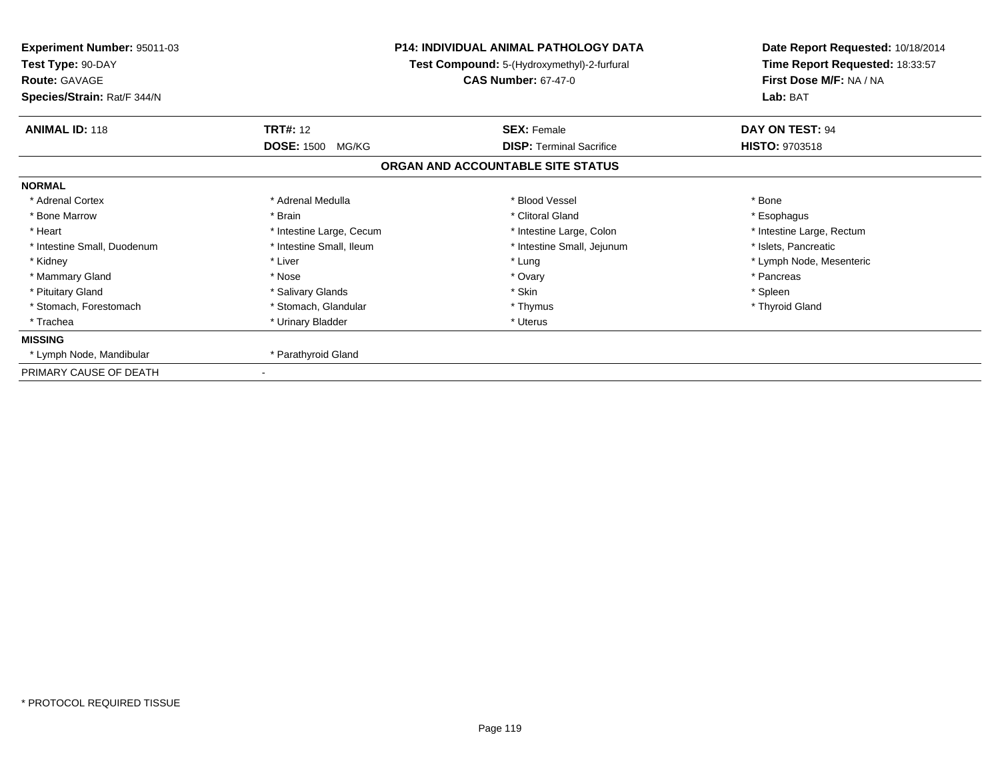| Experiment Number: 95011-03<br>Test Type: 90-DAY<br><b>Route: GAVAGE</b><br>Species/Strain: Rat/F 344/N |                          | <b>P14: INDIVIDUAL ANIMAL PATHOLOGY DATA</b><br>Test Compound: 5-(Hydroxymethyl)-2-furfural<br><b>CAS Number: 67-47-0</b> | Date Report Requested: 10/18/2014<br>Time Report Requested: 18:33:57<br>First Dose M/F: NA / NA<br>Lab: BAT |
|---------------------------------------------------------------------------------------------------------|--------------------------|---------------------------------------------------------------------------------------------------------------------------|-------------------------------------------------------------------------------------------------------------|
| <b>ANIMAL ID: 118</b>                                                                                   | <b>TRT#: 12</b>          | <b>SEX: Female</b>                                                                                                        | DAY ON TEST: 94                                                                                             |
|                                                                                                         | <b>DOSE: 1500 MG/KG</b>  | <b>DISP:</b> Terminal Sacrifice                                                                                           | <b>HISTO: 9703518</b>                                                                                       |
|                                                                                                         |                          | ORGAN AND ACCOUNTABLE SITE STATUS                                                                                         |                                                                                                             |
| <b>NORMAL</b>                                                                                           |                          |                                                                                                                           |                                                                                                             |
| * Adrenal Cortex                                                                                        | * Adrenal Medulla        | * Blood Vessel                                                                                                            | * Bone                                                                                                      |
| * Bone Marrow                                                                                           | * Brain                  | * Clitoral Gland                                                                                                          | * Esophagus                                                                                                 |
| * Heart                                                                                                 | * Intestine Large, Cecum | * Intestine Large, Colon                                                                                                  | * Intestine Large, Rectum                                                                                   |
| * Intestine Small, Duodenum                                                                             | * Intestine Small, Ileum | * Intestine Small, Jejunum                                                                                                | * Islets, Pancreatic                                                                                        |
| * Kidney                                                                                                | * Liver                  | * Lung                                                                                                                    | * Lymph Node, Mesenteric                                                                                    |
| * Mammary Gland                                                                                         | * Nose                   | * Ovary                                                                                                                   | * Pancreas                                                                                                  |
| * Pituitary Gland                                                                                       | * Salivary Glands        | * Skin                                                                                                                    | * Spleen                                                                                                    |
| * Stomach, Forestomach                                                                                  | * Stomach, Glandular     | * Thymus                                                                                                                  | * Thyroid Gland                                                                                             |
| * Trachea                                                                                               | * Urinary Bladder        | * Uterus                                                                                                                  |                                                                                                             |
| <b>MISSING</b>                                                                                          |                          |                                                                                                                           |                                                                                                             |
| * Lymph Node, Mandibular                                                                                | * Parathyroid Gland      |                                                                                                                           |                                                                                                             |
| PRIMARY CAUSE OF DEATH                                                                                  |                          |                                                                                                                           |                                                                                                             |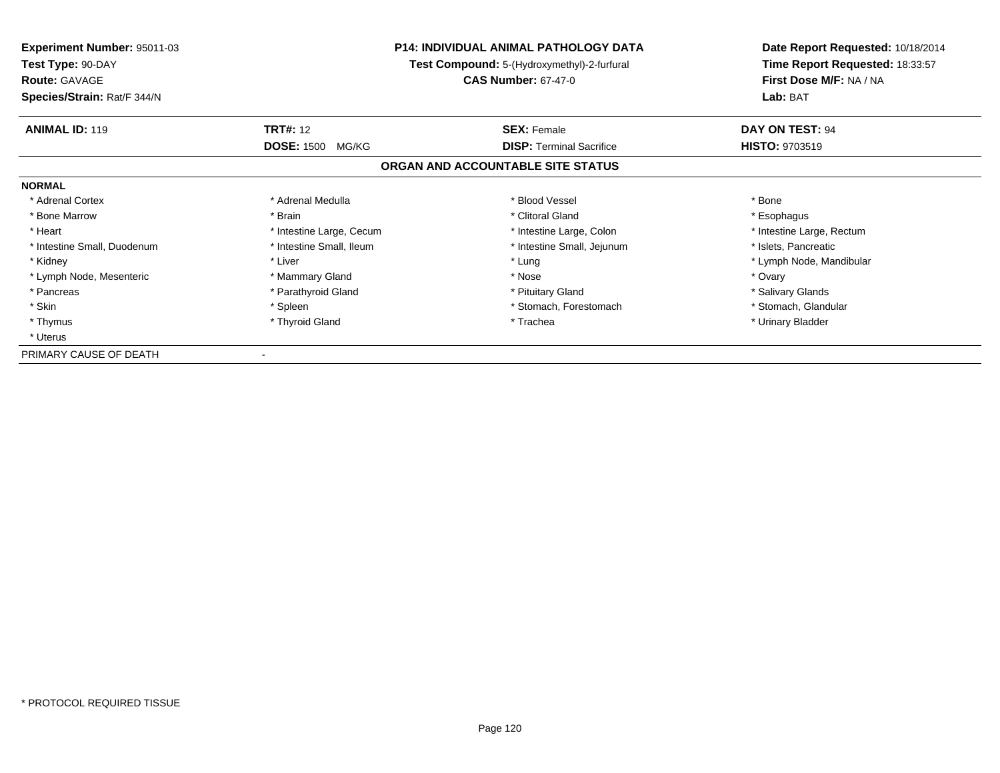| <b>Experiment Number: 95011-03</b><br>Test Type: 90-DAY<br><b>Route: GAVAGE</b> | <b>P14: INDIVIDUAL ANIMAL PATHOLOGY DATA</b><br>Test Compound: 5-(Hydroxymethyl)-2-furfural<br><b>CAS Number: 67-47-0</b> |                                   | Date Report Requested: 10/18/2014<br>Time Report Requested: 18:33:57<br>First Dose M/F: NA / NA |
|---------------------------------------------------------------------------------|---------------------------------------------------------------------------------------------------------------------------|-----------------------------------|-------------------------------------------------------------------------------------------------|
| Species/Strain: Rat/F 344/N                                                     |                                                                                                                           |                                   | Lab: BAT                                                                                        |
| <b>ANIMAL ID: 119</b>                                                           | <b>TRT#: 12</b>                                                                                                           | <b>SEX: Female</b>                | DAY ON TEST: 94                                                                                 |
|                                                                                 | <b>DOSE: 1500</b><br>MG/KG                                                                                                | <b>DISP:</b> Terminal Sacrifice   | <b>HISTO: 9703519</b>                                                                           |
|                                                                                 |                                                                                                                           | ORGAN AND ACCOUNTABLE SITE STATUS |                                                                                                 |
| <b>NORMAL</b>                                                                   |                                                                                                                           |                                   |                                                                                                 |
| * Adrenal Cortex                                                                | * Adrenal Medulla                                                                                                         | * Blood Vessel                    | * Bone                                                                                          |
| * Bone Marrow                                                                   | * Brain                                                                                                                   | * Clitoral Gland                  | * Esophagus                                                                                     |
| * Heart                                                                         | * Intestine Large, Cecum                                                                                                  | * Intestine Large, Colon          | * Intestine Large, Rectum                                                                       |
| * Intestine Small, Duodenum                                                     | * Intestine Small, Ileum                                                                                                  | * Intestine Small, Jejunum        | * Islets, Pancreatic                                                                            |
| * Kidney                                                                        | * Liver                                                                                                                   | * Lung                            | * Lymph Node, Mandibular                                                                        |
| * Lymph Node, Mesenteric                                                        | * Mammary Gland                                                                                                           | * Nose                            | * Ovary                                                                                         |
| * Pancreas                                                                      | * Parathyroid Gland                                                                                                       | * Pituitary Gland                 | * Salivary Glands                                                                               |
| * Skin                                                                          | * Spleen                                                                                                                  | * Stomach, Forestomach            | * Stomach, Glandular                                                                            |
| * Thymus                                                                        | * Thyroid Gland                                                                                                           | * Trachea                         | * Urinary Bladder                                                                               |
| * Uterus                                                                        |                                                                                                                           |                                   |                                                                                                 |
| PRIMARY CAUSE OF DEATH                                                          |                                                                                                                           |                                   |                                                                                                 |